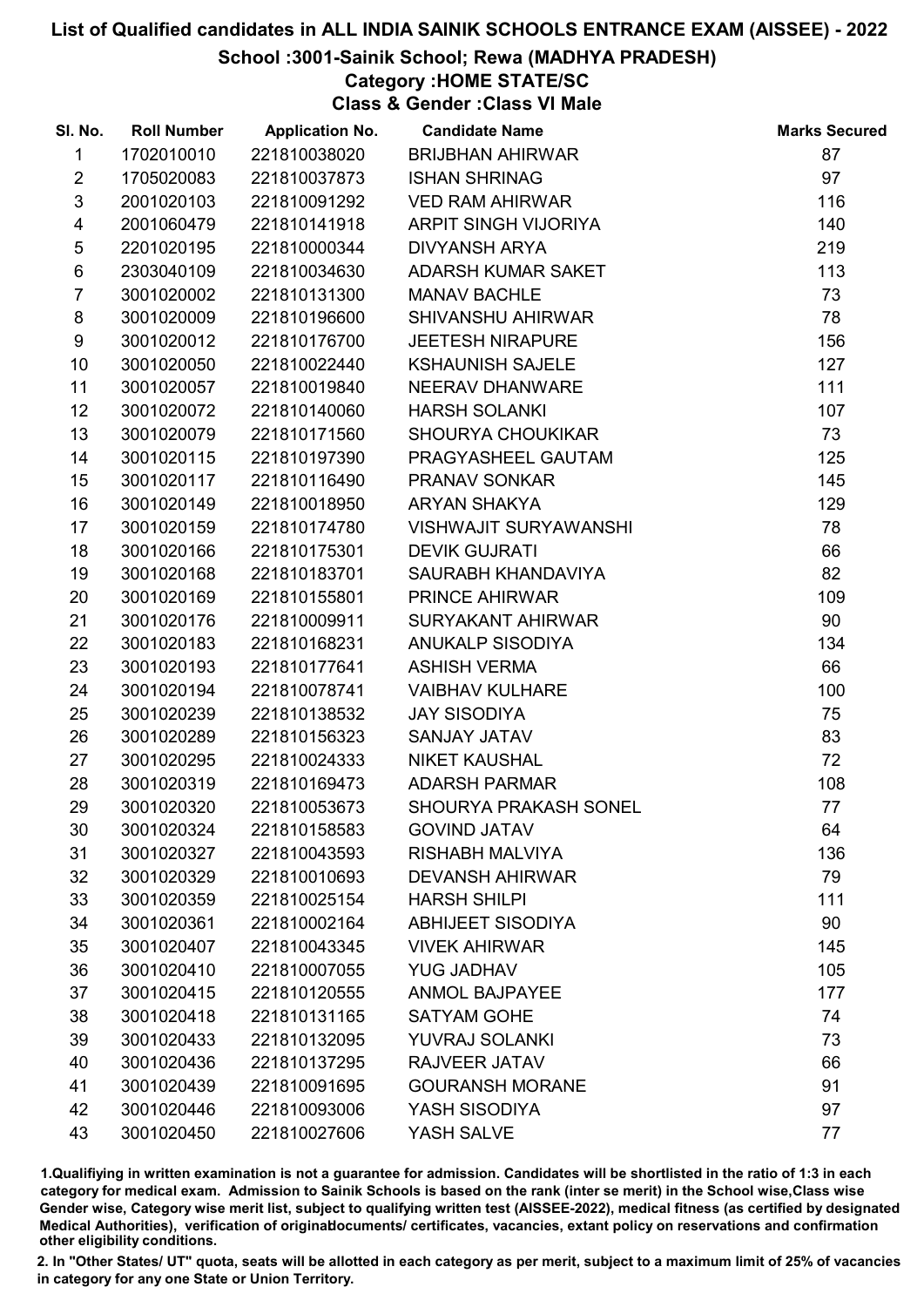## School :3001-Sainik School; Rewa (MADHYA PRADESH)

# Category :HOME STATE/SC

Class & Gender :Class VI Male

| SI. No.                 | <b>Roll Number</b> | <b>Application No.</b> | <b>Candidate Name</b>        | <b>Marks Secured</b> |
|-------------------------|--------------------|------------------------|------------------------------|----------------------|
| $\mathbf{1}$            | 1702010010         | 221810038020           | <b>BRIJBHAN AHIRWAR</b>      | 87                   |
| $\overline{2}$          | 1705020083         | 221810037873           | <b>ISHAN SHRINAG</b>         | 97                   |
| 3                       | 2001020103         | 221810091292           | <b>VED RAM AHIRWAR</b>       | 116                  |
| $\overline{\mathbf{4}}$ | 2001060479         | 221810141918           | ARPIT SINGH VIJORIYA         | 140                  |
| 5                       | 2201020195         | 221810000344           | <b>DIVYANSH ARYA</b>         | 219                  |
| $\,6$                   | 2303040109         | 221810034630           | ADARSH KUMAR SAKET           | 113                  |
| $\overline{7}$          | 3001020002         | 221810131300           | <b>MANAV BACHLE</b>          | 73                   |
| 8                       | 3001020009         | 221810196600           | SHIVANSHU AHIRWAR            | 78                   |
| 9                       | 3001020012         | 221810176700           | <b>JEETESH NIRAPURE</b>      | 156                  |
| 10                      | 3001020050         | 221810022440           | <b>KSHAUNISH SAJELE</b>      | 127                  |
| 11                      | 3001020057         | 221810019840           | NEERAV DHANWARE              | 111                  |
| 12 <sup>°</sup>         | 3001020072         | 221810140060           | <b>HARSH SOLANKI</b>         | 107                  |
| 13                      | 3001020079         | 221810171560           | <b>SHOURYA CHOUKIKAR</b>     | 73                   |
| 14                      | 3001020115         | 221810197390           | PRAGYASHEEL GAUTAM           | 125                  |
| 15                      | 3001020117         | 221810116490           | PRANAV SONKAR                | 145                  |
| 16                      | 3001020149         | 221810018950           | <b>ARYAN SHAKYA</b>          | 129                  |
| 17                      | 3001020159         | 221810174780           | <b>VISHWAJIT SURYAWANSHI</b> | 78                   |
| 18                      | 3001020166         | 221810175301           | <b>DEVIK GUJRATI</b>         | 66                   |
| 19                      | 3001020168         | 221810183701           | SAURABH KHANDAVIYA           | 82                   |
| 20                      | 3001020169         | 221810155801           | PRINCE AHIRWAR               | 109                  |
| 21                      | 3001020176         | 221810009911           | SURYAKANT AHIRWAR            | 90                   |
| 22                      | 3001020183         | 221810168231           | <b>ANUKALP SISODIYA</b>      | 134                  |
| 23                      | 3001020193         | 221810177641           | <b>ASHISH VERMA</b>          | 66                   |
| 24                      | 3001020194         | 221810078741           | <b>VAIBHAV KULHARE</b>       | 100                  |
| 25                      | 3001020239         | 221810138532           | <b>JAY SISODIYA</b>          | 75                   |
| 26                      | 3001020289         | 221810156323           | SANJAY JATAV                 | 83                   |
| 27                      | 3001020295         | 221810024333           | <b>NIKET KAUSHAL</b>         | 72                   |
| 28                      | 3001020319         | 221810169473           | <b>ADARSH PARMAR</b>         | 108                  |
| 29                      | 3001020320         | 221810053673           | SHOURYA PRAKASH SONEL        | 77                   |
| 30                      | 3001020324         | 221810158583           | <b>GOVIND JATAV</b>          | 64                   |
| 31                      | 3001020327         | 221810043593           | <b>RISHABH MALVIYA</b>       | 136                  |
| 32                      | 3001020329         | 221810010693           | <b>DEVANSH AHIRWAR</b>       | 79                   |
| 33                      | 3001020359         | 221810025154           | <b>HARSH SHILPI</b>          | 111                  |
| 34                      | 3001020361         | 221810002164           | <b>ABHIJEET SISODIYA</b>     | 90                   |
| 35                      | 3001020407         | 221810043345           | <b>VIVEK AHIRWAR</b>         | 145                  |
| 36                      | 3001020410         | 221810007055           | <b>YUG JADHAV</b>            | 105                  |
| 37                      | 3001020415         | 221810120555           | <b>ANMOL BAJPAYEE</b>        | 177                  |
| 38                      | 3001020418         | 221810131165           | <b>SATYAM GOHE</b>           | 74                   |
| 39                      | 3001020433         | 221810132095           | YUVRAJ SOLANKI               | 73                   |
| 40                      | 3001020436         | 221810137295           | RAJVEER JATAV                | 66                   |
| 41                      | 3001020439         | 221810091695           | <b>GOURANSH MORANE</b>       | 91                   |
| 42                      | 3001020446         | 221810093006           | YASH SISODIYA                | 97                   |
| 43                      | 3001020450         | 221810027606           | YASH SALVE                   | 77                   |

1.Qualifiying in written examination is not a guarantee for admission. Candidates will be shortlisted in the ratio of 1:3 in each category for medical exam. Admission to Sainik Schools is based on the rank (inter se merit) in the School wise,Class wise Gender wise, Category wise merit list, subject to qualifying written test (AISSEE-2022), medical fitness (as certified by designated Medical Authorities), verification of originablocuments/ certificates, vacancies, extant policy on reservations and confirmation other eligibility conditions.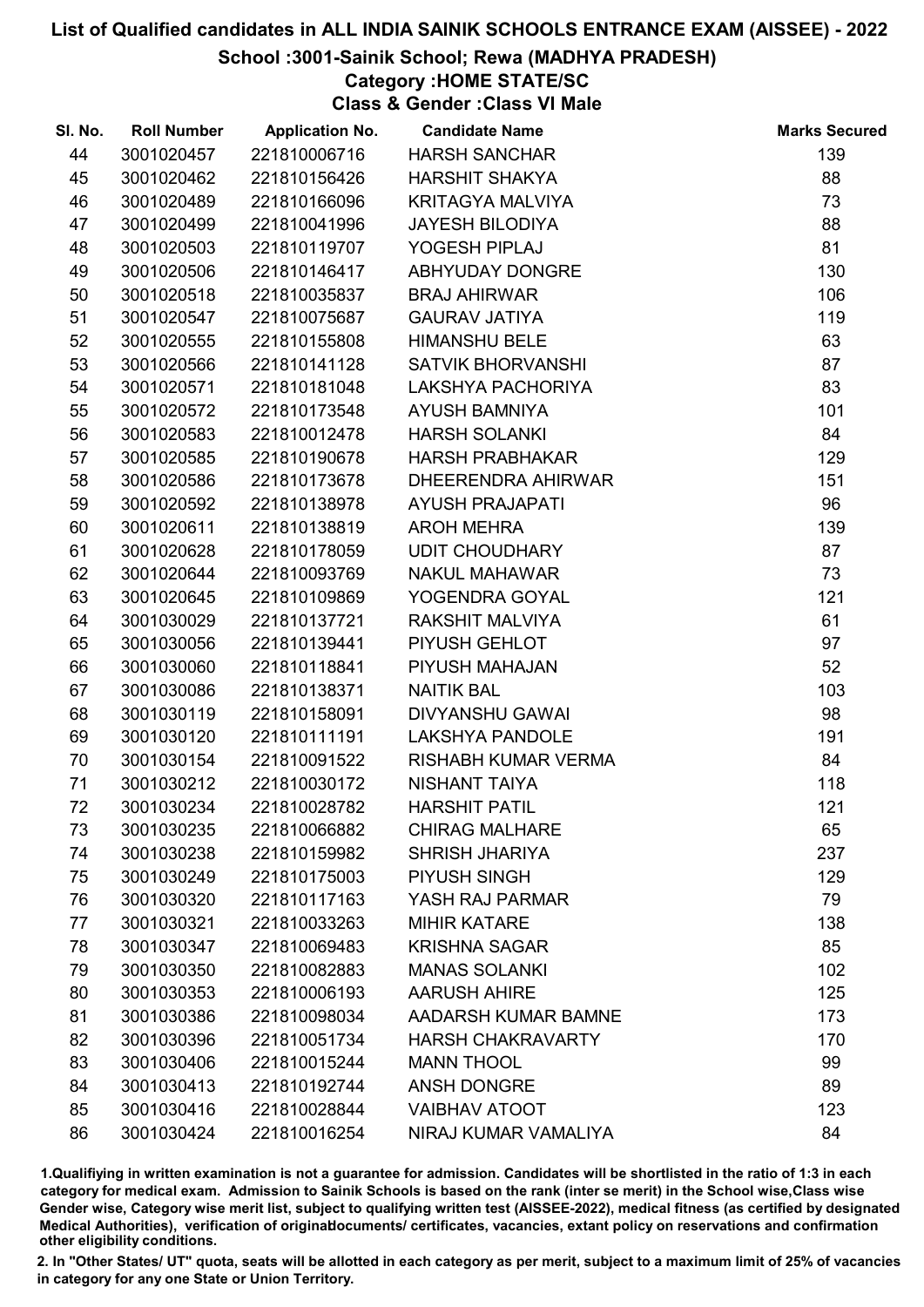### School :3001-Sainik School; Rewa (MADHYA PRADESH)

# Category :HOME STATE/SC

Class & Gender :Class VI Male

| SI. No. | <b>Roll Number</b> | <b>Application No.</b> | <b>Candidate Name</b>    | <b>Marks Secured</b> |
|---------|--------------------|------------------------|--------------------------|----------------------|
| 44      | 3001020457         | 221810006716           | <b>HARSH SANCHAR</b>     | 139                  |
| 45      | 3001020462         | 221810156426           | <b>HARSHIT SHAKYA</b>    | 88                   |
| 46      | 3001020489         | 221810166096           | <b>KRITAGYA MALVIYA</b>  | 73                   |
| 47      | 3001020499         | 221810041996           | <b>JAYESH BILODIYA</b>   | 88                   |
| 48      | 3001020503         | 221810119707           | YOGESH PIPLAJ            | 81                   |
| 49      | 3001020506         | 221810146417           | ABHYUDAY DONGRE          | 130                  |
| 50      | 3001020518         | 221810035837           | <b>BRAJ AHIRWAR</b>      | 106                  |
| 51      | 3001020547         | 221810075687           | <b>GAURAV JATIYA</b>     | 119                  |
| 52      | 3001020555         | 221810155808           | <b>HIMANSHU BELE</b>     | 63                   |
| 53      | 3001020566         | 221810141128           | <b>SATVIK BHORVANSHI</b> | 87                   |
| 54      | 3001020571         | 221810181048           | LAKSHYA PACHORIYA        | 83                   |
| 55      | 3001020572         | 221810173548           | <b>AYUSH BAMNIYA</b>     | 101                  |
| 56      | 3001020583         | 221810012478           | <b>HARSH SOLANKI</b>     | 84                   |
| 57      | 3001020585         | 221810190678           | <b>HARSH PRABHAKAR</b>   | 129                  |
| 58      | 3001020586         | 221810173678           | DHEERENDRA AHIRWAR       | 151                  |
| 59      | 3001020592         | 221810138978           | <b>AYUSH PRAJAPATI</b>   | 96                   |
| 60      | 3001020611         | 221810138819           | <b>AROH MEHRA</b>        | 139                  |
| 61      | 3001020628         | 221810178059           | <b>UDIT CHOUDHARY</b>    | 87                   |
| 62      | 3001020644         | 221810093769           | <b>NAKUL MAHAWAR</b>     | 73                   |
| 63      | 3001020645         | 221810109869           | YOGENDRA GOYAL           | 121                  |
| 64      | 3001030029         | 221810137721           | <b>RAKSHIT MALVIYA</b>   | 61                   |
| 65      | 3001030056         | 221810139441           | PIYUSH GEHLOT            | 97                   |
| 66      | 3001030060         | 221810118841           | PIYUSH MAHAJAN           | 52                   |
| 67      | 3001030086         | 221810138371           | <b>NAITIK BAL</b>        | 103                  |
| 68      | 3001030119         | 221810158091           | DIVYANSHU GAWAI          | 98                   |
| 69      | 3001030120         | 221810111191           | <b>LAKSHYA PANDOLE</b>   | 191                  |
| 70      | 3001030154         | 221810091522           | RISHABH KUMAR VERMA      | 84                   |
| 71      | 3001030212         | 221810030172           | NISHANT TAIYA            | 118                  |
| 72      | 3001030234         | 221810028782           | <b>HARSHIT PATIL</b>     | 121                  |
| 73      | 3001030235         | 221810066882           | <b>CHIRAG MALHARE</b>    | 65                   |
| 74      | 3001030238         | 221810159982           | <b>SHRISH JHARIYA</b>    | 237                  |
| 75      | 3001030249         | 221810175003           | PIYUSH SINGH             | 129                  |
| 76      | 3001030320         | 221810117163           | YASH RAJ PARMAR          | 79                   |
| 77      | 3001030321         | 221810033263           | <b>MIHIR KATARE</b>      | 138                  |
| 78      | 3001030347         | 221810069483           | <b>KRISHNA SAGAR</b>     | 85                   |
| 79      | 3001030350         | 221810082883           | <b>MANAS SOLANKI</b>     | 102                  |
| 80      | 3001030353         | 221810006193           | <b>AARUSH AHIRE</b>      | 125                  |
| 81      | 3001030386         | 221810098034           | AADARSH KUMAR BAMNE      | 173                  |
| 82      | 3001030396         | 221810051734           | <b>HARSH CHAKRAVARTY</b> | 170                  |
| 83      | 3001030406         | 221810015244           | <b>MANN THOOL</b>        | 99                   |
| 84      | 3001030413         | 221810192744           | <b>ANSH DONGRE</b>       | 89                   |
| 85      | 3001030416         | 221810028844           | <b>VAIBHAV ATOOT</b>     | 123                  |
| 86      | 3001030424         | 221810016254           | NIRAJ KUMAR VAMALIYA     | 84                   |

1.Qualifiying in written examination is not a guarantee for admission. Candidates will be shortlisted in the ratio of 1:3 in each category for medical exam. Admission to Sainik Schools is based on the rank (inter se merit) in the School wise,Class wise Gender wise, Category wise merit list, subject to qualifying written test (AISSEE-2022), medical fitness (as certified by designated Medical Authorities), verification of originablocuments/ certificates, vacancies, extant policy on reservations and confirmation other eligibility conditions.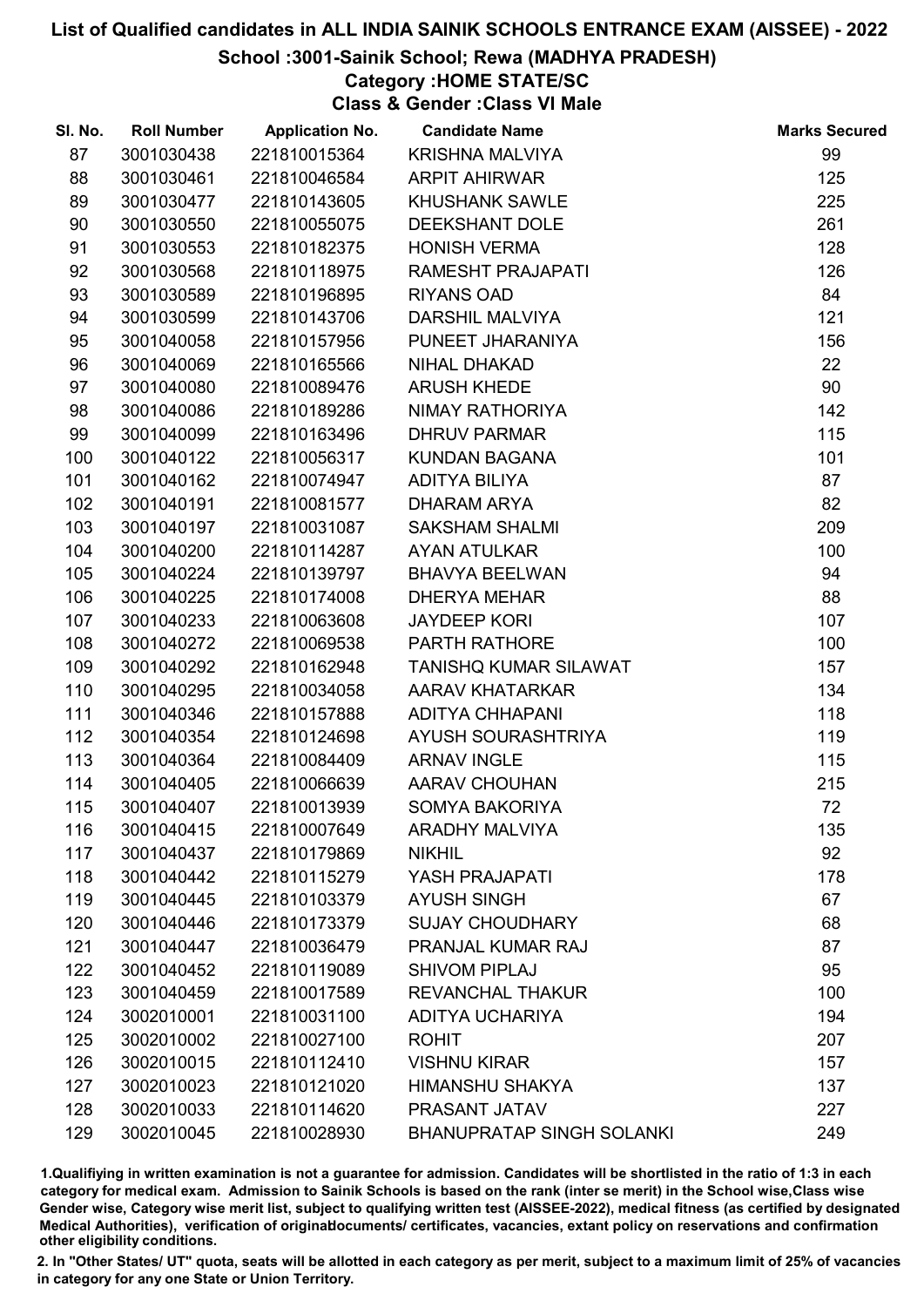## School :3001-Sainik School; Rewa (MADHYA PRADESH)

## Category :HOME STATE/SC

Class & Gender :Class VI Male

| SI. No. | <b>Roll Number</b> | <b>Application No.</b> | <b>Candidate Name</b>            | <b>Marks Secured</b> |
|---------|--------------------|------------------------|----------------------------------|----------------------|
| 87      | 3001030438         | 221810015364           | <b>KRISHNA MALVIYA</b>           | 99                   |
| 88      | 3001030461         | 221810046584           | <b>ARPIT AHIRWAR</b>             | 125                  |
| 89      | 3001030477         | 221810143605           | <b>KHUSHANK SAWLE</b>            | 225                  |
| 90      | 3001030550         | 221810055075           | DEEKSHANT DOLE                   | 261                  |
| 91      | 3001030553         | 221810182375           | <b>HONISH VERMA</b>              | 128                  |
| 92      | 3001030568         | 221810118975           | RAMESHT PRAJAPATI                | 126                  |
| 93      | 3001030589         | 221810196895           | <b>RIYANS OAD</b>                | 84                   |
| 94      | 3001030599         | 221810143706           | <b>DARSHIL MALVIYA</b>           | 121                  |
| 95      | 3001040058         | 221810157956           | PUNEET JHARANIYA                 | 156                  |
| 96      | 3001040069         | 221810165566           | <b>NIHAL DHAKAD</b>              | 22                   |
| 97      | 3001040080         | 221810089476           | <b>ARUSH KHEDE</b>               | 90                   |
| 98      | 3001040086         | 221810189286           | NIMAY RATHORIYA                  | 142                  |
| 99      | 3001040099         | 221810163496           | <b>DHRUV PARMAR</b>              | 115                  |
| 100     | 3001040122         | 221810056317           | <b>KUNDAN BAGANA</b>             | 101                  |
| 101     | 3001040162         | 221810074947           | <b>ADITYA BILIYA</b>             | 87                   |
| 102     | 3001040191         | 221810081577           | <b>DHARAM ARYA</b>               | 82                   |
| 103     | 3001040197         | 221810031087           | <b>SAKSHAM SHALMI</b>            | 209                  |
| 104     | 3001040200         | 221810114287           | <b>AYAN ATULKAR</b>              | 100                  |
| 105     | 3001040224         | 221810139797           | <b>BHAVYA BEELWAN</b>            | 94                   |
| 106     | 3001040225         | 221810174008           | <b>DHERYA MEHAR</b>              | 88                   |
| 107     | 3001040233         | 221810063608           | <b>JAYDEEP KORI</b>              | 107                  |
| 108     | 3001040272         | 221810069538           | PARTH RATHORE                    | 100                  |
| 109     | 3001040292         | 221810162948           | <b>TANISHQ KUMAR SILAWAT</b>     | 157                  |
| 110     | 3001040295         | 221810034058           | AARAV KHATARKAR                  | 134                  |
| 111     | 3001040346         | 221810157888           | ADITYA CHHAPANI                  | 118                  |
| 112     | 3001040354         | 221810124698           | AYUSH SOURASHTRIYA               | 119                  |
| 113     | 3001040364         | 221810084409           | <b>ARNAV INGLE</b>               | 115                  |
| 114     | 3001040405         | 221810066639           | <b>AARAV CHOUHAN</b>             | 215                  |
| 115     | 3001040407         | 221810013939           | <b>SOMYA BAKORIYA</b>            | 72                   |
| 116     | 3001040415         | 221810007649           | <b>ARADHY MALVIYA</b>            | 135                  |
| 117     | 3001040437         | 221810179869           | <b>NIKHIL</b>                    | 92                   |
| 118     | 3001040442         | 221810115279           | YASH PRAJAPATI                   | 178                  |
| 119     | 3001040445         | 221810103379           | <b>AYUSH SINGH</b>               | 67                   |
| 120     | 3001040446         | 221810173379           | <b>SUJAY CHOUDHARY</b>           | 68                   |
| 121     | 3001040447         | 221810036479           | <b>PRANJAL KUMAR RAJ</b>         | 87                   |
| 122     | 3001040452         | 221810119089           | <b>SHIVOM PIPLAJ</b>             | 95                   |
| 123     | 3001040459         | 221810017589           | <b>REVANCHAL THAKUR</b>          | 100                  |
| 124     | 3002010001         | 221810031100           | ADITYA UCHARIYA                  | 194                  |
| 125     | 3002010002         | 221810027100           | <b>ROHIT</b>                     | 207                  |
| 126     | 3002010015         | 221810112410           | <b>VISHNU KIRAR</b>              | 157                  |
| 127     | 3002010023         | 221810121020           | <b>HIMANSHU SHAKYA</b>           | 137                  |
| 128     | 3002010033         | 221810114620           | PRASANT JATAV                    | 227                  |
| 129     | 3002010045         | 221810028930           | <b>BHANUPRATAP SINGH SOLANKI</b> | 249                  |

1.Qualifiying in written examination is not a guarantee for admission. Candidates will be shortlisted in the ratio of 1:3 in each category for medical exam. Admission to Sainik Schools is based on the rank (inter se merit) in the School wise,Class wise Gender wise, Category wise merit list, subject to qualifying written test (AISSEE-2022), medical fitness (as certified by designated Medical Authorities), verification of originablocuments/ certificates, vacancies, extant policy on reservations and confirmation other eligibility conditions.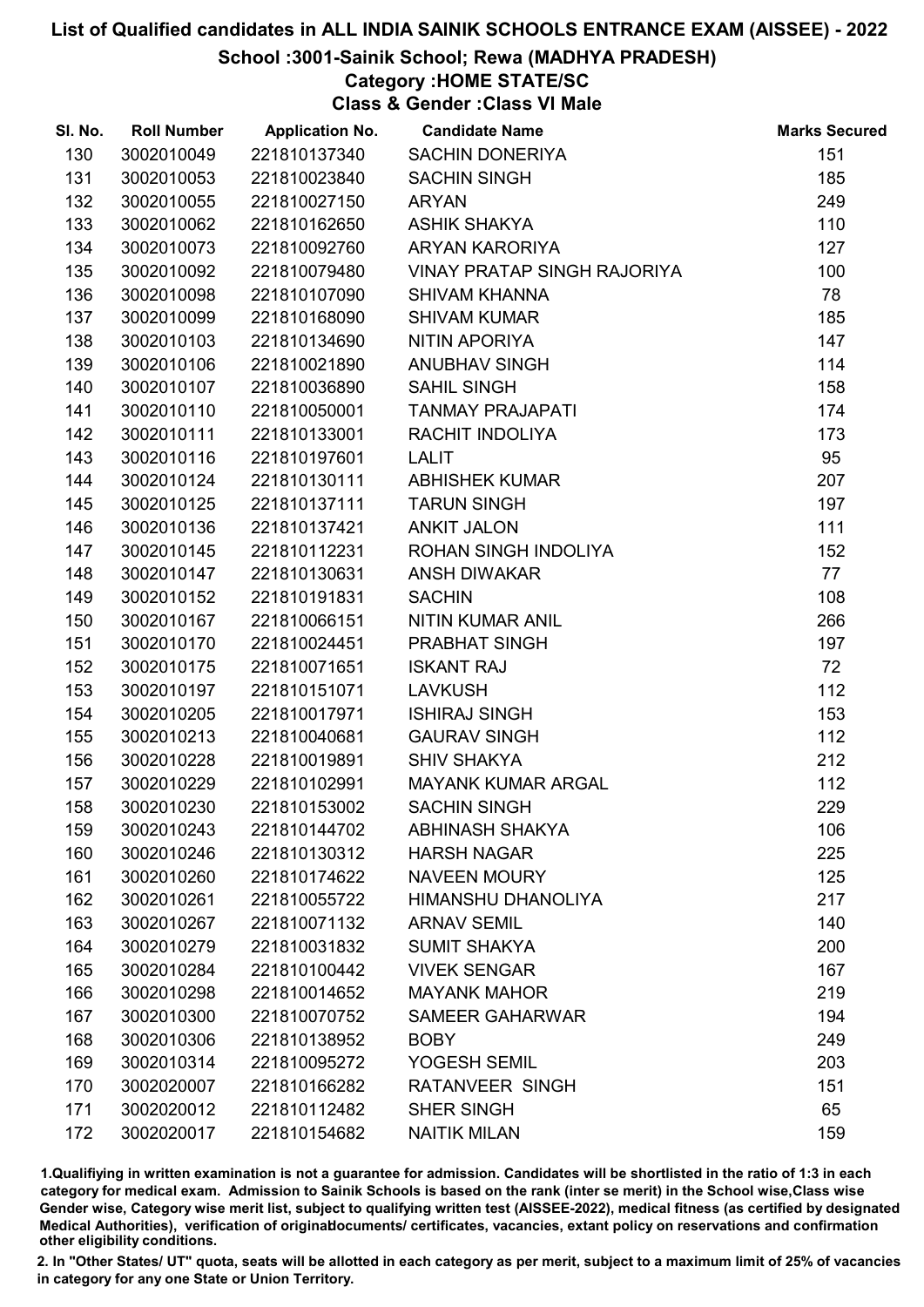School :3001-Sainik School; Rewa (MADHYA PRADESH)

# Category :HOME STATE/SC

Class & Gender :Class VI Male

| SI. No. | <b>Roll Number</b> | <b>Application No.</b> | <b>Candidate Name</b>              | <b>Marks Secured</b> |
|---------|--------------------|------------------------|------------------------------------|----------------------|
| 130     | 3002010049         | 221810137340           | <b>SACHIN DONERIYA</b>             | 151                  |
| 131     | 3002010053         | 221810023840           | <b>SACHIN SINGH</b>                | 185                  |
| 132     | 3002010055         | 221810027150           | <b>ARYAN</b>                       | 249                  |
| 133     | 3002010062         | 221810162650           | <b>ASHIK SHAKYA</b>                | 110                  |
| 134     | 3002010073         | 221810092760           | <b>ARYAN KARORIYA</b>              | 127                  |
| 135     | 3002010092         | 221810079480           | <b>VINAY PRATAP SINGH RAJORIYA</b> | 100                  |
| 136     | 3002010098         | 221810107090           | <b>SHIVAM KHANNA</b>               | 78                   |
| 137     | 3002010099         | 221810168090           | <b>SHIVAM KUMAR</b>                | 185                  |
| 138     | 3002010103         | 221810134690           | NITIN APORIYA                      | 147                  |
| 139     | 3002010106         | 221810021890           | ANUBHAV SINGH                      | 114                  |
| 140     | 3002010107         | 221810036890           | <b>SAHIL SINGH</b>                 | 158                  |
| 141     | 3002010110         | 221810050001           | <b>TANMAY PRAJAPATI</b>            | 174                  |
| 142     | 3002010111         | 221810133001           | RACHIT INDOLIYA                    | 173                  |
| 143     | 3002010116         | 221810197601           | <b>LALIT</b>                       | 95                   |
| 144     | 3002010124         | 221810130111           | <b>ABHISHEK KUMAR</b>              | 207                  |
| 145     | 3002010125         | 221810137111           | <b>TARUN SINGH</b>                 | 197                  |
| 146     | 3002010136         | 221810137421           | <b>ANKIT JALON</b>                 | 111                  |
| 147     | 3002010145         | 221810112231           | ROHAN SINGH INDOLIYA               | 152                  |
| 148     | 3002010147         | 221810130631           | <b>ANSH DIWAKAR</b>                | 77                   |
| 149     | 3002010152         | 221810191831           | <b>SACHIN</b>                      | 108                  |
| 150     | 3002010167         | 221810066151           | <b>NITIN KUMAR ANIL</b>            | 266                  |
| 151     | 3002010170         | 221810024451           | PRABHAT SINGH                      | 197                  |
| 152     | 3002010175         | 221810071651           | <b>ISKANT RAJ</b>                  | 72                   |
| 153     | 3002010197         | 221810151071           | <b>LAVKUSH</b>                     | 112                  |
| 154     | 3002010205         | 221810017971           | <b>ISHIRAJ SINGH</b>               | 153                  |
| 155     | 3002010213         | 221810040681           | <b>GAURAV SINGH</b>                | 112                  |
| 156     | 3002010228         | 221810019891           | <b>SHIV SHAKYA</b>                 | 212                  |
| 157     | 3002010229         | 221810102991           | <b>MAYANK KUMAR ARGAL</b>          | 112                  |
| 158     | 3002010230         | 221810153002           | <b>SACHIN SINGH</b>                | 229                  |
| 159     | 3002010243         | 221810144702           | <b>ABHINASH SHAKYA</b>             | 106                  |
| 160     | 3002010246         | 221810130312           | <b>HARSH NAGAR</b>                 | 225                  |
| 161     | 3002010260         | 221810174622           | <b>NAVEEN MOURY</b>                | 125                  |
| 162     | 3002010261         | 221810055722           | <b>HIMANSHU DHANOLIYA</b>          | 217                  |
| 163     | 3002010267         | 221810071132           | <b>ARNAV SEMIL</b>                 | 140                  |
| 164     | 3002010279         | 221810031832           | <b>SUMIT SHAKYA</b>                | 200                  |
| 165     | 3002010284         | 221810100442           | <b>VIVEK SENGAR</b>                | 167                  |
| 166     | 3002010298         | 221810014652           | <b>MAYANK MAHOR</b>                | 219                  |
| 167     | 3002010300         | 221810070752           | <b>SAMEER GAHARWAR</b>             | 194                  |
| 168     | 3002010306         | 221810138952           | <b>BOBY</b>                        | 249                  |
| 169     | 3002010314         | 221810095272           | YOGESH SEMIL                       | 203                  |
| 170     | 3002020007         | 221810166282           | <b>RATANVEER SINGH</b>             | 151                  |
| 171     | 3002020012         | 221810112482           | <b>SHER SINGH</b>                  | 65                   |
| 172     | 3002020017         | 221810154682           | <b>NAITIK MILAN</b>                | 159                  |

1.Qualifiying in written examination is not a guarantee for admission. Candidates will be shortlisted in the ratio of 1:3 in each category for medical exam. Admission to Sainik Schools is based on the rank (inter se merit) in the School wise,Class wise Gender wise, Category wise merit list, subject to qualifying written test (AISSEE-2022), medical fitness (as certified by designated Medical Authorities), verification of originablocuments/ certificates, vacancies, extant policy on reservations and confirmation other eligibility conditions.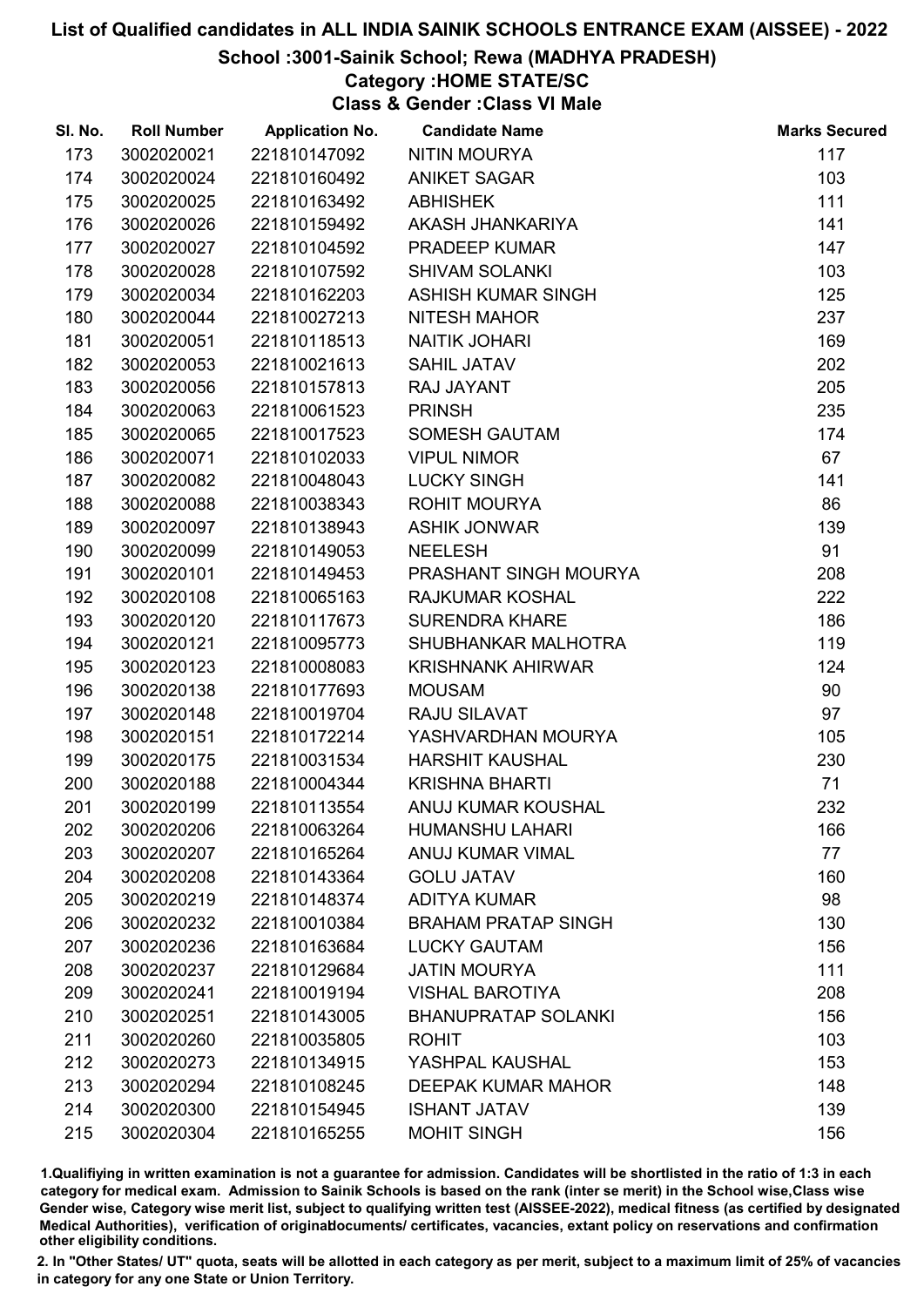School :3001-Sainik School; Rewa (MADHYA PRADESH)

# Category :HOME STATE/SC

Class & Gender :Class VI Male

| SI. No. | <b>Roll Number</b> | <b>Application No.</b> | <b>Candidate Name</b>      | <b>Marks Secured</b> |
|---------|--------------------|------------------------|----------------------------|----------------------|
| 173     | 3002020021         | 221810147092           | <b>NITIN MOURYA</b>        | 117                  |
| 174     | 3002020024         | 221810160492           | <b>ANIKET SAGAR</b>        | 103                  |
| 175     | 3002020025         | 221810163492           | <b>ABHISHEK</b>            | 111                  |
| 176     | 3002020026         | 221810159492           | AKASH JHANKARIYA           | 141                  |
| 177     | 3002020027         | 221810104592           | PRADEEP KUMAR              | 147                  |
| 178     | 3002020028         | 221810107592           | <b>SHIVAM SOLANKI</b>      | 103                  |
| 179     | 3002020034         | 221810162203           | <b>ASHISH KUMAR SINGH</b>  | 125                  |
| 180     | 3002020044         | 221810027213           | <b>NITESH MAHOR</b>        | 237                  |
| 181     | 3002020051         | 221810118513           | <b>NAITIK JOHARI</b>       | 169                  |
| 182     | 3002020053         | 221810021613           | <b>SAHIL JATAV</b>         | 202                  |
| 183     | 3002020056         | 221810157813           | RAJ JAYANT                 | 205                  |
| 184     | 3002020063         | 221810061523           | <b>PRINSH</b>              | 235                  |
| 185     | 3002020065         | 221810017523           | <b>SOMESH GAUTAM</b>       | 174                  |
| 186     | 3002020071         | 221810102033           | <b>VIPUL NIMOR</b>         | 67                   |
| 187     | 3002020082         | 221810048043           | <b>LUCKY SINGH</b>         | 141                  |
| 188     | 3002020088         | 221810038343           | <b>ROHIT MOURYA</b>        | 86                   |
| 189     | 3002020097         | 221810138943           | <b>ASHIK JONWAR</b>        | 139                  |
| 190     | 3002020099         | 221810149053           | <b>NEELESH</b>             | 91                   |
| 191     | 3002020101         | 221810149453           | PRASHANT SINGH MOURYA      | 208                  |
| 192     | 3002020108         | 221810065163           | <b>RAJKUMAR KOSHAL</b>     | 222                  |
| 193     | 3002020120         | 221810117673           | <b>SURENDRA KHARE</b>      | 186                  |
| 194     | 3002020121         | 221810095773           | SHUBHANKAR MALHOTRA        | 119                  |
| 195     | 3002020123         | 221810008083           | <b>KRISHNANK AHIRWAR</b>   | 124                  |
| 196     | 3002020138         | 221810177693           | <b>MOUSAM</b>              | 90                   |
| 197     | 3002020148         | 221810019704           | RAJU SILAVAT               | 97                   |
| 198     | 3002020151         | 221810172214           | YASHVARDHAN MOURYA         | 105                  |
| 199     | 3002020175         | 221810031534           | <b>HARSHIT KAUSHAL</b>     | 230                  |
| 200     | 3002020188         | 221810004344           | <b>KRISHNA BHARTI</b>      | 71                   |
| 201     | 3002020199         | 221810113554           | ANUJ KUMAR KOUSHAL         | 232                  |
| 202     | 3002020206         | 221810063264           | <b>HUMANSHU LAHARI</b>     | 166                  |
| 203     | 3002020207         | 221810165264           | <b>ANUJ KUMAR VIMAL</b>    | 77                   |
| 204     | 3002020208         | 221810143364           | <b>GOLU JATAV</b>          | 160                  |
| 205     | 3002020219         | 221810148374           | <b>ADITYA KUMAR</b>        | 98                   |
| 206     | 3002020232         | 221810010384           | <b>BRAHAM PRATAP SINGH</b> | 130                  |
| 207     | 3002020236         | 221810163684           | <b>LUCKY GAUTAM</b>        | 156                  |
| 208     | 3002020237         | 221810129684           | <b>JATIN MOURYA</b>        | 111                  |
| 209     | 3002020241         | 221810019194           | <b>VISHAL BAROTIYA</b>     | 208                  |
| 210     | 3002020251         | 221810143005           | <b>BHANUPRATAP SOLANKI</b> | 156                  |
| 211     | 3002020260         | 221810035805           | <b>ROHIT</b>               | 103                  |
| 212     | 3002020273         | 221810134915           | YASHPAL KAUSHAL            | 153                  |
| 213     | 3002020294         | 221810108245           | <b>DEEPAK KUMAR MAHOR</b>  | 148                  |
| 214     | 3002020300         | 221810154945           | <b>ISHANT JATAV</b>        | 139                  |
| 215     | 3002020304         | 221810165255           | <b>MOHIT SINGH</b>         | 156                  |

1.Qualifiying in written examination is not a guarantee for admission. Candidates will be shortlisted in the ratio of 1:3 in each category for medical exam. Admission to Sainik Schools is based on the rank (inter se merit) in the School wise,Class wise Gender wise, Category wise merit list, subject to qualifying written test (AISSEE-2022), medical fitness (as certified by designated Medical Authorities), verification of originablocuments/ certificates, vacancies, extant policy on reservations and confirmation other eligibility conditions.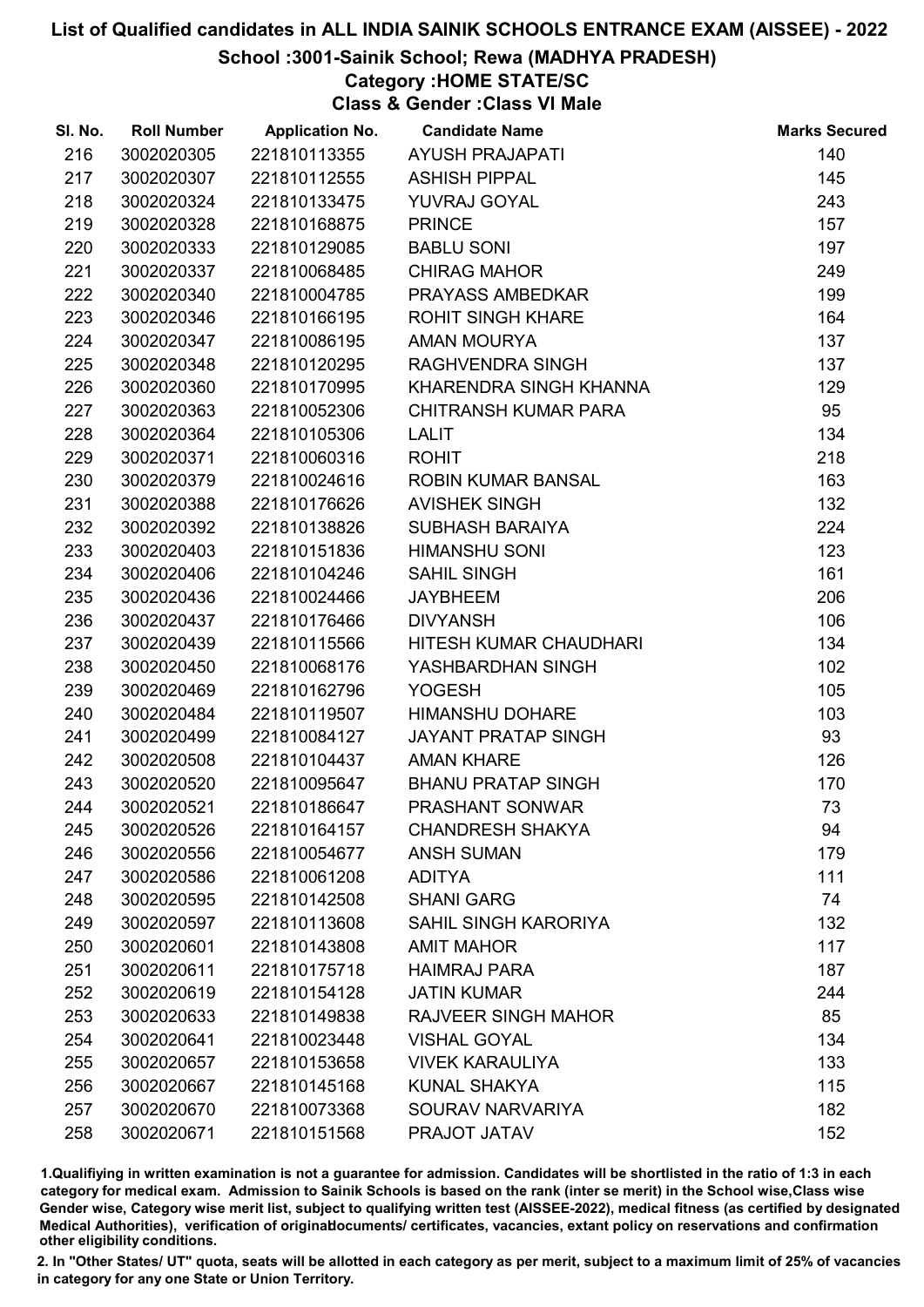## School :3001-Sainik School; Rewa (MADHYA PRADESH)

# Category :HOME STATE/SC

Class & Gender :Class VI Male

| SI. No. | <b>Roll Number</b> | <b>Application No.</b> | <b>Candidate Name</b>       | <b>Marks Secured</b> |
|---------|--------------------|------------------------|-----------------------------|----------------------|
| 216     | 3002020305         | 221810113355           | <b>AYUSH PRAJAPATI</b>      | 140                  |
| 217     | 3002020307         | 221810112555           | <b>ASHISH PIPPAL</b>        | 145                  |
| 218     | 3002020324         | 221810133475           | YUVRAJ GOYAL                | 243                  |
| 219     | 3002020328         | 221810168875           | <b>PRINCE</b>               | 157                  |
| 220     | 3002020333         | 221810129085           | <b>BABLU SONI</b>           | 197                  |
| 221     | 3002020337         | 221810068485           | <b>CHIRAG MAHOR</b>         | 249                  |
| 222     | 3002020340         | 221810004785           | PRAYASS AMBEDKAR            | 199                  |
| 223     | 3002020346         | 221810166195           | <b>ROHIT SINGH KHARE</b>    | 164                  |
| 224     | 3002020347         | 221810086195           | <b>AMAN MOURYA</b>          | 137                  |
| 225     | 3002020348         | 221810120295           | <b>RAGHVENDRA SINGH</b>     | 137                  |
| 226     | 3002020360         | 221810170995           | KHARENDRA SINGH KHANNA      | 129                  |
| 227     | 3002020363         | 221810052306           | <b>CHITRANSH KUMAR PARA</b> | 95                   |
| 228     | 3002020364         | 221810105306           | <b>LALIT</b>                | 134                  |
| 229     | 3002020371         | 221810060316           | <b>ROHIT</b>                | 218                  |
| 230     | 3002020379         | 221810024616           | <b>ROBIN KUMAR BANSAL</b>   | 163                  |
| 231     | 3002020388         | 221810176626           | <b>AVISHEK SINGH</b>        | 132                  |
| 232     | 3002020392         | 221810138826           | <b>SUBHASH BARAIYA</b>      | 224                  |
| 233     | 3002020403         | 221810151836           | <b>HIMANSHU SONI</b>        | 123                  |
| 234     | 3002020406         | 221810104246           | <b>SAHIL SINGH</b>          | 161                  |
| 235     | 3002020436         | 221810024466           | <b>JAYBHEEM</b>             | 206                  |
| 236     | 3002020437         | 221810176466           | <b>DIVYANSH</b>             | 106                  |
| 237     | 3002020439         | 221810115566           | HITESH KUMAR CHAUDHARI      | 134                  |
| 238     | 3002020450         | 221810068176           | YASHBARDHAN SINGH           | 102                  |
| 239     | 3002020469         | 221810162796           | <b>YOGESH</b>               | 105                  |
| 240     | 3002020484         | 221810119507           | <b>HIMANSHU DOHARE</b>      | 103                  |
| 241     | 3002020499         | 221810084127           | <b>JAYANT PRATAP SINGH</b>  | 93                   |
| 242     | 3002020508         | 221810104437           | <b>AMAN KHARE</b>           | 126                  |
| 243     | 3002020520         | 221810095647           | <b>BHANU PRATAP SINGH</b>   | 170                  |
| 244     | 3002020521         | 221810186647           | <b>PRASHANT SONWAR</b>      | 73                   |
| 245     | 3002020526         | 221810164157           | <b>CHANDRESH SHAKYA</b>     | 94                   |
| 246     | 3002020556         | 221810054677           | <b>ANSH SUMAN</b>           | 179                  |
| 247     | 3002020586         | 221810061208           | <b>ADITYA</b>               | 111                  |
| 248     | 3002020595         | 221810142508           | <b>SHANI GARG</b>           | 74                   |
| 249     | 3002020597         | 221810113608           | SAHIL SINGH KARORIYA        | 132                  |
| 250     | 3002020601         | 221810143808           | <b>AMIT MAHOR</b>           | 117                  |
| 251     | 3002020611         | 221810175718           | <b>HAIMRAJ PARA</b>         | 187                  |
| 252     | 3002020619         | 221810154128           | <b>JATIN KUMAR</b>          | 244                  |
| 253     | 3002020633         | 221810149838           | <b>RAJVEER SINGH MAHOR</b>  | 85                   |
| 254     | 3002020641         | 221810023448           | <b>VISHAL GOYAL</b>         | 134                  |
| 255     | 3002020657         | 221810153658           | <b>VIVEK KARAULIYA</b>      | 133                  |
| 256     | 3002020667         | 221810145168           | <b>KUNAL SHAKYA</b>         | 115                  |
| 257     | 3002020670         | 221810073368           | SOURAV NARVARIYA            | 182                  |
| 258     | 3002020671         | 221810151568           | PRAJOT JATAV                | 152                  |

1.Qualifiying in written examination is not a guarantee for admission. Candidates will be shortlisted in the ratio of 1:3 in each category for medical exam. Admission to Sainik Schools is based on the rank (inter se merit) in the School wise,Class wise Gender wise, Category wise merit list, subject to qualifying written test (AISSEE-2022), medical fitness (as certified by designated Medical Authorities), verification of originablocuments/ certificates, vacancies, extant policy on reservations and confirmation other eligibility conditions.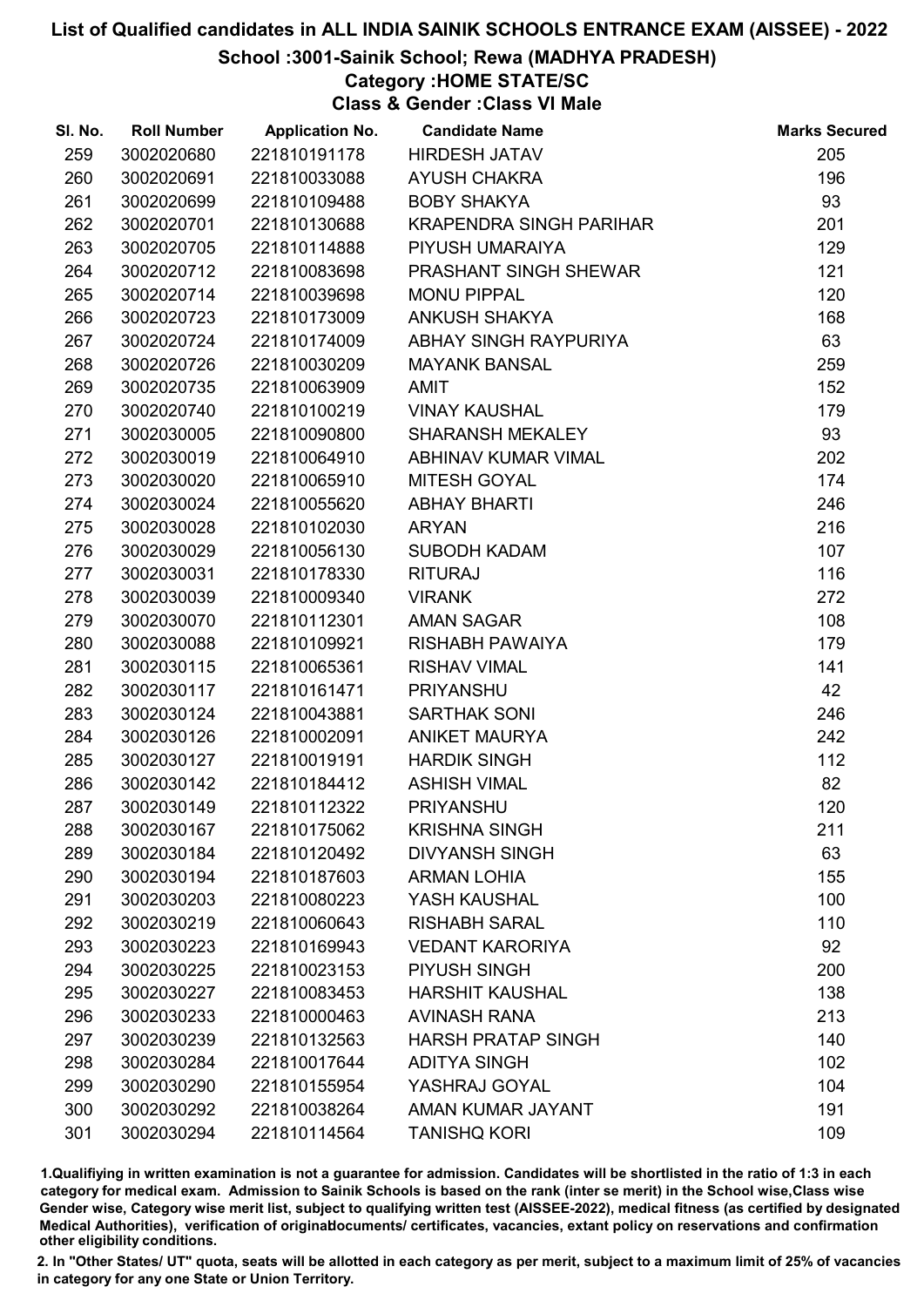## School :3001-Sainik School; Rewa (MADHYA PRADESH)

# Category :HOME STATE/SC

Class & Gender :Class VI Male

| SI. No. | <b>Roll Number</b> | <b>Application No.</b> | <b>Candidate Name</b>          | <b>Marks Secured</b> |
|---------|--------------------|------------------------|--------------------------------|----------------------|
| 259     | 3002020680         | 221810191178           | <b>HIRDESH JATAV</b>           | 205                  |
| 260     | 3002020691         | 221810033088           | <b>AYUSH CHAKRA</b>            | 196                  |
| 261     | 3002020699         | 221810109488           | <b>BOBY SHAKYA</b>             | 93                   |
| 262     | 3002020701         | 221810130688           | <b>KRAPENDRA SINGH PARIHAR</b> | 201                  |
| 263     | 3002020705         | 221810114888           | PIYUSH UMARAIYA                | 129                  |
| 264     | 3002020712         | 221810083698           | PRASHANT SINGH SHEWAR          | 121                  |
| 265     | 3002020714         | 221810039698           | <b>MONU PIPPAL</b>             | 120                  |
| 266     | 3002020723         | 221810173009           | <b>ANKUSH SHAKYA</b>           | 168                  |
| 267     | 3002020724         | 221810174009           | ABHAY SINGH RAYPURIYA          | 63                   |
| 268     | 3002020726         | 221810030209           | <b>MAYANK BANSAL</b>           | 259                  |
| 269     | 3002020735         | 221810063909           | <b>AMIT</b>                    | 152                  |
| 270     | 3002020740         | 221810100219           | <b>VINAY KAUSHAL</b>           | 179                  |
| 271     | 3002030005         | 221810090800           | <b>SHARANSH MEKALEY</b>        | 93                   |
| 272     | 3002030019         | 221810064910           | ABHINAV KUMAR VIMAL            | 202                  |
| 273     | 3002030020         | 221810065910           | <b>MITESH GOYAL</b>            | 174                  |
| 274     | 3002030024         | 221810055620           | <b>ABHAY BHARTI</b>            | 246                  |
| 275     | 3002030028         | 221810102030           | <b>ARYAN</b>                   | 216                  |
| 276     | 3002030029         | 221810056130           | <b>SUBODH KADAM</b>            | 107                  |
| 277     | 3002030031         | 221810178330           | <b>RITURAJ</b>                 | 116                  |
| 278     | 3002030039         | 221810009340           | <b>VIRANK</b>                  | 272                  |
| 279     | 3002030070         | 221810112301           | <b>AMAN SAGAR</b>              | 108                  |
| 280     | 3002030088         | 221810109921           | RISHABH PAWAIYA                | 179                  |
| 281     | 3002030115         | 221810065361           | <b>RISHAV VIMAL</b>            | 141                  |
| 282     | 3002030117         | 221810161471           | <b>PRIYANSHU</b>               | 42                   |
| 283     | 3002030124         | 221810043881           | <b>SARTHAK SONI</b>            | 246                  |
| 284     | 3002030126         | 221810002091           | <b>ANIKET MAURYA</b>           | 242                  |
| 285     | 3002030127         | 221810019191           | <b>HARDIK SINGH</b>            | 112                  |
| 286     | 3002030142         | 221810184412           | <b>ASHISH VIMAL</b>            | 82                   |
| 287     | 3002030149         | 221810112322           | <b>PRIYANSHU</b>               | 120                  |
| 288     | 3002030167         | 221810175062           | <b>KRISHNA SINGH</b>           | 211                  |
| 289     | 3002030184         | 221810120492           | <b>DIVYANSH SINGH</b>          | 63                   |
| 290     | 3002030194         | 221810187603           | <b>ARMAN LOHIA</b>             | 155                  |
| 291     | 3002030203         | 221810080223           | YASH KAUSHAL                   | 100                  |
| 292     | 3002030219         | 221810060643           | <b>RISHABH SARAL</b>           | 110                  |
| 293     | 3002030223         | 221810169943           | <b>VEDANT KARORIYA</b>         | 92                   |
| 294     | 3002030225         | 221810023153           | PIYUSH SINGH                   | 200                  |
| 295     | 3002030227         | 221810083453           | <b>HARSHIT KAUSHAL</b>         | 138                  |
| 296     | 3002030233         | 221810000463           | <b>AVINASH RANA</b>            | 213                  |
| 297     | 3002030239         | 221810132563           | <b>HARSH PRATAP SINGH</b>      | 140                  |
| 298     | 3002030284         | 221810017644           | <b>ADITYA SINGH</b>            | 102                  |
| 299     | 3002030290         | 221810155954           | YASHRAJ GOYAL                  | 104                  |
| 300     | 3002030292         | 221810038264           | AMAN KUMAR JAYANT              | 191                  |
| 301     | 3002030294         | 221810114564           | <b>TANISHQ KORI</b>            | 109                  |

1.Qualifiying in written examination is not a guarantee for admission. Candidates will be shortlisted in the ratio of 1:3 in each category for medical exam. Admission to Sainik Schools is based on the rank (inter se merit) in the School wise,Class wise Gender wise, Category wise merit list, subject to qualifying written test (AISSEE-2022), medical fitness (as certified by designated Medical Authorities), verification of originablocuments/ certificates, vacancies, extant policy on reservations and confirmation other eligibility conditions.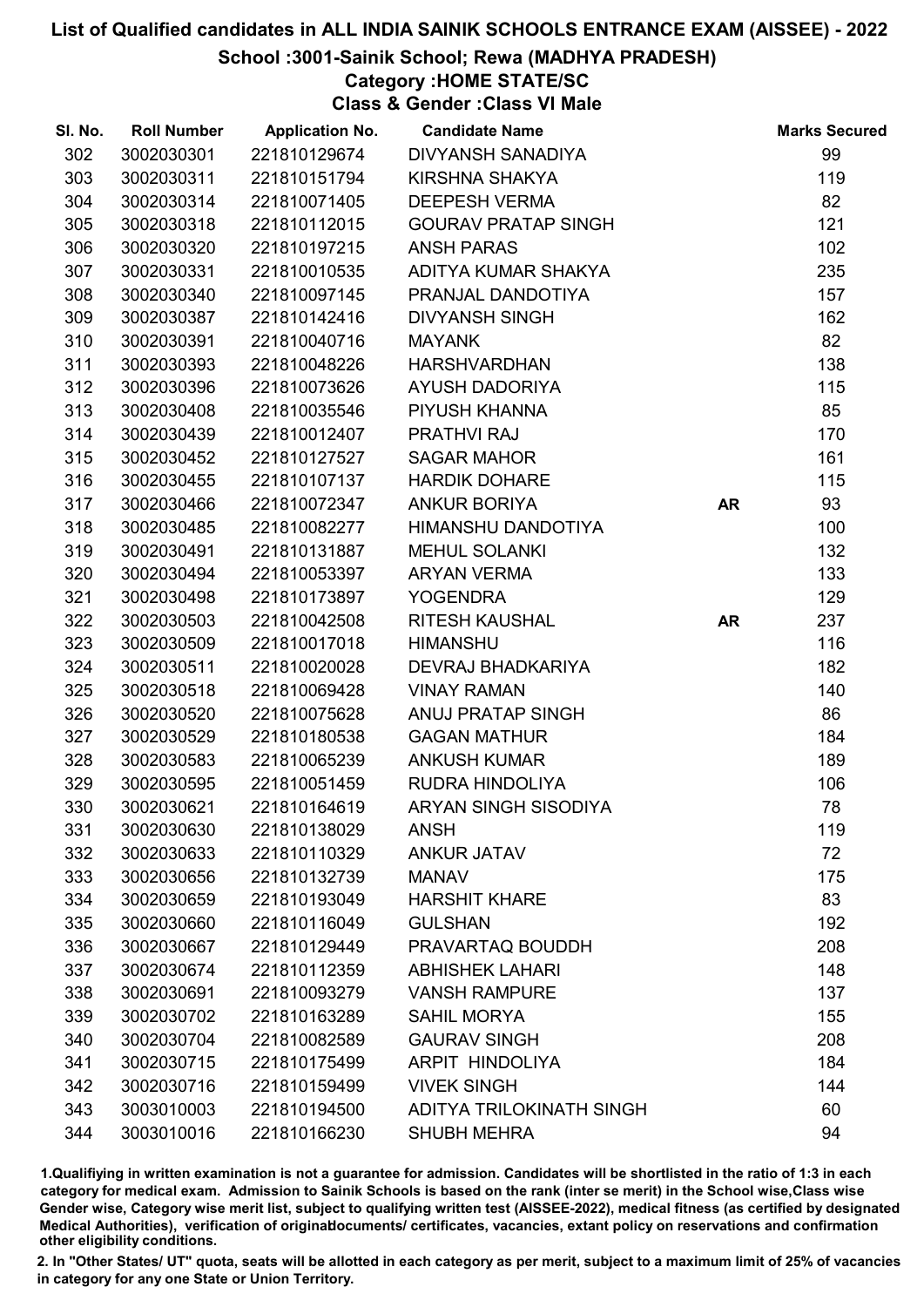### School :3001-Sainik School; Rewa (MADHYA PRADESH)

# Category :HOME STATE/SC

Class & Gender :Class VI Male

| SI. No. | <b>Roll Number</b> | <b>Application No.</b> | <b>Candidate Name</b>           |           | <b>Marks Secured</b> |
|---------|--------------------|------------------------|---------------------------------|-----------|----------------------|
| 302     | 3002030301         | 221810129674           | <b>DIVYANSH SANADIYA</b>        |           | 99                   |
| 303     | 3002030311         | 221810151794           | KIRSHNA SHAKYA                  |           | 119                  |
| 304     | 3002030314         | 221810071405           | <b>DEEPESH VERMA</b>            |           | 82                   |
| 305     | 3002030318         | 221810112015           | <b>GOURAV PRATAP SINGH</b>      |           | 121                  |
| 306     | 3002030320         | 221810197215           | <b>ANSH PARAS</b>               |           | 102                  |
| 307     | 3002030331         | 221810010535           | ADITYA KUMAR SHAKYA             |           | 235                  |
| 308     | 3002030340         | 221810097145           | PRANJAL DANDOTIYA               |           | 157                  |
| 309     | 3002030387         | 221810142416           | <b>DIVYANSH SINGH</b>           |           | 162                  |
| 310     | 3002030391         | 221810040716           | <b>MAYANK</b>                   |           | 82                   |
| 311     | 3002030393         | 221810048226           | <b>HARSHVARDHAN</b>             |           | 138                  |
| 312     | 3002030396         | 221810073626           | <b>AYUSH DADORIYA</b>           |           | 115                  |
| 313     | 3002030408         | 221810035546           | PIYUSH KHANNA                   |           | 85                   |
| 314     | 3002030439         | 221810012407           | <b>PRATHVI RAJ</b>              |           | 170                  |
| 315     | 3002030452         | 221810127527           | <b>SAGAR MAHOR</b>              |           | 161                  |
| 316     | 3002030455         | 221810107137           | <b>HARDIK DOHARE</b>            |           | 115                  |
| 317     | 3002030466         | 221810072347           | <b>ANKUR BORIYA</b>             | <b>AR</b> | 93                   |
| 318     | 3002030485         | 221810082277           | HIMANSHU DANDOTIYA              |           | 100                  |
| 319     | 3002030491         | 221810131887           | <b>MEHUL SOLANKI</b>            |           | 132                  |
| 320     | 3002030494         | 221810053397           | <b>ARYAN VERMA</b>              |           | 133                  |
| 321     | 3002030498         | 221810173897           | <b>YOGENDRA</b>                 |           | 129                  |
| 322     | 3002030503         | 221810042508           | <b>RITESH KAUSHAL</b>           | <b>AR</b> | 237                  |
| 323     | 3002030509         | 221810017018           | <b>HIMANSHU</b>                 |           | 116                  |
| 324     | 3002030511         | 221810020028           | <b>DEVRAJ BHADKARIYA</b>        |           | 182                  |
| 325     | 3002030518         | 221810069428           | <b>VINAY RAMAN</b>              |           | 140                  |
| 326     | 3002030520         | 221810075628           | ANUJ PRATAP SINGH               |           | 86                   |
| 327     | 3002030529         | 221810180538           | <b>GAGAN MATHUR</b>             |           | 184                  |
| 328     | 3002030583         | 221810065239           | <b>ANKUSH KUMAR</b>             |           | 189                  |
| 329     | 3002030595         | 221810051459           | RUDRA HINDOLIYA                 |           | 106                  |
| 330     | 3002030621         | 221810164619           | <b>ARYAN SINGH SISODIYA</b>     |           | 78                   |
| 331     | 3002030630         | 221810138029           | <b>ANSH</b>                     |           | 119                  |
| 332     | 3002030633         | 221810110329           | <b>ANKUR JATAV</b>              |           | 72                   |
| 333     | 3002030656         | 221810132739           | <b>MANAV</b>                    |           | 175                  |
| 334     | 3002030659         | 221810193049           | <b>HARSHIT KHARE</b>            |           | 83                   |
| 335     | 3002030660         | 221810116049           | <b>GULSHAN</b>                  |           | 192                  |
| 336     | 3002030667         | 221810129449           | PRAVARTAQ BOUDDH                |           | 208                  |
| 337     | 3002030674         | 221810112359           | <b>ABHISHEK LAHARI</b>          |           | 148                  |
| 338     | 3002030691         | 221810093279           | <b>VANSH RAMPURE</b>            |           | 137                  |
| 339     | 3002030702         | 221810163289           | <b>SAHIL MORYA</b>              |           | 155                  |
| 340     | 3002030704         | 221810082589           | <b>GAURAV SINGH</b>             |           | 208                  |
| 341     | 3002030715         | 221810175499           | ARPIT HINDOLIYA                 |           | 184                  |
| 342     | 3002030716         | 221810159499           | <b>VIVEK SINGH</b>              |           | 144                  |
| 343     | 3003010003         | 221810194500           | <b>ADITYA TRILOKINATH SINGH</b> |           | 60                   |
| 344     | 3003010016         | 221810166230           | <b>SHUBH MEHRA</b>              |           | 94                   |

1.Qualifiying in written examination is not a guarantee for admission. Candidates will be shortlisted in the ratio of 1:3 in each category for medical exam. Admission to Sainik Schools is based on the rank (inter se merit) in the School wise,Class wise Gender wise, Category wise merit list, subject to qualifying written test (AISSEE-2022), medical fitness (as certified by designated Medical Authorities), verification of originablocuments/ certificates, vacancies, extant policy on reservations and confirmation other eligibility conditions.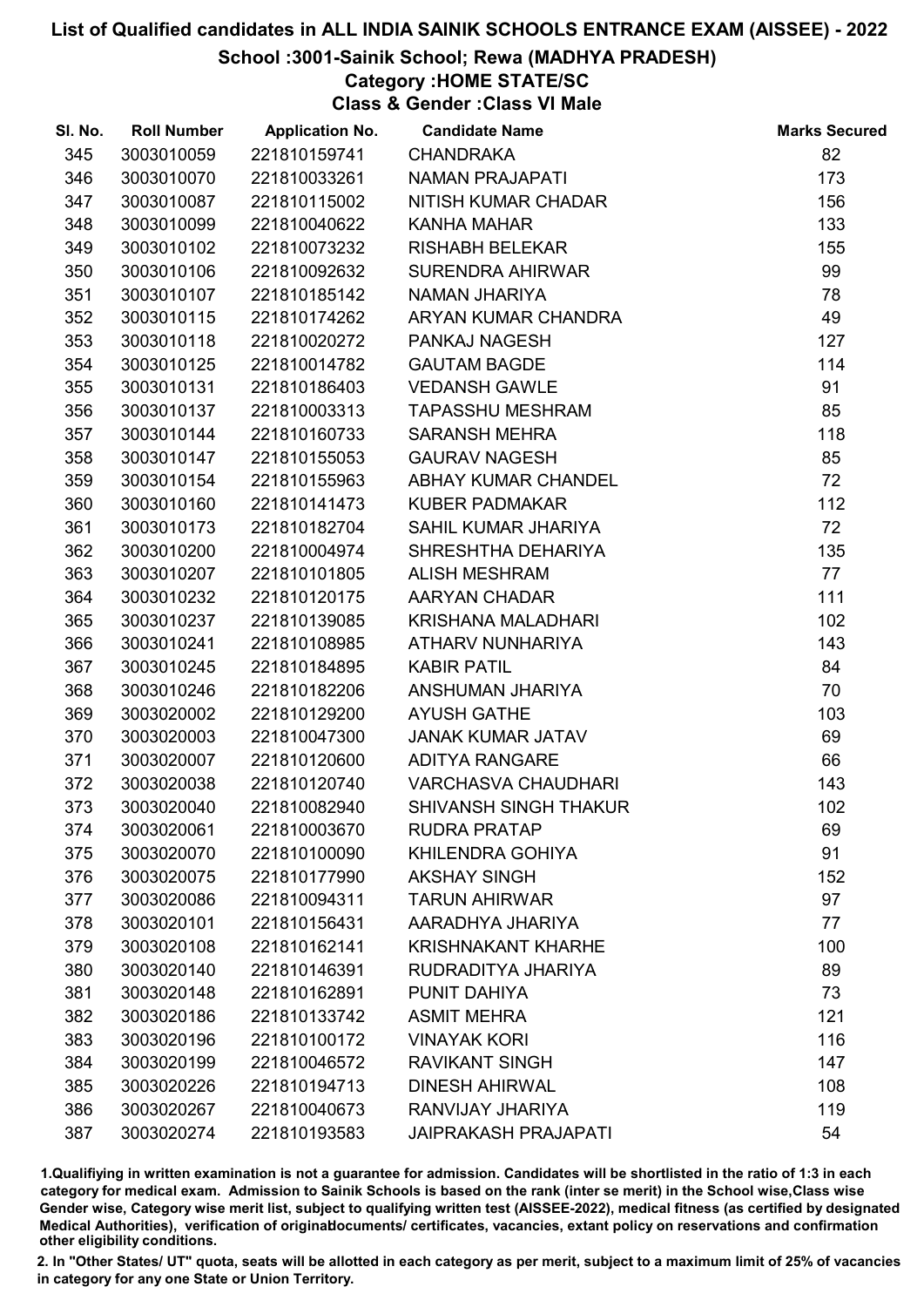## School :3001-Sainik School; Rewa (MADHYA PRADESH)

## Category :HOME STATE/SC

Class & Gender :Class VI Male

| SI. No. | <b>Roll Number</b> | <b>Application No.</b> | <b>Candidate Name</b>        | <b>Marks Secured</b> |
|---------|--------------------|------------------------|------------------------------|----------------------|
| 345     | 3003010059         | 221810159741           | <b>CHANDRAKA</b>             | 82                   |
| 346     | 3003010070         | 221810033261           | <b>NAMAN PRAJAPATI</b>       | 173                  |
| 347     | 3003010087         | 221810115002           | NITISH KUMAR CHADAR          | 156                  |
| 348     | 3003010099         | 221810040622           | <b>KANHA MAHAR</b>           | 133                  |
| 349     | 3003010102         | 221810073232           | <b>RISHABH BELEKAR</b>       | 155                  |
| 350     | 3003010106         | 221810092632           | SURENDRA AHIRWAR             | 99                   |
| 351     | 3003010107         | 221810185142           | NAMAN JHARIYA                | 78                   |
| 352     | 3003010115         | 221810174262           | ARYAN KUMAR CHANDRA          | 49                   |
| 353     | 3003010118         | 221810020272           | PANKAJ NAGESH                | 127                  |
| 354     | 3003010125         | 221810014782           | <b>GAUTAM BAGDE</b>          | 114                  |
| 355     | 3003010131         | 221810186403           | <b>VEDANSH GAWLE</b>         | 91                   |
| 356     | 3003010137         | 221810003313           | <b>TAPASSHU MESHRAM</b>      | 85                   |
| 357     | 3003010144         | 221810160733           | <b>SARANSH MEHRA</b>         | 118                  |
| 358     | 3003010147         | 221810155053           | <b>GAURAV NAGESH</b>         | 85                   |
| 359     | 3003010154         | 221810155963           | ABHAY KUMAR CHANDEL          | 72                   |
| 360     | 3003010160         | 221810141473           | <b>KUBER PADMAKAR</b>        | 112                  |
| 361     | 3003010173         | 221810182704           | SAHIL KUMAR JHARIYA          | 72                   |
| 362     | 3003010200         | 221810004974           | SHRESHTHA DEHARIYA           | 135                  |
| 363     | 3003010207         | 221810101805           | <b>ALISH MESHRAM</b>         | 77                   |
| 364     | 3003010232         | 221810120175           | AARYAN CHADAR                | 111                  |
| 365     | 3003010237         | 221810139085           | KRISHANA MALADHARI           | 102                  |
| 366     | 3003010241         | 221810108985           | ATHARV NUNHARIYA             | 143                  |
| 367     | 3003010245         | 221810184895           | <b>KABIR PATIL</b>           | 84                   |
| 368     | 3003010246         | 221810182206           | ANSHUMAN JHARIYA             | 70                   |
| 369     | 3003020002         | 221810129200           | <b>AYUSH GATHE</b>           | 103                  |
| 370     | 3003020003         | 221810047300           | <b>JANAK KUMAR JATAV</b>     | 69                   |
| 371     | 3003020007         | 221810120600           | <b>ADITYA RANGARE</b>        | 66                   |
| 372     | 3003020038         | 221810120740           | <b>VARCHASVA CHAUDHARI</b>   | 143                  |
| 373     | 3003020040         | 221810082940           | <b>SHIVANSH SINGH THAKUR</b> | 102                  |
| 374     | 3003020061         | 221810003670           | <b>RUDRA PRATAP</b>          | 69                   |
| 375     | 3003020070         | 221810100090           | KHILENDRA GOHIYA             | 91                   |
| 376     | 3003020075         | 221810177990           | <b>AKSHAY SINGH</b>          | 152                  |
| 377     | 3003020086         | 221810094311           | <b>TARUN AHIRWAR</b>         | 97                   |
| 378     | 3003020101         | 221810156431           | AARADHYA JHARIYA             | 77                   |
| 379     | 3003020108         | 221810162141           | <b>KRISHNAKANT KHARHE</b>    | 100                  |
| 380     | 3003020140         | 221810146391           | RUDRADITYA JHARIYA           | 89                   |
| 381     | 3003020148         | 221810162891           | PUNIT DAHIYA                 | 73                   |
| 382     | 3003020186         | 221810133742           | <b>ASMIT MEHRA</b>           | 121                  |
| 383     | 3003020196         | 221810100172           | <b>VINAYAK KORI</b>          | 116                  |
| 384     | 3003020199         | 221810046572           | <b>RAVIKANT SINGH</b>        | 147                  |
| 385     | 3003020226         | 221810194713           | <b>DINESH AHIRWAL</b>        | 108                  |
| 386     | 3003020267         | 221810040673           | RANVIJAY JHARIYA             | 119                  |
| 387     | 3003020274         | 221810193583           | <b>JAIPRAKASH PRAJAPATI</b>  | 54                   |

1.Qualifiying in written examination is not a guarantee for admission. Candidates will be shortlisted in the ratio of 1:3 in each category for medical exam. Admission to Sainik Schools is based on the rank (inter se merit) in the School wise,Class wise Gender wise, Category wise merit list, subject to qualifying written test (AISSEE-2022), medical fitness (as certified by designated Medical Authorities), verification of originablocuments/ certificates, vacancies, extant policy on reservations and confirmation other eligibility conditions.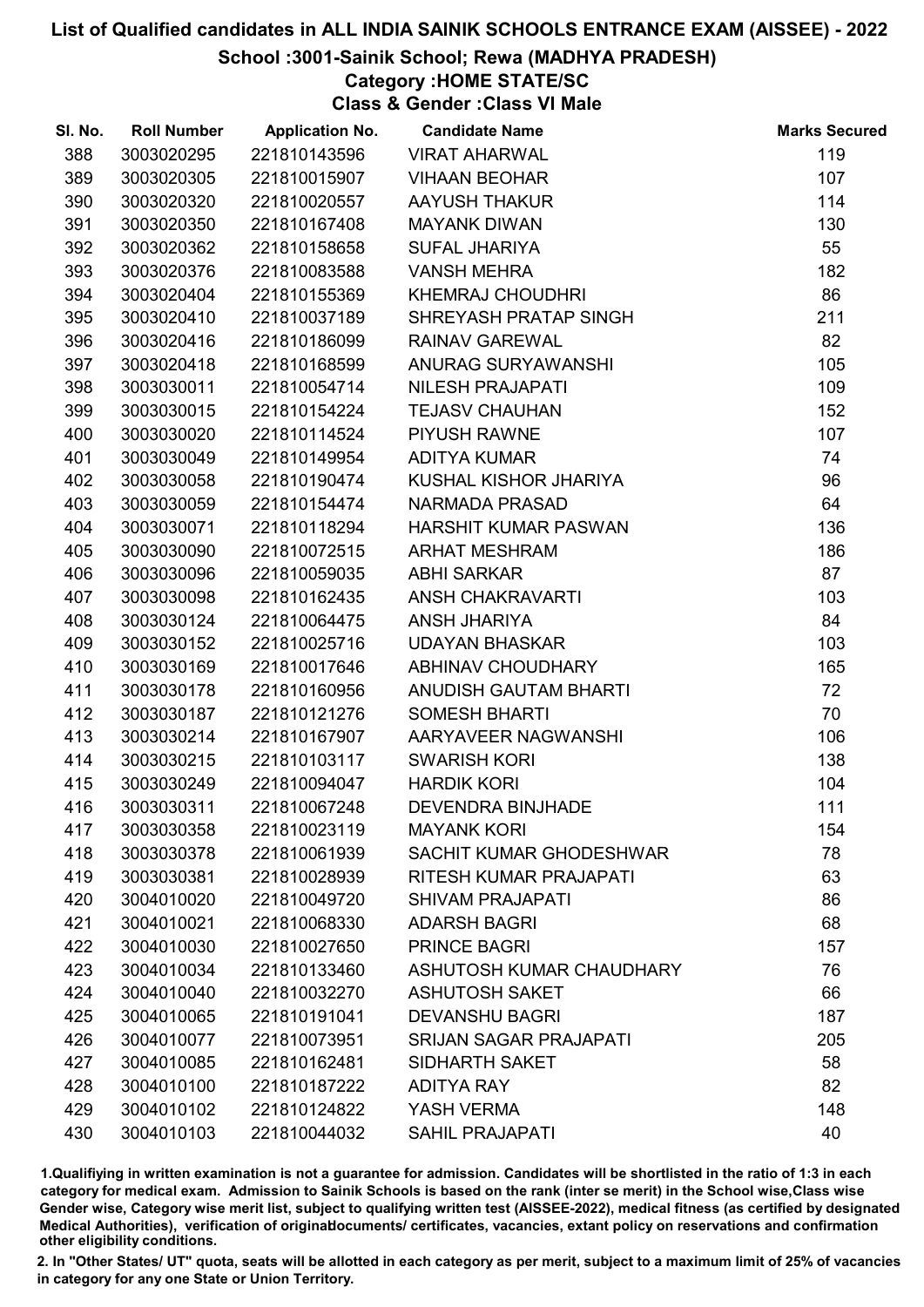## School :3001-Sainik School; Rewa (MADHYA PRADESH)

# Category :HOME STATE/SC

Class & Gender :Class VI Male

| SI. No. | <b>Roll Number</b> | <b>Application No.</b> | <b>Candidate Name</b>         | <b>Marks Secured</b> |
|---------|--------------------|------------------------|-------------------------------|----------------------|
| 388     | 3003020295         | 221810143596           | <b>VIRAT AHARWAL</b>          | 119                  |
| 389     | 3003020305         | 221810015907           | <b>VIHAAN BEOHAR</b>          | 107                  |
| 390     | 3003020320         | 221810020557           | <b>AAYUSH THAKUR</b>          | 114                  |
| 391     | 3003020350         | 221810167408           | <b>MAYANK DIWAN</b>           | 130                  |
| 392     | 3003020362         | 221810158658           | <b>SUFAL JHARIYA</b>          | 55                   |
| 393     | 3003020376         | 221810083588           | <b>VANSH MEHRA</b>            | 182                  |
| 394     | 3003020404         | 221810155369           | <b>KHEMRAJ CHOUDHRI</b>       | 86                   |
| 395     | 3003020410         | 221810037189           | SHREYASH PRATAP SINGH         | 211                  |
| 396     | 3003020416         | 221810186099           | <b>RAINAV GAREWAL</b>         | 82                   |
| 397     | 3003020418         | 221810168599           | ANURAG SURYAWANSHI            | 105                  |
| 398     | 3003030011         | 221810054714           | <b>NILESH PRAJAPATI</b>       | 109                  |
| 399     | 3003030015         | 221810154224           | <b>TEJASV CHAUHAN</b>         | 152                  |
| 400     | 3003030020         | 221810114524           | <b>PIYUSH RAWNE</b>           | 107                  |
| 401     | 3003030049         | 221810149954           | <b>ADITYA KUMAR</b>           | 74                   |
| 402     | 3003030058         | 221810190474           | KUSHAL KISHOR JHARIYA         | 96                   |
| 403     | 3003030059         | 221810154474           | <b>NARMADA PRASAD</b>         | 64                   |
| 404     | 3003030071         | 221810118294           | HARSHIT KUMAR PASWAN          | 136                  |
| 405     | 3003030090         | 221810072515           | <b>ARHAT MESHRAM</b>          | 186                  |
| 406     | 3003030096         | 221810059035           | <b>ABHI SARKAR</b>            | 87                   |
| 407     | 3003030098         | 221810162435           | <b>ANSH CHAKRAVARTI</b>       | 103                  |
| 408     | 3003030124         | 221810064475           | ANSH JHARIYA                  | 84                   |
| 409     | 3003030152         | 221810025716           | <b>UDAYAN BHASKAR</b>         | 103                  |
| 410     | 3003030169         | 221810017646           | ABHINAV CHOUDHARY             | 165                  |
| 411     | 3003030178         | 221810160956           | ANUDISH GAUTAM BHARTI         | 72                   |
| 412     | 3003030187         | 221810121276           | <b>SOMESH BHARTI</b>          | 70                   |
| 413     | 3003030214         | 221810167907           | AARYAVEER NAGWANSHI           | 106                  |
| 414     | 3003030215         | 221810103117           | <b>SWARISH KORI</b>           | 138                  |
| 415     | 3003030249         | 221810094047           | <b>HARDIK KORI</b>            | 104                  |
| 416     | 3003030311         | 221810067248           | <b>DEVENDRA BINJHADE</b>      | 111                  |
| 417     | 3003030358         | 221810023119           | <b>MAYANK KORI</b>            | 154                  |
| 418     | 3003030378         | 221810061939           | SACHIT KUMAR GHODESHWAR       | 78                   |
| 419     | 3003030381         | 221810028939           | <b>RITESH KUMAR PRAJAPATI</b> | 63                   |
| 420     | 3004010020         | 221810049720           | <b>SHIVAM PRAJAPATI</b>       | 86                   |
| 421     | 3004010021         | 221810068330           | <b>ADARSH BAGRI</b>           | 68                   |
| 422     | 3004010030         | 221810027650           | <b>PRINCE BAGRI</b>           | 157                  |
| 423     | 3004010034         | 221810133460           | ASHUTOSH KUMAR CHAUDHARY      | 76                   |
| 424     | 3004010040         | 221810032270           | <b>ASHUTOSH SAKET</b>         | 66                   |
| 425     | 3004010065         | 221810191041           | <b>DEVANSHU BAGRI</b>         | 187                  |
| 426     | 3004010077         | 221810073951           | <b>SRIJAN SAGAR PRAJAPATI</b> | 205                  |
| 427     | 3004010085         | 221810162481           | <b>SIDHARTH SAKET</b>         | 58                   |
| 428     | 3004010100         | 221810187222           | <b>ADITYA RAY</b>             | 82                   |
| 429     | 3004010102         | 221810124822           | YASH VERMA                    | 148                  |
| 430     | 3004010103         | 221810044032           | <b>SAHIL PRAJAPATI</b>        | 40                   |

1.Qualifiying in written examination is not a guarantee for admission. Candidates will be shortlisted in the ratio of 1:3 in each category for medical exam. Admission to Sainik Schools is based on the rank (inter se merit) in the School wise,Class wise Gender wise, Category wise merit list, subject to qualifying written test (AISSEE-2022), medical fitness (as certified by designated Medical Authorities), verification of originablocuments/ certificates, vacancies, extant policy on reservations and confirmation other eligibility conditions.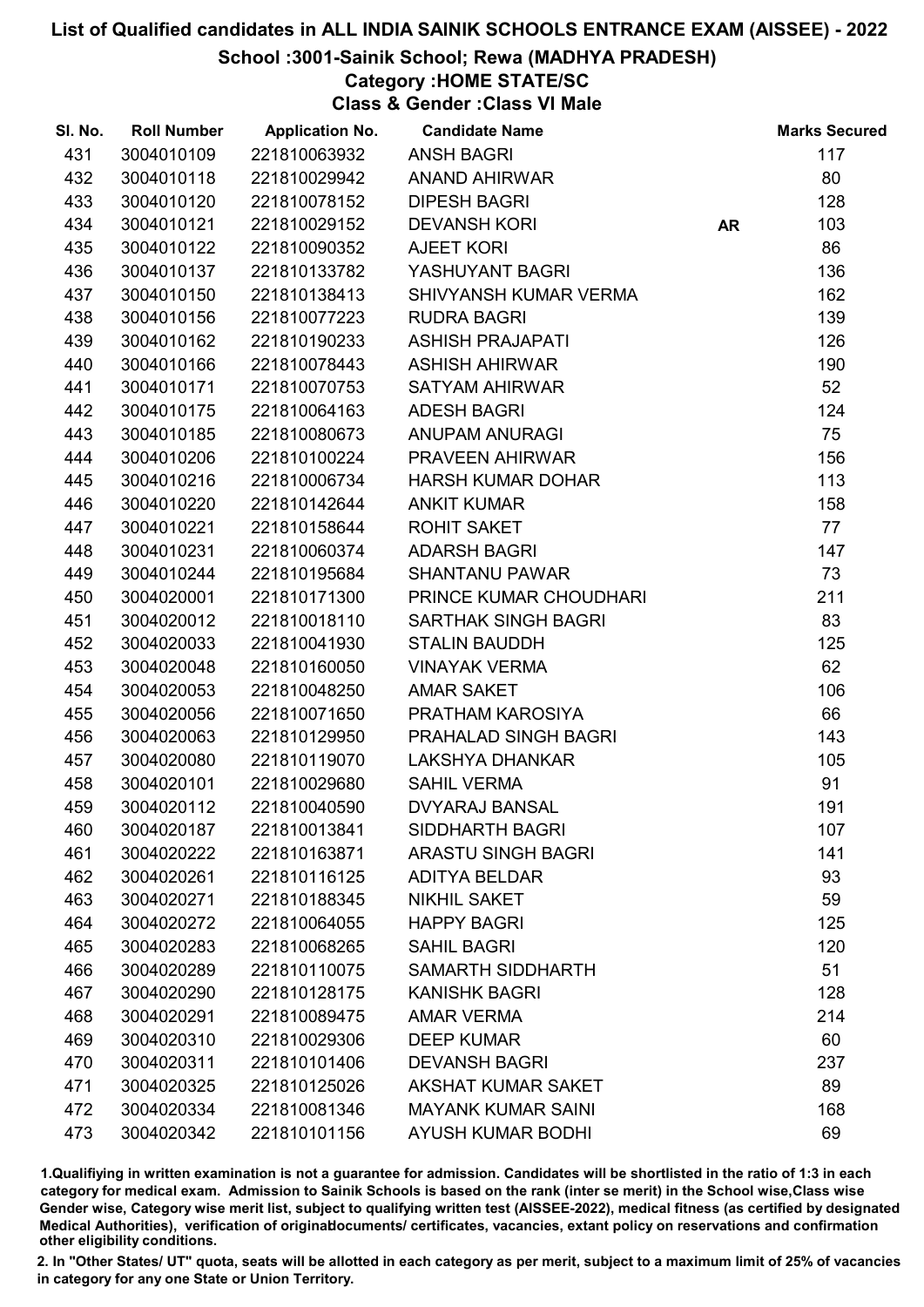School :3001-Sainik School; Rewa (MADHYA PRADESH)

# Category :HOME STATE/SC

Class & Gender :Class VI Male

| 431<br>3004010109<br>117<br>221810063932<br><b>ANSH BAGRI</b><br>432<br>3004010118<br>221810029942<br>80<br><b>ANAND AHIRWAR</b><br>433<br>3004010120<br>221810078152<br><b>DIPESH BAGRI</b><br>128<br>434<br>3004010121<br><b>DEVANSH KORI</b><br>103<br>221810029152<br><b>AR</b><br>86<br>435<br>3004010122<br>221810090352<br><b>AJEET KORI</b><br>436<br>3004010137<br>221810133782<br>136<br>YASHUYANT BAGRI<br>437<br>3004010150<br>221810138413<br>SHIVYANSH KUMAR VERMA<br>162<br>438<br>139<br>3004010156<br>221810077223<br><b>RUDRA BAGRI</b><br>126<br>439<br>3004010162<br><b>ASHISH PRAJAPATI</b><br>221810190233<br>3004010166<br>221810078443<br>190<br>440<br><b>ASHISH AHIRWAR</b><br>52<br>441<br>3004010171<br>221810070753<br><b>SATYAM AHIRWAR</b><br>124<br>442<br>3004010175<br>221810064163<br><b>ADESH BAGRI</b><br>75<br>443<br>3004010185<br>221810080673<br><b>ANUPAM ANURAGI</b><br>444<br>3004010206<br>221810100224<br>PRAVEEN AHIRWAR<br>156<br>445<br>3004010216<br>221810006734<br>113<br><b>HARSH KUMAR DOHAR</b><br>158<br>446<br>3004010220<br>221810142644<br><b>ANKIT KUMAR</b><br>77<br>447<br>3004010221<br>221810158644<br><b>ROHIT SAKET</b><br>448<br>3004010231<br>221810060374<br><b>ADARSH BAGRI</b><br>147<br>73<br>449<br>3004010244<br>221810195684<br><b>SHANTANU PAWAR</b><br>3004020001<br>211<br>450<br>221810171300<br>PRINCE KUMAR CHOUDHARI<br>83<br>451<br>3004020012<br>221810018110<br><b>SARTHAK SINGH BAGRI</b><br>452<br>3004020033<br>221810041930<br>125<br><b>STALIN BAUDDH</b><br>62<br>453<br>3004020048<br>221810160050<br><b>VINAYAK VERMA</b><br>454<br>3004020053<br><b>AMAR SAKET</b><br>106<br>221810048250<br>66<br>455<br>3004020056<br>221810071650<br>PRATHAM KAROSIYA<br>3004020063<br>PRAHALAD SINGH BAGRI<br>143<br>456<br>221810129950<br>3004020080<br>105<br>457<br>221810119070<br><b>LAKSHYA DHANKAR</b><br>91<br>458<br>3004020101<br>221810029680<br><b>SAHIL VERMA</b><br>459<br>191<br>3004020112<br>221810040590<br><b>DVYARAJ BANSAL</b><br>221810013841<br><b>SIDDHARTH BAGRI</b><br>107<br>460<br>3004020187<br><b>ARASTU SINGH BAGRI</b><br>141<br>461<br>3004020222<br>221810163871<br>93<br>462<br>3004020261<br>221810116125<br><b>ADITYA BELDAR</b><br>NIKHIL SAKET<br>59<br>463<br>3004020271<br>221810188345<br>125<br>464<br>3004020272<br>221810064055<br><b>HAPPY BAGRI</b><br>120<br>465<br>3004020283<br>221810068265<br><b>SAHIL BAGRI</b><br><b>SAMARTH SIDDHARTH</b><br>51<br>466<br>3004020289<br>221810110075<br>128<br>467<br>3004020290<br>221810128175<br><b>KANISHK BAGRI</b><br>214<br>468<br>3004020291<br>221810089475<br><b>AMAR VERMA</b> | SI. No. | <b>Roll Number</b> | <b>Application No.</b> | <b>Candidate Name</b> | <b>Marks Secured</b> |
|---------------------------------------------------------------------------------------------------------------------------------------------------------------------------------------------------------------------------------------------------------------------------------------------------------------------------------------------------------------------------------------------------------------------------------------------------------------------------------------------------------------------------------------------------------------------------------------------------------------------------------------------------------------------------------------------------------------------------------------------------------------------------------------------------------------------------------------------------------------------------------------------------------------------------------------------------------------------------------------------------------------------------------------------------------------------------------------------------------------------------------------------------------------------------------------------------------------------------------------------------------------------------------------------------------------------------------------------------------------------------------------------------------------------------------------------------------------------------------------------------------------------------------------------------------------------------------------------------------------------------------------------------------------------------------------------------------------------------------------------------------------------------------------------------------------------------------------------------------------------------------------------------------------------------------------------------------------------------------------------------------------------------------------------------------------------------------------------------------------------------------------------------------------------------------------------------------------------------------------------------------------------------------------------------------------------------------------------------------------------------------------------------------------------------------------------------------------------------------------------------------------------------------------------------------------------------------------------------------------------------------------------------------------------|---------|--------------------|------------------------|-----------------------|----------------------|
|                                                                                                                                                                                                                                                                                                                                                                                                                                                                                                                                                                                                                                                                                                                                                                                                                                                                                                                                                                                                                                                                                                                                                                                                                                                                                                                                                                                                                                                                                                                                                                                                                                                                                                                                                                                                                                                                                                                                                                                                                                                                                                                                                                                                                                                                                                                                                                                                                                                                                                                                                                                                                                                                     |         |                    |                        |                       |                      |
|                                                                                                                                                                                                                                                                                                                                                                                                                                                                                                                                                                                                                                                                                                                                                                                                                                                                                                                                                                                                                                                                                                                                                                                                                                                                                                                                                                                                                                                                                                                                                                                                                                                                                                                                                                                                                                                                                                                                                                                                                                                                                                                                                                                                                                                                                                                                                                                                                                                                                                                                                                                                                                                                     |         |                    |                        |                       |                      |
|                                                                                                                                                                                                                                                                                                                                                                                                                                                                                                                                                                                                                                                                                                                                                                                                                                                                                                                                                                                                                                                                                                                                                                                                                                                                                                                                                                                                                                                                                                                                                                                                                                                                                                                                                                                                                                                                                                                                                                                                                                                                                                                                                                                                                                                                                                                                                                                                                                                                                                                                                                                                                                                                     |         |                    |                        |                       |                      |
|                                                                                                                                                                                                                                                                                                                                                                                                                                                                                                                                                                                                                                                                                                                                                                                                                                                                                                                                                                                                                                                                                                                                                                                                                                                                                                                                                                                                                                                                                                                                                                                                                                                                                                                                                                                                                                                                                                                                                                                                                                                                                                                                                                                                                                                                                                                                                                                                                                                                                                                                                                                                                                                                     |         |                    |                        |                       |                      |
|                                                                                                                                                                                                                                                                                                                                                                                                                                                                                                                                                                                                                                                                                                                                                                                                                                                                                                                                                                                                                                                                                                                                                                                                                                                                                                                                                                                                                                                                                                                                                                                                                                                                                                                                                                                                                                                                                                                                                                                                                                                                                                                                                                                                                                                                                                                                                                                                                                                                                                                                                                                                                                                                     |         |                    |                        |                       |                      |
|                                                                                                                                                                                                                                                                                                                                                                                                                                                                                                                                                                                                                                                                                                                                                                                                                                                                                                                                                                                                                                                                                                                                                                                                                                                                                                                                                                                                                                                                                                                                                                                                                                                                                                                                                                                                                                                                                                                                                                                                                                                                                                                                                                                                                                                                                                                                                                                                                                                                                                                                                                                                                                                                     |         |                    |                        |                       |                      |
|                                                                                                                                                                                                                                                                                                                                                                                                                                                                                                                                                                                                                                                                                                                                                                                                                                                                                                                                                                                                                                                                                                                                                                                                                                                                                                                                                                                                                                                                                                                                                                                                                                                                                                                                                                                                                                                                                                                                                                                                                                                                                                                                                                                                                                                                                                                                                                                                                                                                                                                                                                                                                                                                     |         |                    |                        |                       |                      |
|                                                                                                                                                                                                                                                                                                                                                                                                                                                                                                                                                                                                                                                                                                                                                                                                                                                                                                                                                                                                                                                                                                                                                                                                                                                                                                                                                                                                                                                                                                                                                                                                                                                                                                                                                                                                                                                                                                                                                                                                                                                                                                                                                                                                                                                                                                                                                                                                                                                                                                                                                                                                                                                                     |         |                    |                        |                       |                      |
|                                                                                                                                                                                                                                                                                                                                                                                                                                                                                                                                                                                                                                                                                                                                                                                                                                                                                                                                                                                                                                                                                                                                                                                                                                                                                                                                                                                                                                                                                                                                                                                                                                                                                                                                                                                                                                                                                                                                                                                                                                                                                                                                                                                                                                                                                                                                                                                                                                                                                                                                                                                                                                                                     |         |                    |                        |                       |                      |
|                                                                                                                                                                                                                                                                                                                                                                                                                                                                                                                                                                                                                                                                                                                                                                                                                                                                                                                                                                                                                                                                                                                                                                                                                                                                                                                                                                                                                                                                                                                                                                                                                                                                                                                                                                                                                                                                                                                                                                                                                                                                                                                                                                                                                                                                                                                                                                                                                                                                                                                                                                                                                                                                     |         |                    |                        |                       |                      |
|                                                                                                                                                                                                                                                                                                                                                                                                                                                                                                                                                                                                                                                                                                                                                                                                                                                                                                                                                                                                                                                                                                                                                                                                                                                                                                                                                                                                                                                                                                                                                                                                                                                                                                                                                                                                                                                                                                                                                                                                                                                                                                                                                                                                                                                                                                                                                                                                                                                                                                                                                                                                                                                                     |         |                    |                        |                       |                      |
|                                                                                                                                                                                                                                                                                                                                                                                                                                                                                                                                                                                                                                                                                                                                                                                                                                                                                                                                                                                                                                                                                                                                                                                                                                                                                                                                                                                                                                                                                                                                                                                                                                                                                                                                                                                                                                                                                                                                                                                                                                                                                                                                                                                                                                                                                                                                                                                                                                                                                                                                                                                                                                                                     |         |                    |                        |                       |                      |
|                                                                                                                                                                                                                                                                                                                                                                                                                                                                                                                                                                                                                                                                                                                                                                                                                                                                                                                                                                                                                                                                                                                                                                                                                                                                                                                                                                                                                                                                                                                                                                                                                                                                                                                                                                                                                                                                                                                                                                                                                                                                                                                                                                                                                                                                                                                                                                                                                                                                                                                                                                                                                                                                     |         |                    |                        |                       |                      |
|                                                                                                                                                                                                                                                                                                                                                                                                                                                                                                                                                                                                                                                                                                                                                                                                                                                                                                                                                                                                                                                                                                                                                                                                                                                                                                                                                                                                                                                                                                                                                                                                                                                                                                                                                                                                                                                                                                                                                                                                                                                                                                                                                                                                                                                                                                                                                                                                                                                                                                                                                                                                                                                                     |         |                    |                        |                       |                      |
|                                                                                                                                                                                                                                                                                                                                                                                                                                                                                                                                                                                                                                                                                                                                                                                                                                                                                                                                                                                                                                                                                                                                                                                                                                                                                                                                                                                                                                                                                                                                                                                                                                                                                                                                                                                                                                                                                                                                                                                                                                                                                                                                                                                                                                                                                                                                                                                                                                                                                                                                                                                                                                                                     |         |                    |                        |                       |                      |
|                                                                                                                                                                                                                                                                                                                                                                                                                                                                                                                                                                                                                                                                                                                                                                                                                                                                                                                                                                                                                                                                                                                                                                                                                                                                                                                                                                                                                                                                                                                                                                                                                                                                                                                                                                                                                                                                                                                                                                                                                                                                                                                                                                                                                                                                                                                                                                                                                                                                                                                                                                                                                                                                     |         |                    |                        |                       |                      |
|                                                                                                                                                                                                                                                                                                                                                                                                                                                                                                                                                                                                                                                                                                                                                                                                                                                                                                                                                                                                                                                                                                                                                                                                                                                                                                                                                                                                                                                                                                                                                                                                                                                                                                                                                                                                                                                                                                                                                                                                                                                                                                                                                                                                                                                                                                                                                                                                                                                                                                                                                                                                                                                                     |         |                    |                        |                       |                      |
|                                                                                                                                                                                                                                                                                                                                                                                                                                                                                                                                                                                                                                                                                                                                                                                                                                                                                                                                                                                                                                                                                                                                                                                                                                                                                                                                                                                                                                                                                                                                                                                                                                                                                                                                                                                                                                                                                                                                                                                                                                                                                                                                                                                                                                                                                                                                                                                                                                                                                                                                                                                                                                                                     |         |                    |                        |                       |                      |
|                                                                                                                                                                                                                                                                                                                                                                                                                                                                                                                                                                                                                                                                                                                                                                                                                                                                                                                                                                                                                                                                                                                                                                                                                                                                                                                                                                                                                                                                                                                                                                                                                                                                                                                                                                                                                                                                                                                                                                                                                                                                                                                                                                                                                                                                                                                                                                                                                                                                                                                                                                                                                                                                     |         |                    |                        |                       |                      |
|                                                                                                                                                                                                                                                                                                                                                                                                                                                                                                                                                                                                                                                                                                                                                                                                                                                                                                                                                                                                                                                                                                                                                                                                                                                                                                                                                                                                                                                                                                                                                                                                                                                                                                                                                                                                                                                                                                                                                                                                                                                                                                                                                                                                                                                                                                                                                                                                                                                                                                                                                                                                                                                                     |         |                    |                        |                       |                      |
|                                                                                                                                                                                                                                                                                                                                                                                                                                                                                                                                                                                                                                                                                                                                                                                                                                                                                                                                                                                                                                                                                                                                                                                                                                                                                                                                                                                                                                                                                                                                                                                                                                                                                                                                                                                                                                                                                                                                                                                                                                                                                                                                                                                                                                                                                                                                                                                                                                                                                                                                                                                                                                                                     |         |                    |                        |                       |                      |
|                                                                                                                                                                                                                                                                                                                                                                                                                                                                                                                                                                                                                                                                                                                                                                                                                                                                                                                                                                                                                                                                                                                                                                                                                                                                                                                                                                                                                                                                                                                                                                                                                                                                                                                                                                                                                                                                                                                                                                                                                                                                                                                                                                                                                                                                                                                                                                                                                                                                                                                                                                                                                                                                     |         |                    |                        |                       |                      |
|                                                                                                                                                                                                                                                                                                                                                                                                                                                                                                                                                                                                                                                                                                                                                                                                                                                                                                                                                                                                                                                                                                                                                                                                                                                                                                                                                                                                                                                                                                                                                                                                                                                                                                                                                                                                                                                                                                                                                                                                                                                                                                                                                                                                                                                                                                                                                                                                                                                                                                                                                                                                                                                                     |         |                    |                        |                       |                      |
|                                                                                                                                                                                                                                                                                                                                                                                                                                                                                                                                                                                                                                                                                                                                                                                                                                                                                                                                                                                                                                                                                                                                                                                                                                                                                                                                                                                                                                                                                                                                                                                                                                                                                                                                                                                                                                                                                                                                                                                                                                                                                                                                                                                                                                                                                                                                                                                                                                                                                                                                                                                                                                                                     |         |                    |                        |                       |                      |
|                                                                                                                                                                                                                                                                                                                                                                                                                                                                                                                                                                                                                                                                                                                                                                                                                                                                                                                                                                                                                                                                                                                                                                                                                                                                                                                                                                                                                                                                                                                                                                                                                                                                                                                                                                                                                                                                                                                                                                                                                                                                                                                                                                                                                                                                                                                                                                                                                                                                                                                                                                                                                                                                     |         |                    |                        |                       |                      |
|                                                                                                                                                                                                                                                                                                                                                                                                                                                                                                                                                                                                                                                                                                                                                                                                                                                                                                                                                                                                                                                                                                                                                                                                                                                                                                                                                                                                                                                                                                                                                                                                                                                                                                                                                                                                                                                                                                                                                                                                                                                                                                                                                                                                                                                                                                                                                                                                                                                                                                                                                                                                                                                                     |         |                    |                        |                       |                      |
|                                                                                                                                                                                                                                                                                                                                                                                                                                                                                                                                                                                                                                                                                                                                                                                                                                                                                                                                                                                                                                                                                                                                                                                                                                                                                                                                                                                                                                                                                                                                                                                                                                                                                                                                                                                                                                                                                                                                                                                                                                                                                                                                                                                                                                                                                                                                                                                                                                                                                                                                                                                                                                                                     |         |                    |                        |                       |                      |
|                                                                                                                                                                                                                                                                                                                                                                                                                                                                                                                                                                                                                                                                                                                                                                                                                                                                                                                                                                                                                                                                                                                                                                                                                                                                                                                                                                                                                                                                                                                                                                                                                                                                                                                                                                                                                                                                                                                                                                                                                                                                                                                                                                                                                                                                                                                                                                                                                                                                                                                                                                                                                                                                     |         |                    |                        |                       |                      |
|                                                                                                                                                                                                                                                                                                                                                                                                                                                                                                                                                                                                                                                                                                                                                                                                                                                                                                                                                                                                                                                                                                                                                                                                                                                                                                                                                                                                                                                                                                                                                                                                                                                                                                                                                                                                                                                                                                                                                                                                                                                                                                                                                                                                                                                                                                                                                                                                                                                                                                                                                                                                                                                                     |         |                    |                        |                       |                      |
|                                                                                                                                                                                                                                                                                                                                                                                                                                                                                                                                                                                                                                                                                                                                                                                                                                                                                                                                                                                                                                                                                                                                                                                                                                                                                                                                                                                                                                                                                                                                                                                                                                                                                                                                                                                                                                                                                                                                                                                                                                                                                                                                                                                                                                                                                                                                                                                                                                                                                                                                                                                                                                                                     |         |                    |                        |                       |                      |
|                                                                                                                                                                                                                                                                                                                                                                                                                                                                                                                                                                                                                                                                                                                                                                                                                                                                                                                                                                                                                                                                                                                                                                                                                                                                                                                                                                                                                                                                                                                                                                                                                                                                                                                                                                                                                                                                                                                                                                                                                                                                                                                                                                                                                                                                                                                                                                                                                                                                                                                                                                                                                                                                     |         |                    |                        |                       |                      |
|                                                                                                                                                                                                                                                                                                                                                                                                                                                                                                                                                                                                                                                                                                                                                                                                                                                                                                                                                                                                                                                                                                                                                                                                                                                                                                                                                                                                                                                                                                                                                                                                                                                                                                                                                                                                                                                                                                                                                                                                                                                                                                                                                                                                                                                                                                                                                                                                                                                                                                                                                                                                                                                                     |         |                    |                        |                       |                      |
|                                                                                                                                                                                                                                                                                                                                                                                                                                                                                                                                                                                                                                                                                                                                                                                                                                                                                                                                                                                                                                                                                                                                                                                                                                                                                                                                                                                                                                                                                                                                                                                                                                                                                                                                                                                                                                                                                                                                                                                                                                                                                                                                                                                                                                                                                                                                                                                                                                                                                                                                                                                                                                                                     |         |                    |                        |                       |                      |
|                                                                                                                                                                                                                                                                                                                                                                                                                                                                                                                                                                                                                                                                                                                                                                                                                                                                                                                                                                                                                                                                                                                                                                                                                                                                                                                                                                                                                                                                                                                                                                                                                                                                                                                                                                                                                                                                                                                                                                                                                                                                                                                                                                                                                                                                                                                                                                                                                                                                                                                                                                                                                                                                     |         |                    |                        |                       |                      |
|                                                                                                                                                                                                                                                                                                                                                                                                                                                                                                                                                                                                                                                                                                                                                                                                                                                                                                                                                                                                                                                                                                                                                                                                                                                                                                                                                                                                                                                                                                                                                                                                                                                                                                                                                                                                                                                                                                                                                                                                                                                                                                                                                                                                                                                                                                                                                                                                                                                                                                                                                                                                                                                                     |         |                    |                        |                       |                      |
|                                                                                                                                                                                                                                                                                                                                                                                                                                                                                                                                                                                                                                                                                                                                                                                                                                                                                                                                                                                                                                                                                                                                                                                                                                                                                                                                                                                                                                                                                                                                                                                                                                                                                                                                                                                                                                                                                                                                                                                                                                                                                                                                                                                                                                                                                                                                                                                                                                                                                                                                                                                                                                                                     |         |                    |                        |                       |                      |
|                                                                                                                                                                                                                                                                                                                                                                                                                                                                                                                                                                                                                                                                                                                                                                                                                                                                                                                                                                                                                                                                                                                                                                                                                                                                                                                                                                                                                                                                                                                                                                                                                                                                                                                                                                                                                                                                                                                                                                                                                                                                                                                                                                                                                                                                                                                                                                                                                                                                                                                                                                                                                                                                     |         |                    |                        |                       |                      |
|                                                                                                                                                                                                                                                                                                                                                                                                                                                                                                                                                                                                                                                                                                                                                                                                                                                                                                                                                                                                                                                                                                                                                                                                                                                                                                                                                                                                                                                                                                                                                                                                                                                                                                                                                                                                                                                                                                                                                                                                                                                                                                                                                                                                                                                                                                                                                                                                                                                                                                                                                                                                                                                                     |         |                    |                        |                       |                      |
|                                                                                                                                                                                                                                                                                                                                                                                                                                                                                                                                                                                                                                                                                                                                                                                                                                                                                                                                                                                                                                                                                                                                                                                                                                                                                                                                                                                                                                                                                                                                                                                                                                                                                                                                                                                                                                                                                                                                                                                                                                                                                                                                                                                                                                                                                                                                                                                                                                                                                                                                                                                                                                                                     | 469     | 3004020310         | 221810029306           | <b>DEEP KUMAR</b>     | 60                   |
| 237<br>470<br>3004020311<br>221810101406<br><b>DEVANSH BAGRI</b>                                                                                                                                                                                                                                                                                                                                                                                                                                                                                                                                                                                                                                                                                                                                                                                                                                                                                                                                                                                                                                                                                                                                                                                                                                                                                                                                                                                                                                                                                                                                                                                                                                                                                                                                                                                                                                                                                                                                                                                                                                                                                                                                                                                                                                                                                                                                                                                                                                                                                                                                                                                                    |         |                    |                        |                       |                      |
| 89<br>471<br>3004020325<br>221810125026<br>AKSHAT KUMAR SAKET                                                                                                                                                                                                                                                                                                                                                                                                                                                                                                                                                                                                                                                                                                                                                                                                                                                                                                                                                                                                                                                                                                                                                                                                                                                                                                                                                                                                                                                                                                                                                                                                                                                                                                                                                                                                                                                                                                                                                                                                                                                                                                                                                                                                                                                                                                                                                                                                                                                                                                                                                                                                       |         |                    |                        |                       |                      |
| 472<br>3004020334<br>221810081346<br><b>MAYANK KUMAR SAINI</b><br>168                                                                                                                                                                                                                                                                                                                                                                                                                                                                                                                                                                                                                                                                                                                                                                                                                                                                                                                                                                                                                                                                                                                                                                                                                                                                                                                                                                                                                                                                                                                                                                                                                                                                                                                                                                                                                                                                                                                                                                                                                                                                                                                                                                                                                                                                                                                                                                                                                                                                                                                                                                                               |         |                    |                        |                       |                      |
| 69<br>473<br>3004020342<br>221810101156<br><b>AYUSH KUMAR BODHI</b>                                                                                                                                                                                                                                                                                                                                                                                                                                                                                                                                                                                                                                                                                                                                                                                                                                                                                                                                                                                                                                                                                                                                                                                                                                                                                                                                                                                                                                                                                                                                                                                                                                                                                                                                                                                                                                                                                                                                                                                                                                                                                                                                                                                                                                                                                                                                                                                                                                                                                                                                                                                                 |         |                    |                        |                       |                      |

1.Qualifiying in written examination is not a guarantee for admission. Candidates will be shortlisted in the ratio of 1:3 in each category for medical exam. Admission to Sainik Schools is based on the rank (inter se merit) in the School wise,Class wise Gender wise, Category wise merit list, subject to qualifying written test (AISSEE-2022), medical fitness (as certified by designated Medical Authorities), verification of originablocuments/ certificates, vacancies, extant policy on reservations and confirmation other eligibility conditions.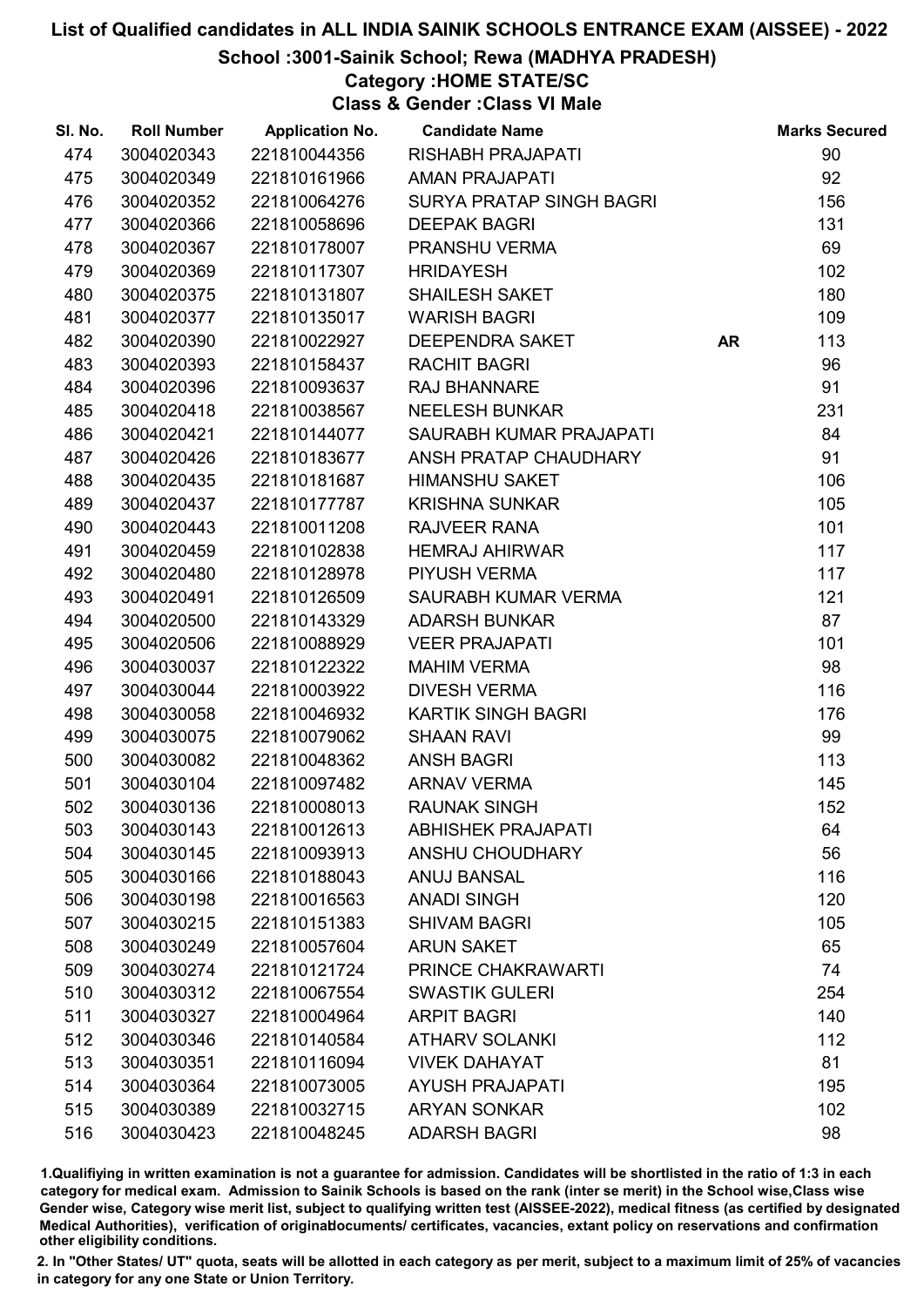School :3001-Sainik School; Rewa (MADHYA PRADESH)

## Category :HOME STATE/SC

Class & Gender :Class VI Male

| SI. No. | <b>Roll Number</b> | <b>Application No.</b> | <b>Candidate Name</b>     |           | <b>Marks Secured</b> |
|---------|--------------------|------------------------|---------------------------|-----------|----------------------|
| 474     | 3004020343         | 221810044356           | <b>RISHABH PRAJAPATI</b>  |           | 90                   |
| 475     | 3004020349         | 221810161966           | <b>AMAN PRAJAPATI</b>     |           | 92                   |
| 476     | 3004020352         | 221810064276           | SURYA PRATAP SINGH BAGRI  |           | 156                  |
| 477     | 3004020366         | 221810058696           | <b>DEEPAK BAGRI</b>       |           | 131                  |
| 478     | 3004020367         | 221810178007           | PRANSHU VERMA             |           | 69                   |
| 479     | 3004020369         | 221810117307           | <b>HRIDAYESH</b>          |           | 102                  |
| 480     | 3004020375         | 221810131807           | <b>SHAILESH SAKET</b>     |           | 180                  |
| 481     | 3004020377         | 221810135017           | <b>WARISH BAGRI</b>       |           | 109                  |
| 482     | 3004020390         | 221810022927           | DEEPENDRA SAKET           | <b>AR</b> | 113                  |
| 483     | 3004020393         | 221810158437           | <b>RACHIT BAGRI</b>       |           | 96                   |
| 484     | 3004020396         | 221810093637           | <b>RAJ BHANNARE</b>       |           | 91                   |
| 485     | 3004020418         | 221810038567           | <b>NEELESH BUNKAR</b>     |           | 231                  |
| 486     | 3004020421         | 221810144077           | SAURABH KUMAR PRAJAPATI   |           | 84                   |
| 487     | 3004020426         | 221810183677           | ANSH PRATAP CHAUDHARY     |           | 91                   |
| 488     | 3004020435         | 221810181687           | <b>HIMANSHU SAKET</b>     |           | 106                  |
| 489     | 3004020437         | 221810177787           | <b>KRISHNA SUNKAR</b>     |           | 105                  |
| 490     | 3004020443         | 221810011208           | <b>RAJVEER RANA</b>       |           | 101                  |
| 491     | 3004020459         | 221810102838           | <b>HEMRAJ AHIRWAR</b>     |           | 117                  |
| 492     | 3004020480         | 221810128978           | PIYUSH VERMA              |           | 117                  |
| 493     | 3004020491         | 221810126509           | SAURABH KUMAR VERMA       |           | 121                  |
| 494     | 3004020500         | 221810143329           | <b>ADARSH BUNKAR</b>      |           | 87                   |
| 495     | 3004020506         | 221810088929           | <b>VEER PRAJAPATI</b>     |           | 101                  |
| 496     | 3004030037         | 221810122322           | <b>MAHIM VERMA</b>        |           | 98                   |
| 497     | 3004030044         | 221810003922           | <b>DIVESH VERMA</b>       |           | 116                  |
| 498     | 3004030058         | 221810046932           | <b>KARTIK SINGH BAGRI</b> |           | 176                  |
| 499     | 3004030075         | 221810079062           | <b>SHAAN RAVI</b>         |           | 99                   |
| 500     | 3004030082         | 221810048362           | <b>ANSH BAGRI</b>         |           | 113                  |
| 501     | 3004030104         | 221810097482           | <b>ARNAV VERMA</b>        |           | 145                  |
| 502     | 3004030136         | 221810008013           | <b>RAUNAK SINGH</b>       |           | 152                  |
| 503     | 3004030143         | 221810012613           | <b>ABHISHEK PRAJAPATI</b> |           | 64                   |
| 504     | 3004030145         | 221810093913           | ANSHU CHOUDHARY           |           | 56                   |
| 505     | 3004030166         | 221810188043           | <b>ANUJ BANSAL</b>        |           | 116                  |
| 506     | 3004030198         | 221810016563           | <b>ANADI SINGH</b>        |           | 120                  |
| 507     | 3004030215         | 221810151383           | <b>SHIVAM BAGRI</b>       |           | 105                  |
| 508     | 3004030249         | 221810057604           | <b>ARUN SAKET</b>         |           | 65                   |
| 509     | 3004030274         | 221810121724           | PRINCE CHAKRAWARTI        |           | 74                   |
| 510     | 3004030312         | 221810067554           | <b>SWASTIK GULERI</b>     |           | 254                  |
| 511     | 3004030327         | 221810004964           | <b>ARPIT BAGRI</b>        |           | 140                  |
| 512     | 3004030346         | 221810140584           | <b>ATHARV SOLANKI</b>     |           | 112                  |
| 513     | 3004030351         | 221810116094           | <b>VIVEK DAHAYAT</b>      |           | 81                   |
| 514     | 3004030364         | 221810073005           | <b>AYUSH PRAJAPATI</b>    |           | 195                  |
| 515     | 3004030389         | 221810032715           | <b>ARYAN SONKAR</b>       |           | 102                  |
| 516     | 3004030423         | 221810048245           | <b>ADARSH BAGRI</b>       |           | 98                   |

1.Qualifiying in written examination is not a guarantee for admission. Candidates will be shortlisted in the ratio of 1:3 in each category for medical exam. Admission to Sainik Schools is based on the rank (inter se merit) in the School wise,Class wise Gender wise, Category wise merit list, subject to qualifying written test (AISSEE-2022), medical fitness (as certified by designated Medical Authorities), verification of originablocuments/ certificates, vacancies, extant policy on reservations and confirmation other eligibility conditions.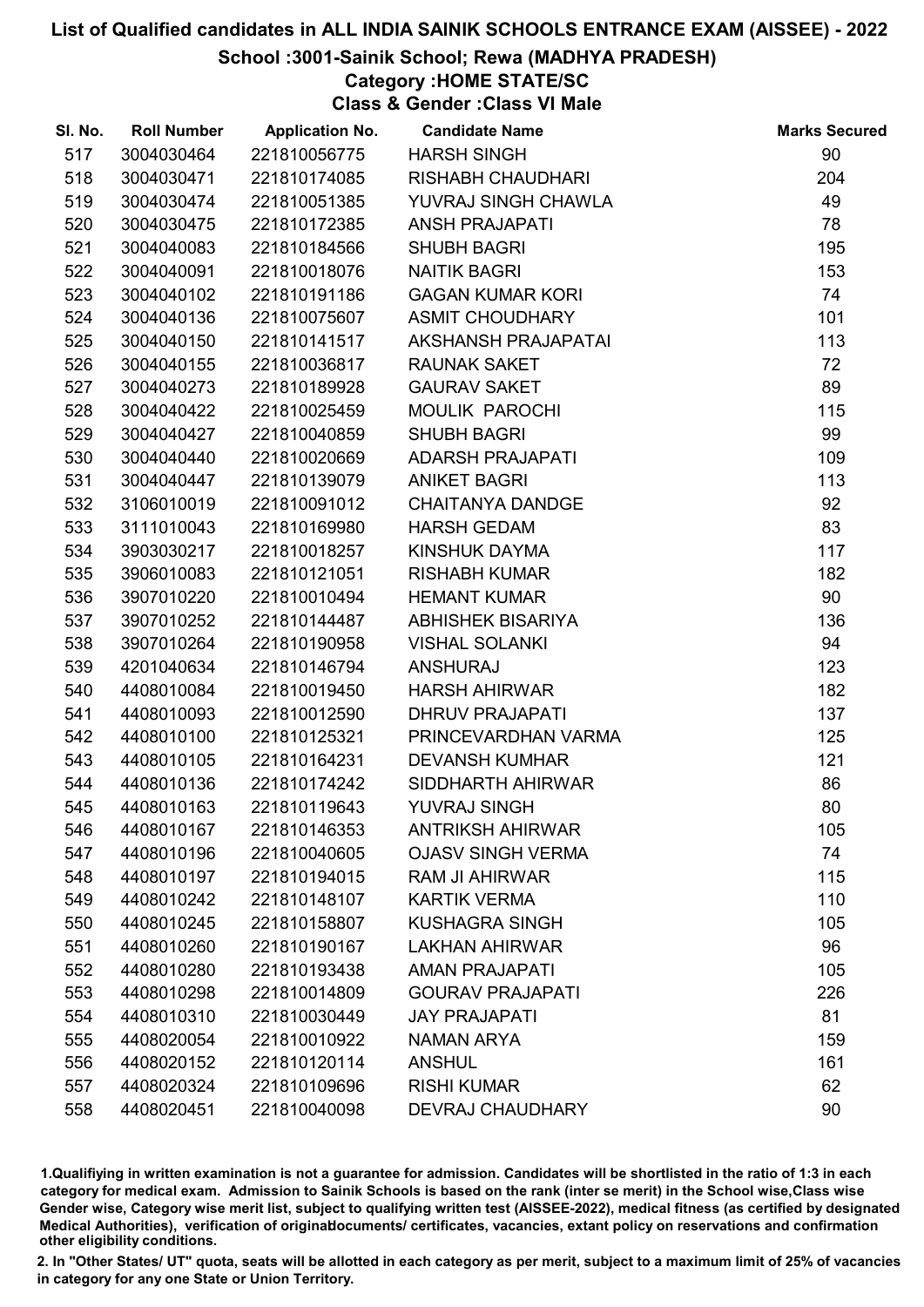### School :3001-Sainik School; Rewa (MADHYA PRADESH)

# Category :HOME STATE/SC

Class & Gender :Class VI Male

| SI. No. | <b>Roll Number</b> | <b>Application No.</b> | <b>Candidate Name</b>    | <b>Marks Secured</b> |
|---------|--------------------|------------------------|--------------------------|----------------------|
| 517     | 3004030464         | 221810056775           | <b>HARSH SINGH</b>       | 90                   |
| 518     | 3004030471         | 221810174085           | <b>RISHABH CHAUDHARI</b> | 204                  |
| 519     | 3004030474         | 221810051385           | YUVRAJ SINGH CHAWLA      | 49                   |
| 520     | 3004030475         | 221810172385           | <b>ANSH PRAJAPATI</b>    | 78                   |
| 521     | 3004040083         | 221810184566           | <b>SHUBH BAGRI</b>       | 195                  |
| 522     | 3004040091         | 221810018076           | <b>NAITIK BAGRI</b>      | 153                  |
| 523     | 3004040102         | 221810191186           | <b>GAGAN KUMAR KORI</b>  | 74                   |
| 524     | 3004040136         | 221810075607           | <b>ASMIT CHOUDHARY</b>   | 101                  |
| 525     | 3004040150         | 221810141517           | AKSHANSH PRAJAPATAI      | 113                  |
| 526     | 3004040155         | 221810036817           | <b>RAUNAK SAKET</b>      | 72                   |
| 527     | 3004040273         | 221810189928           | <b>GAURAV SAKET</b>      | 89                   |
| 528     | 3004040422         | 221810025459           | MOULIK PAROCHI           | 115                  |
| 529     | 3004040427         | 221810040859           | <b>SHUBH BAGRI</b>       | 99                   |
| 530     | 3004040440         | 221810020669           | <b>ADARSH PRAJAPATI</b>  | 109                  |
| 531     | 3004040447         | 221810139079           | <b>ANIKET BAGRI</b>      | 113                  |
| 532     | 3106010019         | 221810091012           | <b>CHAITANYA DANDGE</b>  | 92                   |
| 533     | 3111010043         | 221810169980           | <b>HARSH GEDAM</b>       | 83                   |
| 534     | 3903030217         | 221810018257           | KINSHUK DAYMA            | 117                  |
| 535     | 3906010083         | 221810121051           | <b>RISHABH KUMAR</b>     | 182                  |
| 536     | 3907010220         | 221810010494           | <b>HEMANT KUMAR</b>      | 90                   |
| 537     | 3907010252         | 221810144487           | ABHISHEK BISARIYA        | 136                  |
| 538     | 3907010264         | 221810190958           | <b>VISHAL SOLANKI</b>    | 94                   |
| 539     | 4201040634         | 221810146794           | <b>ANSHURAJ</b>          | 123                  |
| 540     | 4408010084         | 221810019450           | <b>HARSH AHIRWAR</b>     | 182                  |
| 541     | 4408010093         | 221810012590           | <b>DHRUV PRAJAPATI</b>   | 137                  |
| 542     | 4408010100         | 221810125321           | PRINCEVARDHAN VARMA      | 125                  |
| 543     | 4408010105         | 221810164231           | <b>DEVANSH KUMHAR</b>    | 121                  |
| 544     | 4408010136         | 221810174242           | SIDDHARTH AHIRWAR        | 86                   |
| 545     | 4408010163         | 221810119643           | YUVRAJ SINGH             | 80                   |
| 546     | 4408010167         | 221810146353           | <b>ANTRIKSH AHIRWAR</b>  | 105                  |
| 547     | 4408010196         | 221810040605           | <b>OJASV SINGH VERMA</b> | 74                   |
| 548     | 4408010197         | 221810194015           | <b>RAM JI AHIRWAR</b>    | 115                  |
| 549     | 4408010242         | 221810148107           | <b>KARTIK VERMA</b>      | 110                  |
| 550     | 4408010245         | 221810158807           | <b>KUSHAGRA SINGH</b>    | 105                  |
| 551     | 4408010260         | 221810190167           | <b>LAKHAN AHIRWAR</b>    | 96                   |
| 552     | 4408010280         | 221810193438           | <b>AMAN PRAJAPATI</b>    | 105                  |
| 553     | 4408010298         | 221810014809           | <b>GOURAV PRAJAPATI</b>  | 226                  |
| 554     | 4408010310         | 221810030449           | <b>JAY PRAJAPATI</b>     | 81                   |
| 555     | 4408020054         | 221810010922           | NAMAN ARYA               | 159                  |
| 556     | 4408020152         | 221810120114           | <b>ANSHUL</b>            | 161                  |
| 557     | 4408020324         | 221810109696           | <b>RISHI KUMAR</b>       | 62                   |
| 558     | 4408020451         | 221810040098           | DEVRAJ CHAUDHARY         | 90                   |

1.Qualifiying in written examination is not a guarantee for admission. Candidates will be shortlisted in the ratio of 1:3 in each category for medical exam. Admission to Sainik Schools is based on the rank (inter se merit) in the School wise,Class wise Gender wise, Category wise merit list, subject to qualifying written test (AISSEE-2022), medical fitness (as certified by designated Medical Authorities), verification of originablocuments/ certificates, vacancies, extant policy on reservations and confirmation other eligibility conditions.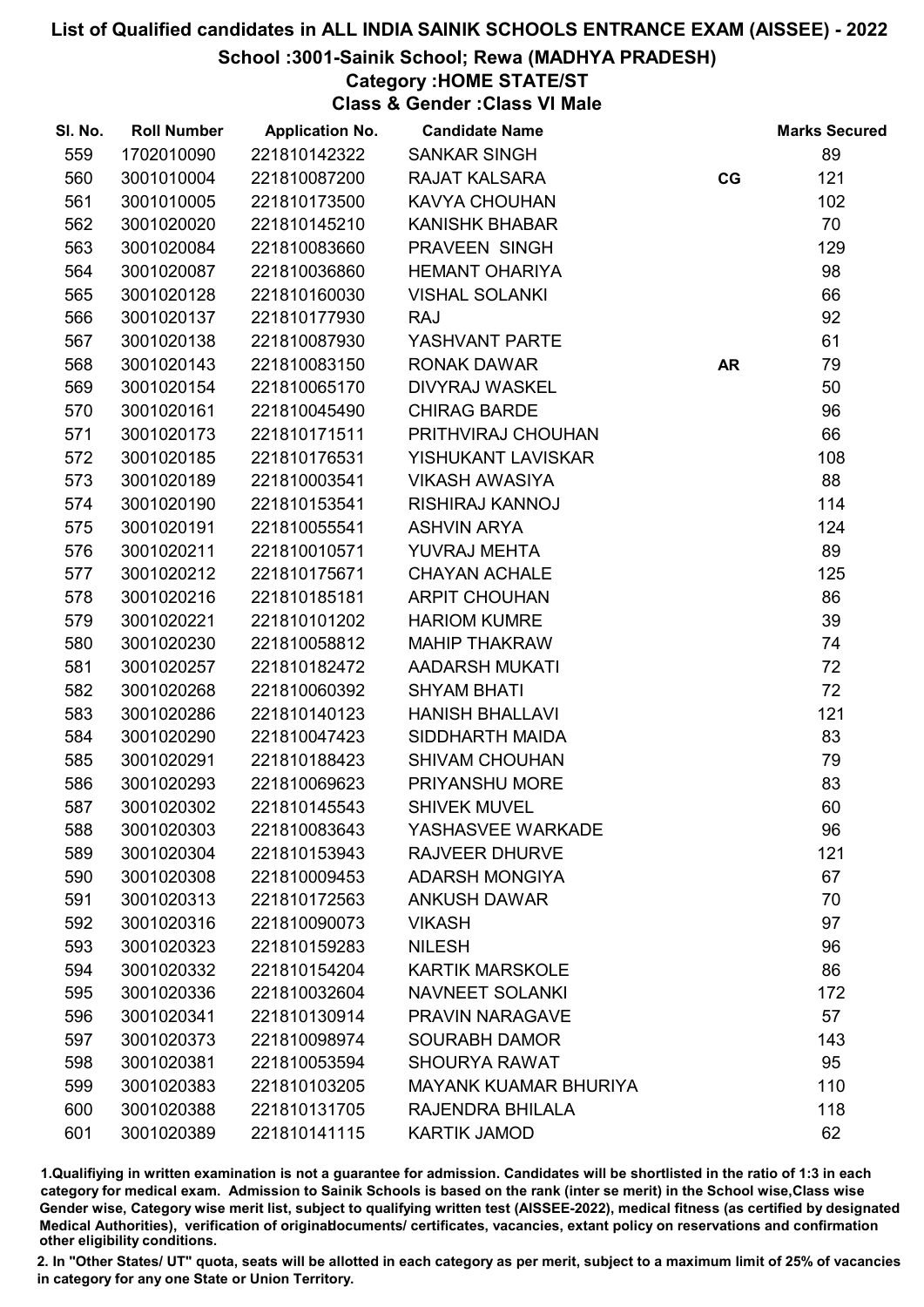## School :3001-Sainik School; Rewa (MADHYA PRADESH)

## Category :HOME STATE/ST

Class & Gender :Class VI Male

| SI. No. | <b>Roll Number</b> | <b>Application No.</b> | <b>Candidate Name</b>        |           | <b>Marks Secured</b> |
|---------|--------------------|------------------------|------------------------------|-----------|----------------------|
| 559     | 1702010090         | 221810142322           | <b>SANKAR SINGH</b>          |           | 89                   |
| 560     | 3001010004         | 221810087200           | <b>RAJAT KALSARA</b>         | CG        | 121                  |
| 561     | 3001010005         | 221810173500           | <b>KAVYA CHOUHAN</b>         |           | 102                  |
| 562     | 3001020020         | 221810145210           | <b>KANISHK BHABAR</b>        |           | 70                   |
| 563     | 3001020084         | 221810083660           | PRAVEEN SINGH                |           | 129                  |
| 564     | 3001020087         | 221810036860           | <b>HEMANT OHARIYA</b>        |           | 98                   |
| 565     | 3001020128         | 221810160030           | <b>VISHAL SOLANKI</b>        |           | 66                   |
| 566     | 3001020137         | 221810177930           | <b>RAJ</b>                   |           | 92                   |
| 567     | 3001020138         | 221810087930           | YASHVANT PARTE               |           | 61                   |
| 568     | 3001020143         | 221810083150           | <b>RONAK DAWAR</b>           | <b>AR</b> | 79                   |
| 569     | 3001020154         | 221810065170           | <b>DIVYRAJ WASKEL</b>        |           | 50                   |
| 570     | 3001020161         | 221810045490           | <b>CHIRAG BARDE</b>          |           | 96                   |
| 571     | 3001020173         | 221810171511           | PRITHVIRAJ CHOUHAN           |           | 66                   |
| 572     | 3001020185         | 221810176531           | YISHUKANT LAVISKAR           |           | 108                  |
| 573     | 3001020189         | 221810003541           | <b>VIKASH AWASIYA</b>        |           | 88                   |
| 574     | 3001020190         | 221810153541           | RISHIRAJ KANNOJ              |           | 114                  |
| 575     | 3001020191         | 221810055541           | <b>ASHVIN ARYA</b>           |           | 124                  |
| 576     | 3001020211         | 221810010571           | YUVRAJ MEHTA                 |           | 89                   |
| 577     | 3001020212         | 221810175671           | <b>CHAYAN ACHALE</b>         |           | 125                  |
| 578     | 3001020216         | 221810185181           | <b>ARPIT CHOUHAN</b>         |           | 86                   |
| 579     | 3001020221         | 221810101202           | <b>HARIOM KUMRE</b>          |           | 39                   |
| 580     | 3001020230         | 221810058812           | <b>MAHIP THAKRAW</b>         |           | 74                   |
| 581     | 3001020257         | 221810182472           | <b>AADARSH MUKATI</b>        |           | 72                   |
| 582     | 3001020268         | 221810060392           | <b>SHYAM BHATI</b>           |           | 72                   |
| 583     | 3001020286         | 221810140123           | <b>HANISH BHALLAVI</b>       |           | 121                  |
| 584     | 3001020290         | 221810047423           | SIDDHARTH MAIDA              |           | 83                   |
| 585     | 3001020291         | 221810188423           | <b>SHIVAM CHOUHAN</b>        |           | 79                   |
| 586     | 3001020293         | 221810069623           | PRIYANSHU MORE               |           | 83                   |
| 587     | 3001020302         | 221810145543           | <b>SHIVEK MUVEL</b>          |           | 60                   |
| 588     | 3001020303         | 221810083643           | YASHASVEE WARKADE            |           | 96                   |
| 589     | 3001020304         | 221810153943           | <b>RAJVEER DHURVE</b>        |           | 121                  |
| 590     | 3001020308         | 221810009453           | <b>ADARSH MONGIYA</b>        |           | 67                   |
| 591     | 3001020313         | 221810172563           | <b>ANKUSH DAWAR</b>          |           | 70                   |
| 592     | 3001020316         | 221810090073           | <b>VIKASH</b>                |           | 97                   |
| 593     | 3001020323         | 221810159283           | <b>NILESH</b>                |           | 96                   |
| 594     | 3001020332         | 221810154204           | <b>KARTIK MARSKOLE</b>       |           | 86                   |
| 595     | 3001020336         | 221810032604           | <b>NAVNEET SOLANKI</b>       |           | 172                  |
| 596     | 3001020341         | 221810130914           | PRAVIN NARAGAVE              |           | 57                   |
| 597     | 3001020373         | 221810098974           | <b>SOURABH DAMOR</b>         |           | 143                  |
| 598     | 3001020381         | 221810053594           | <b>SHOURYA RAWAT</b>         |           | 95                   |
| 599     | 3001020383         | 221810103205           | <b>MAYANK KUAMAR BHURIYA</b> |           | 110                  |
| 600     | 3001020388         | 221810131705           | RAJENDRA BHILALA             |           | 118                  |
| 601     | 3001020389         | 221810141115           | <b>KARTIK JAMOD</b>          |           | 62                   |

1.Qualifiying in written examination is not a guarantee for admission. Candidates will be shortlisted in the ratio of 1:3 in each category for medical exam. Admission to Sainik Schools is based on the rank (inter se merit) in the School wise,Class wise Gender wise, Category wise merit list, subject to qualifying written test (AISSEE-2022), medical fitness (as certified by designated Medical Authorities), verification of originablocuments/ certificates, vacancies, extant policy on reservations and confirmation other eligibility conditions.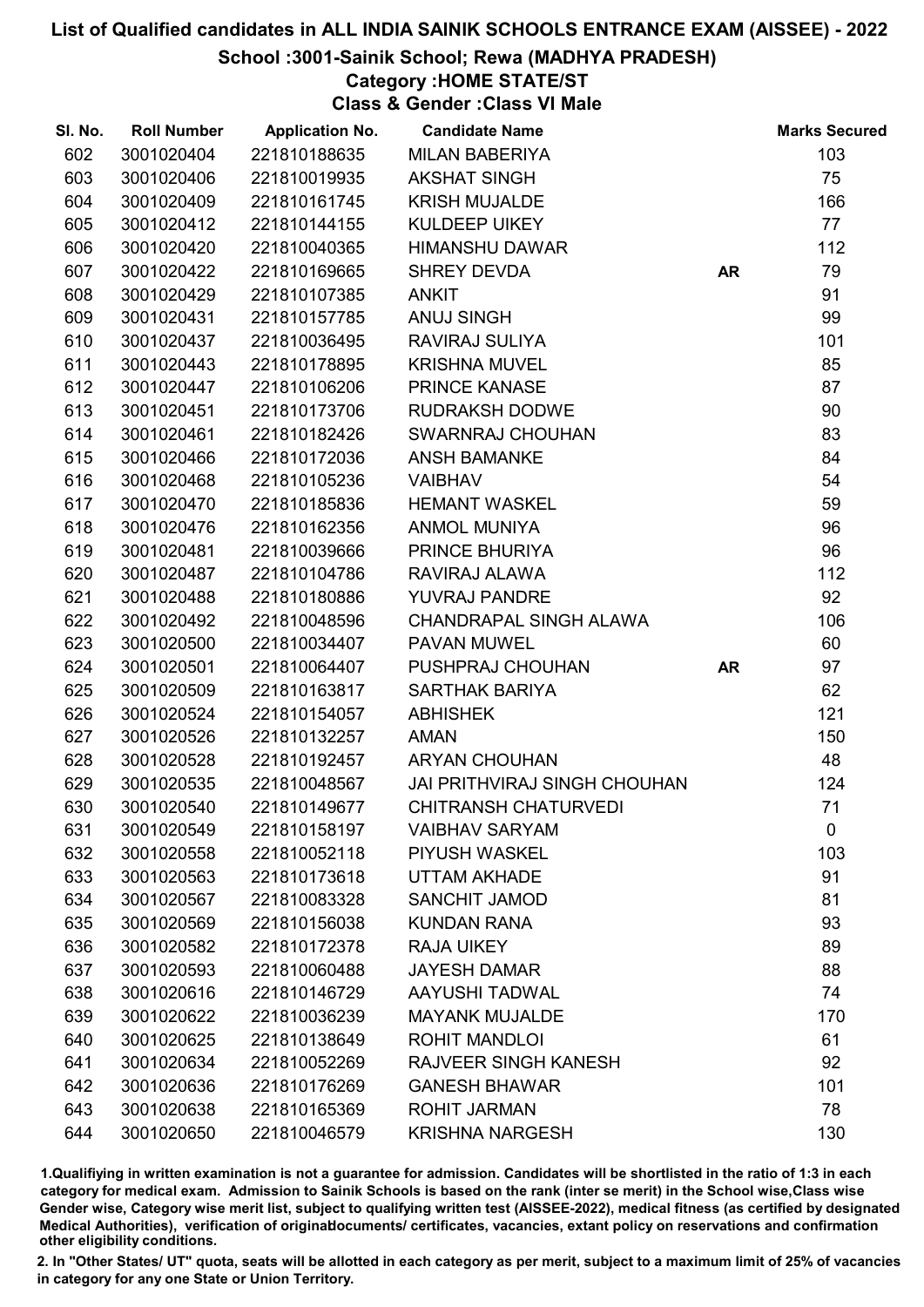### School :3001-Sainik School; Rewa (MADHYA PRADESH)

# Category :HOME STATE/ST

Class & Gender :Class VI Male

| SI. No. | <b>Roll Number</b> | <b>Application No.</b> | <b>Candidate Name</b>               |           | <b>Marks Secured</b> |
|---------|--------------------|------------------------|-------------------------------------|-----------|----------------------|
| 602     | 3001020404         | 221810188635           | <b>MILAN BABERIYA</b>               |           | 103                  |
| 603     | 3001020406         | 221810019935           | <b>AKSHAT SINGH</b>                 |           | 75                   |
| 604     | 3001020409         | 221810161745           | <b>KRISH MUJALDE</b>                |           | 166                  |
| 605     | 3001020412         | 221810144155           | <b>KULDEEP UIKEY</b>                |           | 77                   |
| 606     | 3001020420         | 221810040365           | <b>HIMANSHU DAWAR</b>               |           | 112                  |
| 607     | 3001020422         | 221810169665           | <b>SHREY DEVDA</b>                  | <b>AR</b> | 79                   |
| 608     | 3001020429         | 221810107385           | <b>ANKIT</b>                        |           | 91                   |
| 609     | 3001020431         | 221810157785           | <b>ANUJ SINGH</b>                   |           | 99                   |
| 610     | 3001020437         | 221810036495           | RAVIRAJ SULIYA                      |           | 101                  |
| 611     | 3001020443         | 221810178895           | <b>KRISHNA MUVEL</b>                |           | 85                   |
| 612     | 3001020447         | 221810106206           | PRINCE KANASE                       |           | 87                   |
| 613     | 3001020451         | 221810173706           | <b>RUDRAKSH DODWE</b>               |           | 90                   |
| 614     | 3001020461         | 221810182426           | SWARNRAJ CHOUHAN                    |           | 83                   |
| 615     | 3001020466         | 221810172036           | <b>ANSH BAMANKE</b>                 |           | 84                   |
| 616     | 3001020468         | 221810105236           | <b>VAIBHAV</b>                      |           | 54                   |
| 617     | 3001020470         | 221810185836           | <b>HEMANT WASKEL</b>                |           | 59                   |
| 618     | 3001020476         | 221810162356           | <b>ANMOL MUNIYA</b>                 |           | 96                   |
| 619     | 3001020481         | 221810039666           | PRINCE BHURIYA                      |           | 96                   |
| 620     | 3001020487         | 221810104786           | RAVIRAJ ALAWA                       |           | 112                  |
| 621     | 3001020488         | 221810180886           | YUVRAJ PANDRE                       |           | 92                   |
| 622     | 3001020492         | 221810048596           | CHANDRAPAL SINGH ALAWA              |           | 106                  |
| 623     | 3001020500         | 221810034407           | PAVAN MUWEL                         |           | 60                   |
| 624     | 3001020501         | 221810064407           | PUSHPRAJ CHOUHAN                    | <b>AR</b> | 97                   |
| 625     | 3001020509         | 221810163817           | SARTHAK BARIYA                      |           | 62                   |
| 626     | 3001020524         | 221810154057           | <b>ABHISHEK</b>                     |           | 121                  |
| 627     | 3001020526         | 221810132257           | <b>AMAN</b>                         |           | 150                  |
| 628     | 3001020528         | 221810192457           | <b>ARYAN CHOUHAN</b>                |           | 48                   |
| 629     | 3001020535         | 221810048567           | <b>JAI PRITHVIRAJ SINGH CHOUHAN</b> |           | 124                  |
| 630     | 3001020540         | 221810149677           | <b>CHITRANSH CHATURVEDI</b>         |           | 71                   |
| 631     | 3001020549         | 221810158197           | <b>VAIBHAV SARYAM</b>               |           | $\mathbf 0$          |
| 632     | 3001020558         | 221810052118           | PIYUSH WASKEL                       |           | 103                  |
| 633     | 3001020563         | 221810173618           | <b>UTTAM AKHADE</b>                 |           | 91                   |
| 634     | 3001020567         | 221810083328           | <b>SANCHIT JAMOD</b>                |           | 81                   |
| 635     | 3001020569         | 221810156038           | <b>KUNDAN RANA</b>                  |           | 93                   |
| 636     | 3001020582         | 221810172378           | <b>RAJA UIKEY</b>                   |           | 89                   |
| 637     | 3001020593         | 221810060488           | <b>JAYESH DAMAR</b>                 |           | 88                   |
| 638     | 3001020616         | 221810146729           | <b>AAYUSHI TADWAL</b>               |           | 74                   |
| 639     | 3001020622         | 221810036239           | <b>MAYANK MUJALDE</b>               |           | 170                  |
| 640     | 3001020625         | 221810138649           | <b>ROHIT MANDLOI</b>                |           | 61                   |
| 641     | 3001020634         | 221810052269           | <b>RAJVEER SINGH KANESH</b>         |           | 92                   |
| 642     | 3001020636         | 221810176269           | <b>GANESH BHAWAR</b>                |           | 101                  |
| 643     | 3001020638         | 221810165369           | <b>ROHIT JARMAN</b>                 |           | 78                   |
| 644     | 3001020650         | 221810046579           | <b>KRISHNA NARGESH</b>              |           | 130                  |

1.Qualifiying in written examination is not a guarantee for admission. Candidates will be shortlisted in the ratio of 1:3 in each category for medical exam. Admission to Sainik Schools is based on the rank (inter se merit) in the School wise,Class wise Gender wise, Category wise merit list, subject to qualifying written test (AISSEE-2022), medical fitness (as certified by designated Medical Authorities), verification of originablocuments/ certificates, vacancies, extant policy on reservations and confirmation other eligibility conditions.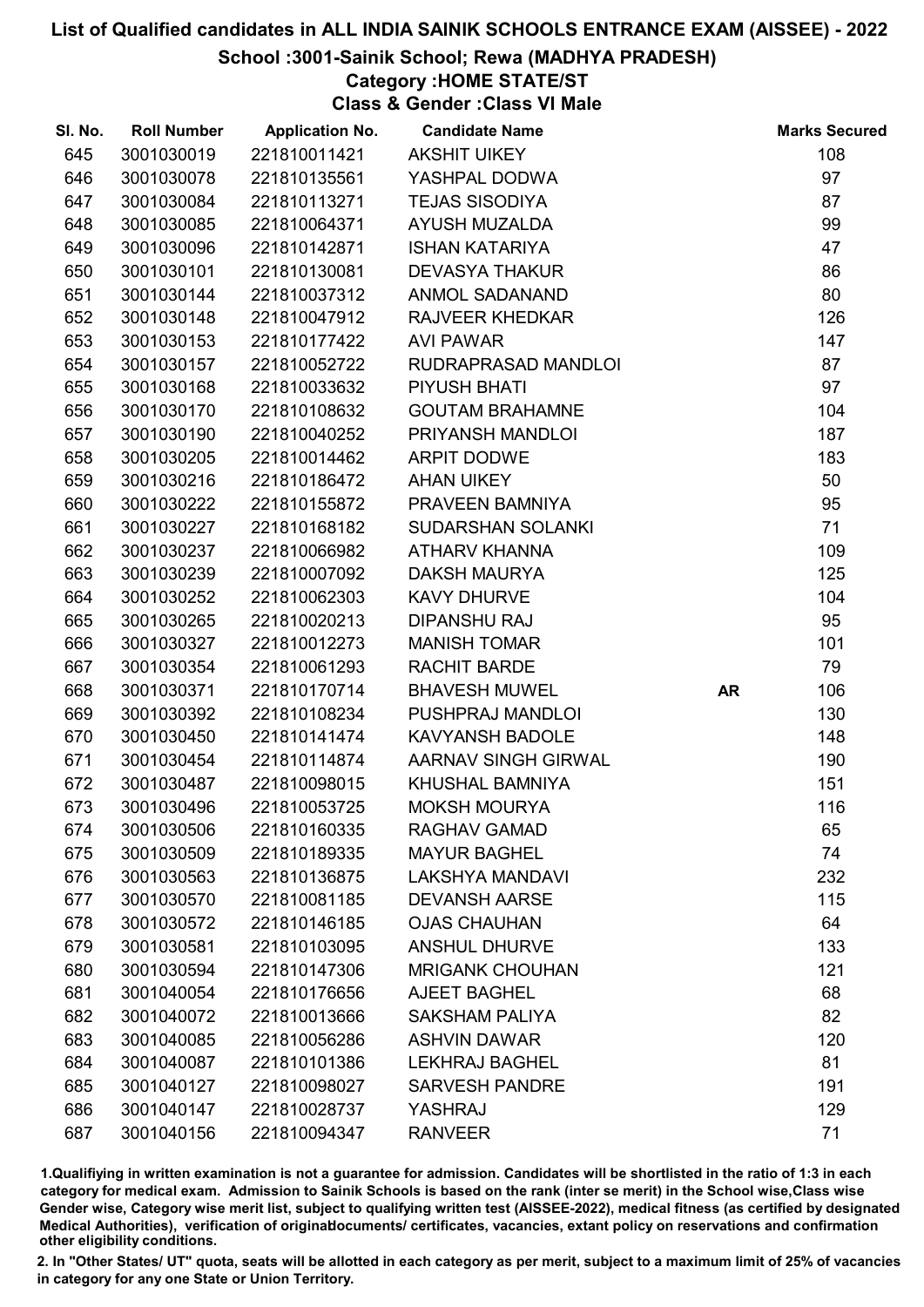#### School :3001-Sainik School; Rewa (MADHYA PRADESH)

# Category :HOME STATE/ST

Class & Gender :Class VI Male

| SI. No. | <b>Roll Number</b> | <b>Application No.</b> | <b>Candidate Name</b>  |           | <b>Marks Secured</b> |
|---------|--------------------|------------------------|------------------------|-----------|----------------------|
| 645     | 3001030019         | 221810011421           | <b>AKSHIT UIKEY</b>    |           | 108                  |
| 646     | 3001030078         | 221810135561           | YASHPAL DODWA          |           | 97                   |
| 647     | 3001030084         | 221810113271           | <b>TEJAS SISODIYA</b>  |           | 87                   |
| 648     | 3001030085         | 221810064371           | AYUSH MUZALDA          |           | 99                   |
| 649     | 3001030096         | 221810142871           | <b>ISHAN KATARIYA</b>  |           | 47                   |
| 650     | 3001030101         | 221810130081           | <b>DEVASYA THAKUR</b>  |           | 86                   |
| 651     | 3001030144         | 221810037312           | <b>ANMOL SADANAND</b>  |           | 80                   |
| 652     | 3001030148         | 221810047912           | <b>RAJVEER KHEDKAR</b> |           | 126                  |
| 653     | 3001030153         | 221810177422           | <b>AVI PAWAR</b>       |           | 147                  |
| 654     | 3001030157         | 221810052722           | RUDRAPRASAD MANDLOI    |           | 87                   |
| 655     | 3001030168         | 221810033632           | <b>PIYUSH BHATI</b>    |           | 97                   |
| 656     | 3001030170         | 221810108632           | <b>GOUTAM BRAHAMNE</b> |           | 104                  |
| 657     | 3001030190         | 221810040252           | PRIYANSH MANDLOI       |           | 187                  |
| 658     | 3001030205         | 221810014462           | <b>ARPIT DODWE</b>     |           | 183                  |
| 659     | 3001030216         | 221810186472           | <b>AHAN UIKEY</b>      |           | 50                   |
| 660     | 3001030222         | 221810155872           | PRAVEEN BAMNIYA        |           | 95                   |
| 661     | 3001030227         | 221810168182           | SUDARSHAN SOLANKI      |           | 71                   |
| 662     | 3001030237         | 221810066982           | ATHARV KHANNA          |           | 109                  |
| 663     | 3001030239         | 221810007092           | <b>DAKSH MAURYA</b>    |           | 125                  |
| 664     | 3001030252         | 221810062303           | <b>KAVY DHURVE</b>     |           | 104                  |
| 665     | 3001030265         | 221810020213           | <b>DIPANSHU RAJ</b>    |           | 95                   |
| 666     | 3001030327         | 221810012273           | <b>MANISH TOMAR</b>    |           | 101                  |
| 667     | 3001030354         | 221810061293           | RACHIT BARDE           |           | 79                   |
| 668     | 3001030371         | 221810170714           | <b>BHAVESH MUWEL</b>   | <b>AR</b> | 106                  |
| 669     | 3001030392         | 221810108234           | PUSHPRAJ MANDLOI       |           | 130                  |
| 670     | 3001030450         | 221810141474           | <b>KAVYANSH BADOLE</b> |           | 148                  |
| 671     | 3001030454         | 221810114874           | AARNAV SINGH GIRWAL    |           | 190                  |
| 672     | 3001030487         | 221810098015           | KHUSHAL BAMNIYA        |           | 151                  |
| 673     | 3001030496         | 221810053725           | <b>MOKSH MOURYA</b>    |           | 116                  |
| 674     | 3001030506         | 221810160335           | <b>RAGHAV GAMAD</b>    |           | 65                   |
| 675     | 3001030509         | 221810189335           | <b>MAYUR BAGHEL</b>    |           | 74                   |
| 676     | 3001030563         | 221810136875           | <b>LAKSHYA MANDAVI</b> |           | 232                  |
| 677     | 3001030570         | 221810081185           | <b>DEVANSH AARSE</b>   |           | 115                  |
| 678     | 3001030572         | 221810146185           | <b>OJAS CHAUHAN</b>    |           | 64                   |
| 679     | 3001030581         | 221810103095           | <b>ANSHUL DHURVE</b>   |           | 133                  |
| 680     | 3001030594         | 221810147306           | <b>MRIGANK CHOUHAN</b> |           | 121                  |
| 681     | 3001040054         | 221810176656           | <b>AJEET BAGHEL</b>    |           | 68                   |
| 682     | 3001040072         | 221810013666           | <b>SAKSHAM PALIYA</b>  |           | 82                   |
| 683     | 3001040085         | 221810056286           | <b>ASHVIN DAWAR</b>    |           | 120                  |
| 684     | 3001040087         | 221810101386           | <b>LEKHRAJ BAGHEL</b>  |           | 81                   |
| 685     | 3001040127         | 221810098027           | <b>SARVESH PANDRE</b>  |           | 191                  |
| 686     | 3001040147         | 221810028737           | YASHRAJ                |           | 129                  |
| 687     | 3001040156         | 221810094347           | <b>RANVEER</b>         |           | 71                   |

1.Qualifiying in written examination is not a guarantee for admission. Candidates will be shortlisted in the ratio of 1:3 in each category for medical exam. Admission to Sainik Schools is based on the rank (inter se merit) in the School wise,Class wise Gender wise, Category wise merit list, subject to qualifying written test (AISSEE-2022), medical fitness (as certified by designated Medical Authorities), verification of originablocuments/ certificates, vacancies, extant policy on reservations and confirmation other eligibility conditions.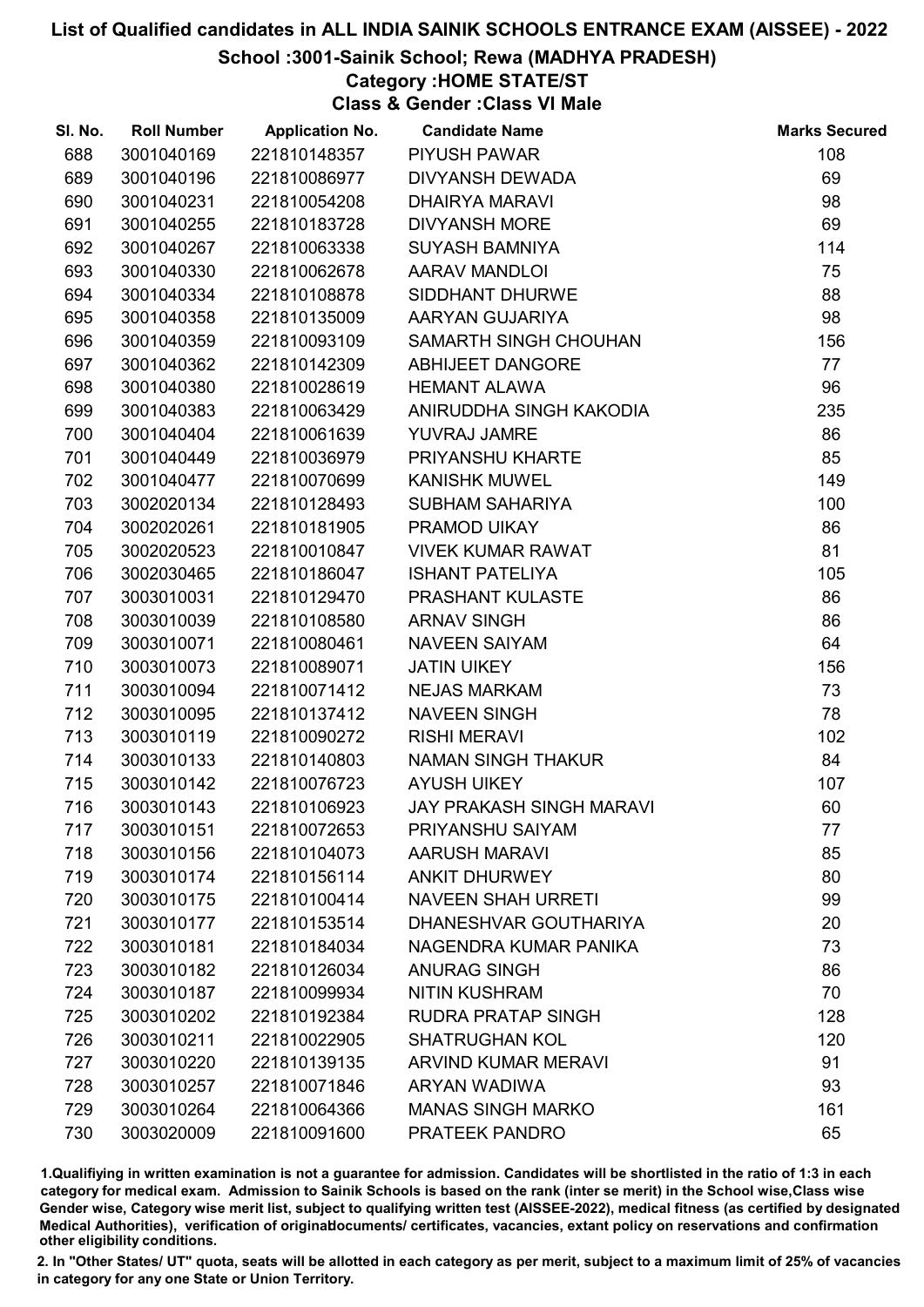#### School :3001-Sainik School; Rewa (MADHYA PRADESH)

# Category :HOME STATE/ST

Class & Gender :Class VI Male

| SI. No. | <b>Roll Number</b> | <b>Application No.</b> | <b>Candidate Name</b>           | <b>Marks Secured</b> |
|---------|--------------------|------------------------|---------------------------------|----------------------|
| 688     | 3001040169         | 221810148357           | <b>PIYUSH PAWAR</b>             | 108                  |
| 689     | 3001040196         | 221810086977           | <b>DIVYANSH DEWADA</b>          | 69                   |
| 690     | 3001040231         | 221810054208           | <b>DHAIRYA MARAVI</b>           | 98                   |
| 691     | 3001040255         | 221810183728           | <b>DIVYANSH MORE</b>            | 69                   |
| 692     | 3001040267         | 221810063338           | <b>SUYASH BAMNIYA</b>           | 114                  |
| 693     | 3001040330         | 221810062678           | <b>AARAV MANDLOI</b>            | 75                   |
| 694     | 3001040334         | 221810108878           | SIDDHANT DHURWE                 | 88                   |
| 695     | 3001040358         | 221810135009           | AARYAN GUJARIYA                 | 98                   |
| 696     | 3001040359         | 221810093109           | SAMARTH SINGH CHOUHAN           | 156                  |
| 697     | 3001040362         | 221810142309           | <b>ABHIJEET DANGORE</b>         | 77                   |
| 698     | 3001040380         | 221810028619           | <b>HEMANT ALAWA</b>             | 96                   |
| 699     | 3001040383         | 221810063429           | ANIRUDDHA SINGH KAKODIA         | 235                  |
| 700     | 3001040404         | 221810061639           | YUVRAJ JAMRE                    | 86                   |
| 701     | 3001040449         | 221810036979           | PRIYANSHU KHARTE                | 85                   |
| 702     | 3001040477         | 221810070699           | <b>KANISHK MUWEL</b>            | 149                  |
| 703     | 3002020134         | 221810128493           | SUBHAM SAHARIYA                 | 100                  |
| 704     | 3002020261         | 221810181905           | PRAMOD UIKAY                    | 86                   |
| 705     | 3002020523         | 221810010847           | <b>VIVEK KUMAR RAWAT</b>        | 81                   |
| 706     | 3002030465         | 221810186047           | <b>ISHANT PATELIYA</b>          | 105                  |
| 707     | 3003010031         | 221810129470           | <b>PRASHANT KULASTE</b>         | 86                   |
| 708     | 3003010039         | 221810108580           | <b>ARNAV SINGH</b>              | 86                   |
| 709     | 3003010071         | 221810080461           | <b>NAVEEN SAIYAM</b>            | 64                   |
| 710     | 3003010073         | 221810089071           | <b>JATIN UIKEY</b>              | 156                  |
| 711     | 3003010094         | 221810071412           | <b>NEJAS MARKAM</b>             | 73                   |
| 712     | 3003010095         | 221810137412           | <b>NAVEEN SINGH</b>             | 78                   |
| 713     | 3003010119         | 221810090272           | <b>RISHI MERAVI</b>             | 102                  |
| 714     | 3003010133         | 221810140803           | NAMAN SINGH THAKUR              | 84                   |
| 715     | 3003010142         | 221810076723           | <b>AYUSH UIKEY</b>              | 107                  |
| 716     | 3003010143         | 221810106923           | <b>JAY PRAKASH SINGH MARAVI</b> | 60                   |
| 717     | 3003010151         | 221810072653           | PRIYANSHU SAIYAM                | 77                   |
| 718     | 3003010156         | 221810104073           | <b>AARUSH MARAVI</b>            | 85                   |
| 719     | 3003010174         | 221810156114           | <b>ANKIT DHURWEY</b>            | 80                   |
| 720     | 3003010175         | 221810100414           | <b>NAVEEN SHAH URRETI</b>       | 99                   |
| 721     | 3003010177         | 221810153514           | DHANESHVAR GOUTHARIYA           | 20                   |
| 722     | 3003010181         | 221810184034           | NAGENDRA KUMAR PANIKA           | 73                   |
| 723     | 3003010182         | 221810126034           | <b>ANURAG SINGH</b>             | 86                   |
| 724     | 3003010187         | 221810099934           | <b>NITIN KUSHRAM</b>            | 70                   |
| 725     | 3003010202         | 221810192384           | <b>RUDRA PRATAP SINGH</b>       | 128                  |
| 726     | 3003010211         | 221810022905           | <b>SHATRUGHAN KOL</b>           | 120                  |
| 727     | 3003010220         | 221810139135           | <b>ARVIND KUMAR MERAVI</b>      | 91                   |
| 728     | 3003010257         | 221810071846           | ARYAN WADIWA                    | 93                   |
| 729     | 3003010264         | 221810064366           | <b>MANAS SINGH MARKO</b>        | 161                  |
| 730     | 3003020009         | 221810091600           | PRATEEK PANDRO                  | 65                   |

1.Qualifiying in written examination is not a guarantee for admission. Candidates will be shortlisted in the ratio of 1:3 in each category for medical exam. Admission to Sainik Schools is based on the rank (inter se merit) in the School wise,Class wise Gender wise, Category wise merit list, subject to qualifying written test (AISSEE-2022), medical fitness (as certified by designated Medical Authorities), verification of originablocuments/ certificates, vacancies, extant policy on reservations and confirmation other eligibility conditions.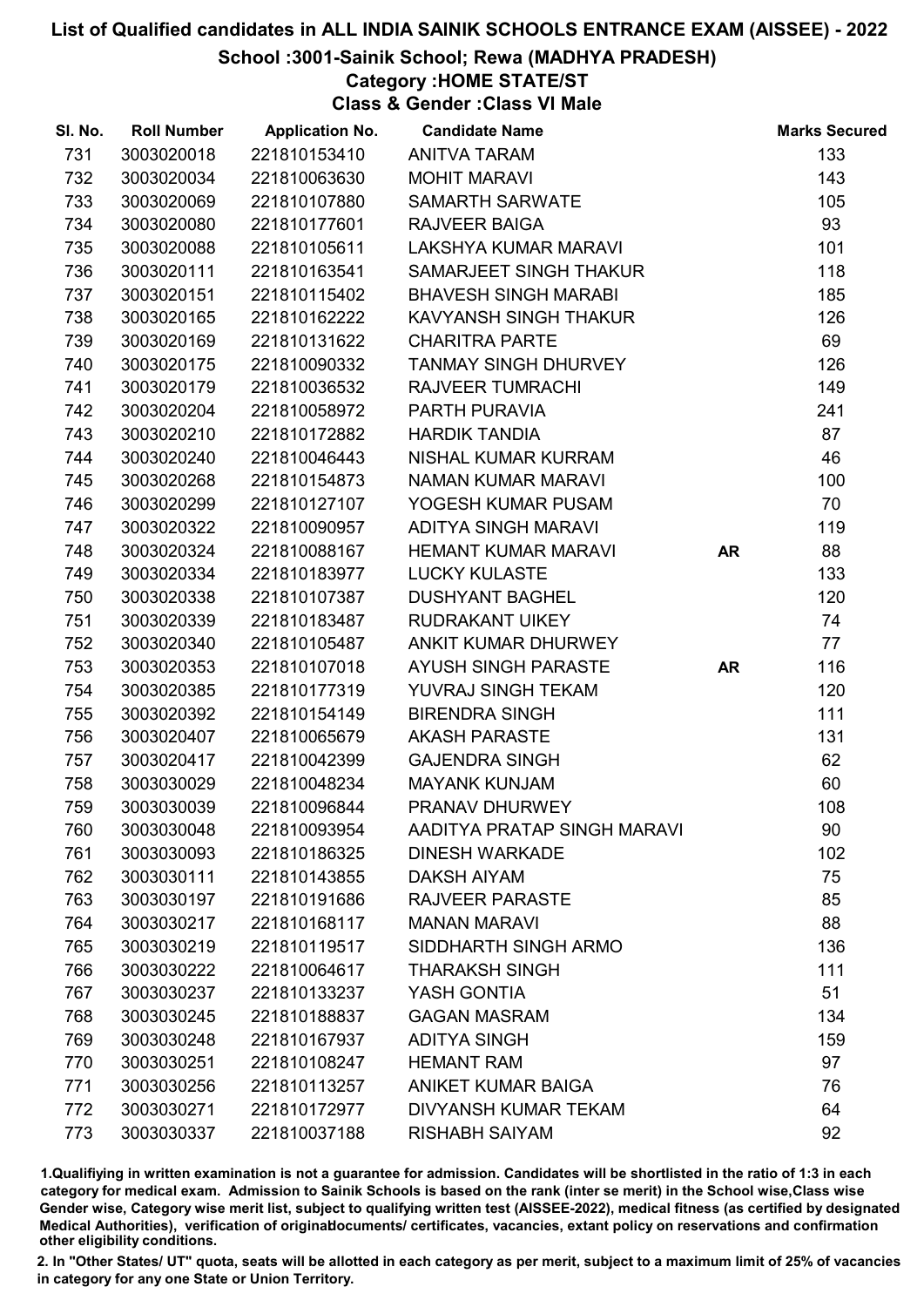### School :3001-Sainik School; Rewa (MADHYA PRADESH)

## Category :HOME STATE/ST

Class & Gender :Class VI Male

| SI. No. | <b>Roll Number</b> | <b>Application No.</b> | <b>Candidate Name</b>       |           | <b>Marks Secured</b> |
|---------|--------------------|------------------------|-----------------------------|-----------|----------------------|
| 731     | 3003020018         | 221810153410           | ANITVA TARAM                |           | 133                  |
| 732     | 3003020034         | 221810063630           | <b>MOHIT MARAVI</b>         |           | 143                  |
| 733     | 3003020069         | 221810107880           | <b>SAMARTH SARWATE</b>      |           | 105                  |
| 734     | 3003020080         | 221810177601           | <b>RAJVEER BAIGA</b>        |           | 93                   |
| 735     | 3003020088         | 221810105611           | LAKSHYA KUMAR MARAVI        |           | 101                  |
| 736     | 3003020111         | 221810163541           | SAMARJEET SINGH THAKUR      |           | 118                  |
| 737     | 3003020151         | 221810115402           | <b>BHAVESH SINGH MARABI</b> |           | 185                  |
| 738     | 3003020165         | 221810162222           | KAVYANSH SINGH THAKUR       |           | 126                  |
| 739     | 3003020169         | 221810131622           | <b>CHARITRA PARTE</b>       |           | 69                   |
| 740     | 3003020175         | 221810090332           | <b>TANMAY SINGH DHURVEY</b> |           | 126                  |
| 741     | 3003020179         | 221810036532           | <b>RAJVEER TUMRACHI</b>     |           | 149                  |
| 742     | 3003020204         | 221810058972           | PARTH PURAVIA               |           | 241                  |
| 743     | 3003020210         | 221810172882           | <b>HARDIK TANDIA</b>        |           | 87                   |
| 744     | 3003020240         | 221810046443           | NISHAL KUMAR KURRAM         |           | 46                   |
| 745     | 3003020268         | 221810154873           | NAMAN KUMAR MARAVI          |           | 100                  |
| 746     | 3003020299         | 221810127107           | YOGESH KUMAR PUSAM          |           | 70                   |
| 747     | 3003020322         | 221810090957           | <b>ADITYA SINGH MARAVI</b>  |           | 119                  |
| 748     | 3003020324         | 221810088167           | <b>HEMANT KUMAR MARAVI</b>  | <b>AR</b> | 88                   |
| 749     | 3003020334         | 221810183977           | <b>LUCKY KULASTE</b>        |           | 133                  |
| 750     | 3003020338         | 221810107387           | <b>DUSHYANT BAGHEL</b>      |           | 120                  |
| 751     | 3003020339         | 221810183487           | <b>RUDRAKANT UIKEY</b>      |           | 74                   |
| 752     | 3003020340         | 221810105487           | ANKIT KUMAR DHURWEY         |           | 77                   |
| 753     | 3003020353         | 221810107018           | <b>AYUSH SINGH PARASTE</b>  | <b>AR</b> | 116                  |
| 754     | 3003020385         | 221810177319           | YUVRAJ SINGH TEKAM          |           | 120                  |
| 755     | 3003020392         | 221810154149           | <b>BIRENDRA SINGH</b>       |           | 111                  |
| 756     | 3003020407         | 221810065679           | <b>AKASH PARASTE</b>        |           | 131                  |
| 757     | 3003020417         | 221810042399           | <b>GAJENDRA SINGH</b>       |           | 62                   |
| 758     | 3003030029         | 221810048234           | <b>MAYANK KUNJAM</b>        |           | 60                   |
| 759     | 3003030039         | 221810096844           | PRANAV DHURWEY              |           | 108                  |
| 760     | 3003030048         | 221810093954           | AADITYA PRATAP SINGH MARAVI |           | 90                   |
| 761     | 3003030093         | 221810186325           | <b>DINESH WARKADE</b>       |           | 102                  |
| 762     | 3003030111         | 221810143855           | <b>DAKSH AIYAM</b>          |           | 75                   |
| 763     | 3003030197         | 221810191686           | <b>RAJVEER PARASTE</b>      |           | 85                   |
| 764     | 3003030217         | 221810168117           | <b>MANAN MARAVI</b>         |           | 88                   |
| 765     | 3003030219         | 221810119517           | SIDDHARTH SINGH ARMO        |           | 136                  |
| 766     | 3003030222         | 221810064617           | <b>THARAKSH SINGH</b>       |           | 111                  |
| 767     | 3003030237         | 221810133237           | YASH GONTIA                 |           | 51                   |
| 768     | 3003030245         | 221810188837           | <b>GAGAN MASRAM</b>         |           | 134                  |
| 769     | 3003030248         | 221810167937           | <b>ADITYA SINGH</b>         |           | 159                  |
| 770     | 3003030251         | 221810108247           | <b>HEMANT RAM</b>           |           | 97                   |
| 771     | 3003030256         | 221810113257           | <b>ANIKET KUMAR BAIGA</b>   |           | 76                   |
| 772     | 3003030271         | 221810172977           | <b>DIVYANSH KUMAR TEKAM</b> |           | 64                   |
| 773     | 3003030337         | 221810037188           | <b>RISHABH SAIYAM</b>       |           | 92                   |

1.Qualifiying in written examination is not a guarantee for admission. Candidates will be shortlisted in the ratio of 1:3 in each category for medical exam. Admission to Sainik Schools is based on the rank (inter se merit) in the School wise,Class wise Gender wise, Category wise merit list, subject to qualifying written test (AISSEE-2022), medical fitness (as certified by designated Medical Authorities), verification of originablocuments/ certificates, vacancies, extant policy on reservations and confirmation other eligibility conditions.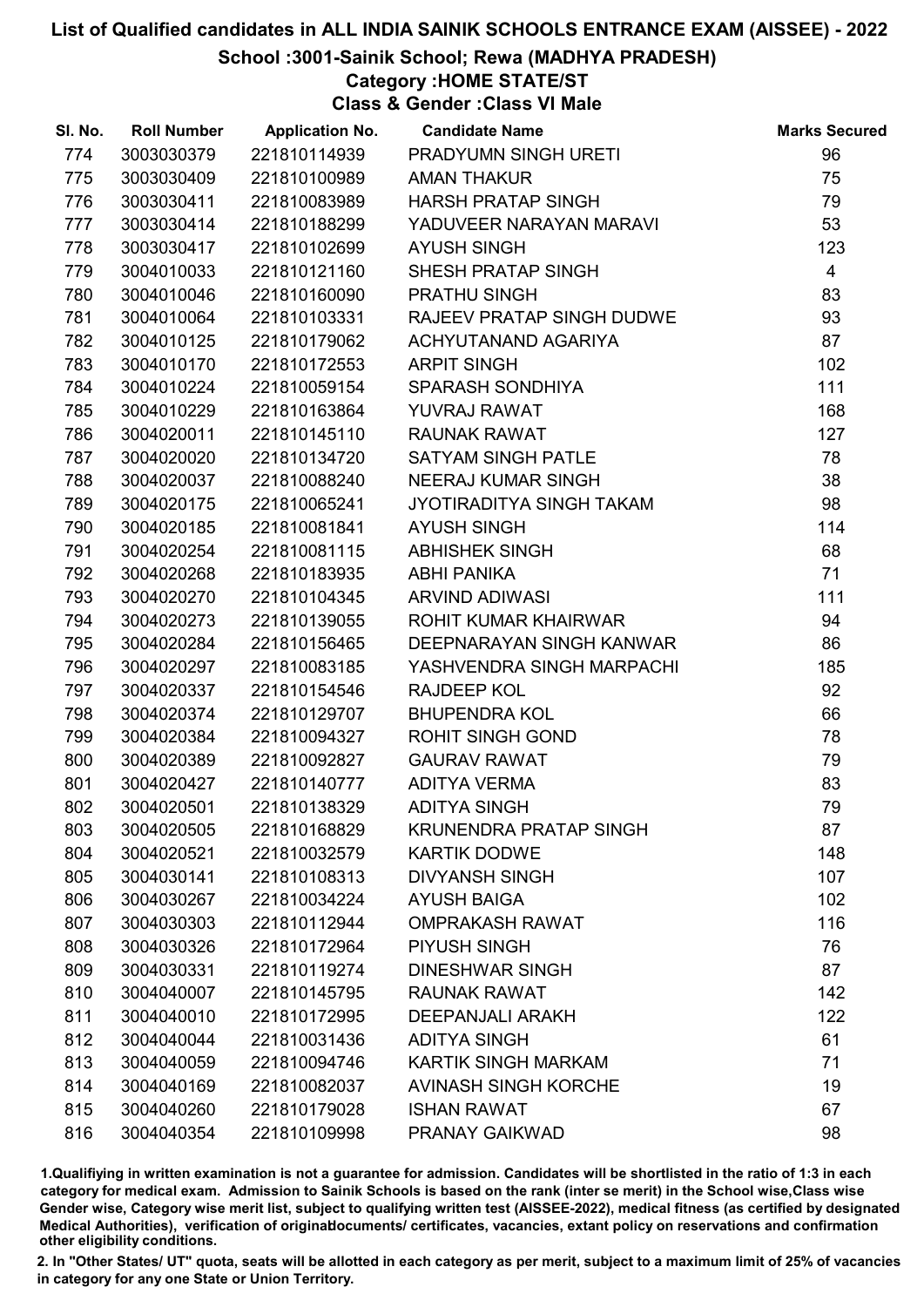School :3001-Sainik School; Rewa (MADHYA PRADESH)

## Category :HOME STATE/ST

Class & Gender :Class VI Male

| SI. No. | <b>Roll Number</b> | <b>Application No.</b> | <b>Candidate Name</b>         | <b>Marks Secured</b> |
|---------|--------------------|------------------------|-------------------------------|----------------------|
| 774     | 3003030379         | 221810114939           | PRADYUMN SINGH URETI          | 96                   |
| 775     | 3003030409         | 221810100989           | <b>AMAN THAKUR</b>            | 75                   |
| 776     | 3003030411         | 221810083989           | <b>HARSH PRATAP SINGH</b>     | 79                   |
| 777     | 3003030414         | 221810188299           | YADUVEER NARAYAN MARAVI       | 53                   |
| 778     | 3003030417         | 221810102699           | <b>AYUSH SINGH</b>            | 123                  |
| 779     | 3004010033         | 221810121160           | SHESH PRATAP SINGH            | $\overline{4}$       |
| 780     | 3004010046         | 221810160090           | PRATHU SINGH                  | 83                   |
| 781     | 3004010064         | 221810103331           | RAJEEV PRATAP SINGH DUDWE     | 93                   |
| 782     | 3004010125         | 221810179062           | ACHYUTANAND AGARIYA           | 87                   |
| 783     | 3004010170         | 221810172553           | <b>ARPIT SINGH</b>            | 102                  |
| 784     | 3004010224         | 221810059154           | SPARASH SONDHIYA              | 111                  |
| 785     | 3004010229         | 221810163864           | YUVRAJ RAWAT                  | 168                  |
| 786     | 3004020011         | 221810145110           | <b>RAUNAK RAWAT</b>           | 127                  |
| 787     | 3004020020         | 221810134720           | <b>SATYAM SINGH PATLE</b>     | 78                   |
| 788     | 3004020037         | 221810088240           | NEERAJ KUMAR SINGH            | 38                   |
| 789     | 3004020175         | 221810065241           | JYOTIRADITYA SINGH TAKAM      | 98                   |
| 790     | 3004020185         | 221810081841           | <b>AYUSH SINGH</b>            | 114                  |
| 791     | 3004020254         | 221810081115           | <b>ABHISHEK SINGH</b>         | 68                   |
| 792     | 3004020268         | 221810183935           | <b>ABHI PANIKA</b>            | 71                   |
| 793     | 3004020270         | 221810104345           | <b>ARVIND ADIWASI</b>         | 111                  |
| 794     | 3004020273         | 221810139055           | ROHIT KUMAR KHAIRWAR          | 94                   |
| 795     | 3004020284         | 221810156465           | DEEPNARAYAN SINGH KANWAR      | 86                   |
| 796     | 3004020297         | 221810083185           | YASHVENDRA SINGH MARPACHI     | 185                  |
| 797     | 3004020337         | 221810154546           | <b>RAJDEEP KOL</b>            | 92                   |
| 798     | 3004020374         | 221810129707           | <b>BHUPENDRA KOL</b>          | 66                   |
| 799     | 3004020384         | 221810094327           | <b>ROHIT SINGH GOND</b>       | 78                   |
| 800     | 3004020389         | 221810092827           | <b>GAURAV RAWAT</b>           | 79                   |
| 801     | 3004020427         | 221810140777           | <b>ADITYA VERMA</b>           | 83                   |
| 802     | 3004020501         | 221810138329           | <b>ADITYA SINGH</b>           | 79                   |
| 803     | 3004020505         | 221810168829           | <b>KRUNENDRA PRATAP SINGH</b> | 87                   |
| 804     | 3004020521         | 221810032579           | <b>KARTIK DODWE</b>           | 148                  |
| 805     | 3004030141         | 221810108313           | <b>DIVYANSH SINGH</b>         | 107                  |
| 806     | 3004030267         | 221810034224           | <b>AYUSH BAIGA</b>            | 102                  |
| 807     | 3004030303         | 221810112944           | <b>OMPRAKASH RAWAT</b>        | 116                  |
| 808     | 3004030326         | 221810172964           | PIYUSH SINGH                  | 76                   |
| 809     | 3004030331         | 221810119274           | <b>DINESHWAR SINGH</b>        | 87                   |
| 810     | 3004040007         | 221810145795           | <b>RAUNAK RAWAT</b>           | 142                  |
| 811     | 3004040010         | 221810172995           | <b>DEEPANJALI ARAKH</b>       | 122                  |
| 812     | 3004040044         | 221810031436           | <b>ADITYA SINGH</b>           | 61                   |
| 813     | 3004040059         | 221810094746           | KARTIK SINGH MARKAM           | 71                   |
| 814     | 3004040169         | 221810082037           | <b>AVINASH SINGH KORCHE</b>   | 19                   |
| 815     | 3004040260         | 221810179028           | <b>ISHAN RAWAT</b>            | 67                   |
| 816     | 3004040354         | 221810109998           | PRANAY GAIKWAD                | 98                   |

1.Qualifiying in written examination is not a guarantee for admission. Candidates will be shortlisted in the ratio of 1:3 in each category for medical exam. Admission to Sainik Schools is based on the rank (inter se merit) in the School wise,Class wise Gender wise, Category wise merit list, subject to qualifying written test (AISSEE-2022), medical fitness (as certified by designated Medical Authorities), verification of originablocuments/ certificates, vacancies, extant policy on reservations and confirmation other eligibility conditions.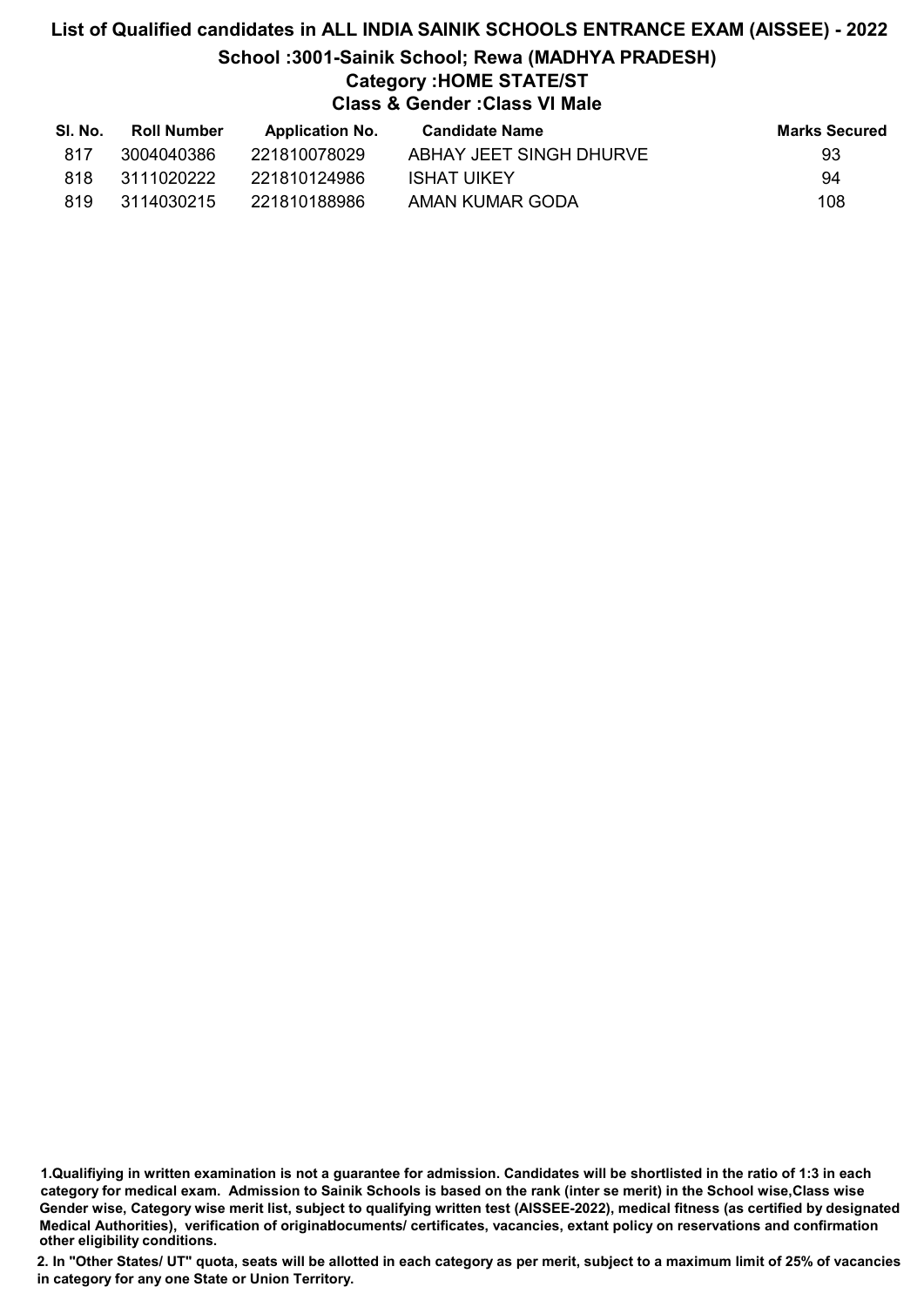# List of Qualified candidates in ALL INDIA SAINIK SCHOOLS ENTRANCE EXAM (AISSEE) - 2022 School :3001-Sainik School; Rewa (MADHYA PRADESH) Category :HOME STATE/ST Class & Gender :Class VI Male

| SI. No. | <b>Roll Number</b> | <b>Application No.</b> | Candidate Name          | <b>Marks Secured</b> |
|---------|--------------------|------------------------|-------------------------|----------------------|
| 817     | 3004040386         | 221810078029           | ABHAY JEET SINGH DHURVE | 93                   |
| 818     | 3111020222         | 221810124986           | ISHAT UIKEY             | 94                   |
| 819     | 3114030215         | 221810188986           | AMAN KUMAR GODA         | 108                  |

1.Qualifiying in written examination is not a guarantee for admission. Candidates will be shortlisted in the ratio of 1:3 in each category for medical exam. Admission to Sainik Schools is based on the rank (inter se merit) in the School wise,Class wise Gender wise, Category wise merit list, subject to qualifying written test (AISSEE-2022), medical fitness (as certified by designated Medical Authorities), verification of originablocuments/ certificates, vacancies, extant policy on reservations and confirmation other eligibility conditions.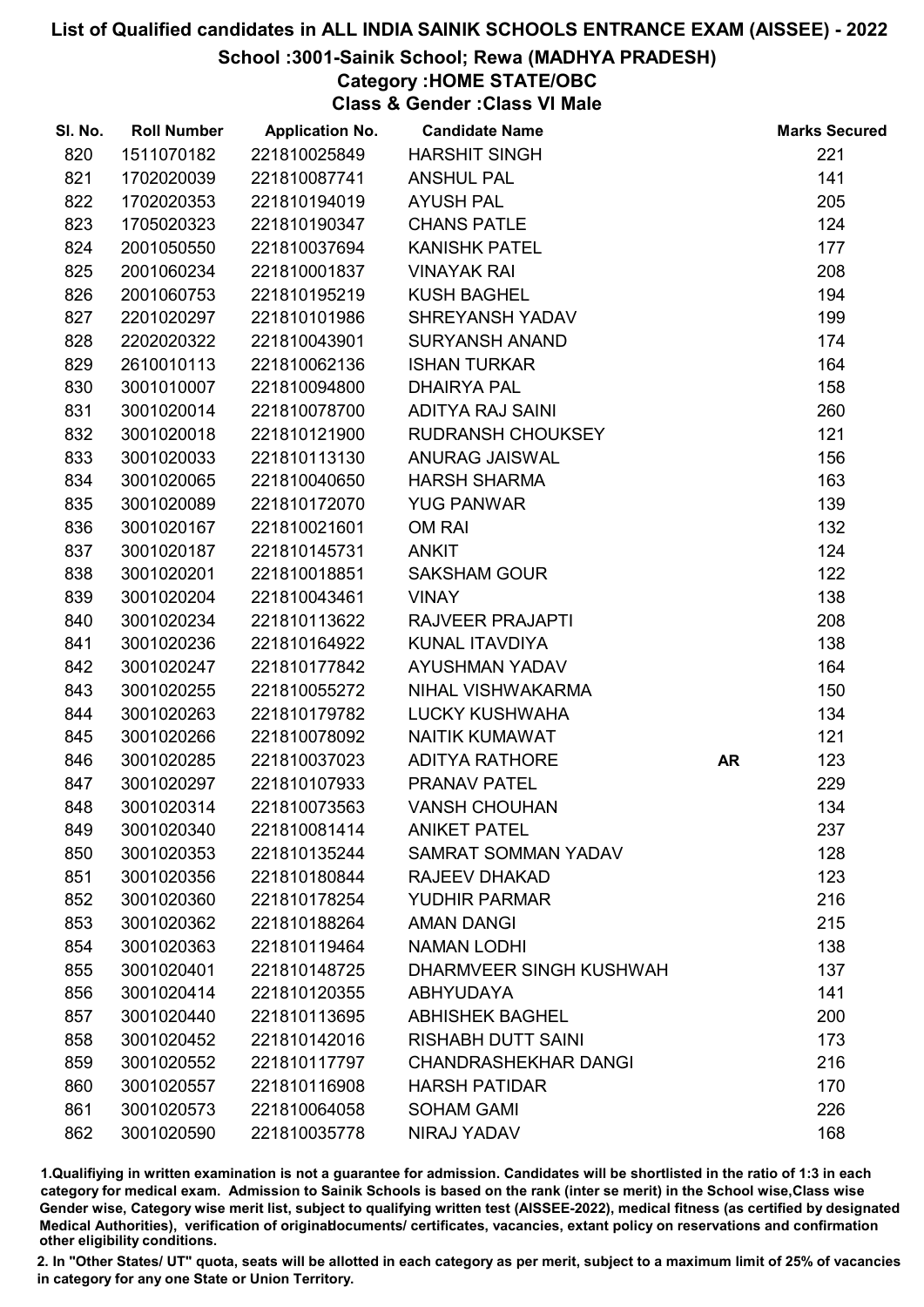## School :3001-Sainik School; Rewa (MADHYA PRADESH)

# Category :HOME STATE/OBC

Class & Gender :Class VI Male

| SI. No. | <b>Roll Number</b> | <b>Application No.</b> | <b>Candidate Name</b>       |           | <b>Marks Secured</b> |
|---------|--------------------|------------------------|-----------------------------|-----------|----------------------|
| 820     | 1511070182         | 221810025849           | <b>HARSHIT SINGH</b>        |           | 221                  |
| 821     | 1702020039         | 221810087741           | <b>ANSHUL PAL</b>           |           | 141                  |
| 822     | 1702020353         | 221810194019           | <b>AYUSH PAL</b>            |           | 205                  |
| 823     | 1705020323         | 221810190347           | <b>CHANS PATLE</b>          |           | 124                  |
| 824     | 2001050550         | 221810037694           | <b>KANISHK PATEL</b>        |           | 177                  |
| 825     | 2001060234         | 221810001837           | <b>VINAYAK RAI</b>          |           | 208                  |
| 826     | 2001060753         | 221810195219           | <b>KUSH BAGHEL</b>          |           | 194                  |
| 827     | 2201020297         | 221810101986           | SHREYANSH YADAV             |           | 199                  |
| 828     | 2202020322         | 221810043901           | <b>SURYANSH ANAND</b>       |           | 174                  |
| 829     | 2610010113         | 221810062136           | <b>ISHAN TURKAR</b>         |           | 164                  |
| 830     | 3001010007         | 221810094800           | <b>DHAIRYA PAL</b>          |           | 158                  |
| 831     | 3001020014         | 221810078700           | <b>ADITYA RAJ SAINI</b>     |           | 260                  |
| 832     | 3001020018         | 221810121900           | RUDRANSH CHOUKSEY           |           | 121                  |
| 833     | 3001020033         | 221810113130           | ANURAG JAISWAL              |           | 156                  |
| 834     | 3001020065         | 221810040650           | <b>HARSH SHARMA</b>         |           | 163                  |
| 835     | 3001020089         | 221810172070           | <b>YUG PANWAR</b>           |           | 139                  |
| 836     | 3001020167         | 221810021601           | OM RAI                      |           | 132                  |
| 837     | 3001020187         | 221810145731           | <b>ANKIT</b>                |           | 124                  |
| 838     | 3001020201         | 221810018851           | <b>SAKSHAM GOUR</b>         |           | 122                  |
| 839     | 3001020204         | 221810043461           | <b>VINAY</b>                |           | 138                  |
| 840     | 3001020234         | 221810113622           | <b>RAJVEER PRAJAPTI</b>     |           | 208                  |
| 841     | 3001020236         | 221810164922           | <b>KUNAL ITAVDIYA</b>       |           | 138                  |
| 842     | 3001020247         | 221810177842           | <b>AYUSHMAN YADAV</b>       |           | 164                  |
| 843     | 3001020255         | 221810055272           | NIHAL VISHWAKARMA           |           | 150                  |
| 844     | 3001020263         | 221810179782           | LUCKY KUSHWAHA              |           | 134                  |
| 845     | 3001020266         | 221810078092           | <b>NAITIK KUMAWAT</b>       |           | 121                  |
| 846     | 3001020285         | 221810037023           | <b>ADITYA RATHORE</b>       | <b>AR</b> | 123                  |
| 847     | 3001020297         | 221810107933           | PRANAV PATEL                |           | 229                  |
| 848     | 3001020314         | 221810073563           | <b>VANSH CHOUHAN</b>        |           | 134                  |
| 849     | 3001020340         | 221810081414           | <b>ANIKET PATEL</b>         |           | 237                  |
| 850     | 3001020353         | 221810135244           | <b>SAMRAT SOMMAN YADAV</b>  |           | 128                  |
| 851     | 3001020356         | 221810180844           | <b>RAJEEV DHAKAD</b>        |           | 123                  |
| 852     | 3001020360         | 221810178254           | <b>YUDHIR PARMAR</b>        |           | 216                  |
| 853     | 3001020362         | 221810188264           | <b>AMAN DANGI</b>           |           | 215                  |
| 854     | 3001020363         | 221810119464           | <b>NAMAN LODHI</b>          |           | 138                  |
| 855     | 3001020401         | 221810148725           | DHARMVEER SINGH KUSHWAH     |           | 137                  |
| 856     | 3001020414         | 221810120355           | <b>ABHYUDAYA</b>            |           | 141                  |
| 857     | 3001020440         | 221810113695           | <b>ABHISHEK BAGHEL</b>      |           | 200                  |
| 858     | 3001020452         | 221810142016           | <b>RISHABH DUTT SAINI</b>   |           | 173                  |
| 859     | 3001020552         | 221810117797           | <b>CHANDRASHEKHAR DANGI</b> |           | 216                  |
| 860     | 3001020557         | 221810116908           | <b>HARSH PATIDAR</b>        |           | 170                  |
| 861     | 3001020573         | 221810064058           | <b>SOHAM GAMI</b>           |           | 226                  |
| 862     | 3001020590         | 221810035778           | NIRAJ YADAV                 |           | 168                  |

1.Qualifiying in written examination is not a guarantee for admission. Candidates will be shortlisted in the ratio of 1:3 in each category for medical exam. Admission to Sainik Schools is based on the rank (inter se merit) in the School wise,Class wise Gender wise, Category wise merit list, subject to qualifying written test (AISSEE-2022), medical fitness (as certified by designated Medical Authorities), verification of originablocuments/ certificates, vacancies, extant policy on reservations and confirmation other eligibility conditions.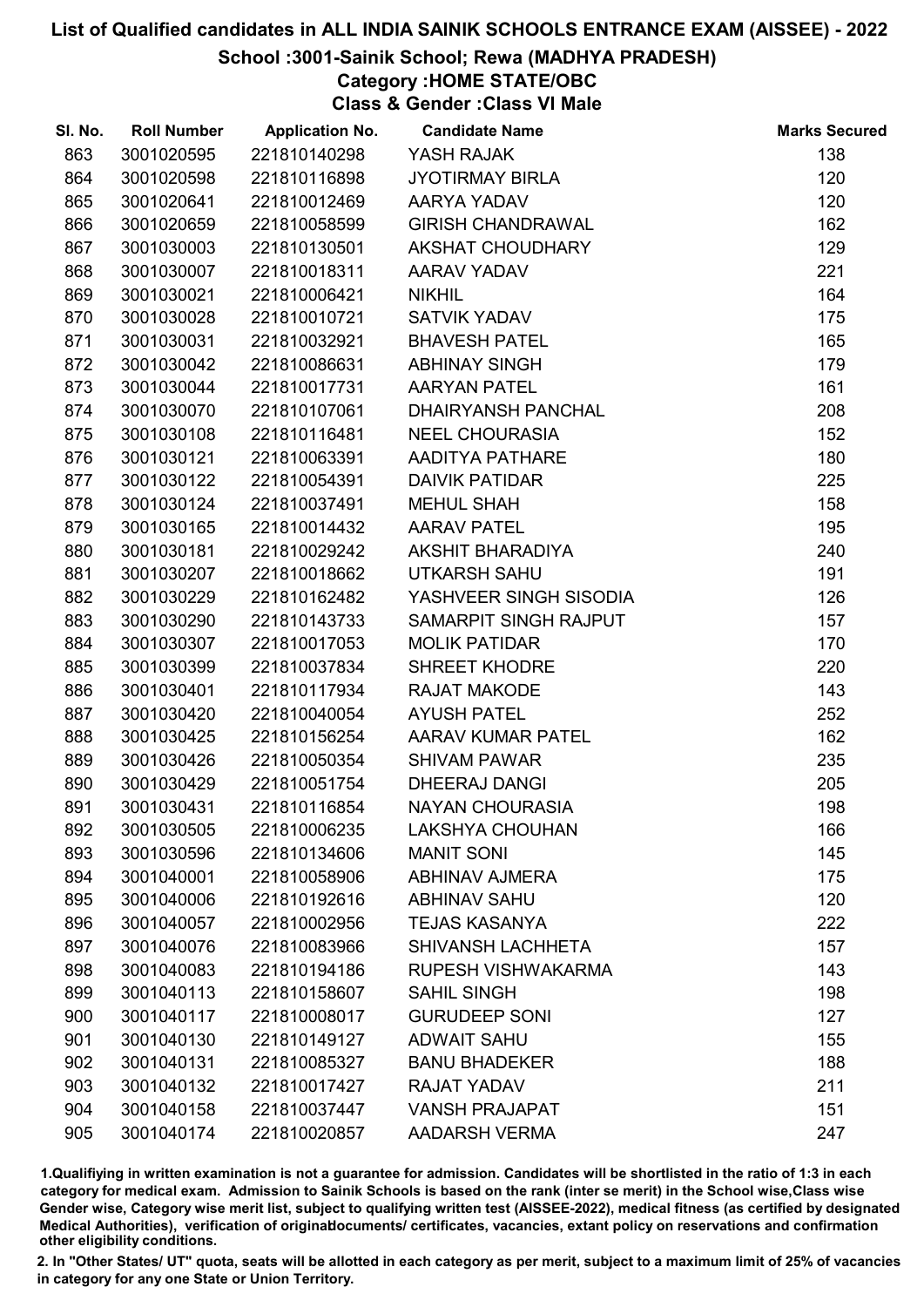## School :3001-Sainik School; Rewa (MADHYA PRADESH)

# Category :HOME STATE/OBC

Class & Gender :Class VI Male

| SI. No. | <b>Roll Number</b> | <b>Application No.</b> | <b>Candidate Name</b>     | <b>Marks Secured</b> |
|---------|--------------------|------------------------|---------------------------|----------------------|
| 863     | 3001020595         | 221810140298           | YASH RAJAK                | 138                  |
| 864     | 3001020598         | 221810116898           | <b>JYOTIRMAY BIRLA</b>    | 120                  |
| 865     | 3001020641         | 221810012469           | AARYA YADAV               | 120                  |
| 866     | 3001020659         | 221810058599           | <b>GIRISH CHANDRAWAL</b>  | 162                  |
| 867     | 3001030003         | 221810130501           | AKSHAT CHOUDHARY          | 129                  |
| 868     | 3001030007         | 221810018311           | AARAV YADAV               | 221                  |
| 869     | 3001030021         | 221810006421           | <b>NIKHIL</b>             | 164                  |
| 870     | 3001030028         | 221810010721           | <b>SATVIK YADAV</b>       | 175                  |
| 871     | 3001030031         | 221810032921           | <b>BHAVESH PATEL</b>      | 165                  |
| 872     | 3001030042         | 221810086631           | <b>ABHINAY SINGH</b>      | 179                  |
| 873     | 3001030044         | 221810017731           | <b>AARYAN PATEL</b>       | 161                  |
| 874     | 3001030070         | 221810107061           | <b>DHAIRYANSH PANCHAL</b> | 208                  |
| 875     | 3001030108         | 221810116481           | <b>NEEL CHOURASIA</b>     | 152                  |
| 876     | 3001030121         | 221810063391           | AADITYA PATHARE           | 180                  |
| 877     | 3001030122         | 221810054391           | <b>DAIVIK PATIDAR</b>     | 225                  |
| 878     | 3001030124         | 221810037491           | <b>MEHUL SHAH</b>         | 158                  |
| 879     | 3001030165         | 221810014432           | <b>AARAV PATEL</b>        | 195                  |
| 880     | 3001030181         | 221810029242           | AKSHIT BHARADIYA          | 240                  |
| 881     | 3001030207         | 221810018662           | <b>UTKARSH SAHU</b>       | 191                  |
| 882     | 3001030229         | 221810162482           | YASHVEER SINGH SISODIA    | 126                  |
| 883     | 3001030290         | 221810143733           | SAMARPIT SINGH RAJPUT     | 157                  |
| 884     | 3001030307         | 221810017053           | <b>MOLIK PATIDAR</b>      | 170                  |
| 885     | 3001030399         | 221810037834           | <b>SHREET KHODRE</b>      | 220                  |
| 886     | 3001030401         | 221810117934           | <b>RAJAT MAKODE</b>       | 143                  |
| 887     | 3001030420         | 221810040054           | <b>AYUSH PATEL</b>        | 252                  |
| 888     | 3001030425         | 221810156254           | AARAV KUMAR PATEL         | 162                  |
| 889     | 3001030426         | 221810050354           | <b>SHIVAM PAWAR</b>       | 235                  |
| 890     | 3001030429         | 221810051754           | <b>DHEERAJ DANGI</b>      | 205                  |
| 891     | 3001030431         | 221810116854           | <b>NAYAN CHOURASIA</b>    | 198                  |
| 892     | 3001030505         | 221810006235           | <b>LAKSHYA CHOUHAN</b>    | 166                  |
| 893     | 3001030596         | 221810134606           | <b>MANIT SONI</b>         | 145                  |
| 894     | 3001040001         | 221810058906           | <b>ABHINAV AJMERA</b>     | 175                  |
| 895     | 3001040006         | 221810192616           | <b>ABHINAV SAHU</b>       | 120                  |
| 896     | 3001040057         | 221810002956           | <b>TEJAS KASANYA</b>      | 222                  |
| 897     | 3001040076         | 221810083966           | SHIVANSH LACHHETA         | 157                  |
| 898     | 3001040083         | 221810194186           | RUPESH VISHWAKARMA        | 143                  |
| 899     | 3001040113         | 221810158607           | <b>SAHIL SINGH</b>        | 198                  |
| 900     | 3001040117         | 221810008017           | <b>GURUDEEP SONI</b>      | 127                  |
| 901     | 3001040130         | 221810149127           | <b>ADWAIT SAHU</b>        | 155                  |
| 902     | 3001040131         | 221810085327           | <b>BANU BHADEKER</b>      | 188                  |
| 903     | 3001040132         | 221810017427           | <b>RAJAT YADAV</b>        | 211                  |
| 904     | 3001040158         | 221810037447           | <b>VANSH PRAJAPAT</b>     | 151                  |
| 905     | 3001040174         | 221810020857           | <b>AADARSH VERMA</b>      | 247                  |

1.Qualifiying in written examination is not a guarantee for admission. Candidates will be shortlisted in the ratio of 1:3 in each category for medical exam. Admission to Sainik Schools is based on the rank (inter se merit) in the School wise,Class wise Gender wise, Category wise merit list, subject to qualifying written test (AISSEE-2022), medical fitness (as certified by designated Medical Authorities), verification of originablocuments/ certificates, vacancies, extant policy on reservations and confirmation other eligibility conditions.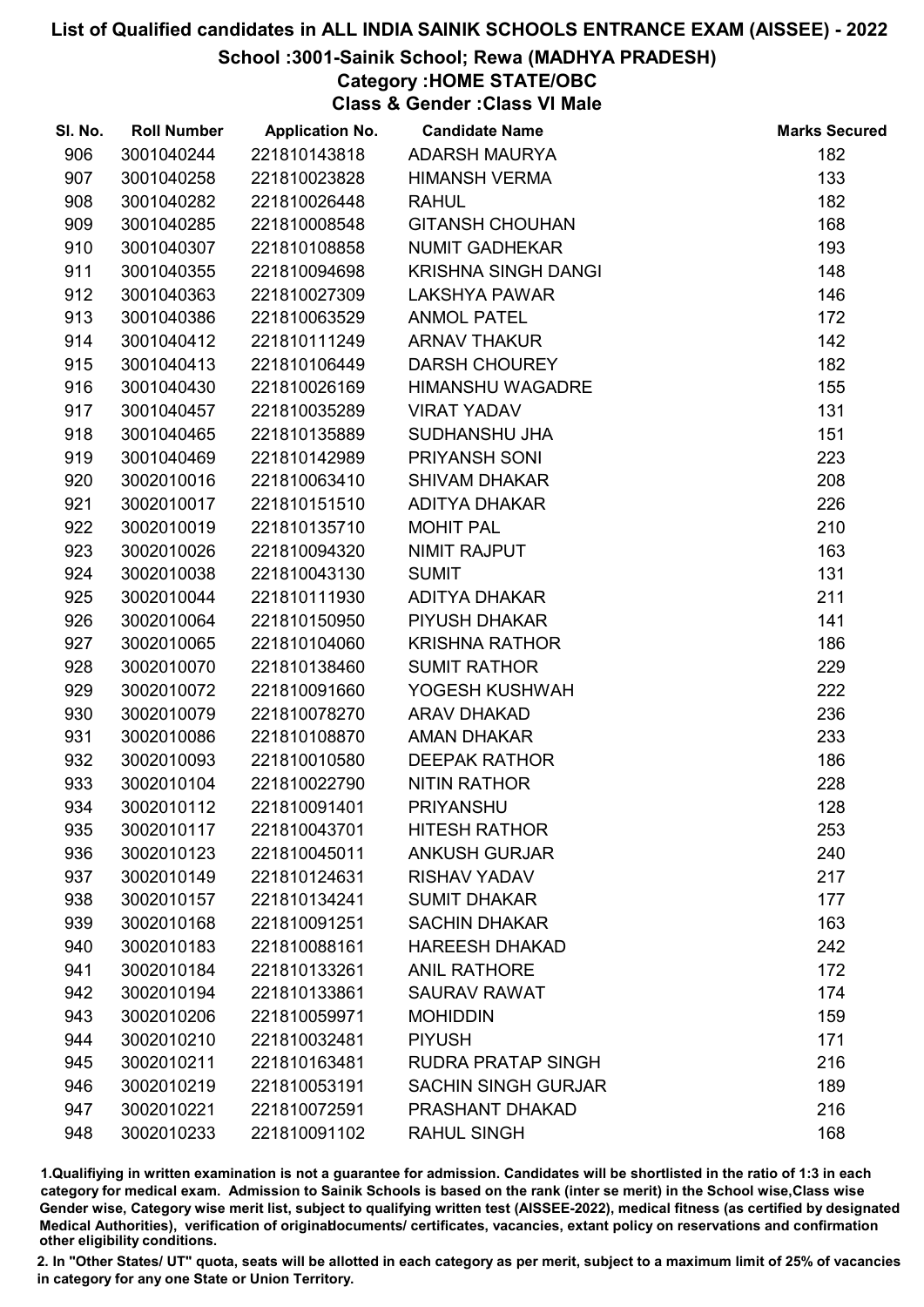## School :3001-Sainik School; Rewa (MADHYA PRADESH)

# Category :HOME STATE/OBC

Class & Gender :Class VI Male

| SI. No. | <b>Roll Number</b> | <b>Application No.</b> | <b>Candidate Name</b>      | <b>Marks Secured</b> |
|---------|--------------------|------------------------|----------------------------|----------------------|
| 906     | 3001040244         | 221810143818           | <b>ADARSH MAURYA</b>       | 182                  |
| 907     | 3001040258         | 221810023828           | <b>HIMANSH VERMA</b>       | 133                  |
| 908     | 3001040282         | 221810026448           | <b>RAHUL</b>               | 182                  |
| 909     | 3001040285         | 221810008548           | <b>GITANSH CHOUHAN</b>     | 168                  |
| 910     | 3001040307         | 221810108858           | <b>NUMIT GADHEKAR</b>      | 193                  |
| 911     | 3001040355         | 221810094698           | <b>KRISHNA SINGH DANGI</b> | 148                  |
| 912     | 3001040363         | 221810027309           | <b>LAKSHYA PAWAR</b>       | 146                  |
| 913     | 3001040386         | 221810063529           | <b>ANMOL PATEL</b>         | 172                  |
| 914     | 3001040412         | 221810111249           | <b>ARNAV THAKUR</b>        | 142                  |
| 915     | 3001040413         | 221810106449           | <b>DARSH CHOUREY</b>       | 182                  |
| 916     | 3001040430         | 221810026169           | <b>HIMANSHU WAGADRE</b>    | 155                  |
| 917     | 3001040457         | 221810035289           | <b>VIRAT YADAV</b>         | 131                  |
| 918     | 3001040465         | 221810135889           | SUDHANSHU JHA              | 151                  |
| 919     | 3001040469         | 221810142989           | PRIYANSH SONI              | 223                  |
| 920     | 3002010016         | 221810063410           | <b>SHIVAM DHAKAR</b>       | 208                  |
| 921     | 3002010017         | 221810151510           | ADITYA DHAKAR              | 226                  |
| 922     | 3002010019         | 221810135710           | <b>MOHIT PAL</b>           | 210                  |
| 923     | 3002010026         | 221810094320           | NIMIT RAJPUT               | 163                  |
| 924     | 3002010038         | 221810043130           | <b>SUMIT</b>               | 131                  |
| 925     | 3002010044         | 221810111930           | ADITYA DHAKAR              | 211                  |
| 926     | 3002010064         | 221810150950           | PIYUSH DHAKAR              | 141                  |
| 927     | 3002010065         | 221810104060           | <b>KRISHNA RATHOR</b>      | 186                  |
| 928     | 3002010070         | 221810138460           | <b>SUMIT RATHOR</b>        | 229                  |
| 929     | 3002010072         | 221810091660           | YOGESH KUSHWAH             | 222                  |
| 930     | 3002010079         | 221810078270           | <b>ARAV DHAKAD</b>         | 236                  |
| 931     | 3002010086         | 221810108870           | <b>AMAN DHAKAR</b>         | 233                  |
| 932     | 3002010093         | 221810010580           | <b>DEEPAK RATHOR</b>       | 186                  |
| 933     | 3002010104         | 221810022790           | <b>NITIN RATHOR</b>        | 228                  |
| 934     | 3002010112         | 221810091401           | <b>PRIYANSHU</b>           | 128                  |
| 935     | 3002010117         | 221810043701           | <b>HITESH RATHOR</b>       | 253                  |
| 936     | 3002010123         | 221810045011           | <b>ANKUSH GURJAR</b>       | 240                  |
| 937     | 3002010149         | 221810124631           | <b>RISHAV YADAV</b>        | 217                  |
| 938     | 3002010157         | 221810134241           | <b>SUMIT DHAKAR</b>        | 177                  |
| 939     | 3002010168         | 221810091251           | <b>SACHIN DHAKAR</b>       | 163                  |
| 940     | 3002010183         | 221810088161           | <b>HAREESH DHAKAD</b>      | 242                  |
| 941     | 3002010184         | 221810133261           | <b>ANIL RATHORE</b>        | 172                  |
| 942     | 3002010194         | 221810133861           | <b>SAURAV RAWAT</b>        | 174                  |
| 943     | 3002010206         | 221810059971           | <b>MOHIDDIN</b>            | 159                  |
| 944     | 3002010210         | 221810032481           | <b>PIYUSH</b>              | 171                  |
| 945     | 3002010211         | 221810163481           | <b>RUDRA PRATAP SINGH</b>  | 216                  |
| 946     | 3002010219         | 221810053191           | <b>SACHIN SINGH GURJAR</b> | 189                  |
| 947     | 3002010221         | 221810072591           | PRASHANT DHAKAD            | 216                  |
| 948     | 3002010233         | 221810091102           | <b>RAHUL SINGH</b>         | 168                  |

1.Qualifiying in written examination is not a guarantee for admission. Candidates will be shortlisted in the ratio of 1:3 in each category for medical exam. Admission to Sainik Schools is based on the rank (inter se merit) in the School wise,Class wise Gender wise, Category wise merit list, subject to qualifying written test (AISSEE-2022), medical fitness (as certified by designated Medical Authorities), verification of originablocuments/ certificates, vacancies, extant policy on reservations and confirmation other eligibility conditions.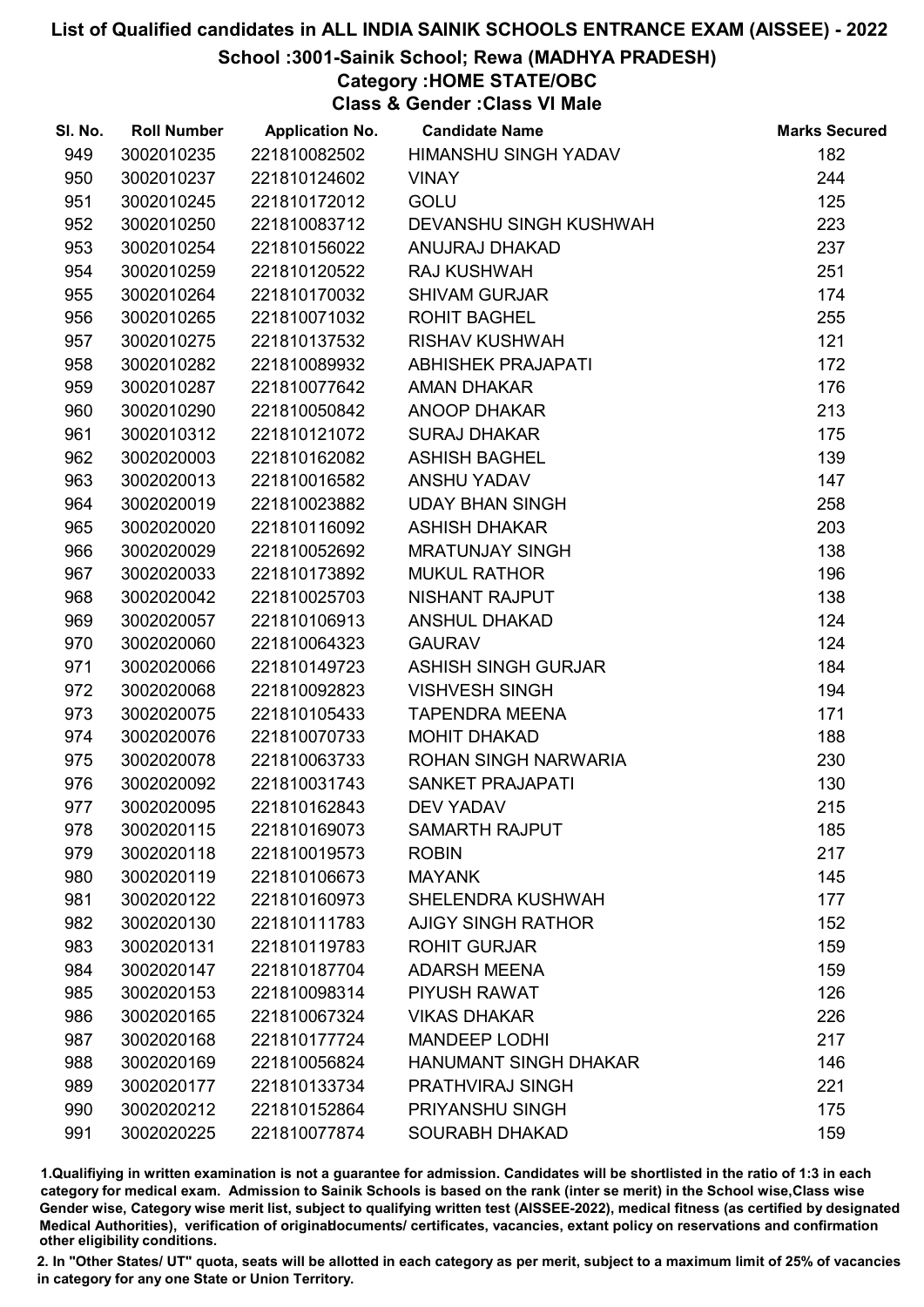### School :3001-Sainik School; Rewa (MADHYA PRADESH)

# Category :HOME STATE/OBC

Class & Gender :Class VI Male

| SI. No. | <b>Roll Number</b> | <b>Application No.</b> | <b>Candidate Name</b>         | <b>Marks Secured</b> |
|---------|--------------------|------------------------|-------------------------------|----------------------|
| 949     | 3002010235         | 221810082502           | <b>HIMANSHU SINGH YADAV</b>   | 182                  |
| 950     | 3002010237         | 221810124602           | <b>VINAY</b>                  | 244                  |
| 951     | 3002010245         | 221810172012           | <b>GOLU</b>                   | 125                  |
| 952     | 3002010250         | 221810083712           | <b>DEVANSHU SINGH KUSHWAH</b> | 223                  |
| 953     | 3002010254         | 221810156022           | ANUJRAJ DHAKAD                | 237                  |
| 954     | 3002010259         | 221810120522           | <b>RAJ KUSHWAH</b>            | 251                  |
| 955     | 3002010264         | 221810170032           | <b>SHIVAM GURJAR</b>          | 174                  |
| 956     | 3002010265         | 221810071032           | <b>ROHIT BAGHEL</b>           | 255                  |
| 957     | 3002010275         | 221810137532           | <b>RISHAV KUSHWAH</b>         | 121                  |
| 958     | 3002010282         | 221810089932           | <b>ABHISHEK PRAJAPATI</b>     | 172                  |
| 959     | 3002010287         | 221810077642           | <b>AMAN DHAKAR</b>            | 176                  |
| 960     | 3002010290         | 221810050842           | ANOOP DHAKAR                  | 213                  |
| 961     | 3002010312         | 221810121072           | <b>SURAJ DHAKAR</b>           | 175                  |
| 962     | 3002020003         | 221810162082           | <b>ASHISH BAGHEL</b>          | 139                  |
| 963     | 3002020013         | 221810016582           | <b>ANSHU YADAV</b>            | 147                  |
| 964     | 3002020019         | 221810023882           | <b>UDAY BHAN SINGH</b>        | 258                  |
| 965     | 3002020020         | 221810116092           | <b>ASHISH DHAKAR</b>          | 203                  |
| 966     | 3002020029         | 221810052692           | <b>MRATUNJAY SINGH</b>        | 138                  |
| 967     | 3002020033         | 221810173892           | <b>MUKUL RATHOR</b>           | 196                  |
| 968     | 3002020042         | 221810025703           | <b>NISHANT RAJPUT</b>         | 138                  |
| 969     | 3002020057         | 221810106913           | <b>ANSHUL DHAKAD</b>          | 124                  |
| 970     | 3002020060         | 221810064323           | <b>GAURAV</b>                 | 124                  |
| 971     | 3002020066         | 221810149723           | <b>ASHISH SINGH GURJAR</b>    | 184                  |
| 972     | 3002020068         | 221810092823           | <b>VISHVESH SINGH</b>         | 194                  |
| 973     | 3002020075         | 221810105433           | <b>TAPENDRA MEENA</b>         | 171                  |
| 974     | 3002020076         | 221810070733           | <b>MOHIT DHAKAD</b>           | 188                  |
| 975     | 3002020078         | 221810063733           | ROHAN SINGH NARWARIA          | 230                  |
| 976     | 3002020092         | 221810031743           | <b>SANKET PRAJAPATI</b>       | 130                  |
| 977     | 3002020095         | 221810162843           | <b>DEV YADAV</b>              | 215                  |
| 978     | 3002020115         | 221810169073           | <b>SAMARTH RAJPUT</b>         | 185                  |
| 979     | 3002020118         | 221810019573           | <b>ROBIN</b>                  | 217                  |
| 980     | 3002020119         | 221810106673           | <b>MAYANK</b>                 | 145                  |
| 981     | 3002020122         | 221810160973           | SHELENDRA KUSHWAH             | 177                  |
| 982     | 3002020130         | 221810111783           | <b>AJIGY SINGH RATHOR</b>     | 152                  |
| 983     | 3002020131         | 221810119783           | <b>ROHIT GURJAR</b>           | 159                  |
| 984     | 3002020147         | 221810187704           | <b>ADARSH MEENA</b>           | 159                  |
| 985     | 3002020153         | 221810098314           | <b>PIYUSH RAWAT</b>           | 126                  |
| 986     | 3002020165         | 221810067324           | <b>VIKAS DHAKAR</b>           | 226                  |
| 987     | 3002020168         | 221810177724           | <b>MANDEEP LODHI</b>          | 217                  |
| 988     | 3002020169         | 221810056824           | <b>HANUMANT SINGH DHAKAR</b>  | 146                  |
| 989     | 3002020177         | 221810133734           | <b>PRATHVIRAJ SINGH</b>       | 221                  |
| 990     | 3002020212         | 221810152864           | PRIYANSHU SINGH               | 175                  |
| 991     | 3002020225         | 221810077874           | <b>SOURABH DHAKAD</b>         | 159                  |

1.Qualifiying in written examination is not a guarantee for admission. Candidates will be shortlisted in the ratio of 1:3 in each category for medical exam. Admission to Sainik Schools is based on the rank (inter se merit) in the School wise,Class wise Gender wise, Category wise merit list, subject to qualifying written test (AISSEE-2022), medical fitness (as certified by designated Medical Authorities), verification of originablocuments/ certificates, vacancies, extant policy on reservations and confirmation other eligibility conditions.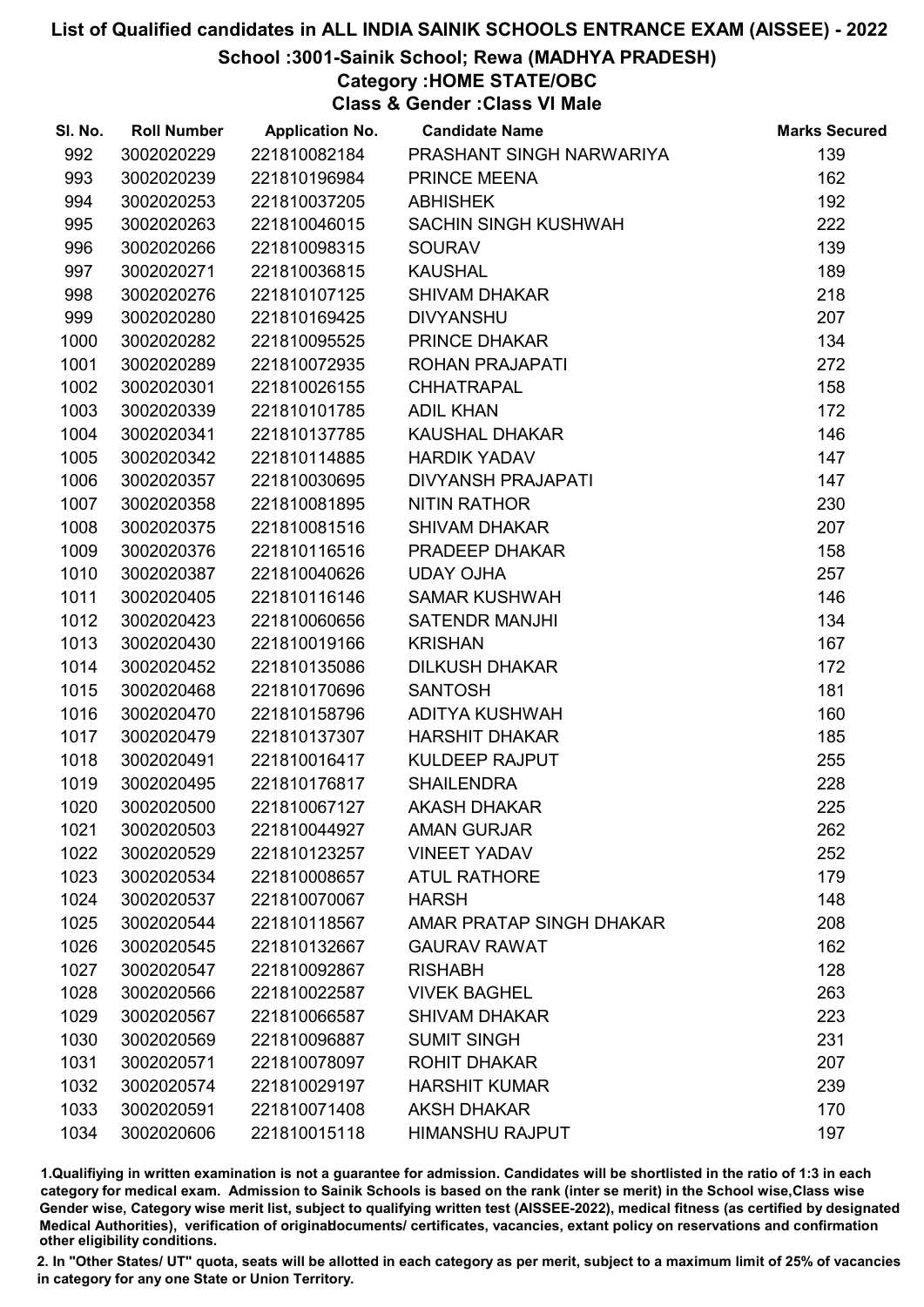School :3001-Sainik School; Rewa (MADHYA PRADESH)

# Category :HOME STATE/OBC

Class & Gender :Class VI Male

| SI. No. | <b>Roll Number</b> | <b>Application No.</b> | <b>Candidate Name</b>       | <b>Marks Secured</b> |
|---------|--------------------|------------------------|-----------------------------|----------------------|
| 992     | 3002020229         | 221810082184           | PRASHANT SINGH NARWARIYA    | 139                  |
| 993     | 3002020239         | 221810196984           | PRINCE MEENA                | 162                  |
| 994     | 3002020253         | 221810037205           | <b>ABHISHEK</b>             | 192                  |
| 995     | 3002020263         | 221810046015           | <b>SACHIN SINGH KUSHWAH</b> | 222                  |
| 996     | 3002020266         | 221810098315           | <b>SOURAV</b>               | 139                  |
| 997     | 3002020271         | 221810036815           | <b>KAUSHAL</b>              | 189                  |
| 998     | 3002020276         | 221810107125           | <b>SHIVAM DHAKAR</b>        | 218                  |
| 999     | 3002020280         | 221810169425           | <b>DIVYANSHU</b>            | 207                  |
| 1000    | 3002020282         | 221810095525           | PRINCE DHAKAR               | 134                  |
| 1001    | 3002020289         | 221810072935           | ROHAN PRAJAPATI             | 272                  |
| 1002    | 3002020301         | 221810026155           | <b>CHHATRAPAL</b>           | 158                  |
| 1003    | 3002020339         | 221810101785           | <b>ADIL KHAN</b>            | 172                  |
| 1004    | 3002020341         | 221810137785           | <b>KAUSHAL DHAKAR</b>       | 146                  |
| 1005    | 3002020342         | 221810114885           | <b>HARDIK YADAV</b>         | 147                  |
| 1006    | 3002020357         | 221810030695           | <b>DIVYANSH PRAJAPATI</b>   | 147                  |
| 1007    | 3002020358         | 221810081895           | <b>NITIN RATHOR</b>         | 230                  |
| 1008    | 3002020375         | 221810081516           | <b>SHIVAM DHAKAR</b>        | 207                  |
| 1009    | 3002020376         | 221810116516           | PRADEEP DHAKAR              | 158                  |
| 1010    | 3002020387         | 221810040626           | <b>UDAY OJHA</b>            | 257                  |
| 1011    | 3002020405         | 221810116146           | <b>SAMAR KUSHWAH</b>        | 146                  |
| 1012    | 3002020423         | 221810060656           | <b>SATENDR MANJHI</b>       | 134                  |
| 1013    | 3002020430         | 221810019166           | <b>KRISHAN</b>              | 167                  |
| 1014    | 3002020452         | 221810135086           | <b>DILKUSH DHAKAR</b>       | 172                  |
| 1015    | 3002020468         | 221810170696           | <b>SANTOSH</b>              | 181                  |
| 1016    | 3002020470         | 221810158796           | <b>ADITYA KUSHWAH</b>       | 160                  |
| 1017    | 3002020479         | 221810137307           | <b>HARSHIT DHAKAR</b>       | 185                  |
| 1018    | 3002020491         | 221810016417           | <b>KULDEEP RAJPUT</b>       | 255                  |
| 1019    | 3002020495         | 221810176817           | <b>SHAILENDRA</b>           | 228                  |
| 1020    | 3002020500         | 221810067127           | <b>AKASH DHAKAR</b>         | 225                  |
| 1021    | 3002020503         | 221810044927           | <b>AMAN GURJAR</b>          | 262                  |
| 1022    | 3002020529         | 221810123257           | <b>VINEET YADAV</b>         | 252                  |
| 1023    | 3002020534         | 221810008657           | <b>ATUL RATHORE</b>         | 179                  |
| 1024    | 3002020537         | 221810070067           | <b>HARSH</b>                | 148                  |
| 1025    | 3002020544         | 221810118567           | AMAR PRATAP SINGH DHAKAR    | 208                  |
| 1026    | 3002020545         | 221810132667           | <b>GAURAV RAWAT</b>         | 162                  |
| 1027    | 3002020547         | 221810092867           | <b>RISHABH</b>              | 128                  |
| 1028    | 3002020566         | 221810022587           | <b>VIVEK BAGHEL</b>         | 263                  |
| 1029    | 3002020567         | 221810066587           | <b>SHIVAM DHAKAR</b>        | 223                  |
| 1030    | 3002020569         | 221810096887           | <b>SUMIT SINGH</b>          | 231                  |
| 1031    | 3002020571         | 221810078097           | <b>ROHIT DHAKAR</b>         | 207                  |
| 1032    | 3002020574         | 221810029197           | <b>HARSHIT KUMAR</b>        | 239                  |
| 1033    | 3002020591         | 221810071408           | <b>AKSH DHAKAR</b>          | 170                  |
| 1034    | 3002020606         | 221810015118           | <b>HIMANSHU RAJPUT</b>      | 197                  |

1.Qualifiying in written examination is not a guarantee for admission. Candidates will be shortlisted in the ratio of 1:3 in each category for medical exam. Admission to Sainik Schools is based on the rank (inter se merit) in the School wise,Class wise Gender wise, Category wise merit list, subject to qualifying written test (AISSEE-2022), medical fitness (as certified by designated Medical Authorities), verification of originablocuments/ certificates, vacancies, extant policy on reservations and confirmation other eligibility conditions.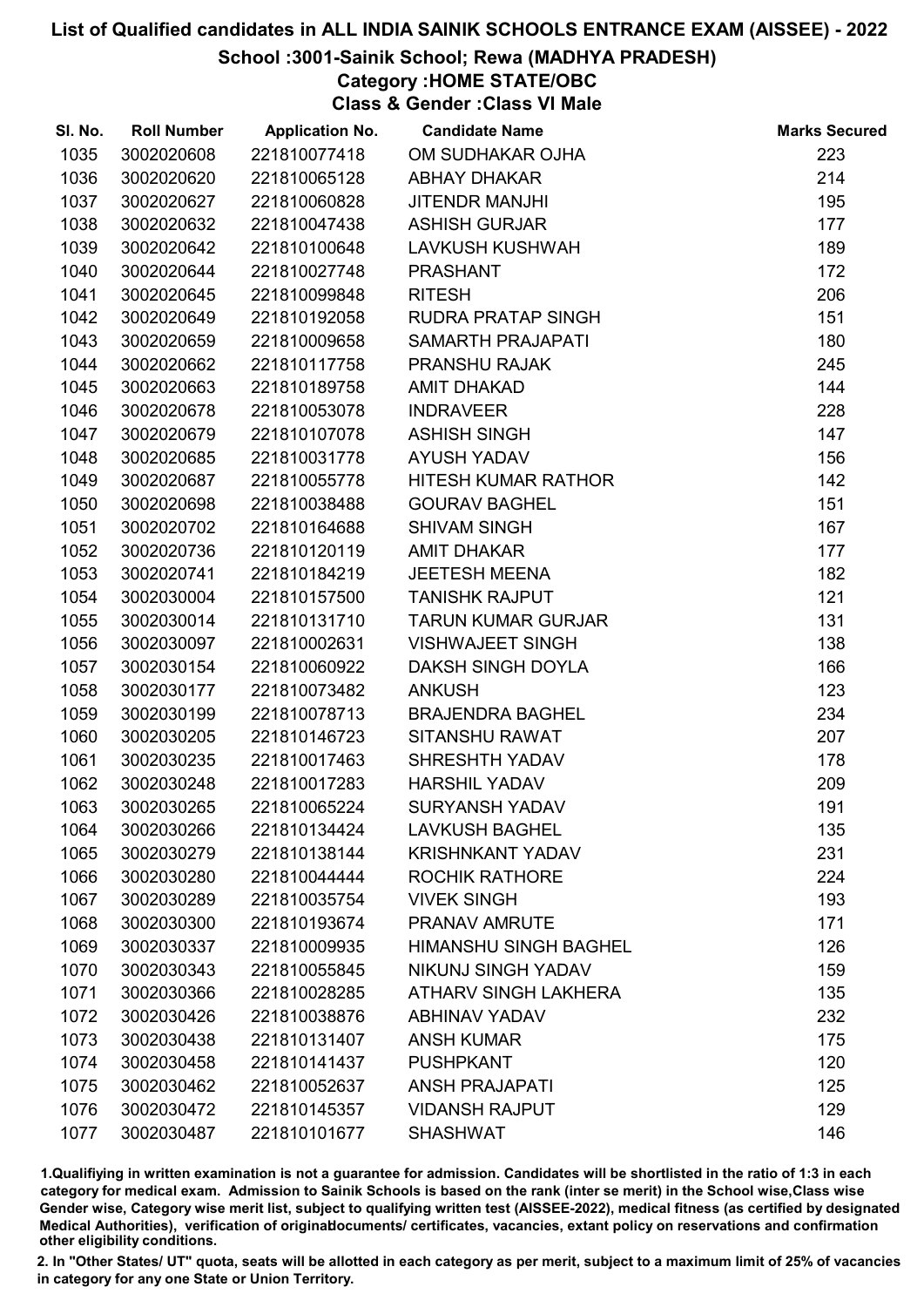### School :3001-Sainik School; Rewa (MADHYA PRADESH)

# Category :HOME STATE/OBC

Class & Gender :Class VI Male

| SI. No. | <b>Roll Number</b> | <b>Application No.</b> | <b>Candidate Name</b>        | <b>Marks Secured</b> |
|---------|--------------------|------------------------|------------------------------|----------------------|
| 1035    | 3002020608         | 221810077418           | OM SUDHAKAR OJHA             | 223                  |
| 1036    | 3002020620         | 221810065128           | <b>ABHAY DHAKAR</b>          | 214                  |
| 1037    | 3002020627         | 221810060828           | <b>JITENDR MANJHI</b>        | 195                  |
| 1038    | 3002020632         | 221810047438           | <b>ASHISH GURJAR</b>         | 177                  |
| 1039    | 3002020642         | 221810100648           | <b>LAVKUSH KUSHWAH</b>       | 189                  |
| 1040    | 3002020644         | 221810027748           | <b>PRASHANT</b>              | 172                  |
| 1041    | 3002020645         | 221810099848           | <b>RITESH</b>                | 206                  |
| 1042    | 3002020649         | 221810192058           | <b>RUDRA PRATAP SINGH</b>    | 151                  |
| 1043    | 3002020659         | 221810009658           | <b>SAMARTH PRAJAPATI</b>     | 180                  |
| 1044    | 3002020662         | 221810117758           | PRANSHU RAJAK                | 245                  |
| 1045    | 3002020663         | 221810189758           | <b>AMIT DHAKAD</b>           | 144                  |
| 1046    | 3002020678         | 221810053078           | <b>INDRAVEER</b>             | 228                  |
| 1047    | 3002020679         | 221810107078           | <b>ASHISH SINGH</b>          | 147                  |
| 1048    | 3002020685         | 221810031778           | <b>AYUSH YADAV</b>           | 156                  |
| 1049    | 3002020687         | 221810055778           | HITESH KUMAR RATHOR          | 142                  |
| 1050    | 3002020698         | 221810038488           | <b>GOURAV BAGHEL</b>         | 151                  |
| 1051    | 3002020702         | 221810164688           | <b>SHIVAM SINGH</b>          | 167                  |
| 1052    | 3002020736         | 221810120119           | <b>AMIT DHAKAR</b>           | 177                  |
| 1053    | 3002020741         | 221810184219           | <b>JEETESH MEENA</b>         | 182                  |
| 1054    | 3002030004         | 221810157500           | <b>TANISHK RAJPUT</b>        | 121                  |
| 1055    | 3002030014         | 221810131710           | <b>TARUN KUMAR GURJAR</b>    | 131                  |
| 1056    | 3002030097         | 221810002631           | <b>VISHWAJEET SINGH</b>      | 138                  |
| 1057    | 3002030154         | 221810060922           | DAKSH SINGH DOYLA            | 166                  |
| 1058    | 3002030177         | 221810073482           | <b>ANKUSH</b>                | 123                  |
| 1059    | 3002030199         | 221810078713           | <b>BRAJENDRA BAGHEL</b>      | 234                  |
| 1060    | 3002030205         | 221810146723           | <b>SITANSHU RAWAT</b>        | 207                  |
| 1061    | 3002030235         | 221810017463           | SHRESHTH YADAV               | 178                  |
| 1062    | 3002030248         | 221810017283           | <b>HARSHIL YADAV</b>         | 209                  |
| 1063    | 3002030265         | 221810065224           | <b>SURYANSH YADAV</b>        | 191                  |
| 1064    | 3002030266         | 221810134424           | <b>LAVKUSH BAGHEL</b>        | 135                  |
| 1065    | 3002030279         | 221810138144           | <b>KRISHNKANT YADAV</b>      | 231                  |
| 1066    | 3002030280         | 221810044444           | <b>ROCHIK RATHORE</b>        | 224                  |
| 1067    | 3002030289         | 221810035754           | <b>VIVEK SINGH</b>           | 193                  |
| 1068    | 3002030300         | 221810193674           | <b>PRANAV AMRUTE</b>         | 171                  |
| 1069    | 3002030337         | 221810009935           | <b>HIMANSHU SINGH BAGHEL</b> | 126                  |
| 1070    | 3002030343         | 221810055845           | <b>NIKUNJ SINGH YADAV</b>    | 159                  |
| 1071    | 3002030366         | 221810028285           | <b>ATHARV SINGH LAKHERA</b>  | 135                  |
| 1072    | 3002030426         | 221810038876           | <b>ABHINAV YADAV</b>         | 232                  |
| 1073    | 3002030438         | 221810131407           | <b>ANSH KUMAR</b>            | 175                  |
| 1074    | 3002030458         | 221810141437           | <b>PUSHPKANT</b>             | 120                  |
| 1075    | 3002030462         | 221810052637           | <b>ANSH PRAJAPATI</b>        | 125                  |
| 1076    | 3002030472         | 221810145357           | <b>VIDANSH RAJPUT</b>        | 129                  |
| 1077    | 3002030487         | 221810101677           | <b>SHASHWAT</b>              | 146                  |

1.Qualifiying in written examination is not a guarantee for admission. Candidates will be shortlisted in the ratio of 1:3 in each category for medical exam. Admission to Sainik Schools is based on the rank (inter se merit) in the School wise,Class wise Gender wise, Category wise merit list, subject to qualifying written test (AISSEE-2022), medical fitness (as certified by designated Medical Authorities), verification of originablocuments/ certificates, vacancies, extant policy on reservations and confirmation other eligibility conditions.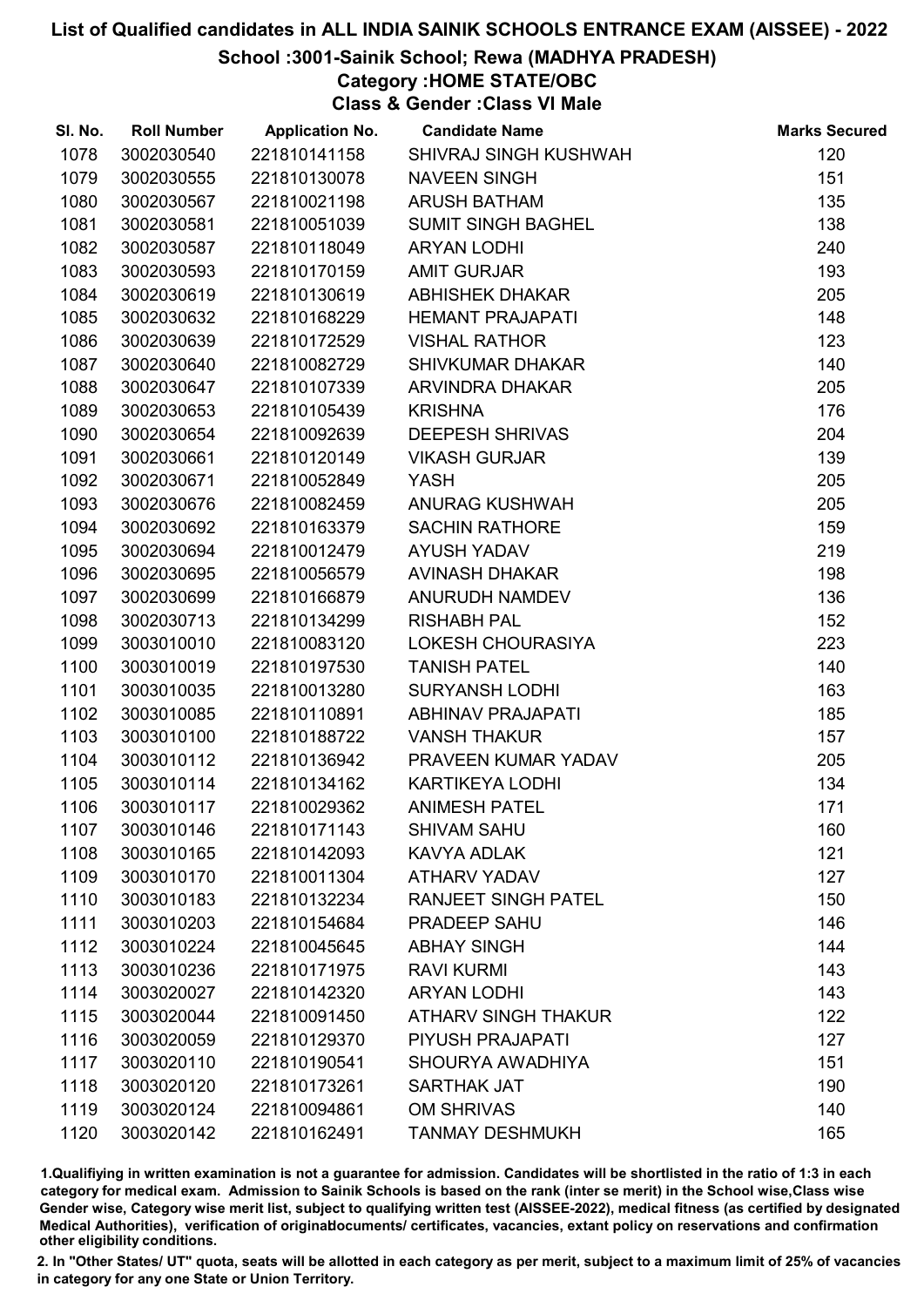### School :3001-Sainik School; Rewa (MADHYA PRADESH)

# Category :HOME STATE/OBC

Class & Gender :Class VI Male

| SI. No. | <b>Roll Number</b> | <b>Application No.</b> | <b>Candidate Name</b>      | <b>Marks Secured</b> |
|---------|--------------------|------------------------|----------------------------|----------------------|
| 1078    | 3002030540         | 221810141158           | SHIVRAJ SINGH KUSHWAH      | 120                  |
| 1079    | 3002030555         | 221810130078           | <b>NAVEEN SINGH</b>        | 151                  |
| 1080    | 3002030567         | 221810021198           | <b>ARUSH BATHAM</b>        | 135                  |
| 1081    | 3002030581         | 221810051039           | <b>SUMIT SINGH BAGHEL</b>  | 138                  |
| 1082    | 3002030587         | 221810118049           | <b>ARYAN LODHI</b>         | 240                  |
| 1083    | 3002030593         | 221810170159           | <b>AMIT GURJAR</b>         | 193                  |
| 1084    | 3002030619         | 221810130619           | <b>ABHISHEK DHAKAR</b>     | 205                  |
| 1085    | 3002030632         | 221810168229           | <b>HEMANT PRAJAPATI</b>    | 148                  |
| 1086    | 3002030639         | 221810172529           | <b>VISHAL RATHOR</b>       | 123                  |
| 1087    | 3002030640         | 221810082729           | <b>SHIVKUMAR DHAKAR</b>    | 140                  |
| 1088    | 3002030647         | 221810107339           | ARVINDRA DHAKAR            | 205                  |
| 1089    | 3002030653         | 221810105439           | <b>KRISHNA</b>             | 176                  |
| 1090    | 3002030654         | 221810092639           | <b>DEEPESH SHRIVAS</b>     | 204                  |
| 1091    | 3002030661         | 221810120149           | <b>VIKASH GURJAR</b>       | 139                  |
| 1092    | 3002030671         | 221810052849           | <b>YASH</b>                | 205                  |
| 1093    | 3002030676         | 221810082459           | <b>ANURAG KUSHWAH</b>      | 205                  |
| 1094    | 3002030692         | 221810163379           | <b>SACHIN RATHORE</b>      | 159                  |
| 1095    | 3002030694         | 221810012479           | <b>AYUSH YADAV</b>         | 219                  |
| 1096    | 3002030695         | 221810056579           | <b>AVINASH DHAKAR</b>      | 198                  |
| 1097    | 3002030699         | 221810166879           | ANURUDH NAMDEV             | 136                  |
| 1098    | 3002030713         | 221810134299           | <b>RISHABH PAL</b>         | 152                  |
| 1099    | 3003010010         | 221810083120           | LOKESH CHOURASIYA          | 223                  |
| 1100    | 3003010019         | 221810197530           | <b>TANISH PATEL</b>        | 140                  |
| 1101    | 3003010035         | 221810013280           | <b>SURYANSH LODHI</b>      | 163                  |
| 1102    | 3003010085         | 221810110891           | <b>ABHINAV PRAJAPATI</b>   | 185                  |
| 1103    | 3003010100         | 221810188722           | <b>VANSH THAKUR</b>        | 157                  |
| 1104    | 3003010112         | 221810136942           | PRAVEEN KUMAR YADAV        | 205                  |
| 1105    | 3003010114         | 221810134162           | <b>KARTIKEYA LODHI</b>     | 134                  |
| 1106    | 3003010117         | 221810029362           | <b>ANIMESH PATEL</b>       | 171                  |
| 1107    | 3003010146         | 221810171143           | <b>SHIVAM SAHU</b>         | 160                  |
| 1108    | 3003010165         | 221810142093           | KAVYA ADLAK                | 121                  |
| 1109    | 3003010170         | 221810011304           | <b>ATHARV YADAV</b>        | 127                  |
| 1110    | 3003010183         | 221810132234           | <b>RANJEET SINGH PATEL</b> | 150                  |
| 1111    | 3003010203         | 221810154684           | PRADEEP SAHU               | 146                  |
| 1112    | 3003010224         | 221810045645           | <b>ABHAY SINGH</b>         | 144                  |
| 1113    | 3003010236         | 221810171975           | <b>RAVI KURMI</b>          | 143                  |
| 1114    | 3003020027         | 221810142320           | <b>ARYAN LODHI</b>         | 143                  |
| 1115    | 3003020044         | 221810091450           | <b>ATHARV SINGH THAKUR</b> | 122                  |
| 1116    | 3003020059         | 221810129370           | PIYUSH PRAJAPATI           | 127                  |
| 1117    | 3003020110         | 221810190541           | SHOURYA AWADHIYA           | 151                  |
| 1118    | 3003020120         | 221810173261           | <b>SARTHAK JAT</b>         | 190                  |
| 1119    | 3003020124         | 221810094861           | <b>OM SHRIVAS</b>          | 140                  |
| 1120    | 3003020142         | 221810162491           | <b>TANMAY DESHMUKH</b>     | 165                  |

1.Qualifiying in written examination is not a guarantee for admission. Candidates will be shortlisted in the ratio of 1:3 in each category for medical exam. Admission to Sainik Schools is based on the rank (inter se merit) in the School wise,Class wise Gender wise, Category wise merit list, subject to qualifying written test (AISSEE-2022), medical fitness (as certified by designated Medical Authorities), verification of originablocuments/ certificates, vacancies, extant policy on reservations and confirmation other eligibility conditions.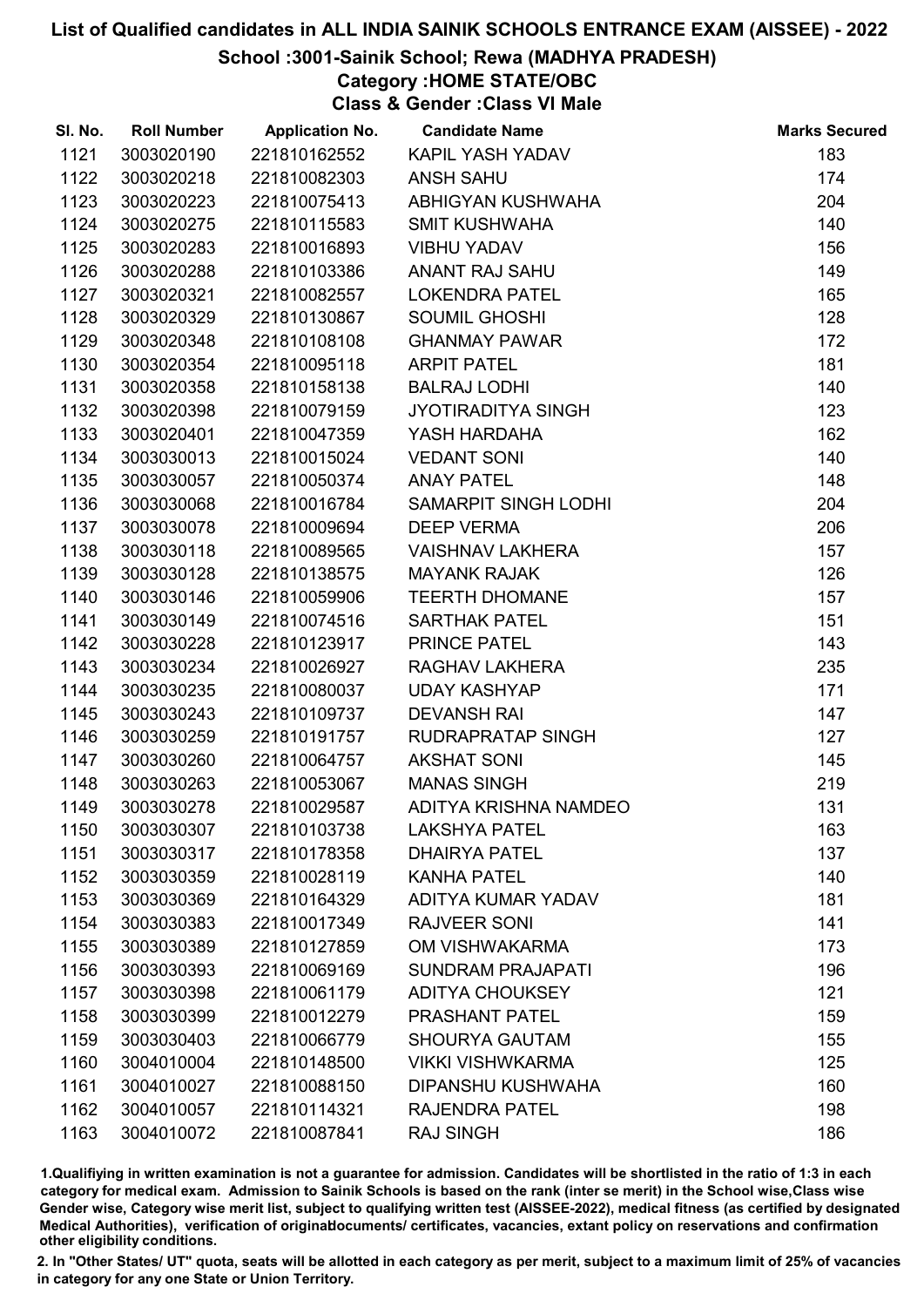## School :3001-Sainik School; Rewa (MADHYA PRADESH)

Category :HOME STATE/OBC

Class & Gender :Class VI Male

| SI. No. | <b>Roll Number</b> | <b>Application No.</b> | <b>Candidate Name</b>     | <b>Marks Secured</b> |
|---------|--------------------|------------------------|---------------------------|----------------------|
| 1121    | 3003020190         | 221810162552           | KAPIL YASH YADAV          | 183                  |
| 1122    | 3003020218         | 221810082303           | <b>ANSH SAHU</b>          | 174                  |
| 1123    | 3003020223         | 221810075413           | ABHIGYAN KUSHWAHA         | 204                  |
| 1124    | 3003020275         | 221810115583           | <b>SMIT KUSHWAHA</b>      | 140                  |
| 1125    | 3003020283         | 221810016893           | <b>VIBHU YADAV</b>        | 156                  |
| 1126    | 3003020288         | 221810103386           | <b>ANANT RAJ SAHU</b>     | 149                  |
| 1127    | 3003020321         | 221810082557           | <b>LOKENDRA PATEL</b>     | 165                  |
| 1128    | 3003020329         | 221810130867           | <b>SOUMIL GHOSHI</b>      | 128                  |
| 1129    | 3003020348         | 221810108108           | <b>GHANMAY PAWAR</b>      | 172                  |
| 1130    | 3003020354         | 221810095118           | <b>ARPIT PATEL</b>        | 181                  |
| 1131    | 3003020358         | 221810158138           | <b>BALRAJ LODHI</b>       | 140                  |
| 1132    | 3003020398         | 221810079159           | <b>JYOTIRADITYA SINGH</b> | 123                  |
| 1133    | 3003020401         | 221810047359           | YASH HARDAHA              | 162                  |
| 1134    | 3003030013         | 221810015024           | <b>VEDANT SONI</b>        | 140                  |
| 1135    | 3003030057         | 221810050374           | <b>ANAY PATEL</b>         | 148                  |
| 1136    | 3003030068         | 221810016784           | SAMARPIT SINGH LODHI      | 204                  |
| 1137    | 3003030078         | 221810009694           | <b>DEEP VERMA</b>         | 206                  |
| 1138    | 3003030118         | 221810089565           | <b>VAISHNAV LAKHERA</b>   | 157                  |
| 1139    | 3003030128         | 221810138575           | <b>MAYANK RAJAK</b>       | 126                  |
| 1140    | 3003030146         | 221810059906           | <b>TEERTH DHOMANE</b>     | 157                  |
| 1141    | 3003030149         | 221810074516           | <b>SARTHAK PATEL</b>      | 151                  |
| 1142    | 3003030228         | 221810123917           | PRINCE PATEL              | 143                  |
| 1143    | 3003030234         | 221810026927           | RAGHAV LAKHERA            | 235                  |
| 1144    | 3003030235         | 221810080037           | <b>UDAY KASHYAP</b>       | 171                  |
| 1145    | 3003030243         | 221810109737           | <b>DEVANSH RAI</b>        | 147                  |
| 1146    | 3003030259         | 221810191757           | RUDRAPRATAP SINGH         | 127                  |
| 1147    | 3003030260         | 221810064757           | <b>AKSHAT SONI</b>        | 145                  |
| 1148    | 3003030263         | 221810053067           | <b>MANAS SINGH</b>        | 219                  |
| 1149    | 3003030278         | 221810029587           | ADITYA KRISHNA NAMDEO     | 131                  |
| 1150    | 3003030307         | 221810103738           | <b>LAKSHYA PATEL</b>      | 163                  |
| 1151    | 3003030317         | 221810178358           | <b>DHAIRYA PATEL</b>      | 137                  |
| 1152    | 3003030359         | 221810028119           | <b>KANHA PATEL</b>        | 140                  |
| 1153    | 3003030369         | 221810164329           | <b>ADITYA KUMAR YADAV</b> | 181                  |
| 1154    | 3003030383         | 221810017349           | <b>RAJVEER SONI</b>       | 141                  |
| 1155    | 3003030389         | 221810127859           | OM VISHWAKARMA            | 173                  |
| 1156    | 3003030393         | 221810069169           | <b>SUNDRAM PRAJAPATI</b>  | 196                  |
| 1157    | 3003030398         | 221810061179           | <b>ADITYA CHOUKSEY</b>    | 121                  |
| 1158    | 3003030399         | 221810012279           | PRASHANT PATEL            | 159                  |
| 1159    | 3003030403         | 221810066779           | <b>SHOURYA GAUTAM</b>     | 155                  |
| 1160    | 3004010004         | 221810148500           | <b>VIKKI VISHWKARMA</b>   | 125                  |
| 1161    | 3004010027         | 221810088150           | DIPANSHU KUSHWAHA         | 160                  |
| 1162    | 3004010057         | 221810114321           | <b>RAJENDRA PATEL</b>     | 198                  |
| 1163    | 3004010072         | 221810087841           | <b>RAJ SINGH</b>          | 186                  |

1.Qualifiying in written examination is not a guarantee for admission. Candidates will be shortlisted in the ratio of 1:3 in each category for medical exam. Admission to Sainik Schools is based on the rank (inter se merit) in the School wise,Class wise Gender wise, Category wise merit list, subject to qualifying written test (AISSEE-2022), medical fitness (as certified by designated Medical Authorities), verification of originablocuments/ certificates, vacancies, extant policy on reservations and confirmation other eligibility conditions.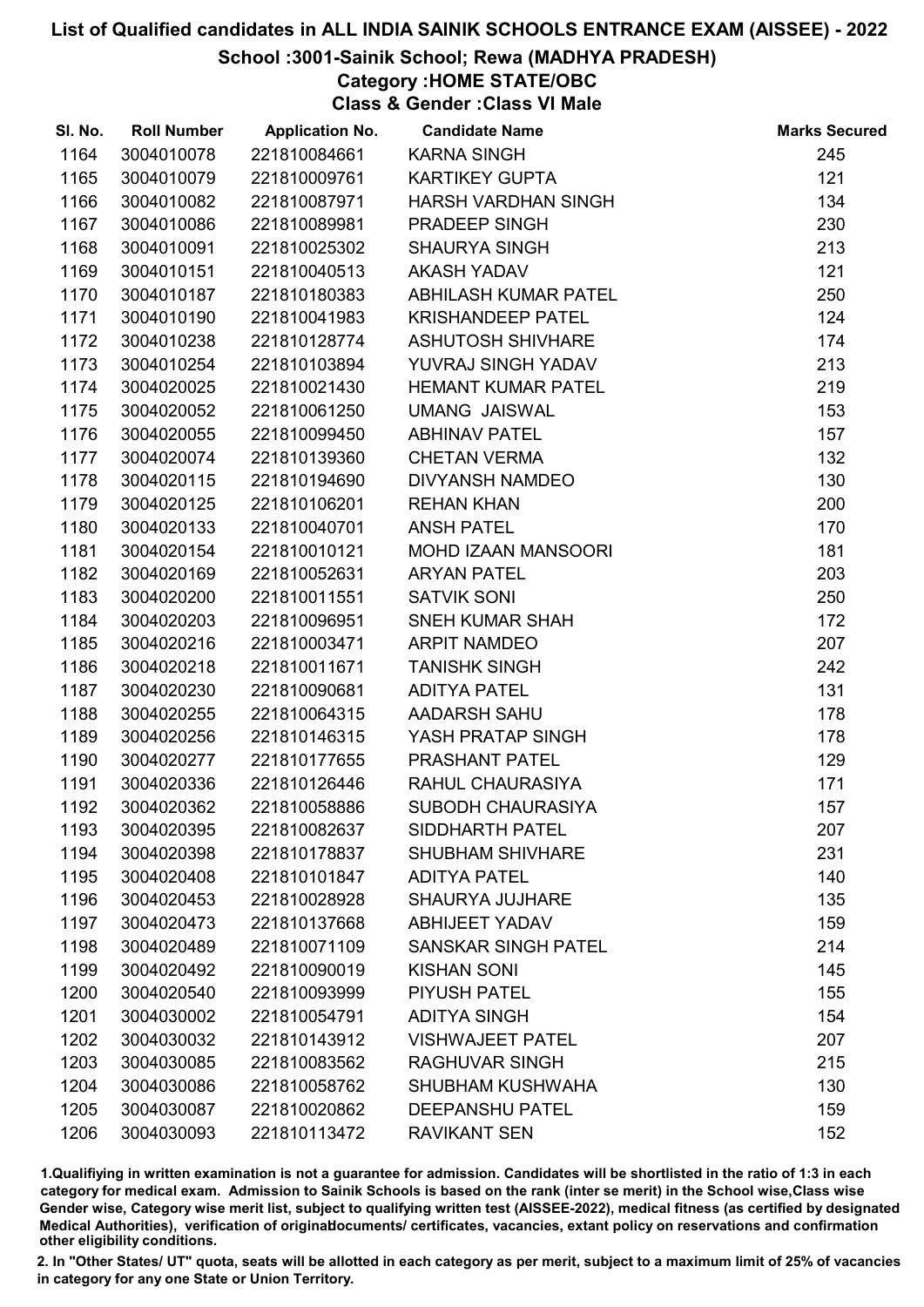## School :3001-Sainik School; Rewa (MADHYA PRADESH)

Category :HOME STATE/OBC

Class & Gender :Class VI Male

| SI. No. | <b>Roll Number</b> | <b>Application No.</b> | <b>Candidate Name</b>      | <b>Marks Secured</b> |
|---------|--------------------|------------------------|----------------------------|----------------------|
| 1164    | 3004010078         | 221810084661           | <b>KARNA SINGH</b>         | 245                  |
| 1165    | 3004010079         | 221810009761           | <b>KARTIKEY GUPTA</b>      | 121                  |
| 1166    | 3004010082         | 221810087971           | HARSH VARDHAN SINGH        | 134                  |
| 1167    | 3004010086         | 221810089981           | PRADEEP SINGH              | 230                  |
| 1168    | 3004010091         | 221810025302           | <b>SHAURYA SINGH</b>       | 213                  |
| 1169    | 3004010151         | 221810040513           | <b>AKASH YADAV</b>         | 121                  |
| 1170    | 3004010187         | 221810180383           | ABHILASH KUMAR PATEL       | 250                  |
| 1171    | 3004010190         | 221810041983           | <b>KRISHANDEEP PATEL</b>   | 124                  |
| 1172    | 3004010238         | 221810128774           | <b>ASHUTOSH SHIVHARE</b>   | 174                  |
| 1173    | 3004010254         | 221810103894           | YUVRAJ SINGH YADAV         | 213                  |
| 1174    | 3004020025         | 221810021430           | <b>HEMANT KUMAR PATEL</b>  | 219                  |
| 1175    | 3004020052         | 221810061250           | <b>UMANG JAISWAL</b>       | 153                  |
| 1176    | 3004020055         | 221810099450           | <b>ABHINAV PATEL</b>       | 157                  |
| 1177    | 3004020074         | 221810139360           | <b>CHETAN VERMA</b>        | 132                  |
| 1178    | 3004020115         | 221810194690           | <b>DIVYANSH NAMDEO</b>     | 130                  |
| 1179    | 3004020125         | 221810106201           | <b>REHAN KHAN</b>          | 200                  |
| 1180    | 3004020133         | 221810040701           | <b>ANSH PATEL</b>          | 170                  |
| 1181    | 3004020154         | 221810010121           | <b>MOHD IZAAN MANSOORI</b> | 181                  |
| 1182    | 3004020169         | 221810052631           | <b>ARYAN PATEL</b>         | 203                  |
| 1183    | 3004020200         | 221810011551           | <b>SATVIK SONI</b>         | 250                  |
| 1184    | 3004020203         | 221810096951           | <b>SNEH KUMAR SHAH</b>     | 172                  |
| 1185    | 3004020216         | 221810003471           | <b>ARPIT NAMDEO</b>        | 207                  |
| 1186    | 3004020218         | 221810011671           | <b>TANISHK SINGH</b>       | 242                  |
| 1187    | 3004020230         | 221810090681           | <b>ADITYA PATEL</b>        | 131                  |
| 1188    | 3004020255         | 221810064315           | <b>AADARSH SAHU</b>        | 178                  |
| 1189    | 3004020256         | 221810146315           | YASH PRATAP SINGH          | 178                  |
| 1190    | 3004020277         | 221810177655           | PRASHANT PATEL             | 129                  |
| 1191    | 3004020336         | 221810126446           | RAHUL CHAURASIYA           | 171                  |
| 1192    | 3004020362         | 221810058886           | <b>SUBODH CHAURASIYA</b>   | 157                  |
| 1193    | 3004020395         | 221810082637           | <b>SIDDHARTH PATEL</b>     | 207                  |
| 1194    | 3004020398         | 221810178837           | <b>SHUBHAM SHIVHARE</b>    | 231                  |
| 1195    | 3004020408         | 221810101847           | <b>ADITYA PATEL</b>        | 140                  |
| 1196    | 3004020453         | 221810028928           | <b>SHAURYA JUJHARE</b>     | 135                  |
| 1197    | 3004020473         | 221810137668           | <b>ABHIJEET YADAV</b>      | 159                  |
| 1198    | 3004020489         | 221810071109           | <b>SANSKAR SINGH PATEL</b> | 214                  |
| 1199    | 3004020492         | 221810090019           | <b>KISHAN SONI</b>         | 145                  |
| 1200    | 3004020540         | 221810093999           | <b>PIYUSH PATEL</b>        | 155                  |
| 1201    | 3004030002         | 221810054791           | <b>ADITYA SINGH</b>        | 154                  |
| 1202    | 3004030032         | 221810143912           | <b>VISHWAJEET PATEL</b>    | 207                  |
| 1203    | 3004030085         | 221810083562           | <b>RAGHUVAR SINGH</b>      | 215                  |
| 1204    | 3004030086         | 221810058762           | <b>SHUBHAM KUSHWAHA</b>    | 130                  |
| 1205    | 3004030087         | 221810020862           | <b>DEEPANSHU PATEL</b>     | 159                  |
| 1206    | 3004030093         | 221810113472           | <b>RAVIKANT SEN</b>        | 152                  |

1.Qualifiying in written examination is not a guarantee for admission. Candidates will be shortlisted in the ratio of 1:3 in each category for medical exam. Admission to Sainik Schools is based on the rank (inter se merit) in the School wise,Class wise Gender wise, Category wise merit list, subject to qualifying written test (AISSEE-2022), medical fitness (as certified by designated Medical Authorities), verification of originablocuments/ certificates, vacancies, extant policy on reservations and confirmation other eligibility conditions.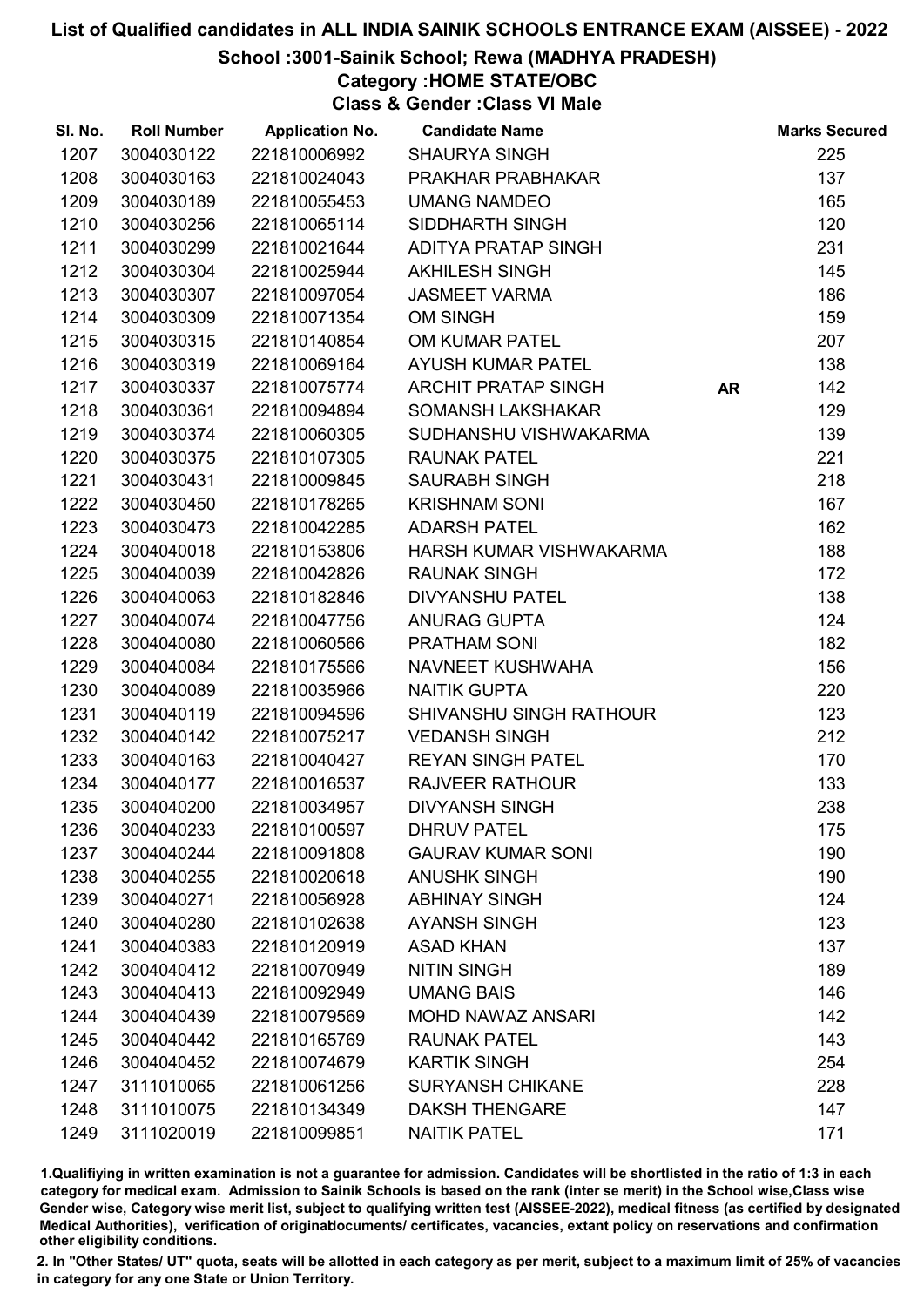## School :3001-Sainik School; Rewa (MADHYA PRADESH)

Category :HOME STATE/OBC

Class & Gender :Class VI Male

| SI. No. | <b>Roll Number</b> | <b>Application No.</b> | <b>Candidate Name</b>    |    | <b>Marks Secured</b> |
|---------|--------------------|------------------------|--------------------------|----|----------------------|
| 1207    | 3004030122         | 221810006992           | <b>SHAURYA SINGH</b>     |    | 225                  |
| 1208    | 3004030163         | 221810024043           | PRAKHAR PRABHAKAR        |    | 137                  |
| 1209    | 3004030189         | 221810055453           | <b>UMANG NAMDEO</b>      |    | 165                  |
| 1210    | 3004030256         | 221810065114           | SIDDHARTH SINGH          |    | 120                  |
| 1211    | 3004030299         | 221810021644           | ADITYA PRATAP SINGH      |    | 231                  |
| 1212    | 3004030304         | 221810025944           | <b>AKHILESH SINGH</b>    |    | 145                  |
| 1213    | 3004030307         | 221810097054           | <b>JASMEET VARMA</b>     |    | 186                  |
| 1214    | 3004030309         | 221810071354           | <b>OM SINGH</b>          |    | 159                  |
| 1215    | 3004030315         | 221810140854           | OM KUMAR PATEL           |    | 207                  |
| 1216    | 3004030319         | 221810069164           | <b>AYUSH KUMAR PATEL</b> |    | 138                  |
| 1217    | 3004030337         | 221810075774           | ARCHIT PRATAP SINGH      | AR | 142                  |
| 1218    | 3004030361         | 221810094894           | <b>SOMANSH LAKSHAKAR</b> |    | 129                  |
| 1219    | 3004030374         | 221810060305           | SUDHANSHU VISHWAKARMA    |    | 139                  |
| 1220    | 3004030375         | 221810107305           | <b>RAUNAK PATEL</b>      |    | 221                  |
| 1221    | 3004030431         | 221810009845           | <b>SAURABH SINGH</b>     |    | 218                  |
| 1222    | 3004030450         | 221810178265           | <b>KRISHNAM SONI</b>     |    | 167                  |
| 1223    | 3004030473         | 221810042285           | <b>ADARSH PATEL</b>      |    | 162                  |
| 1224    | 3004040018         | 221810153806           | HARSH KUMAR VISHWAKARMA  |    | 188                  |
| 1225    | 3004040039         | 221810042826           | <b>RAUNAK SINGH</b>      |    | 172                  |
| 1226    | 3004040063         | 221810182846           | <b>DIVYANSHU PATEL</b>   |    | 138                  |
| 1227    | 3004040074         | 221810047756           | <b>ANURAG GUPTA</b>      |    | 124                  |
| 1228    | 3004040080         | 221810060566           | PRATHAM SONI             |    | 182                  |
| 1229    | 3004040084         | 221810175566           | NAVNEET KUSHWAHA         |    | 156                  |
| 1230    | 3004040089         | 221810035966           | <b>NAITIK GUPTA</b>      |    | 220                  |
| 1231    | 3004040119         | 221810094596           | SHIVANSHU SINGH RATHOUR  |    | 123                  |
| 1232    | 3004040142         | 221810075217           | <b>VEDANSH SINGH</b>     |    | 212                  |
| 1233    | 3004040163         | 221810040427           | <b>REYAN SINGH PATEL</b> |    | 170                  |
| 1234    | 3004040177         | 221810016537           | <b>RAJVEER RATHOUR</b>   |    | 133                  |
| 1235    | 3004040200         | 221810034957           | <b>DIVYANSH SINGH</b>    |    | 238                  |
| 1236    | 3004040233         | 221810100597           | <b>DHRUV PATEL</b>       |    | 175                  |
| 1237    | 3004040244         | 221810091808           | <b>GAURAV KUMAR SONI</b> |    | 190                  |
| 1238    | 3004040255         | 221810020618           | <b>ANUSHK SINGH</b>      |    | 190                  |
| 1239    | 3004040271         | 221810056928           | <b>ABHINAY SINGH</b>     |    | 124                  |
| 1240    | 3004040280         | 221810102638           | <b>AYANSH SINGH</b>      |    | 123                  |
| 1241    | 3004040383         | 221810120919           | <b>ASAD KHAN</b>         |    | 137                  |
| 1242    | 3004040412         | 221810070949           | <b>NITIN SINGH</b>       |    | 189                  |
| 1243    | 3004040413         | 221810092949           | <b>UMANG BAIS</b>        |    | 146                  |
| 1244    | 3004040439         | 221810079569           | <b>MOHD NAWAZ ANSARI</b> |    | 142                  |
| 1245    | 3004040442         | 221810165769           | <b>RAUNAK PATEL</b>      |    | 143                  |
| 1246    | 3004040452         | 221810074679           | <b>KARTIK SINGH</b>      |    | 254                  |
| 1247    | 3111010065         | 221810061256           | <b>SURYANSH CHIKANE</b>  |    | 228                  |
| 1248    | 3111010075         | 221810134349           | <b>DAKSH THENGARE</b>    |    | 147                  |
| 1249    | 3111020019         | 221810099851           | <b>NAITIK PATEL</b>      |    | 171                  |

1.Qualifiying in written examination is not a guarantee for admission. Candidates will be shortlisted in the ratio of 1:3 in each category for medical exam. Admission to Sainik Schools is based on the rank (inter se merit) in the School wise,Class wise Gender wise, Category wise merit list, subject to qualifying written test (AISSEE-2022), medical fitness (as certified by designated Medical Authorities), verification of originablocuments/ certificates, vacancies, extant policy on reservations and confirmation other eligibility conditions.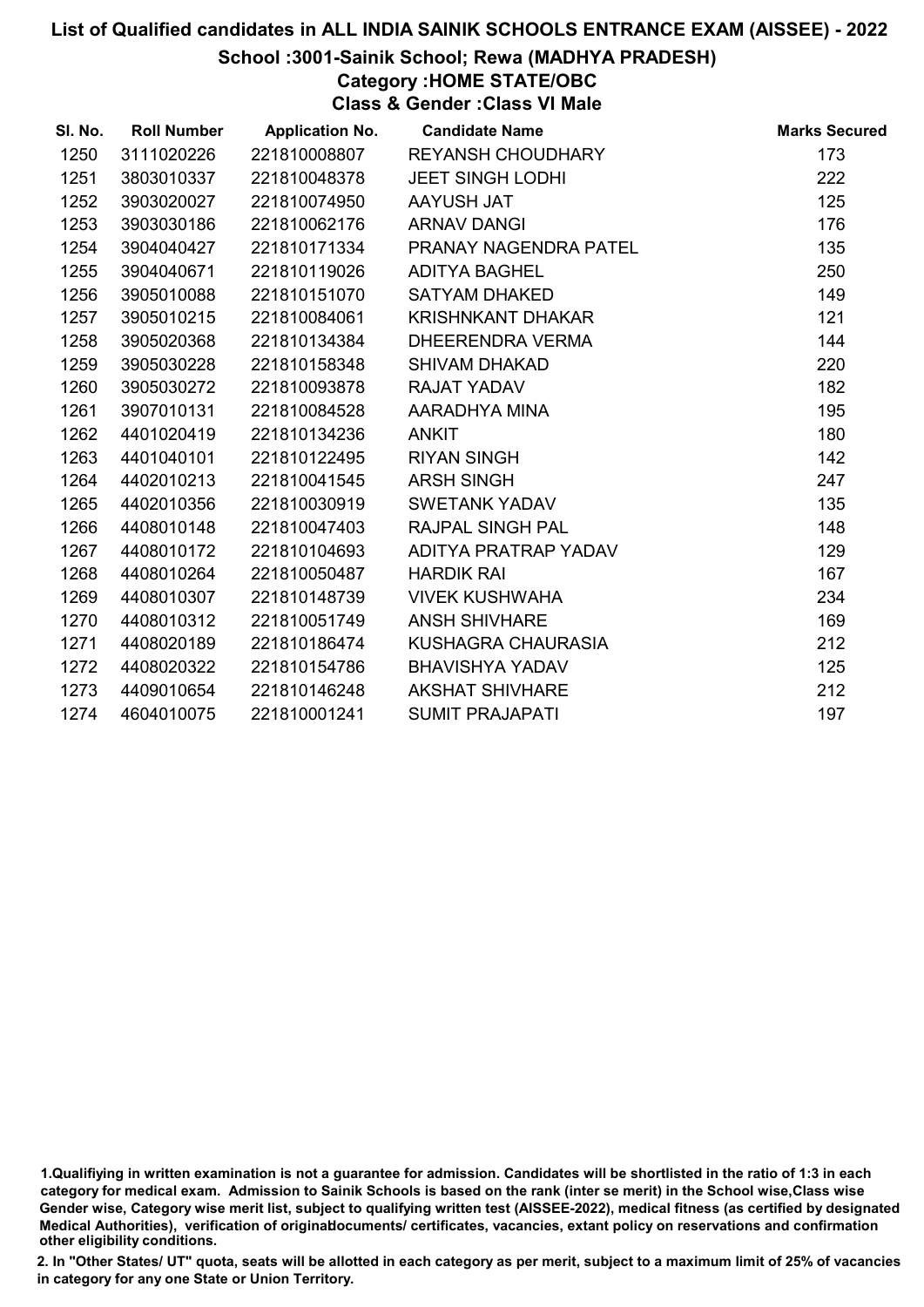### School :3001-Sainik School; Rewa (MADHYA PRADESH)

Category :HOME STATE/OBC

Class & Gender :Class VI Male

| SI. No. | <b>Roll Number</b> | <b>Application No.</b> | <b>Candidate Name</b>   | <b>Marks Secured</b> |
|---------|--------------------|------------------------|-------------------------|----------------------|
| 1250    | 3111020226         | 221810008807           | REYANSH CHOUDHARY       | 173                  |
| 1251    | 3803010337         | 221810048378           | <b>JEET SINGH LODHI</b> | 222                  |
| 1252    | 3903020027         | 221810074950           | AAYUSH JAT              | 125                  |
| 1253    | 3903030186         | 221810062176           | <b>ARNAV DANGI</b>      | 176                  |
| 1254    | 3904040427         | 221810171334           | PRANAY NAGENDRA PATEL   | 135                  |
| 1255    | 3904040671         | 221810119026           | <b>ADITYA BAGHEL</b>    | 250                  |
| 1256    | 3905010088         | 221810151070           | <b>SATYAM DHAKED</b>    | 149                  |
| 1257    | 3905010215         | 221810084061           | KRISHNKANT DHAKAR       | 121                  |
| 1258    | 3905020368         | 221810134384           | DHEERENDRA VERMA        | 144                  |
| 1259    | 3905030228         | 221810158348           | <b>SHIVAM DHAKAD</b>    | 220                  |
| 1260    | 3905030272         | 221810093878           | <b>RAJAT YADAV</b>      | 182                  |
| 1261    | 3907010131         | 221810084528           | AARADHYA MINA           | 195                  |
| 1262    | 4401020419         | 221810134236           | <b>ANKIT</b>            | 180                  |
| 1263    | 4401040101         | 221810122495           | <b>RIYAN SINGH</b>      | 142                  |
| 1264    | 4402010213         | 221810041545           | <b>ARSH SINGH</b>       | 247                  |
| 1265    | 4402010356         | 221810030919           | <b>SWETANK YADAV</b>    | 135                  |
| 1266    | 4408010148         | 221810047403           | <b>RAJPAL SINGH PAL</b> | 148                  |
| 1267    | 4408010172         | 221810104693           | ADITYA PRATRAP YADAV    | 129                  |
| 1268    | 4408010264         | 221810050487           | <b>HARDIK RAI</b>       | 167                  |
| 1269    | 4408010307         | 221810148739           | <b>VIVEK KUSHWAHA</b>   | 234                  |
| 1270    | 4408010312         | 221810051749           | <b>ANSH SHIVHARE</b>    | 169                  |
| 1271    | 4408020189         | 221810186474           | KUSHAGRA CHAURASIA      | 212                  |
| 1272    | 4408020322         | 221810154786           | <b>BHAVISHYA YADAV</b>  | 125                  |
| 1273    | 4409010654         | 221810146248           | <b>AKSHAT SHIVHARE</b>  | 212                  |
| 1274    | 4604010075         | 221810001241           | <b>SUMIT PRAJAPATI</b>  | 197                  |

<sup>1.</sup>Qualifiying in written examination is not a guarantee for admission. Candidates will be shortlisted in the ratio of 1:3 in each category for medical exam. Admission to Sainik Schools is based on the rank (inter se merit) in the School wise,Class wise Gender wise, Category wise merit list, subject to qualifying written test (AISSEE-2022), medical fitness (as certified by designated Medical Authorities), verification of originablocuments/ certificates, vacancies, extant policy on reservations and confirmation other eligibility conditions.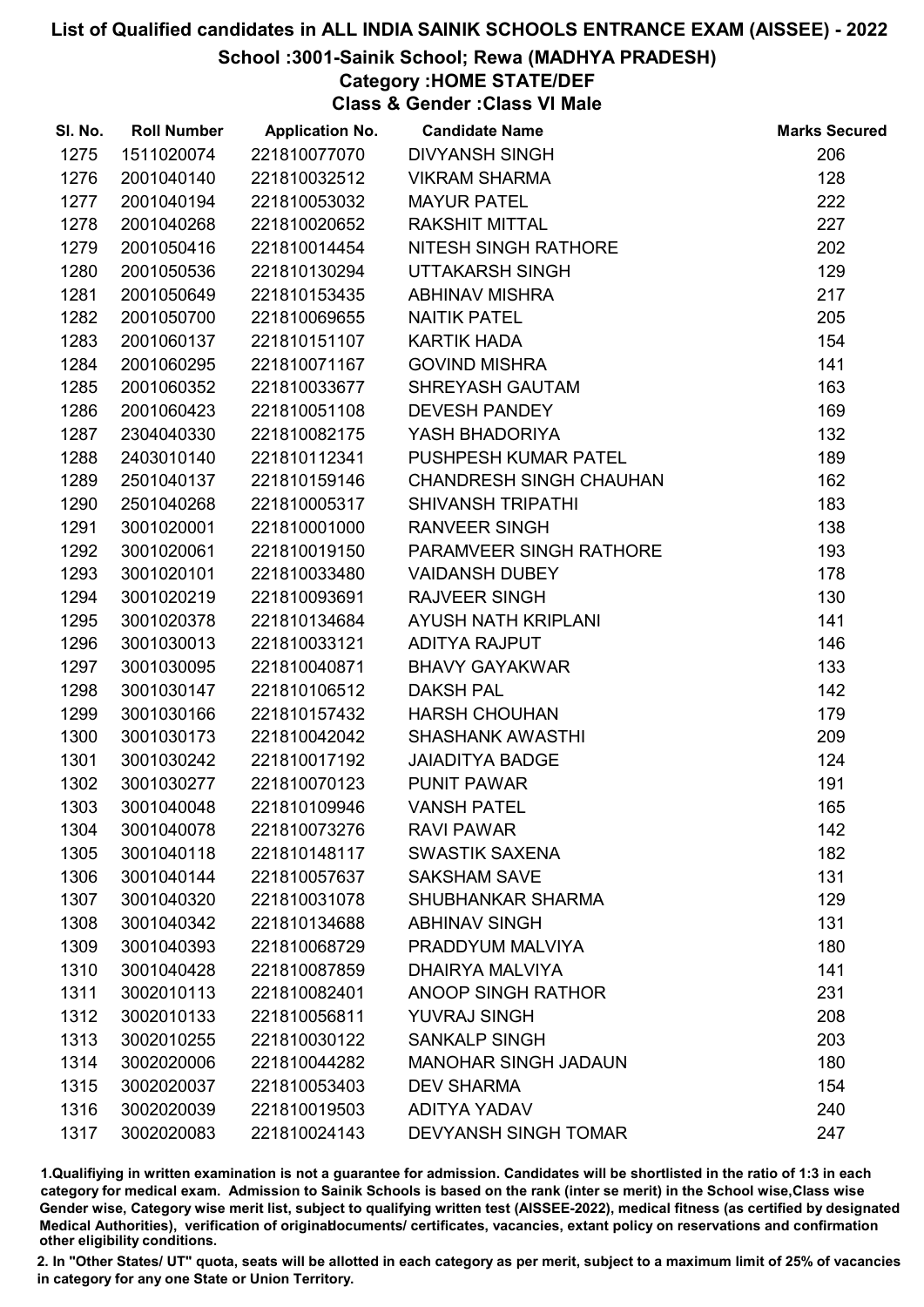## School :3001-Sainik School; Rewa (MADHYA PRADESH)

# Category :HOME STATE/DEF

Class & Gender :Class VI Male

| SI. No. | <b>Roll Number</b> | <b>Application No.</b> | <b>Candidate Name</b>          | <b>Marks Secured</b> |
|---------|--------------------|------------------------|--------------------------------|----------------------|
| 1275    | 1511020074         | 221810077070           | <b>DIVYANSH SINGH</b>          | 206                  |
| 1276    | 2001040140         | 221810032512           | <b>VIKRAM SHARMA</b>           | 128                  |
| 1277    | 2001040194         | 221810053032           | <b>MAYUR PATEL</b>             | 222                  |
| 1278    | 2001040268         | 221810020652           | <b>RAKSHIT MITTAL</b>          | 227                  |
| 1279    | 2001050416         | 221810014454           | NITESH SINGH RATHORE           | 202                  |
| 1280    | 2001050536         | 221810130294           | UTTAKARSH SINGH                | 129                  |
| 1281    | 2001050649         | 221810153435           | <b>ABHINAV MISHRA</b>          | 217                  |
| 1282    | 2001050700         | 221810069655           | <b>NAITIK PATEL</b>            | 205                  |
| 1283    | 2001060137         | 221810151107           | <b>KARTIK HADA</b>             | 154                  |
| 1284    | 2001060295         | 221810071167           | <b>GOVIND MISHRA</b>           | 141                  |
| 1285    | 2001060352         | 221810033677           | <b>SHREYASH GAUTAM</b>         | 163                  |
| 1286    | 2001060423         | 221810051108           | <b>DEVESH PANDEY</b>           | 169                  |
| 1287    | 2304040330         | 221810082175           | YASH BHADORIYA                 | 132                  |
| 1288    | 2403010140         | 221810112341           | PUSHPESH KUMAR PATEL           | 189                  |
| 1289    | 2501040137         | 221810159146           | <b>CHANDRESH SINGH CHAUHAN</b> | 162                  |
| 1290    | 2501040268         | 221810005317           | <b>SHIVANSH TRIPATHI</b>       | 183                  |
| 1291    | 3001020001         | 221810001000           | <b>RANVEER SINGH</b>           | 138                  |
| 1292    | 3001020061         | 221810019150           | PARAMVEER SINGH RATHORE        | 193                  |
| 1293    | 3001020101         | 221810033480           | <b>VAIDANSH DUBEY</b>          | 178                  |
| 1294    | 3001020219         | 221810093691           | <b>RAJVEER SINGH</b>           | 130                  |
| 1295    | 3001020378         | 221810134684           | AYUSH NATH KRIPLANI            | 141                  |
| 1296    | 3001030013         | 221810033121           | ADITYA RAJPUT                  | 146                  |
| 1297    | 3001030095         | 221810040871           | <b>BHAVY GAYAKWAR</b>          | 133                  |
| 1298    | 3001030147         | 221810106512           | <b>DAKSH PAL</b>               | 142                  |
| 1299    | 3001030166         | 221810157432           | <b>HARSH CHOUHAN</b>           | 179                  |
| 1300    | 3001030173         | 221810042042           | <b>SHASHANK AWASTHI</b>        | 209                  |
| 1301    | 3001030242         | 221810017192           | <b>JAIADITYA BADGE</b>         | 124                  |
| 1302    | 3001030277         | 221810070123           | <b>PUNIT PAWAR</b>             | 191                  |
| 1303    | 3001040048         | 221810109946           | <b>VANSH PATEL</b>             | 165                  |
| 1304    | 3001040078         | 221810073276           | <b>RAVI PAWAR</b>              | 142                  |
| 1305    | 3001040118         | 221810148117           | <b>SWASTIK SAXENA</b>          | 182                  |
| 1306    | 3001040144         | 221810057637           | <b>SAKSHAM SAVE</b>            | 131                  |
| 1307    | 3001040320         | 221810031078           | SHUBHANKAR SHARMA              | 129                  |
| 1308    | 3001040342         | 221810134688           | <b>ABHINAV SINGH</b>           | 131                  |
| 1309    | 3001040393         | 221810068729           | PRADDYUM MALVIYA               | 180                  |
| 1310    | 3001040428         | 221810087859           | DHAIRYA MALVIYA                | 141                  |
| 1311    | 3002010113         | 221810082401           | ANOOP SINGH RATHOR             | 231                  |
| 1312    | 3002010133         | 221810056811           | <b>YUVRAJ SINGH</b>            | 208                  |
| 1313    | 3002010255         | 221810030122           | <b>SANKALP SINGH</b>           | 203                  |
| 1314    | 3002020006         | 221810044282           | <b>MANOHAR SINGH JADAUN</b>    | 180                  |
| 1315    | 3002020037         | 221810053403           | <b>DEV SHARMA</b>              | 154                  |
| 1316    | 3002020039         | 221810019503           | <b>ADITYA YADAV</b>            | 240                  |
| 1317    | 3002020083         | 221810024143           | <b>DEVYANSH SINGH TOMAR</b>    | 247                  |

1.Qualifiying in written examination is not a guarantee for admission. Candidates will be shortlisted in the ratio of 1:3 in each category for medical exam. Admission to Sainik Schools is based on the rank (inter se merit) in the School wise,Class wise Gender wise, Category wise merit list, subject to qualifying written test (AISSEE-2022), medical fitness (as certified by designated Medical Authorities), verification of originablocuments/ certificates, vacancies, extant policy on reservations and confirmation other eligibility conditions.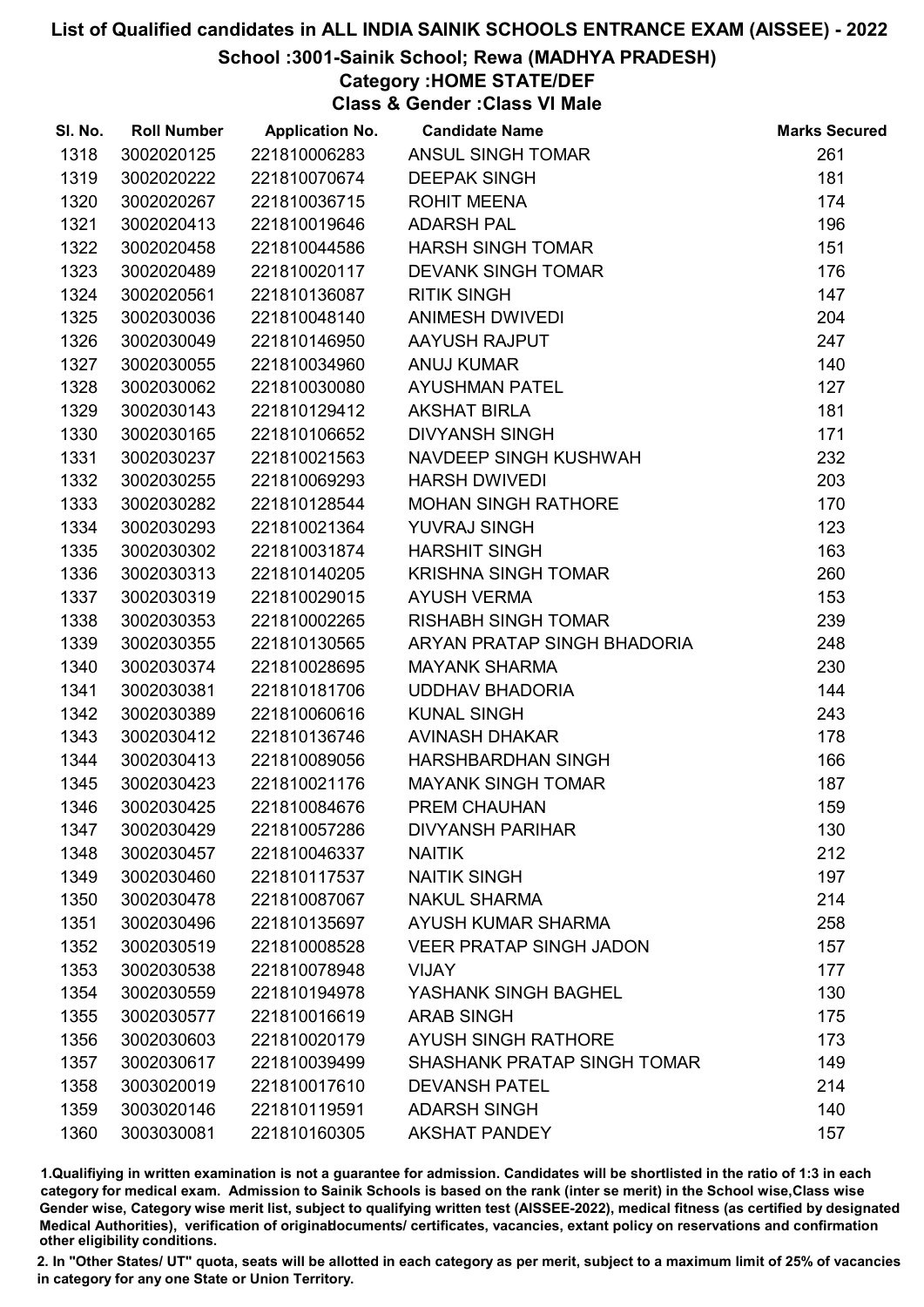### School :3001-Sainik School; Rewa (MADHYA PRADESH)

## Category :HOME STATE/DEF

Class & Gender :Class VI Male

| SI. No. | <b>Roll Number</b> | <b>Application No.</b> | <b>Candidate Name</b>          | <b>Marks Secured</b> |
|---------|--------------------|------------------------|--------------------------------|----------------------|
| 1318    | 3002020125         | 221810006283           | ANSUL SINGH TOMAR              | 261                  |
| 1319    | 3002020222         | 221810070674           | <b>DEEPAK SINGH</b>            | 181                  |
| 1320    | 3002020267         | 221810036715           | <b>ROHIT MEENA</b>             | 174                  |
| 1321    | 3002020413         | 221810019646           | <b>ADARSH PAL</b>              | 196                  |
| 1322    | 3002020458         | 221810044586           | <b>HARSH SINGH TOMAR</b>       | 151                  |
| 1323    | 3002020489         | 221810020117           | <b>DEVANK SINGH TOMAR</b>      | 176                  |
| 1324    | 3002020561         | 221810136087           | <b>RITIK SINGH</b>             | 147                  |
| 1325    | 3002030036         | 221810048140           | ANIMESH DWIVEDI                | 204                  |
| 1326    | 3002030049         | 221810146950           | AAYUSH RAJPUT                  | 247                  |
| 1327    | 3002030055         | 221810034960           | <b>ANUJ KUMAR</b>              | 140                  |
| 1328    | 3002030062         | 221810030080           | <b>AYUSHMAN PATEL</b>          | 127                  |
| 1329    | 3002030143         | 221810129412           | <b>AKSHAT BIRLA</b>            | 181                  |
| 1330    | 3002030165         | 221810106652           | <b>DIVYANSH SINGH</b>          | 171                  |
| 1331    | 3002030237         | 221810021563           | NAVDEEP SINGH KUSHWAH          | 232                  |
| 1332    | 3002030255         | 221810069293           | <b>HARSH DWIVEDI</b>           | 203                  |
| 1333    | 3002030282         | 221810128544           | <b>MOHAN SINGH RATHORE</b>     | 170                  |
| 1334    | 3002030293         | 221810021364           | <b>YUVRAJ SINGH</b>            | 123                  |
| 1335    | 3002030302         | 221810031874           | <b>HARSHIT SINGH</b>           | 163                  |
| 1336    | 3002030313         | 221810140205           | <b>KRISHNA SINGH TOMAR</b>     | 260                  |
| 1337    | 3002030319         | 221810029015           | <b>AYUSH VERMA</b>             | 153                  |
| 1338    | 3002030353         | 221810002265           | <b>RISHABH SINGH TOMAR</b>     | 239                  |
| 1339    | 3002030355         | 221810130565           | ARYAN PRATAP SINGH BHADORIA    | 248                  |
| 1340    | 3002030374         | 221810028695           | <b>MAYANK SHARMA</b>           | 230                  |
| 1341    | 3002030381         | 221810181706           | UDDHAV BHADORIA                | 144                  |
| 1342    | 3002030389         | 221810060616           | <b>KUNAL SINGH</b>             | 243                  |
| 1343    | 3002030412         | 221810136746           | <b>AVINASH DHAKAR</b>          | 178                  |
| 1344    | 3002030413         | 221810089056           | HARSHBARDHAN SINGH             | 166                  |
| 1345    | 3002030423         | 221810021176           | <b>MAYANK SINGH TOMAR</b>      | 187                  |
| 1346    | 3002030425         | 221810084676           | PREM CHAUHAN                   | 159                  |
| 1347    | 3002030429         | 221810057286           | <b>DIVYANSH PARIHAR</b>        | 130                  |
| 1348    | 3002030457         | 221810046337           | <b>NAITIK</b>                  | 212                  |
| 1349    | 3002030460         | 221810117537           | <b>NAITIK SINGH</b>            | 197                  |
| 1350    | 3002030478         | 221810087067           | <b>NAKUL SHARMA</b>            | 214                  |
| 1351    | 3002030496         | 221810135697           | AYUSH KUMAR SHARMA             | 258                  |
| 1352    | 3002030519         | 221810008528           | <b>VEER PRATAP SINGH JADON</b> | 157                  |
| 1353    | 3002030538         | 221810078948           | VIJAY                          | 177                  |
| 1354    | 3002030559         | 221810194978           | YASHANK SINGH BAGHEL           | 130                  |
| 1355    | 3002030577         | 221810016619           | <b>ARAB SINGH</b>              | 175                  |
| 1356    | 3002030603         | 221810020179           | <b>AYUSH SINGH RATHORE</b>     | 173                  |
| 1357    | 3002030617         | 221810039499           | SHASHANK PRATAP SINGH TOMAR    | 149                  |
| 1358    | 3003020019         | 221810017610           | <b>DEVANSH PATEL</b>           | 214                  |
| 1359    | 3003020146         | 221810119591           | <b>ADARSH SINGH</b>            | 140                  |
| 1360    | 3003030081         | 221810160305           | <b>AKSHAT PANDEY</b>           | 157                  |

1.Qualifiying in written examination is not a guarantee for admission. Candidates will be shortlisted in the ratio of 1:3 in each category for medical exam. Admission to Sainik Schools is based on the rank (inter se merit) in the School wise,Class wise Gender wise, Category wise merit list, subject to qualifying written test (AISSEE-2022), medical fitness (as certified by designated Medical Authorities), verification of originablocuments/ certificates, vacancies, extant policy on reservations and confirmation other eligibility conditions.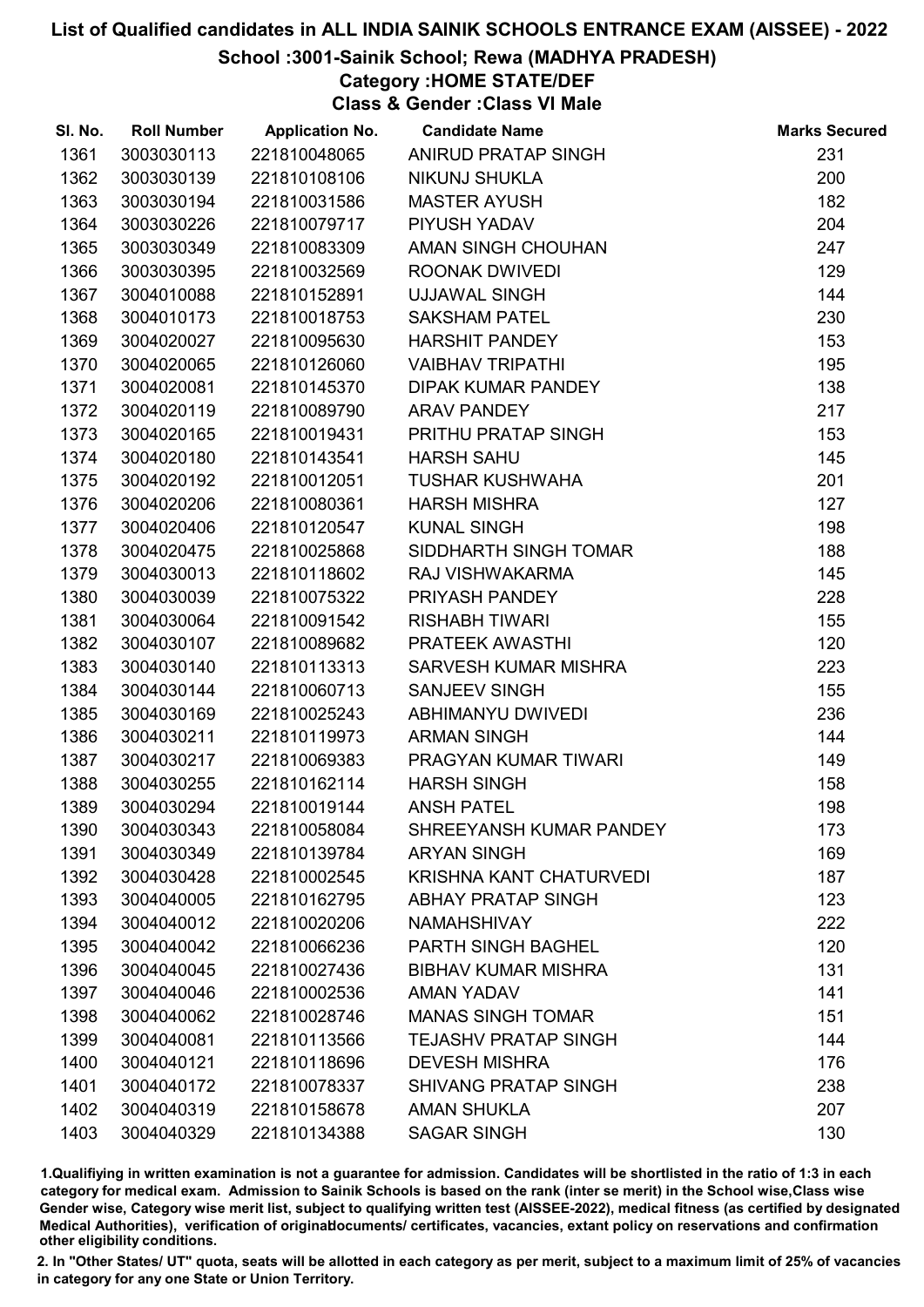### School :3001-Sainik School; Rewa (MADHYA PRADESH)

# Category :HOME STATE/DEF

Class & Gender :Class VI Male

| SI. No. | <b>Roll Number</b> | <b>Application No.</b> | <b>Candidate Name</b>          | <b>Marks Secured</b> |
|---------|--------------------|------------------------|--------------------------------|----------------------|
| 1361    | 3003030113         | 221810048065           | ANIRUD PRATAP SINGH            | 231                  |
| 1362    | 3003030139         | 221810108106           | NIKUNJ SHUKLA                  | 200                  |
| 1363    | 3003030194         | 221810031586           | <b>MASTER AYUSH</b>            | 182                  |
| 1364    | 3003030226         | 221810079717           | PIYUSH YADAV                   | 204                  |
| 1365    | 3003030349         | 221810083309           | AMAN SINGH CHOUHAN             | 247                  |
| 1366    | 3003030395         | 221810032569           | ROONAK DWIVEDI                 | 129                  |
| 1367    | 3004010088         | 221810152891           | <b>UJJAWAL SINGH</b>           | 144                  |
| 1368    | 3004010173         | 221810018753           | <b>SAKSHAM PATEL</b>           | 230                  |
| 1369    | 3004020027         | 221810095630           | <b>HARSHIT PANDEY</b>          | 153                  |
| 1370    | 3004020065         | 221810126060           | <b>VAIBHAV TRIPATHI</b>        | 195                  |
| 1371    | 3004020081         | 221810145370           | DIPAK KUMAR PANDEY             | 138                  |
| 1372    | 3004020119         | 221810089790           | <b>ARAV PANDEY</b>             | 217                  |
| 1373    | 3004020165         | 221810019431           | PRITHU PRATAP SINGH            | 153                  |
| 1374    | 3004020180         | 221810143541           | <b>HARSH SAHU</b>              | 145                  |
| 1375    | 3004020192         | 221810012051           | <b>TUSHAR KUSHWAHA</b>         | 201                  |
| 1376    | 3004020206         | 221810080361           | <b>HARSH MISHRA</b>            | 127                  |
| 1377    | 3004020406         | 221810120547           | <b>KUNAL SINGH</b>             | 198                  |
| 1378    | 3004020475         | 221810025868           | SIDDHARTH SINGH TOMAR          | 188                  |
| 1379    | 3004030013         | 221810118602           | RAJ VISHWAKARMA                | 145                  |
| 1380    | 3004030039         | 221810075322           | PRIYASH PANDEY                 | 228                  |
| 1381    | 3004030064         | 221810091542           | <b>RISHABH TIWARI</b>          | 155                  |
| 1382    | 3004030107         | 221810089682           | PRATEEK AWASTHI                | 120                  |
| 1383    | 3004030140         | 221810113313           | SARVESH KUMAR MISHRA           | 223                  |
| 1384    | 3004030144         | 221810060713           | <b>SANJEEV SINGH</b>           | 155                  |
| 1385    | 3004030169         | 221810025243           | ABHIMANYU DWIVEDI              | 236                  |
| 1386    | 3004030211         | 221810119973           | <b>ARMAN SINGH</b>             | 144                  |
| 1387    | 3004030217         | 221810069383           | PRAGYAN KUMAR TIWARI           | 149                  |
| 1388    | 3004030255         | 221810162114           | <b>HARSH SINGH</b>             | 158                  |
| 1389    | 3004030294         | 221810019144           | <b>ANSH PATEL</b>              | 198                  |
| 1390    | 3004030343         | 221810058084           | SHREEYANSH KUMAR PANDEY        | 173                  |
| 1391    | 3004030349         | 221810139784           | <b>ARYAN SINGH</b>             | 169                  |
| 1392    | 3004030428         | 221810002545           | <b>KRISHNA KANT CHATURVEDI</b> | 187                  |
| 1393    | 3004040005         | 221810162795           | <b>ABHAY PRATAP SINGH</b>      | 123                  |
| 1394    | 3004040012         | 221810020206           | <b>NAMAHSHIVAY</b>             | 222                  |
| 1395    | 3004040042         | 221810066236           | PARTH SINGH BAGHEL             | 120                  |
| 1396    | 3004040045         | 221810027436           | <b>BIBHAV KUMAR MISHRA</b>     | 131                  |
| 1397    | 3004040046         | 221810002536           | <b>AMAN YADAV</b>              | 141                  |
| 1398    | 3004040062         | 221810028746           | <b>MANAS SINGH TOMAR</b>       | 151                  |
| 1399    | 3004040081         | 221810113566           | <b>TEJASHV PRATAP SINGH</b>    | 144                  |
| 1400    | 3004040121         | 221810118696           | <b>DEVESH MISHRA</b>           | 176                  |
| 1401    | 3004040172         | 221810078337           | <b>SHIVANG PRATAP SINGH</b>    | 238                  |
| 1402    | 3004040319         | 221810158678           | <b>AMAN SHUKLA</b>             | 207                  |
| 1403    | 3004040329         | 221810134388           | <b>SAGAR SINGH</b>             | 130                  |

1.Qualifiying in written examination is not a guarantee for admission. Candidates will be shortlisted in the ratio of 1:3 in each category for medical exam. Admission to Sainik Schools is based on the rank (inter se merit) in the School wise,Class wise Gender wise, Category wise merit list, subject to qualifying written test (AISSEE-2022), medical fitness (as certified by designated Medical Authorities), verification of originablocuments/ certificates, vacancies, extant policy on reservations and confirmation other eligibility conditions.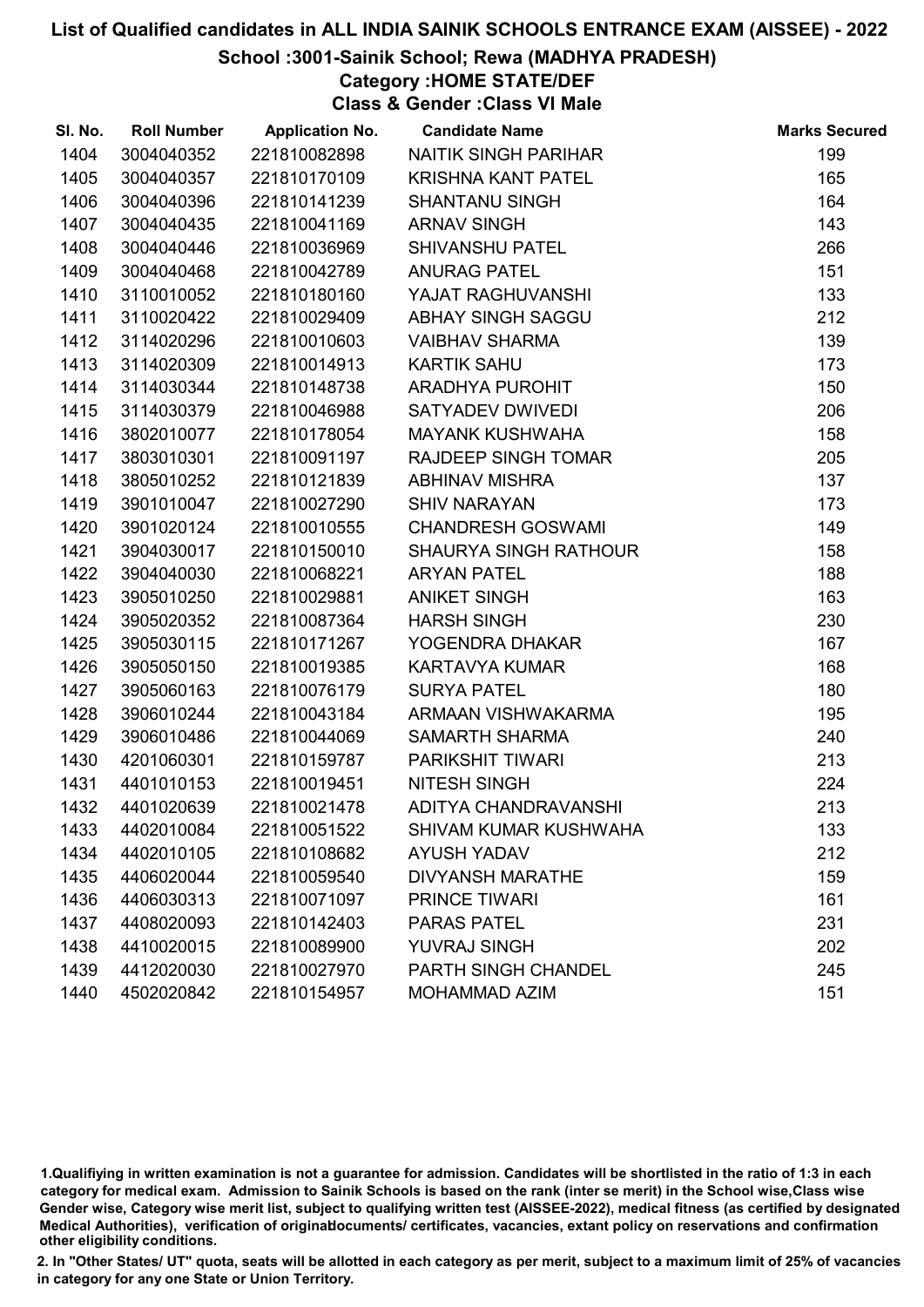### School :3001-Sainik School; Rewa (MADHYA PRADESH)

## Category :HOME STATE/DEF

Class & Gender :Class VI Male

| SI. No. | <b>Roll Number</b> | <b>Application No.</b> | <b>Candidate Name</b>        | <b>Marks Secured</b> |
|---------|--------------------|------------------------|------------------------------|----------------------|
| 1404    | 3004040352         | 221810082898           | NAITIK SINGH PARIHAR         | 199                  |
| 1405    | 3004040357         | 221810170109           | <b>KRISHNA KANT PATEL</b>    | 165                  |
| 1406    | 3004040396         | 221810141239           | <b>SHANTANU SINGH</b>        | 164                  |
| 1407    | 3004040435         | 221810041169           | <b>ARNAV SINGH</b>           | 143                  |
| 1408    | 3004040446         | 221810036969           | <b>SHIVANSHU PATEL</b>       | 266                  |
| 1409    | 3004040468         | 221810042789           | <b>ANURAG PATEL</b>          | 151                  |
| 1410    | 3110010052         | 221810180160           | YAJAT RAGHUVANSHI            | 133                  |
| 1411    | 3110020422         | 221810029409           | ABHAY SINGH SAGGU            | 212                  |
| 1412    | 3114020296         | 221810010603           | <b>VAIBHAV SHARMA</b>        | 139                  |
| 1413    | 3114020309         | 221810014913           | <b>KARTIK SAHU</b>           | 173                  |
| 1414    | 3114030344         | 221810148738           | ARADHYA PUROHIT              | 150                  |
| 1415    | 3114030379         | 221810046988           | SATYADEV DWIVEDI             | 206                  |
| 1416    | 3802010077         | 221810178054           | <b>MAYANK KUSHWAHA</b>       | 158                  |
| 1417    | 3803010301         | 221810091197           | RAJDEEP SINGH TOMAR          | 205                  |
| 1418    | 3805010252         | 221810121839           | <b>ABHINAV MISHRA</b>        | 137                  |
| 1419    | 3901010047         | 221810027290           | <b>SHIV NARAYAN</b>          | 173                  |
| 1420    | 3901020124         | 221810010555           | <b>CHANDRESH GOSWAMI</b>     | 149                  |
| 1421    | 3904030017         | 221810150010           | <b>SHAURYA SINGH RATHOUR</b> | 158                  |
| 1422    | 3904040030         | 221810068221           | <b>ARYAN PATEL</b>           | 188                  |
| 1423    | 3905010250         | 221810029881           | <b>ANIKET SINGH</b>          | 163                  |
| 1424    | 3905020352         | 221810087364           | <b>HARSH SINGH</b>           | 230                  |
| 1425    | 3905030115         | 221810171267           | YOGENDRA DHAKAR              | 167                  |
| 1426    | 3905050150         | 221810019385           | <b>KARTAVYA KUMAR</b>        | 168                  |
| 1427    | 3905060163         | 221810076179           | <b>SURYA PATEL</b>           | 180                  |
| 1428    | 3906010244         | 221810043184           | ARMAAN VISHWAKARMA           | 195                  |
| 1429    | 3906010486         | 221810044069           | SAMARTH SHARMA               | 240                  |
| 1430    | 4201060301         | 221810159787           | PARIKSHIT TIWARI             | 213                  |
| 1431    | 4401010153         | 221810019451           | <b>NITESH SINGH</b>          | 224                  |
| 1432    | 4401020639         | 221810021478           | ADITYA CHANDRAVANSHI         | 213                  |
| 1433    | 4402010084         | 221810051522           | <b>SHIVAM KUMAR KUSHWAHA</b> | 133                  |
| 1434    | 4402010105         | 221810108682           | <b>AYUSH YADAV</b>           | 212                  |
| 1435    | 4406020044         | 221810059540           | <b>DIVYANSH MARATHE</b>      | 159                  |
| 1436    | 4406030313         | 221810071097           | <b>PRINCE TIWARI</b>         | 161                  |
| 1437    | 4408020093         | 221810142403           | <b>PARAS PATEL</b>           | 231                  |
| 1438    | 4410020015         | 221810089900           | <b>YUVRAJ SINGH</b>          | 202                  |
| 1439    | 4412020030         | 221810027970           | PARTH SINGH CHANDEL          | 245                  |
| 1440    | 4502020842         | 221810154957           | MOHAMMAD AZIM                | 151                  |

1.Qualifiying in written examination is not a guarantee for admission. Candidates will be shortlisted in the ratio of 1:3 in each category for medical exam. Admission to Sainik Schools is based on the rank (inter se merit) in the School wise,Class wise Gender wise, Category wise merit list, subject to qualifying written test (AISSEE-2022), medical fitness (as certified by designated Medical Authorities), verification of originablocuments/ certificates, vacancies, extant policy on reservations and confirmation other eligibility conditions.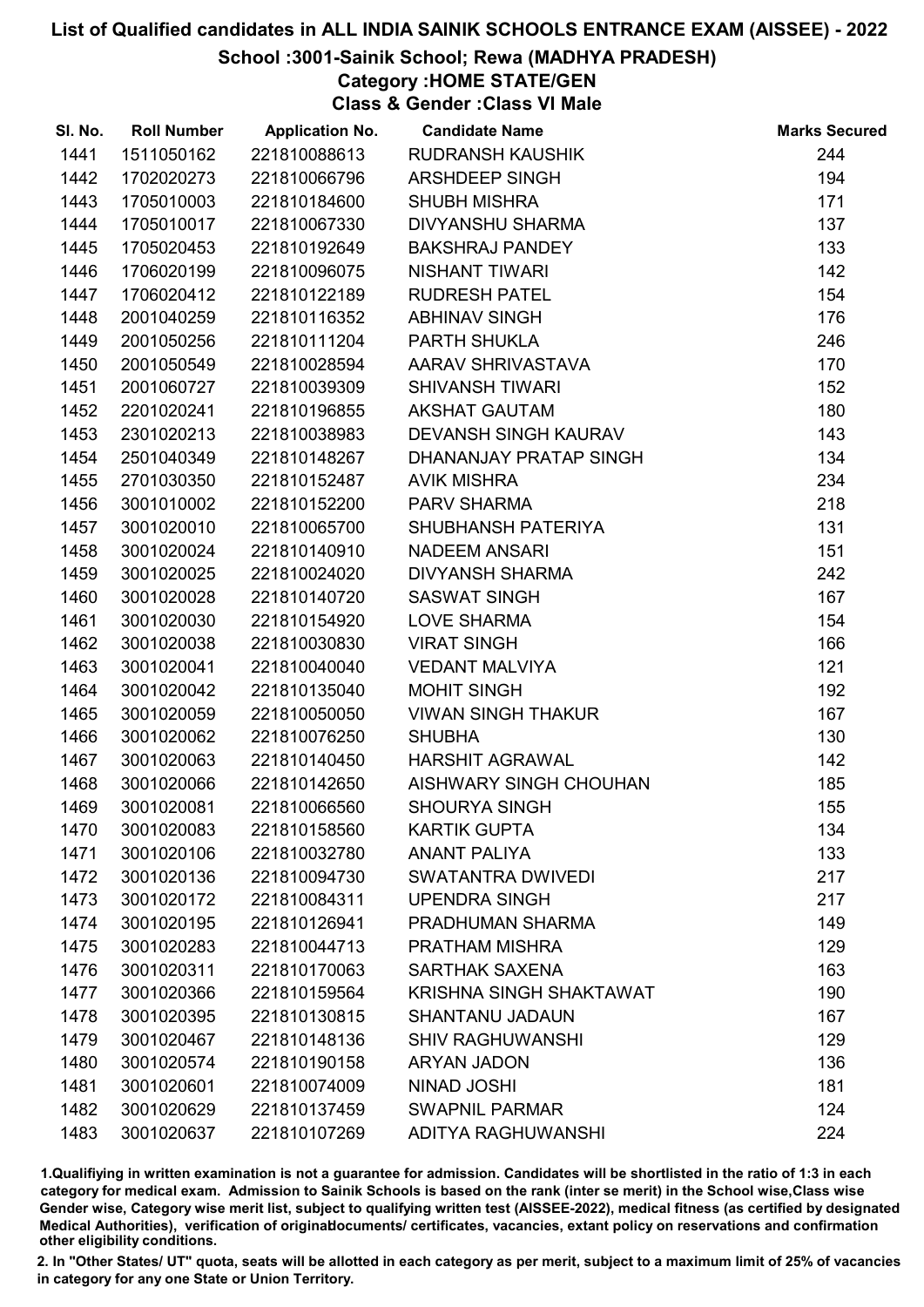## School :3001-Sainik School; Rewa (MADHYA PRADESH)

# Category :HOME STATE/GEN

Class & Gender :Class VI Male

| SI. No. | <b>Roll Number</b> | <b>Application No.</b> | <b>Candidate Name</b>          | <b>Marks Secured</b> |
|---------|--------------------|------------------------|--------------------------------|----------------------|
| 1441    | 1511050162         | 221810088613           | <b>RUDRANSH KAUSHIK</b>        | 244                  |
| 1442    | 1702020273         | 221810066796           | <b>ARSHDEEP SINGH</b>          | 194                  |
| 1443    | 1705010003         | 221810184600           | <b>SHUBH MISHRA</b>            | 171                  |
| 1444    | 1705010017         | 221810067330           | <b>DIVYANSHU SHARMA</b>        | 137                  |
| 1445    | 1705020453         | 221810192649           | <b>BAKSHRAJ PANDEY</b>         | 133                  |
| 1446    | 1706020199         | 221810096075           | <b>NISHANT TIWARI</b>          | 142                  |
| 1447    | 1706020412         | 221810122189           | <b>RUDRESH PATEL</b>           | 154                  |
| 1448    | 2001040259         | 221810116352           | <b>ABHINAV SINGH</b>           | 176                  |
| 1449    | 2001050256         | 221810111204           | PARTH SHUKLA                   | 246                  |
| 1450    | 2001050549         | 221810028594           | AARAV SHRIVASTAVA              | 170                  |
| 1451    | 2001060727         | 221810039309           | <b>SHIVANSH TIWARI</b>         | 152                  |
| 1452    | 2201020241         | 221810196855           | <b>AKSHAT GAUTAM</b>           | 180                  |
| 1453    | 2301020213         | 221810038983           | DEVANSH SINGH KAURAV           | 143                  |
| 1454    | 2501040349         | 221810148267           | DHANANJAY PRATAP SINGH         | 134                  |
| 1455    | 2701030350         | 221810152487           | <b>AVIK MISHRA</b>             | 234                  |
| 1456    | 3001010002         | 221810152200           | <b>PARV SHARMA</b>             | 218                  |
| 1457    | 3001020010         | 221810065700           | SHUBHANSH PATERIYA             | 131                  |
| 1458    | 3001020024         | 221810140910           | <b>NADEEM ANSARI</b>           | 151                  |
| 1459    | 3001020025         | 221810024020           | <b>DIVYANSH SHARMA</b>         | 242                  |
| 1460    | 3001020028         | 221810140720           | <b>SASWAT SINGH</b>            | 167                  |
| 1461    | 3001020030         | 221810154920           | LOVE SHARMA                    | 154                  |
| 1462    | 3001020038         | 221810030830           | <b>VIRAT SINGH</b>             | 166                  |
| 1463    | 3001020041         | 221810040040           | <b>VEDANT MALVIYA</b>          | 121                  |
| 1464    | 3001020042         | 221810135040           | <b>MOHIT SINGH</b>             | 192                  |
| 1465    | 3001020059         | 221810050050           | <b>VIWAN SINGH THAKUR</b>      | 167                  |
| 1466    | 3001020062         | 221810076250           | <b>SHUBHA</b>                  | 130                  |
| 1467    | 3001020063         | 221810140450           | <b>HARSHIT AGRAWAL</b>         | 142                  |
| 1468    | 3001020066         | 221810142650           | AISHWARY SINGH CHOUHAN         | 185                  |
| 1469    | 3001020081         | 221810066560           | <b>SHOURYA SINGH</b>           | 155                  |
| 1470    | 3001020083         | 221810158560           | <b>KARTIK GUPTA</b>            | 134                  |
| 1471    | 3001020106         | 221810032780           | <b>ANANT PALIYA</b>            | 133                  |
| 1472    | 3001020136         | 221810094730           | <b>SWATANTRA DWIVEDI</b>       | 217                  |
| 1473    | 3001020172         | 221810084311           | <b>UPENDRA SINGH</b>           | 217                  |
| 1474    | 3001020195         | 221810126941           | PRADHUMAN SHARMA               | 149                  |
| 1475    | 3001020283         | 221810044713           | PRATHAM MISHRA                 | 129                  |
| 1476    | 3001020311         | 221810170063           | <b>SARTHAK SAXENA</b>          | 163                  |
| 1477    | 3001020366         | 221810159564           | <b>KRISHNA SINGH SHAKTAWAT</b> | 190                  |
| 1478    | 3001020395         | 221810130815           | <b>SHANTANU JADAUN</b>         | 167                  |
| 1479    | 3001020467         | 221810148136           | <b>SHIV RAGHUWANSHI</b>        | 129                  |
| 1480    | 3001020574         | 221810190158           | <b>ARYAN JADON</b>             | 136                  |
| 1481    | 3001020601         | 221810074009           | <b>NINAD JOSHI</b>             | 181                  |
| 1482    | 3001020629         | 221810137459           | <b>SWAPNIL PARMAR</b>          | 124                  |
| 1483    | 3001020637         | 221810107269           | ADITYA RAGHUWANSHI             | 224                  |

1.Qualifiying in written examination is not a guarantee for admission. Candidates will be shortlisted in the ratio of 1:3 in each category for medical exam. Admission to Sainik Schools is based on the rank (inter se merit) in the School wise,Class wise Gender wise, Category wise merit list, subject to qualifying written test (AISSEE-2022), medical fitness (as certified by designated Medical Authorities), verification of originablocuments/ certificates, vacancies, extant policy on reservations and confirmation other eligibility conditions.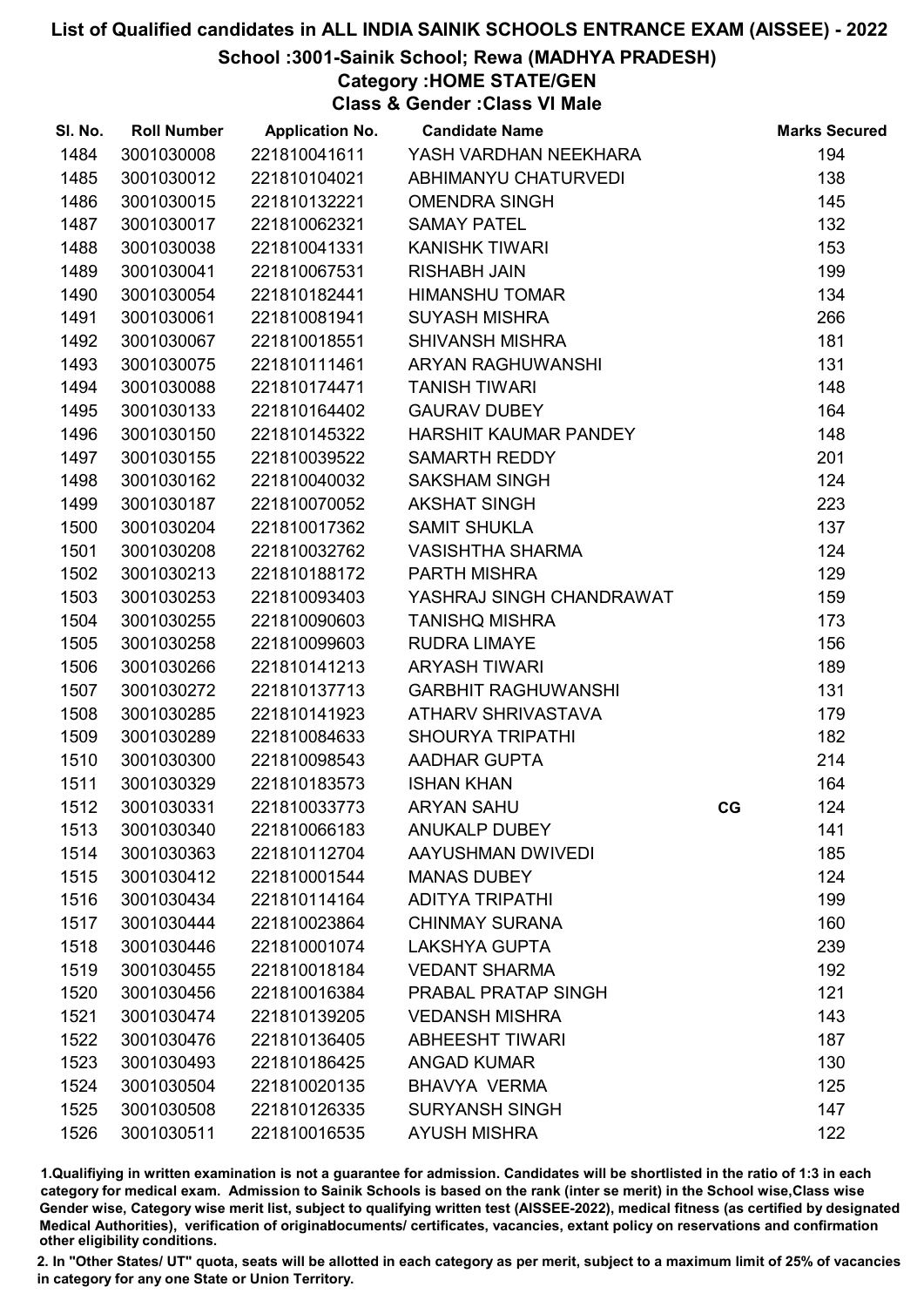# School :3001-Sainik School; Rewa (MADHYA PRADESH)

Category :HOME STATE/GEN

Class & Gender :Class VI Male

| SI. No. | <b>Roll Number</b> | <b>Application No.</b> | <b>Candidate Name</b>      |    | <b>Marks Secured</b> |
|---------|--------------------|------------------------|----------------------------|----|----------------------|
| 1484    | 3001030008         | 221810041611           | YASH VARDHAN NEEKHARA      |    | 194                  |
| 1485    | 3001030012         | 221810104021           | ABHIMANYU CHATURVEDI       |    | 138                  |
| 1486    | 3001030015         | 221810132221           | <b>OMENDRA SINGH</b>       |    | 145                  |
| 1487    | 3001030017         | 221810062321           | <b>SAMAY PATEL</b>         |    | 132                  |
| 1488    | 3001030038         | 221810041331           | <b>KANISHK TIWARI</b>      |    | 153                  |
| 1489    | 3001030041         | 221810067531           | <b>RISHABH JAIN</b>        |    | 199                  |
| 1490    | 3001030054         | 221810182441           | <b>HIMANSHU TOMAR</b>      |    | 134                  |
| 1491    | 3001030061         | 221810081941           | <b>SUYASH MISHRA</b>       |    | 266                  |
| 1492    | 3001030067         | 221810018551           | <b>SHIVANSH MISHRA</b>     |    | 181                  |
| 1493    | 3001030075         | 221810111461           | ARYAN RAGHUWANSHI          |    | 131                  |
| 1494    | 3001030088         | 221810174471           | <b>TANISH TIWARI</b>       |    | 148                  |
| 1495    | 3001030133         | 221810164402           | <b>GAURAV DUBEY</b>        |    | 164                  |
| 1496    | 3001030150         | 221810145322           | HARSHIT KAUMAR PANDEY      |    | 148                  |
| 1497    | 3001030155         | 221810039522           | <b>SAMARTH REDDY</b>       |    | 201                  |
| 1498    | 3001030162         | 221810040032           | <b>SAKSHAM SINGH</b>       |    | 124                  |
| 1499    | 3001030187         | 221810070052           | <b>AKSHAT SINGH</b>        |    | 223                  |
| 1500    | 3001030204         | 221810017362           | <b>SAMIT SHUKLA</b>        |    | 137                  |
| 1501    | 3001030208         | 221810032762           | <b>VASISHTHA SHARMA</b>    |    | 124                  |
| 1502    | 3001030213         | 221810188172           | PARTH MISHRA               |    | 129                  |
| 1503    | 3001030253         | 221810093403           | YASHRAJ SINGH CHANDRAWAT   |    | 159                  |
| 1504    | 3001030255         | 221810090603           | <b>TANISHQ MISHRA</b>      |    | 173                  |
| 1505    | 3001030258         | 221810099603           | <b>RUDRA LIMAYE</b>        |    | 156                  |
| 1506    | 3001030266         | 221810141213           | <b>ARYASH TIWARI</b>       |    | 189                  |
| 1507    | 3001030272         | 221810137713           | <b>GARBHIT RAGHUWANSHI</b> |    | 131                  |
| 1508    | 3001030285         | 221810141923           | ATHARV SHRIVASTAVA         |    | 179                  |
| 1509    | 3001030289         | 221810084633           | <b>SHOURYA TRIPATHI</b>    |    | 182                  |
| 1510    | 3001030300         | 221810098543           | <b>AADHAR GUPTA</b>        |    | 214                  |
| 1511    | 3001030329         | 221810183573           | <b>ISHAN KHAN</b>          |    | 164                  |
| 1512    | 3001030331         | 221810033773           | <b>ARYAN SAHU</b>          | CG | 124                  |
| 1513    | 3001030340         | 221810066183           | <b>ANUKALP DUBEY</b>       |    | 141                  |
| 1514    | 3001030363         | 221810112704           | AAYUSHMAN DWIVEDI          |    | 185                  |
| 1515    | 3001030412         | 221810001544           | <b>MANAS DUBEY</b>         |    | 124                  |
| 1516    | 3001030434         | 221810114164           | <b>ADITYA TRIPATHI</b>     |    | 199                  |
| 1517    | 3001030444         | 221810023864           | <b>CHINMAY SURANA</b>      |    | 160                  |
| 1518    | 3001030446         | 221810001074           | <b>LAKSHYA GUPTA</b>       |    | 239                  |
| 1519    | 3001030455         | 221810018184           | <b>VEDANT SHARMA</b>       |    | 192                  |
| 1520    | 3001030456         | 221810016384           | PRABAL PRATAP SINGH        |    | 121                  |
| 1521    | 3001030474         | 221810139205           | <b>VEDANSH MISHRA</b>      |    | 143                  |
| 1522    | 3001030476         | 221810136405           | <b>ABHEESHT TIWARI</b>     |    | 187                  |
| 1523    | 3001030493         | 221810186425           | <b>ANGAD KUMAR</b>         |    | 130                  |
| 1524    | 3001030504         | 221810020135           | BHAVYA VERMA               |    | 125                  |
| 1525    | 3001030508         | 221810126335           | <b>SURYANSH SINGH</b>      |    | 147                  |
| 1526    | 3001030511         | 221810016535           | <b>AYUSH MISHRA</b>        |    | 122                  |

1.Qualifiying in written examination is not a guarantee for admission. Candidates will be shortlisted in the ratio of 1:3 in each category for medical exam. Admission to Sainik Schools is based on the rank (inter se merit) in the School wise,Class wise Gender wise, Category wise merit list, subject to qualifying written test (AISSEE-2022), medical fitness (as certified by designated Medical Authorities), verification of originablocuments/ certificates, vacancies, extant policy on reservations and confirmation other eligibility conditions.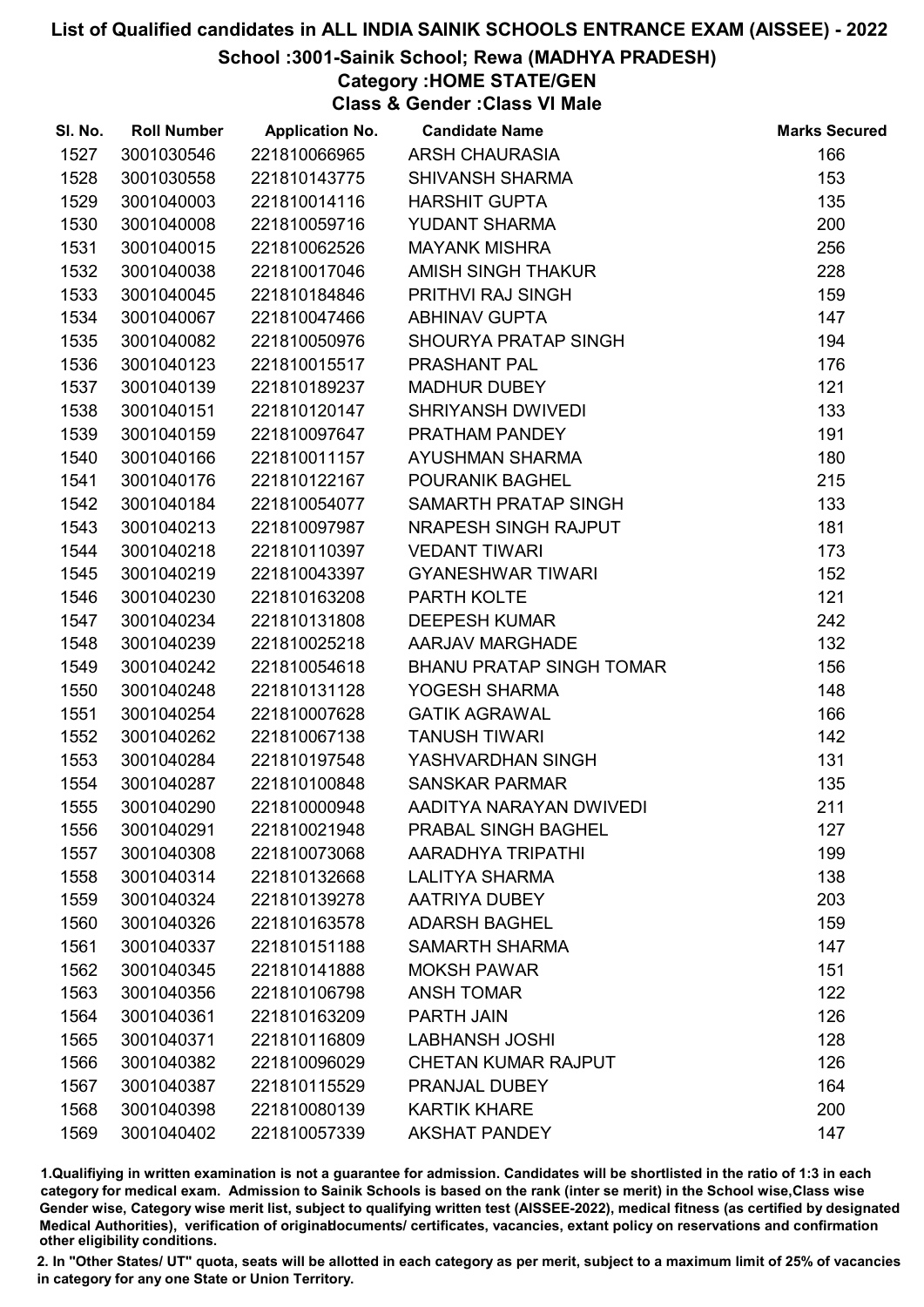# School :3001-Sainik School; Rewa (MADHYA PRADESH)

Category :HOME STATE/GEN

Class & Gender :Class VI Male

| SI. No. | <b>Roll Number</b> | <b>Application No.</b> | <b>Candidate Name</b>           | <b>Marks Secured</b> |
|---------|--------------------|------------------------|---------------------------------|----------------------|
| 1527    | 3001030546         | 221810066965           | <b>ARSH CHAURASIA</b>           | 166                  |
| 1528    | 3001030558         | 221810143775           | <b>SHIVANSH SHARMA</b>          | 153                  |
| 1529    | 3001040003         | 221810014116           | <b>HARSHIT GUPTA</b>            | 135                  |
| 1530    | 3001040008         | 221810059716           | <b>YUDANT SHARMA</b>            | 200                  |
| 1531    | 3001040015         | 221810062526           | <b>MAYANK MISHRA</b>            | 256                  |
| 1532    | 3001040038         | 221810017046           | AMISH SINGH THAKUR              | 228                  |
| 1533    | 3001040045         | 221810184846           | PRITHVI RAJ SINGH               | 159                  |
| 1534    | 3001040067         | 221810047466           | <b>ABHINAV GUPTA</b>            | 147                  |
| 1535    | 3001040082         | 221810050976           | SHOURYA PRATAP SINGH            | 194                  |
| 1536    | 3001040123         | 221810015517           | PRASHANT PAL                    | 176                  |
| 1537    | 3001040139         | 221810189237           | <b>MADHUR DUBEY</b>             | 121                  |
| 1538    | 3001040151         | 221810120147           | SHRIYANSH DWIVEDI               | 133                  |
| 1539    | 3001040159         | 221810097647           | PRATHAM PANDEY                  | 191                  |
| 1540    | 3001040166         | 221810011157           | AYUSHMAN SHARMA                 | 180                  |
| 1541    | 3001040176         | 221810122167           | <b>POURANIK BAGHEL</b>          | 215                  |
| 1542    | 3001040184         | 221810054077           | SAMARTH PRATAP SINGH            | 133                  |
| 1543    | 3001040213         | 221810097987           | NRAPESH SINGH RAJPUT            | 181                  |
| 1544    | 3001040218         | 221810110397           | <b>VEDANT TIWARI</b>            | 173                  |
| 1545    | 3001040219         | 221810043397           | <b>GYANESHWAR TIWARI</b>        | 152                  |
| 1546    | 3001040230         | 221810163208           | PARTH KOLTE                     | 121                  |
| 1547    | 3001040234         | 221810131808           | <b>DEEPESH KUMAR</b>            | 242                  |
| 1548    | 3001040239         | 221810025218           | AARJAV MARGHADE                 | 132                  |
| 1549    | 3001040242         | 221810054618           | <b>BHANU PRATAP SINGH TOMAR</b> | 156                  |
| 1550    | 3001040248         | 221810131128           | YOGESH SHARMA                   | 148                  |
| 1551    | 3001040254         | 221810007628           | <b>GATIK AGRAWAL</b>            | 166                  |
| 1552    | 3001040262         | 221810067138           | <b>TANUSH TIWARI</b>            | 142                  |
| 1553    | 3001040284         | 221810197548           | YASHVARDHAN SINGH               | 131                  |
| 1554    | 3001040287         | 221810100848           | <b>SANSKAR PARMAR</b>           | 135                  |
| 1555    | 3001040290         | 221810000948           | AADITYA NARAYAN DWIVEDI         | 211                  |
| 1556    | 3001040291         | 221810021948           | <b>PRABAL SINGH BAGHEL</b>      | 127                  |
| 1557    | 3001040308         | 221810073068           | AARADHYA TRIPATHI               | 199                  |
| 1558    | 3001040314         | 221810132668           | <b>LALITYA SHARMA</b>           | 138                  |
| 1559    | 3001040324         | 221810139278           | AATRIYA DUBEY                   | 203                  |
| 1560    | 3001040326         | 221810163578           | <b>ADARSH BAGHEL</b>            | 159                  |
| 1561    | 3001040337         | 221810151188           | <b>SAMARTH SHARMA</b>           | 147                  |
| 1562    | 3001040345         | 221810141888           | <b>MOKSH PAWAR</b>              | 151                  |
| 1563    | 3001040356         | 221810106798           | <b>ANSH TOMAR</b>               | 122                  |
| 1564    | 3001040361         | 221810163209           | PARTH JAIN                      | 126                  |
| 1565    | 3001040371         | 221810116809           | <b>LABHANSH JOSHI</b>           | 128                  |
| 1566    | 3001040382         | 221810096029           | <b>CHETAN KUMAR RAJPUT</b>      | 126                  |
| 1567    | 3001040387         | 221810115529           | PRANJAL DUBEY                   | 164                  |
| 1568    | 3001040398         | 221810080139           | <b>KARTIK KHARE</b>             | 200                  |
| 1569    | 3001040402         | 221810057339           | <b>AKSHAT PANDEY</b>            | 147                  |

1.Qualifiying in written examination is not a guarantee for admission. Candidates will be shortlisted in the ratio of 1:3 in each category for medical exam. Admission to Sainik Schools is based on the rank (inter se merit) in the School wise,Class wise Gender wise, Category wise merit list, subject to qualifying written test (AISSEE-2022), medical fitness (as certified by designated Medical Authorities), verification of originablocuments/ certificates, vacancies, extant policy on reservations and confirmation other eligibility conditions.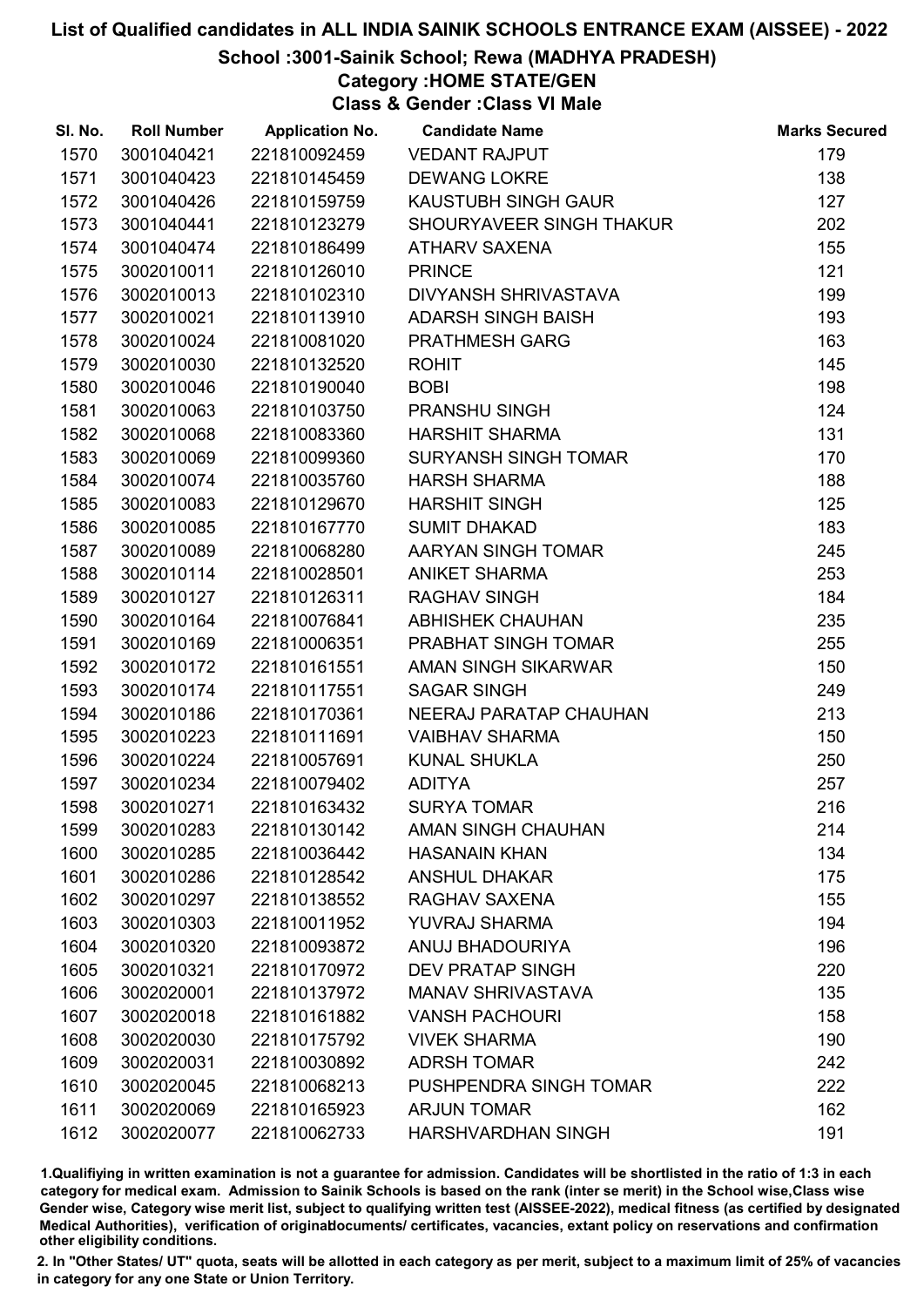# School :3001-Sainik School; Rewa (MADHYA PRADESH)

Category :HOME STATE/GEN

Class & Gender :Class VI Male

| SI. No. | <b>Roll Number</b> | <b>Application No.</b> | <b>Candidate Name</b>       | <b>Marks Secured</b> |
|---------|--------------------|------------------------|-----------------------------|----------------------|
| 1570    | 3001040421         | 221810092459           | <b>VEDANT RAJPUT</b>        | 179                  |
| 1571    | 3001040423         | 221810145459           | <b>DEWANG LOKRE</b>         | 138                  |
| 1572    | 3001040426         | 221810159759           | <b>KAUSTUBH SINGH GAUR</b>  | 127                  |
| 1573    | 3001040441         | 221810123279           | SHOURYAVEER SINGH THAKUR    | 202                  |
| 1574    | 3001040474         | 221810186499           | <b>ATHARV SAXENA</b>        | 155                  |
| 1575    | 3002010011         | 221810126010           | <b>PRINCE</b>               | 121                  |
| 1576    | 3002010013         | 221810102310           | DIVYANSH SHRIVASTAVA        | 199                  |
| 1577    | 3002010021         | 221810113910           | <b>ADARSH SINGH BAISH</b>   | 193                  |
| 1578    | 3002010024         | 221810081020           | PRATHMESH GARG              | 163                  |
| 1579    | 3002010030         | 221810132520           | <b>ROHIT</b>                | 145                  |
| 1580    | 3002010046         | 221810190040           | <b>BOBI</b>                 | 198                  |
| 1581    | 3002010063         | 221810103750           | PRANSHU SINGH               | 124                  |
| 1582    | 3002010068         | 221810083360           | <b>HARSHIT SHARMA</b>       | 131                  |
| 1583    | 3002010069         | 221810099360           | <b>SURYANSH SINGH TOMAR</b> | 170                  |
| 1584    | 3002010074         | 221810035760           | <b>HARSH SHARMA</b>         | 188                  |
| 1585    | 3002010083         | 221810129670           | <b>HARSHIT SINGH</b>        | 125                  |
| 1586    | 3002010085         | 221810167770           | <b>SUMIT DHAKAD</b>         | 183                  |
| 1587    | 3002010089         | 221810068280           | AARYAN SINGH TOMAR          | 245                  |
| 1588    | 3002010114         | 221810028501           | <b>ANIKET SHARMA</b>        | 253                  |
| 1589    | 3002010127         | 221810126311           | <b>RAGHAV SINGH</b>         | 184                  |
| 1590    | 3002010164         | 221810076841           | ABHISHEK CHAUHAN            | 235                  |
| 1591    | 3002010169         | 221810006351           | PRABHAT SINGH TOMAR         | 255                  |
| 1592    | 3002010172         | 221810161551           | AMAN SINGH SIKARWAR         | 150                  |
| 1593    | 3002010174         | 221810117551           | <b>SAGAR SINGH</b>          | 249                  |
| 1594    | 3002010186         | 221810170361           | NEERAJ PARATAP CHAUHAN      | 213                  |
| 1595    | 3002010223         | 221810111691           | <b>VAIBHAV SHARMA</b>       | 150                  |
| 1596    | 3002010224         | 221810057691           | <b>KUNAL SHUKLA</b>         | 250                  |
| 1597    | 3002010234         | 221810079402           | <b>ADITYA</b>               | 257                  |
| 1598    | 3002010271         | 221810163432           | <b>SURYA TOMAR</b>          | 216                  |
| 1599    | 3002010283         | 221810130142           | AMAN SINGH CHAUHAN          | 214                  |
| 1600    | 3002010285         | 221810036442           | <b>HASANAIN KHAN</b>        | 134                  |
| 1601    | 3002010286         | 221810128542           | <b>ANSHUL DHAKAR</b>        | 175                  |
| 1602    | 3002010297         | 221810138552           | RAGHAV SAXENA               | 155                  |
| 1603    | 3002010303         | 221810011952           | <b>YUVRAJ SHARMA</b>        | 194                  |
| 1604    | 3002010320         | 221810093872           | ANUJ BHADOURIYA             | 196                  |
| 1605    | 3002010321         | 221810170972           | <b>DEV PRATAP SINGH</b>     | 220                  |
| 1606    | 3002020001         | 221810137972           | <b>MANAV SHRIVASTAVA</b>    | 135                  |
| 1607    | 3002020018         | 221810161882           | <b>VANSH PACHOURI</b>       | 158                  |
| 1608    | 3002020030         | 221810175792           | <b>VIVEK SHARMA</b>         | 190                  |
| 1609    | 3002020031         | 221810030892           | <b>ADRSH TOMAR</b>          | 242                  |
| 1610    | 3002020045         | 221810068213           | PUSHPENDRA SINGH TOMAR      | 222                  |
| 1611    | 3002020069         | 221810165923           | <b>ARJUN TOMAR</b>          | 162                  |
| 1612    | 3002020077         | 221810062733           | HARSHVARDHAN SINGH          | 191                  |

1.Qualifiying in written examination is not a guarantee for admission. Candidates will be shortlisted in the ratio of 1:3 in each category for medical exam. Admission to Sainik Schools is based on the rank (inter se merit) in the School wise,Class wise Gender wise, Category wise merit list, subject to qualifying written test (AISSEE-2022), medical fitness (as certified by designated Medical Authorities), verification of originablocuments/ certificates, vacancies, extant policy on reservations and confirmation other eligibility conditions.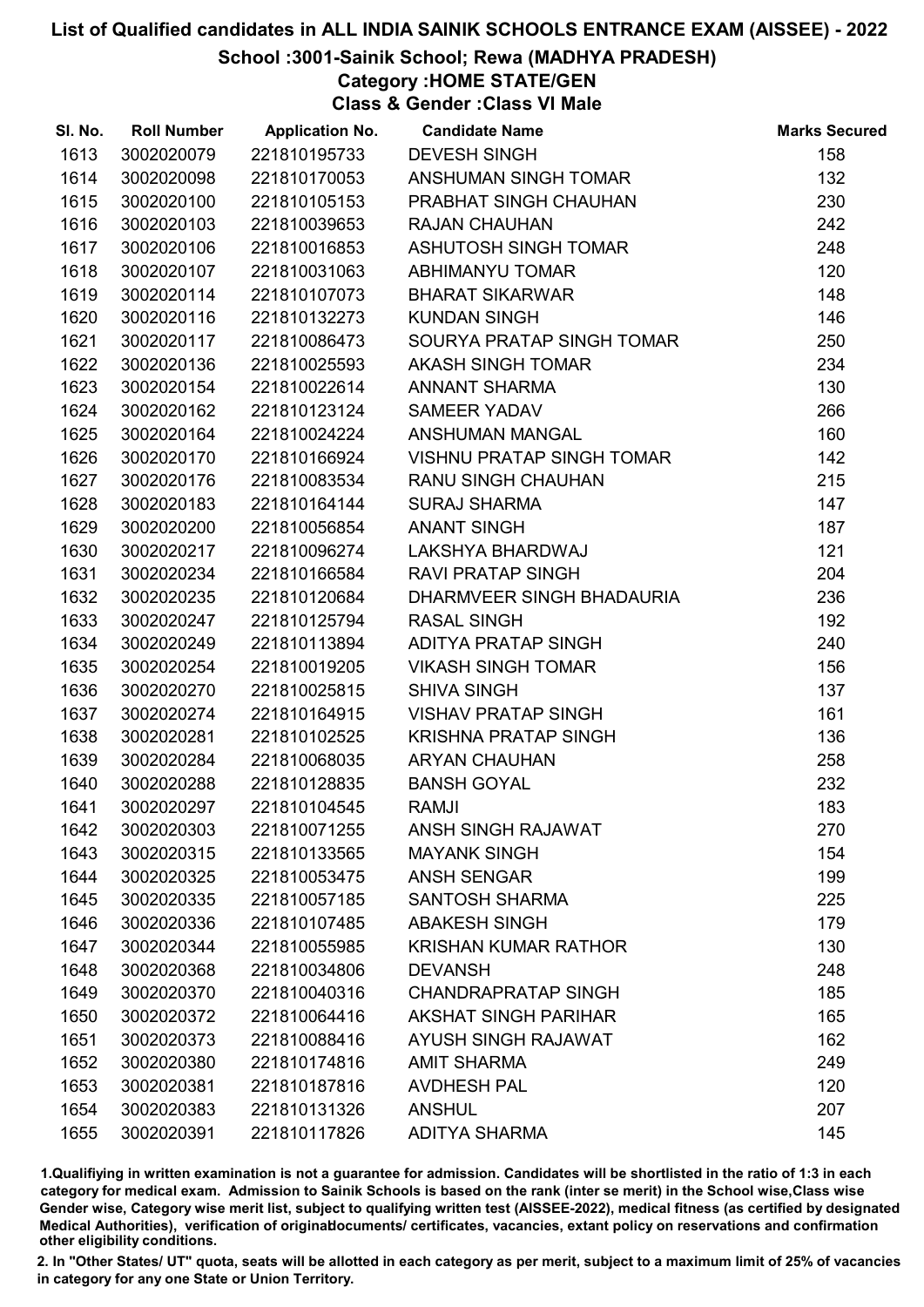# School :3001-Sainik School; Rewa (MADHYA PRADESH)

Category :HOME STATE/GEN

Class & Gender :Class VI Male

| SI. No. | <b>Roll Number</b> | <b>Application No.</b> | <b>Candidate Name</b>            | <b>Marks Secured</b> |
|---------|--------------------|------------------------|----------------------------------|----------------------|
| 1613    | 3002020079         | 221810195733           | <b>DEVESH SINGH</b>              | 158                  |
| 1614    | 3002020098         | 221810170053           | ANSHUMAN SINGH TOMAR             | 132                  |
| 1615    | 3002020100         | 221810105153           | PRABHAT SINGH CHAUHAN            | 230                  |
| 1616    | 3002020103         | 221810039653           | <b>RAJAN CHAUHAN</b>             | 242                  |
| 1617    | 3002020106         | 221810016853           | ASHUTOSH SINGH TOMAR             | 248                  |
| 1618    | 3002020107         | 221810031063           | ABHIMANYU TOMAR                  | 120                  |
| 1619    | 3002020114         | 221810107073           | <b>BHARAT SIKARWAR</b>           | 148                  |
| 1620    | 3002020116         | 221810132273           | <b>KUNDAN SINGH</b>              | 146                  |
| 1621    | 3002020117         | 221810086473           | SOURYA PRATAP SINGH TOMAR        | 250                  |
| 1622    | 3002020136         | 221810025593           | <b>AKASH SINGH TOMAR</b>         | 234                  |
| 1623    | 3002020154         | 221810022614           | <b>ANNANT SHARMA</b>             | 130                  |
| 1624    | 3002020162         | 221810123124           | <b>SAMEER YADAV</b>              | 266                  |
| 1625    | 3002020164         | 221810024224           | ANSHUMAN MANGAL                  | 160                  |
| 1626    | 3002020170         | 221810166924           | <b>VISHNU PRATAP SINGH TOMAR</b> | 142                  |
| 1627    | 3002020176         | 221810083534           | <b>RANU SINGH CHAUHAN</b>        | 215                  |
| 1628    | 3002020183         | 221810164144           | <b>SURAJ SHARMA</b>              | 147                  |
| 1629    | 3002020200         | 221810056854           | <b>ANANT SINGH</b>               | 187                  |
| 1630    | 3002020217         | 221810096274           | LAKSHYA BHARDWAJ                 | 121                  |
| 1631    | 3002020234         | 221810166584           | <b>RAVI PRATAP SINGH</b>         | 204                  |
| 1632    | 3002020235         | 221810120684           | DHARMVEER SINGH BHADAURIA        | 236                  |
| 1633    | 3002020247         | 221810125794           | <b>RASAL SINGH</b>               | 192                  |
| 1634    | 3002020249         | 221810113894           | <b>ADITYA PRATAP SINGH</b>       | 240                  |
| 1635    | 3002020254         | 221810019205           | <b>VIKASH SINGH TOMAR</b>        | 156                  |
| 1636    | 3002020270         | 221810025815           | <b>SHIVA SINGH</b>               | 137                  |
| 1637    | 3002020274         | 221810164915           | <b>VISHAV PRATAP SINGH</b>       | 161                  |
| 1638    | 3002020281         | 221810102525           | <b>KRISHNA PRATAP SINGH</b>      | 136                  |
| 1639    | 3002020284         | 221810068035           | <b>ARYAN CHAUHAN</b>             | 258                  |
| 1640    | 3002020288         | 221810128835           | <b>BANSH GOYAL</b>               | 232                  |
| 1641    | 3002020297         | 221810104545           | <b>RAMJI</b>                     | 183                  |
| 1642    | 3002020303         | 221810071255           | <b>ANSH SINGH RAJAWAT</b>        | 270                  |
| 1643    | 3002020315         | 221810133565           | <b>MAYANK SINGH</b>              | 154                  |
| 1644    | 3002020325         | 221810053475           | <b>ANSH SENGAR</b>               | 199                  |
| 1645    | 3002020335         | 221810057185           | <b>SANTOSH SHARMA</b>            | 225                  |
| 1646    | 3002020336         | 221810107485           | <b>ABAKESH SINGH</b>             | 179                  |
| 1647    | 3002020344         | 221810055985           | <b>KRISHAN KUMAR RATHOR</b>      | 130                  |
| 1648    | 3002020368         | 221810034806           | <b>DEVANSH</b>                   | 248                  |
| 1649    | 3002020370         | 221810040316           | <b>CHANDRAPRATAP SINGH</b>       | 185                  |
| 1650    | 3002020372         | 221810064416           | <b>AKSHAT SINGH PARIHAR</b>      | 165                  |
| 1651    | 3002020373         | 221810088416           | AYUSH SINGH RAJAWAT              | 162                  |
| 1652    | 3002020380         | 221810174816           | <b>AMIT SHARMA</b>               | 249                  |
| 1653    | 3002020381         | 221810187816           | <b>AVDHESH PAL</b>               | 120                  |
| 1654    | 3002020383         | 221810131326           | <b>ANSHUL</b>                    | 207                  |
| 1655    | 3002020391         | 221810117826           | <b>ADITYA SHARMA</b>             | 145                  |

1.Qualifiying in written examination is not a guarantee for admission. Candidates will be shortlisted in the ratio of 1:3 in each category for medical exam. Admission to Sainik Schools is based on the rank (inter se merit) in the School wise,Class wise Gender wise, Category wise merit list, subject to qualifying written test (AISSEE-2022), medical fitness (as certified by designated Medical Authorities), verification of originablocuments/ certificates, vacancies, extant policy on reservations and confirmation other eligibility conditions.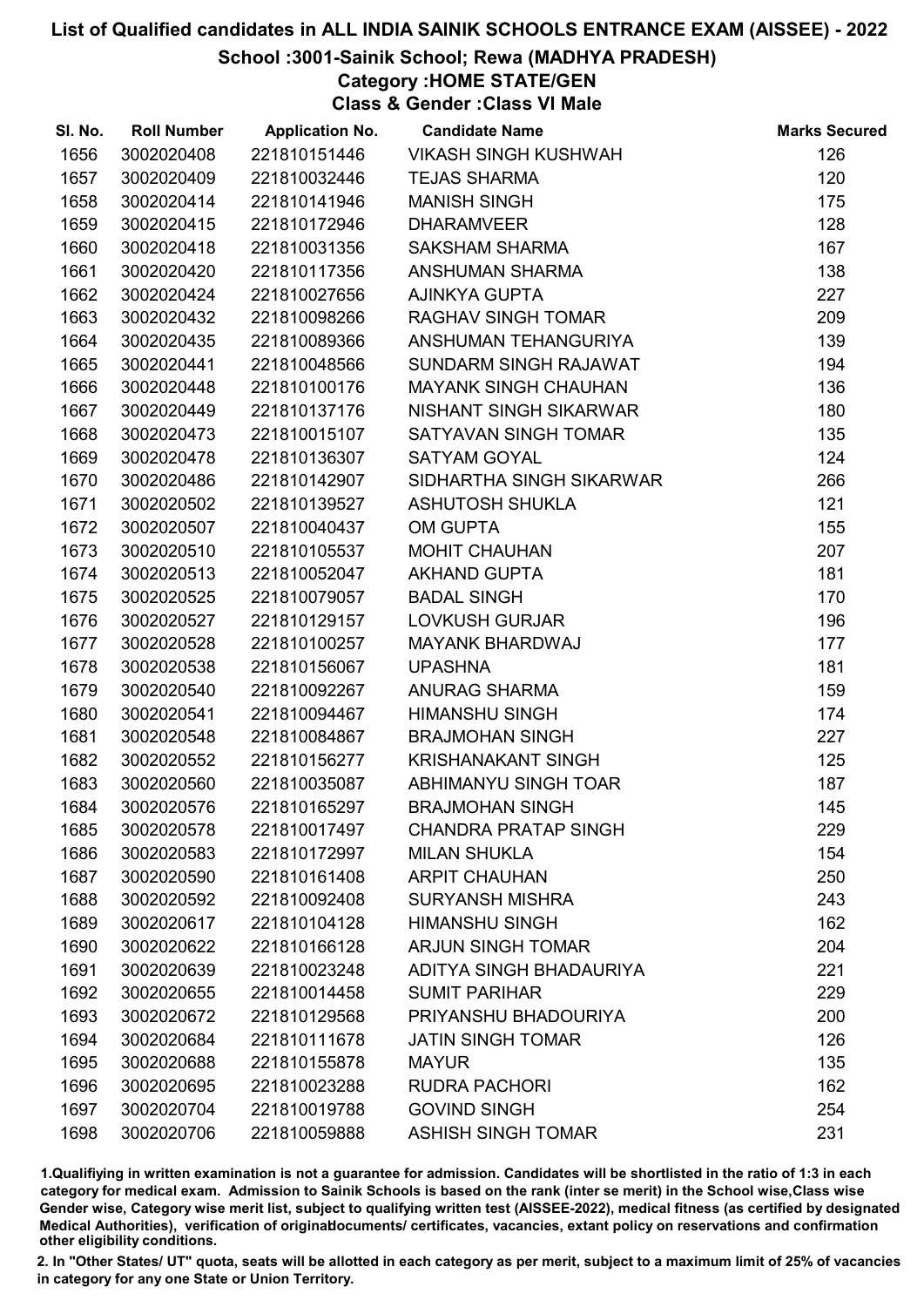# School :3001-Sainik School; Rewa (MADHYA PRADESH)

Category :HOME STATE/GEN

Class & Gender :Class VI Male

| SI. No. | <b>Roll Number</b> | <b>Application No.</b> | <b>Candidate Name</b>       | <b>Marks Secured</b> |
|---------|--------------------|------------------------|-----------------------------|----------------------|
| 1656    | 3002020408         | 221810151446           | <b>VIKASH SINGH KUSHWAH</b> | 126                  |
| 1657    | 3002020409         | 221810032446           | <b>TEJAS SHARMA</b>         | 120                  |
| 1658    | 3002020414         | 221810141946           | <b>MANISH SINGH</b>         | 175                  |
| 1659    | 3002020415         | 221810172946           | <b>DHARAMVEER</b>           | 128                  |
| 1660    | 3002020418         | 221810031356           | <b>SAKSHAM SHARMA</b>       | 167                  |
| 1661    | 3002020420         | 221810117356           | ANSHUMAN SHARMA             | 138                  |
| 1662    | 3002020424         | 221810027656           | <b>AJINKYA GUPTA</b>        | 227                  |
| 1663    | 3002020432         | 221810098266           | <b>RAGHAV SINGH TOMAR</b>   | 209                  |
| 1664    | 3002020435         | 221810089366           | ANSHUMAN TEHANGURIYA        | 139                  |
| 1665    | 3002020441         | 221810048566           | SUNDARM SINGH RAJAWAT       | 194                  |
| 1666    | 3002020448         | 221810100176           | <b>MAYANK SINGH CHAUHAN</b> | 136                  |
| 1667    | 3002020449         | 221810137176           | NISHANT SINGH SIKARWAR      | 180                  |
| 1668    | 3002020473         | 221810015107           | SATYAVAN SINGH TOMAR        | 135                  |
| 1669    | 3002020478         | 221810136307           | <b>SATYAM GOYAL</b>         | 124                  |
| 1670    | 3002020486         | 221810142907           | SIDHARTHA SINGH SIKARWAR    | 266                  |
| 1671    | 3002020502         | 221810139527           | <b>ASHUTOSH SHUKLA</b>      | 121                  |
| 1672    | 3002020507         | 221810040437           | <b>OM GUPTA</b>             | 155                  |
| 1673    | 3002020510         | 221810105537           | <b>MOHIT CHAUHAN</b>        | 207                  |
| 1674    | 3002020513         | 221810052047           | <b>AKHAND GUPTA</b>         | 181                  |
| 1675    | 3002020525         | 221810079057           | <b>BADAL SINGH</b>          | 170                  |
| 1676    | 3002020527         | 221810129157           | <b>LOVKUSH GURJAR</b>       | 196                  |
| 1677    | 3002020528         | 221810100257           | <b>MAYANK BHARDWAJ</b>      | 177                  |
| 1678    | 3002020538         | 221810156067           | <b>UPASHNA</b>              | 181                  |
| 1679    | 3002020540         | 221810092267           | <b>ANURAG SHARMA</b>        | 159                  |
| 1680    | 3002020541         | 221810094467           | <b>HIMANSHU SINGH</b>       | 174                  |
| 1681    | 3002020548         | 221810084867           | <b>BRAJMOHAN SINGH</b>      | 227                  |
| 1682    | 3002020552         | 221810156277           | <b>KRISHANAKANT SINGH</b>   | 125                  |
| 1683    | 3002020560         | 221810035087           | ABHIMANYU SINGH TOAR        | 187                  |
| 1684    | 3002020576         | 221810165297           | <b>BRAJMOHAN SINGH</b>      | 145                  |
| 1685    | 3002020578         | 221810017497           | <b>CHANDRA PRATAP SINGH</b> | 229                  |
| 1686    | 3002020583         | 221810172997           | <b>MILAN SHUKLA</b>         | 154                  |
| 1687    | 3002020590         | 221810161408           | <b>ARPIT CHAUHAN</b>        | 250                  |
| 1688    | 3002020592         | 221810092408           | <b>SURYANSH MISHRA</b>      | 243                  |
| 1689    | 3002020617         | 221810104128           | <b>HIMANSHU SINGH</b>       | 162                  |
| 1690    | 3002020622         | 221810166128           | <b>ARJUN SINGH TOMAR</b>    | 204                  |
| 1691    | 3002020639         | 221810023248           | ADITYA SINGH BHADAURIYA     | 221                  |
| 1692    | 3002020655         | 221810014458           | <b>SUMIT PARIHAR</b>        | 229                  |
| 1693    | 3002020672         | 221810129568           | PRIYANSHU BHADOURIYA        | 200                  |
| 1694    | 3002020684         | 221810111678           | <b>JATIN SINGH TOMAR</b>    | 126                  |
| 1695    | 3002020688         | 221810155878           | <b>MAYUR</b>                | 135                  |
| 1696    | 3002020695         | 221810023288           | <b>RUDRA PACHORI</b>        | 162                  |
| 1697    | 3002020704         | 221810019788           | <b>GOVIND SINGH</b>         | 254                  |
| 1698    | 3002020706         | 221810059888           | ASHISH SINGH TOMAR          | 231                  |

1.Qualifiying in written examination is not a guarantee for admission. Candidates will be shortlisted in the ratio of 1:3 in each category for medical exam. Admission to Sainik Schools is based on the rank (inter se merit) in the School wise,Class wise Gender wise, Category wise merit list, subject to qualifying written test (AISSEE-2022), medical fitness (as certified by designated Medical Authorities), verification of originablocuments/ certificates, vacancies, extant policy on reservations and confirmation other eligibility conditions.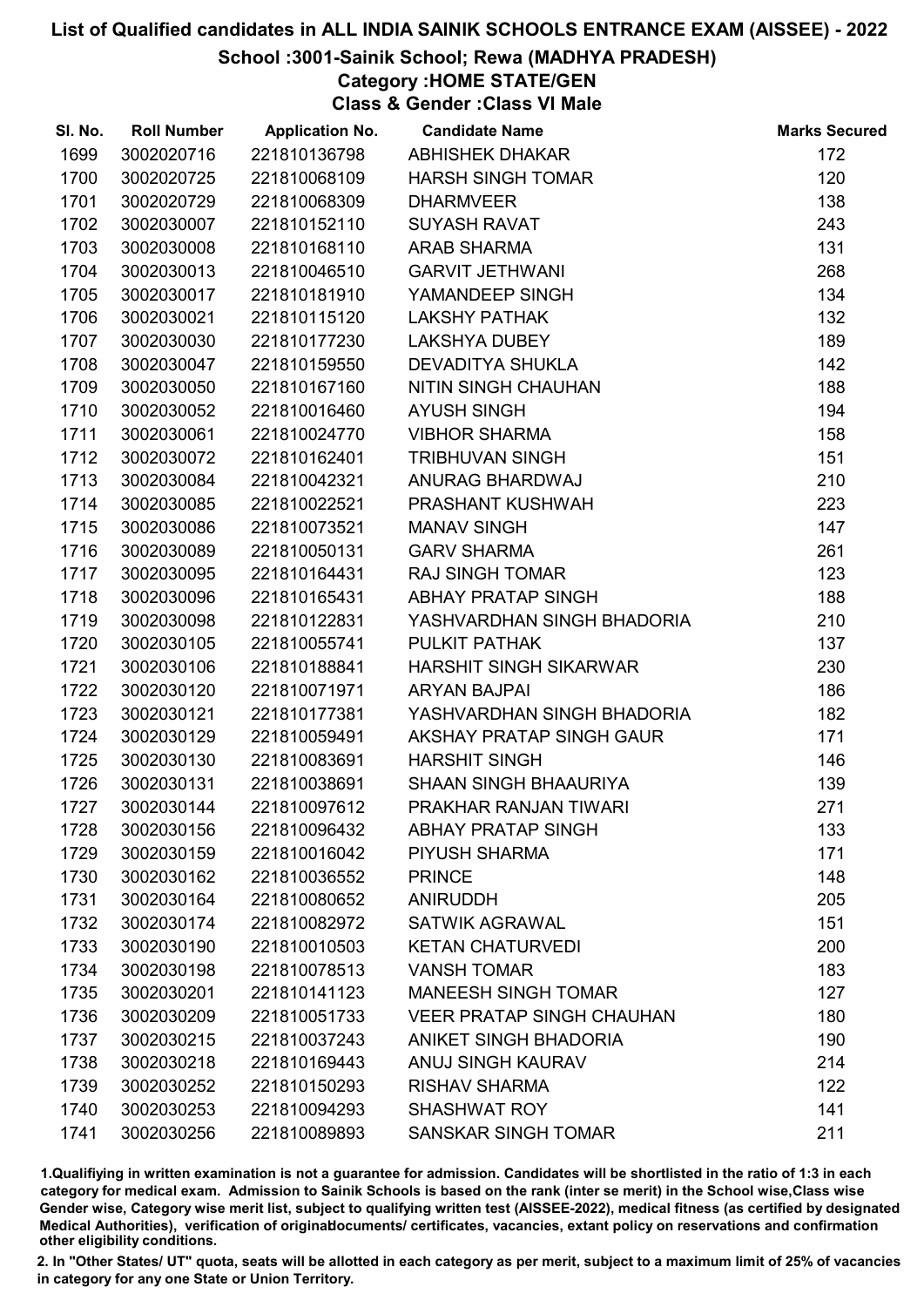# School :3001-Sainik School; Rewa (MADHYA PRADESH)

Category :HOME STATE/GEN

Class & Gender :Class VI Male

| SI. No. | <b>Roll Number</b> | <b>Application No.</b> | <b>Candidate Name</b>            | <b>Marks Secured</b> |
|---------|--------------------|------------------------|----------------------------------|----------------------|
| 1699    | 3002020716         | 221810136798           | <b>ABHISHEK DHAKAR</b>           | 172                  |
| 1700    | 3002020725         | 221810068109           | <b>HARSH SINGH TOMAR</b>         | 120                  |
| 1701    | 3002020729         | 221810068309           | <b>DHARMVEER</b>                 | 138                  |
| 1702    | 3002030007         | 221810152110           | <b>SUYASH RAVAT</b>              | 243                  |
| 1703    | 3002030008         | 221810168110           | <b>ARAB SHARMA</b>               | 131                  |
| 1704    | 3002030013         | 221810046510           | <b>GARVIT JETHWANI</b>           | 268                  |
| 1705    | 3002030017         | 221810181910           | YAMANDEEP SINGH                  | 134                  |
| 1706    | 3002030021         | 221810115120           | <b>LAKSHY PATHAK</b>             | 132                  |
| 1707    | 3002030030         | 221810177230           | <b>LAKSHYA DUBEY</b>             | 189                  |
| 1708    | 3002030047         | 221810159550           | <b>DEVADITYA SHUKLA</b>          | 142                  |
| 1709    | 3002030050         | 221810167160           | NITIN SINGH CHAUHAN              | 188                  |
| 1710    | 3002030052         | 221810016460           | <b>AYUSH SINGH</b>               | 194                  |
| 1711    | 3002030061         | 221810024770           | <b>VIBHOR SHARMA</b>             | 158                  |
| 1712    | 3002030072         | 221810162401           | <b>TRIBHUVAN SINGH</b>           | 151                  |
| 1713    | 3002030084         | 221810042321           | ANURAG BHARDWAJ                  | 210                  |
| 1714    | 3002030085         | 221810022521           | PRASHANT KUSHWAH                 | 223                  |
| 1715    | 3002030086         | 221810073521           | <b>MANAV SINGH</b>               | 147                  |
| 1716    | 3002030089         | 221810050131           | <b>GARV SHARMA</b>               | 261                  |
| 1717    | 3002030095         | 221810164431           | <b>RAJ SINGH TOMAR</b>           | 123                  |
| 1718    | 3002030096         | 221810165431           | <b>ABHAY PRATAP SINGH</b>        | 188                  |
| 1719    | 3002030098         | 221810122831           | YASHVARDHAN SINGH BHADORIA       | 210                  |
| 1720    | 3002030105         | 221810055741           | PULKIT PATHAK                    | 137                  |
| 1721    | 3002030106         | 221810188841           | <b>HARSHIT SINGH SIKARWAR</b>    | 230                  |
| 1722    | 3002030120         | 221810071971           | <b>ARYAN BAJPAI</b>              | 186                  |
| 1723    | 3002030121         | 221810177381           | YASHVARDHAN SINGH BHADORIA       | 182                  |
| 1724    | 3002030129         | 221810059491           | AKSHAY PRATAP SINGH GAUR         | 171                  |
| 1725    | 3002030130         | 221810083691           | <b>HARSHIT SINGH</b>             | 146                  |
| 1726    | 3002030131         | 221810038691           | SHAAN SINGH BHAAURIYA            | 139                  |
| 1727    | 3002030144         | 221810097612           | PRAKHAR RANJAN TIWARI            | 271                  |
| 1728    | 3002030156         | 221810096432           | <b>ABHAY PRATAP SINGH</b>        | 133                  |
| 1729    | 3002030159         | 221810016042           | <b>PIYUSH SHARMA</b>             | 171                  |
| 1730    | 3002030162         | 221810036552           | <b>PRINCE</b>                    | 148                  |
| 1731    | 3002030164         | 221810080652           | <b>ANIRUDDH</b>                  | 205                  |
| 1732    | 3002030174         | 221810082972           | <b>SATWIK AGRAWAL</b>            | 151                  |
| 1733    | 3002030190         | 221810010503           | <b>KETAN CHATURVEDI</b>          | 200                  |
| 1734    | 3002030198         | 221810078513           | <b>VANSH TOMAR</b>               | 183                  |
| 1735    | 3002030201         | 221810141123           | <b>MANEESH SINGH TOMAR</b>       | 127                  |
| 1736    | 3002030209         | 221810051733           | <b>VEER PRATAP SINGH CHAUHAN</b> | 180                  |
| 1737    | 3002030215         | 221810037243           | <b>ANIKET SINGH BHADORIA</b>     | 190                  |
| 1738    | 3002030218         | 221810169443           | <b>ANUJ SINGH KAURAV</b>         | 214                  |
| 1739    | 3002030252         | 221810150293           | <b>RISHAV SHARMA</b>             | 122                  |
| 1740    | 3002030253         | 221810094293           | <b>SHASHWAT ROY</b>              | 141                  |
| 1741    | 3002030256         | 221810089893           | <b>SANSKAR SINGH TOMAR</b>       | 211                  |

1.Qualifiying in written examination is not a guarantee for admission. Candidates will be shortlisted in the ratio of 1:3 in each category for medical exam. Admission to Sainik Schools is based on the rank (inter se merit) in the School wise,Class wise Gender wise, Category wise merit list, subject to qualifying written test (AISSEE-2022), medical fitness (as certified by designated Medical Authorities), verification of originablocuments/ certificates, vacancies, extant policy on reservations and confirmation other eligibility conditions.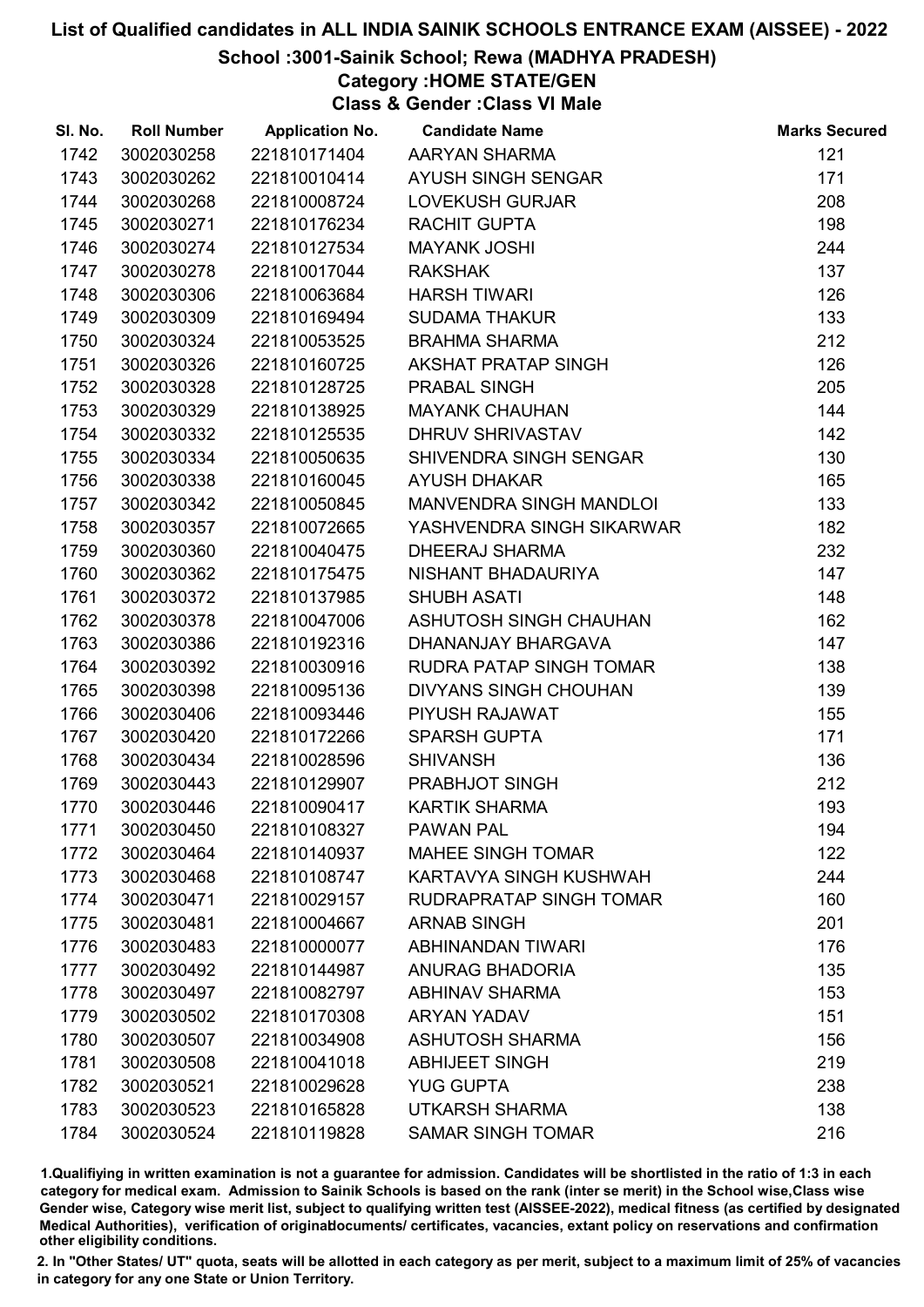# School :3001-Sainik School; Rewa (MADHYA PRADESH)

Category :HOME STATE/GEN

Class & Gender :Class VI Male

| SI. No. | <b>Roll Number</b> | <b>Application No.</b> | <b>Candidate Name</b>          | <b>Marks Secured</b> |
|---------|--------------------|------------------------|--------------------------------|----------------------|
| 1742    | 3002030258         | 221810171404           | AARYAN SHARMA                  | 121                  |
| 1743    | 3002030262         | 221810010414           | AYUSH SINGH SENGAR             | 171                  |
| 1744    | 3002030268         | 221810008724           | <b>LOVEKUSH GURJAR</b>         | 208                  |
| 1745    | 3002030271         | 221810176234           | RACHIT GUPTA                   | 198                  |
| 1746    | 3002030274         | 221810127534           | <b>MAYANK JOSHI</b>            | 244                  |
| 1747    | 3002030278         | 221810017044           | <b>RAKSHAK</b>                 | 137                  |
| 1748    | 3002030306         | 221810063684           | <b>HARSH TIWARI</b>            | 126                  |
| 1749    | 3002030309         | 221810169494           | <b>SUDAMA THAKUR</b>           | 133                  |
| 1750    | 3002030324         | 221810053525           | <b>BRAHMA SHARMA</b>           | 212                  |
| 1751    | 3002030326         | 221810160725           | <b>AKSHAT PRATAP SINGH</b>     | 126                  |
| 1752    | 3002030328         | 221810128725           | PRABAL SINGH                   | 205                  |
| 1753    | 3002030329         | 221810138925           | <b>MAYANK CHAUHAN</b>          | 144                  |
| 1754    | 3002030332         | 221810125535           | DHRUV SHRIVASTAV               | 142                  |
| 1755    | 3002030334         | 221810050635           | SHIVENDRA SINGH SENGAR         | 130                  |
| 1756    | 3002030338         | 221810160045           | <b>AYUSH DHAKAR</b>            | 165                  |
| 1757    | 3002030342         | 221810050845           | <b>MANVENDRA SINGH MANDLOI</b> | 133                  |
| 1758    | 3002030357         | 221810072665           | YASHVENDRA SINGH SIKARWAR      | 182                  |
| 1759    | 3002030360         | 221810040475           | <b>DHEERAJ SHARMA</b>          | 232                  |
| 1760    | 3002030362         | 221810175475           | NISHANT BHADAURIYA             | 147                  |
| 1761    | 3002030372         | 221810137985           | <b>SHUBH ASATI</b>             | 148                  |
| 1762    | 3002030378         | 221810047006           | ASHUTOSH SINGH CHAUHAN         | 162                  |
| 1763    | 3002030386         | 221810192316           | DHANANJAY BHARGAVA             | 147                  |
| 1764    | 3002030392         | 221810030916           | RUDRA PATAP SINGH TOMAR        | 138                  |
| 1765    | 3002030398         | 221810095136           | <b>DIVYANS SINGH CHOUHAN</b>   | 139                  |
| 1766    | 3002030406         | 221810093446           | PIYUSH RAJAWAT                 | 155                  |
| 1767    | 3002030420         | 221810172266           | <b>SPARSH GUPTA</b>            | 171                  |
| 1768    | 3002030434         | 221810028596           | <b>SHIVANSH</b>                | 136                  |
| 1769    | 3002030443         | 221810129907           | PRABHJOT SINGH                 | 212                  |
| 1770    | 3002030446         | 221810090417           | <b>KARTIK SHARMA</b>           | 193                  |
| 1771    | 3002030450         | 221810108327           | <b>PAWAN PAL</b>               | 194                  |
| 1772    | 3002030464         | 221810140937           | <b>MAHEE SINGH TOMAR</b>       | 122                  |
| 1773    | 3002030468         | 221810108747           | KARTAVYA SINGH KUSHWAH         | 244                  |
| 1774    | 3002030471         | 221810029157           | RUDRAPRATAP SINGH TOMAR        | 160                  |
| 1775    | 3002030481         | 221810004667           | <b>ARNAB SINGH</b>             | 201                  |
| 1776    | 3002030483         | 221810000077           | ABHINANDAN TIWARI              | 176                  |
| 1777    | 3002030492         | 221810144987           | <b>ANURAG BHADORIA</b>         | 135                  |
| 1778    | 3002030497         | 221810082797           | <b>ABHINAV SHARMA</b>          | 153                  |
| 1779    | 3002030502         | 221810170308           | <b>ARYAN YADAV</b>             | 151                  |
| 1780    | 3002030507         | 221810034908           | <b>ASHUTOSH SHARMA</b>         | 156                  |
| 1781    | 3002030508         | 221810041018           | <b>ABHIJEET SINGH</b>          | 219                  |
| 1782    | 3002030521         | 221810029628           | <b>YUG GUPTA</b>               | 238                  |
| 1783    | 3002030523         | 221810165828           | UTKARSH SHARMA                 | 138                  |
| 1784    | 3002030524         | 221810119828           | <b>SAMAR SINGH TOMAR</b>       | 216                  |

1.Qualifiying in written examination is not a guarantee for admission. Candidates will be shortlisted in the ratio of 1:3 in each category for medical exam. Admission to Sainik Schools is based on the rank (inter se merit) in the School wise,Class wise Gender wise, Category wise merit list, subject to qualifying written test (AISSEE-2022), medical fitness (as certified by designated Medical Authorities), verification of originablocuments/ certificates, vacancies, extant policy on reservations and confirmation other eligibility conditions.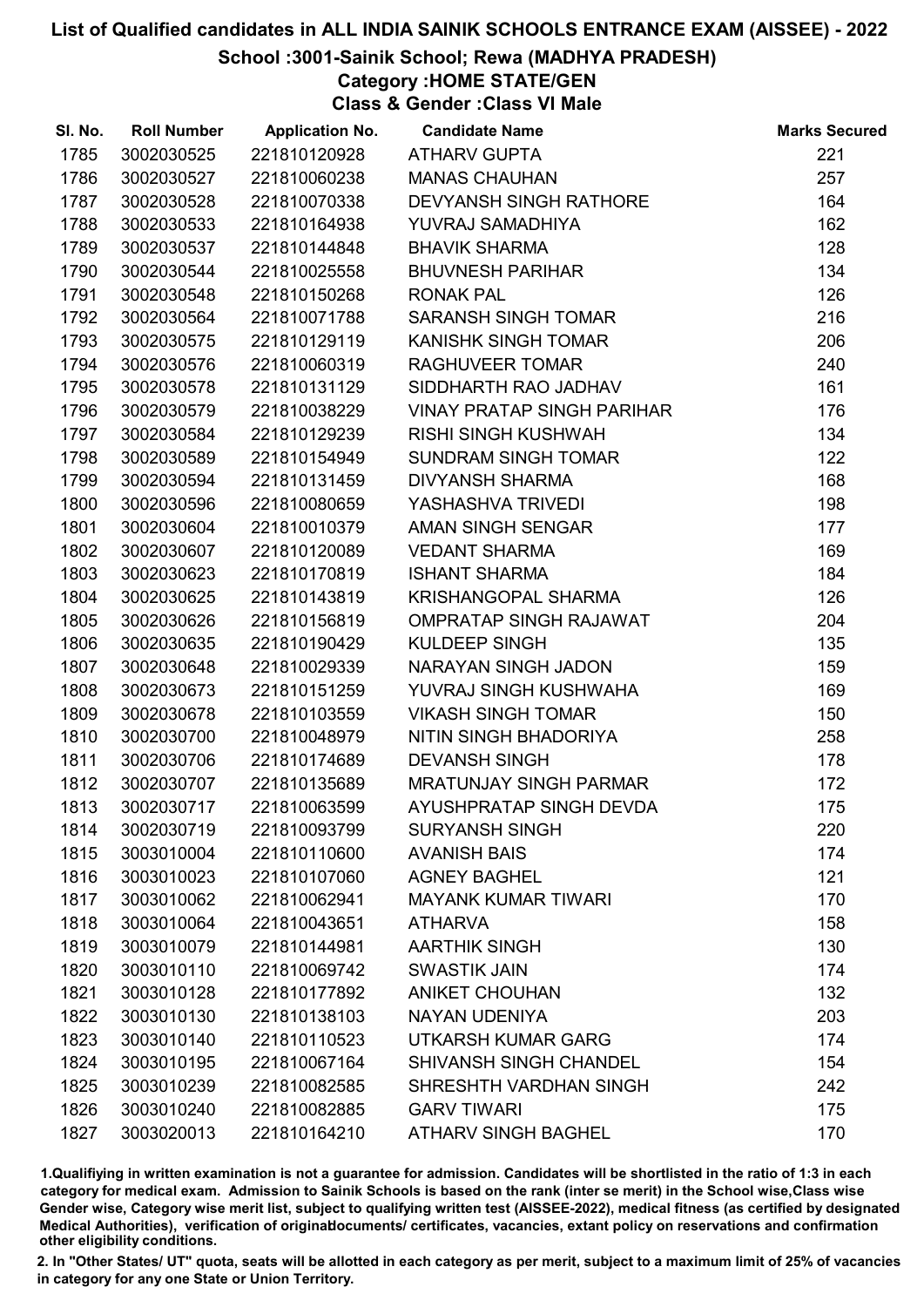# School :3001-Sainik School; Rewa (MADHYA PRADESH)

Category :HOME STATE/GEN

Class & Gender :Class VI Male

| SI. No. | <b>Roll Number</b> | <b>Application No.</b> | <b>Candidate Name</b>             | <b>Marks Secured</b> |
|---------|--------------------|------------------------|-----------------------------------|----------------------|
| 1785    | 3002030525         | 221810120928           | <b>ATHARV GUPTA</b>               | 221                  |
| 1786    | 3002030527         | 221810060238           | <b>MANAS CHAUHAN</b>              | 257                  |
| 1787    | 3002030528         | 221810070338           | <b>DEVYANSH SINGH RATHORE</b>     | 164                  |
| 1788    | 3002030533         | 221810164938           | YUVRAJ SAMADHIYA                  | 162                  |
| 1789    | 3002030537         | 221810144848           | <b>BHAVIK SHARMA</b>              | 128                  |
| 1790    | 3002030544         | 221810025558           | <b>BHUVNESH PARIHAR</b>           | 134                  |
| 1791    | 3002030548         | 221810150268           | <b>RONAK PAL</b>                  | 126                  |
| 1792    | 3002030564         | 221810071788           | <b>SARANSH SINGH TOMAR</b>        | 216                  |
| 1793    | 3002030575         | 221810129119           | <b>KANISHK SINGH TOMAR</b>        | 206                  |
| 1794    | 3002030576         | 221810060319           | <b>RAGHUVEER TOMAR</b>            | 240                  |
| 1795    | 3002030578         | 221810131129           | SIDDHARTH RAO JADHAV              | 161                  |
| 1796    | 3002030579         | 221810038229           | <b>VINAY PRATAP SINGH PARIHAR</b> | 176                  |
| 1797    | 3002030584         | 221810129239           | <b>RISHI SINGH KUSHWAH</b>        | 134                  |
| 1798    | 3002030589         | 221810154949           | SUNDRAM SINGH TOMAR               | 122                  |
| 1799    | 3002030594         | 221810131459           | <b>DIVYANSH SHARMA</b>            | 168                  |
| 1800    | 3002030596         | 221810080659           | YASHASHVA TRIVEDI                 | 198                  |
| 1801    | 3002030604         | 221810010379           | AMAN SINGH SENGAR                 | 177                  |
| 1802    | 3002030607         | 221810120089           | <b>VEDANT SHARMA</b>              | 169                  |
| 1803    | 3002030623         | 221810170819           | <b>ISHANT SHARMA</b>              | 184                  |
| 1804    | 3002030625         | 221810143819           | <b>KRISHANGOPAL SHARMA</b>        | 126                  |
| 1805    | 3002030626         | 221810156819           | <b>OMPRATAP SINGH RAJAWAT</b>     | 204                  |
| 1806    | 3002030635         | 221810190429           | <b>KULDEEP SINGH</b>              | 135                  |
| 1807    | 3002030648         | 221810029339           | NARAYAN SINGH JADON               | 159                  |
| 1808    | 3002030673         | 221810151259           | YUVRAJ SINGH KUSHWAHA             | 169                  |
| 1809    | 3002030678         | 221810103559           | <b>VIKASH SINGH TOMAR</b>         | 150                  |
| 1810    | 3002030700         | 221810048979           | NITIN SINGH BHADORIYA             | 258                  |
| 1811    | 3002030706         | 221810174689           | <b>DEVANSH SINGH</b>              | 178                  |
| 1812    | 3002030707         | 221810135689           | <b>MRATUNJAY SINGH PARMAR</b>     | 172                  |
| 1813    | 3002030717         | 221810063599           | AYUSHPRATAP SINGH DEVDA           | 175                  |
| 1814    | 3002030719         | 221810093799           | <b>SURYANSH SINGH</b>             | 220                  |
| 1815    | 3003010004         | 221810110600           | <b>AVANISH BAIS</b>               | 174                  |
| 1816    | 3003010023         | 221810107060           | <b>AGNEY BAGHEL</b>               | 121                  |
| 1817    | 3003010062         | 221810062941           | <b>MAYANK KUMAR TIWARI</b>        | 170                  |
| 1818    | 3003010064         | 221810043651           | <b>ATHARVA</b>                    | 158                  |
| 1819    | 3003010079         | 221810144981           | <b>AARTHIK SINGH</b>              | 130                  |
| 1820    | 3003010110         | 221810069742           | <b>SWASTIK JAIN</b>               | 174                  |
| 1821    | 3003010128         | 221810177892           | <b>ANIKET CHOUHAN</b>             | 132                  |
| 1822    | 3003010130         | 221810138103           | NAYAN UDENIYA                     | 203                  |
| 1823    | 3003010140         | 221810110523           | <b>UTKARSH KUMAR GARG</b>         | 174                  |
| 1824    | 3003010195         | 221810067164           | <b>SHIVANSH SINGH CHANDEL</b>     | 154                  |
| 1825    | 3003010239         | 221810082585           | SHRESHTH VARDHAN SINGH            | 242                  |
| 1826    | 3003010240         | 221810082885           | <b>GARV TIWARI</b>                | 175                  |
| 1827    | 3003020013         | 221810164210           | <b>ATHARV SINGH BAGHEL</b>        | 170                  |

1.Qualifiying in written examination is not a guarantee for admission. Candidates will be shortlisted in the ratio of 1:3 in each category for medical exam. Admission to Sainik Schools is based on the rank (inter se merit) in the School wise,Class wise Gender wise, Category wise merit list, subject to qualifying written test (AISSEE-2022), medical fitness (as certified by designated Medical Authorities), verification of originablocuments/ certificates, vacancies, extant policy on reservations and confirmation other eligibility conditions.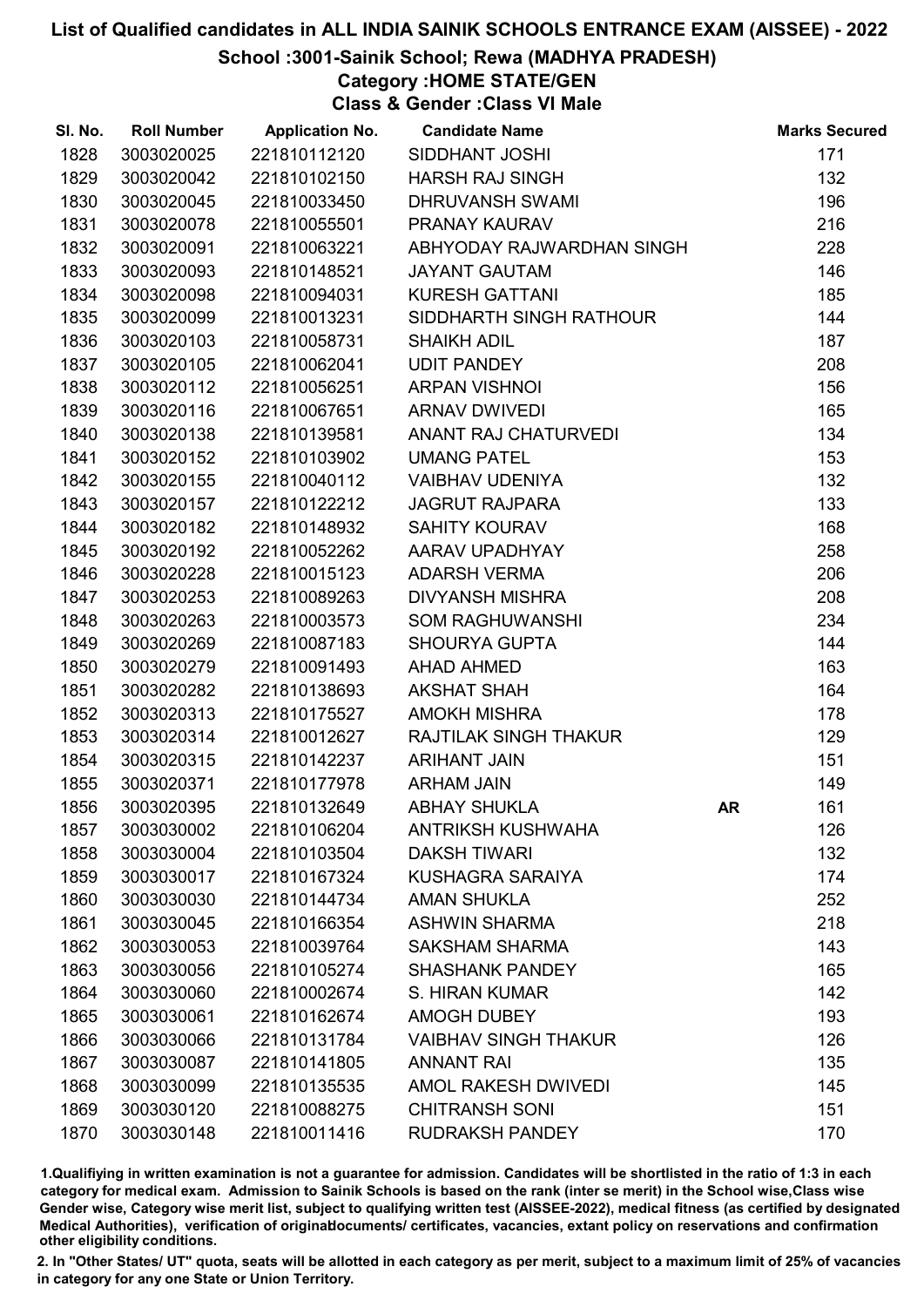# School :3001-Sainik School; Rewa (MADHYA PRADESH)

Category :HOME STATE/GEN

Class & Gender :Class VI Male

| SI. No. | <b>Roll Number</b> | <b>Application No.</b> | <b>Candidate Name</b>        |    | <b>Marks Secured</b> |
|---------|--------------------|------------------------|------------------------------|----|----------------------|
| 1828    | 3003020025         | 221810112120           | SIDDHANT JOSHI               |    | 171                  |
| 1829    | 3003020042         | 221810102150           | <b>HARSH RAJ SINGH</b>       |    | 132                  |
| 1830    | 3003020045         | 221810033450           | <b>DHRUVANSH SWAMI</b>       |    | 196                  |
| 1831    | 3003020078         | 221810055501           | PRANAY KAURAV                |    | 216                  |
| 1832    | 3003020091         | 221810063221           | ABHYODAY RAJWARDHAN SINGH    |    | 228                  |
| 1833    | 3003020093         | 221810148521           | <b>JAYANT GAUTAM</b>         |    | 146                  |
| 1834    | 3003020098         | 221810094031           | <b>KURESH GATTANI</b>        |    | 185                  |
| 1835    | 3003020099         | 221810013231           | SIDDHARTH SINGH RATHOUR      |    | 144                  |
| 1836    | 3003020103         | 221810058731           | <b>SHAIKH ADIL</b>           |    | 187                  |
| 1837    | 3003020105         | 221810062041           | <b>UDIT PANDEY</b>           |    | 208                  |
| 1838    | 3003020112         | 221810056251           | <b>ARPAN VISHNOI</b>         |    | 156                  |
| 1839    | 3003020116         | 221810067651           | <b>ARNAV DWIVEDI</b>         |    | 165                  |
| 1840    | 3003020138         | 221810139581           | ANANT RAJ CHATURVEDI         |    | 134                  |
| 1841    | 3003020152         | 221810103902           | <b>UMANG PATEL</b>           |    | 153                  |
| 1842    | 3003020155         | 221810040112           | <b>VAIBHAV UDENIYA</b>       |    | 132                  |
| 1843    | 3003020157         | 221810122212           | <b>JAGRUT RAJPARA</b>        |    | 133                  |
| 1844    | 3003020182         | 221810148932           | <b>SAHITY KOURAV</b>         |    | 168                  |
| 1845    | 3003020192         | 221810052262           | AARAV UPADHYAY               |    | 258                  |
| 1846    | 3003020228         | 221810015123           | <b>ADARSH VERMA</b>          |    | 206                  |
| 1847    | 3003020253         | 221810089263           | <b>DIVYANSH MISHRA</b>       |    | 208                  |
| 1848    | 3003020263         | 221810003573           | <b>SOM RAGHUWANSHI</b>       |    | 234                  |
| 1849    | 3003020269         | 221810087183           | <b>SHOURYA GUPTA</b>         |    | 144                  |
| 1850    | 3003020279         | 221810091493           | <b>AHAD AHMED</b>            |    | 163                  |
| 1851    | 3003020282         | 221810138693           | <b>AKSHAT SHAH</b>           |    | 164                  |
| 1852    | 3003020313         | 221810175527           | <b>AMOKH MISHRA</b>          |    | 178                  |
| 1853    | 3003020314         | 221810012627           | <b>RAJTILAK SINGH THAKUR</b> |    | 129                  |
| 1854    | 3003020315         | 221810142237           | <b>ARIHANT JAIN</b>          |    | 151                  |
| 1855    | 3003020371         | 221810177978           | <b>ARHAM JAIN</b>            |    | 149                  |
| 1856    | 3003020395         | 221810132649           | <b>ABHAY SHUKLA</b>          | AR | 161                  |
| 1857    | 3003030002         | 221810106204           | <b>ANTRIKSH KUSHWAHA</b>     |    | 126                  |
| 1858    | 3003030004         | 221810103504           | <b>DAKSH TIWARI</b>          |    | 132                  |
| 1859    | 3003030017         | 221810167324           | <b>KUSHAGRA SARAIYA</b>      |    | 174                  |
| 1860    | 3003030030         | 221810144734           | <b>AMAN SHUKLA</b>           |    | 252                  |
| 1861    | 3003030045         | 221810166354           | <b>ASHWIN SHARMA</b>         |    | 218                  |
| 1862    | 3003030053         | 221810039764           | <b>SAKSHAM SHARMA</b>        |    | 143                  |
| 1863    | 3003030056         | 221810105274           | <b>SHASHANK PANDEY</b>       |    | 165                  |
| 1864    | 3003030060         | 221810002674           | S. HIRAN KUMAR               |    | 142                  |
| 1865    | 3003030061         | 221810162674           | <b>AMOGH DUBEY</b>           |    | 193                  |
| 1866    | 3003030066         | 221810131784           | <b>VAIBHAV SINGH THAKUR</b>  |    | 126                  |
| 1867    | 3003030087         | 221810141805           | <b>ANNANT RAI</b>            |    | 135                  |
| 1868    | 3003030099         | 221810135535           | AMOL RAKESH DWIVEDI          |    | 145                  |
| 1869    | 3003030120         | 221810088275           | <b>CHITRANSH SONI</b>        |    | 151                  |
| 1870    | 3003030148         | 221810011416           | <b>RUDRAKSH PANDEY</b>       |    | 170                  |

1.Qualifiying in written examination is not a guarantee for admission. Candidates will be shortlisted in the ratio of 1:3 in each category for medical exam. Admission to Sainik Schools is based on the rank (inter se merit) in the School wise,Class wise Gender wise, Category wise merit list, subject to qualifying written test (AISSEE-2022), medical fitness (as certified by designated Medical Authorities), verification of originablocuments/ certificates, vacancies, extant policy on reservations and confirmation other eligibility conditions.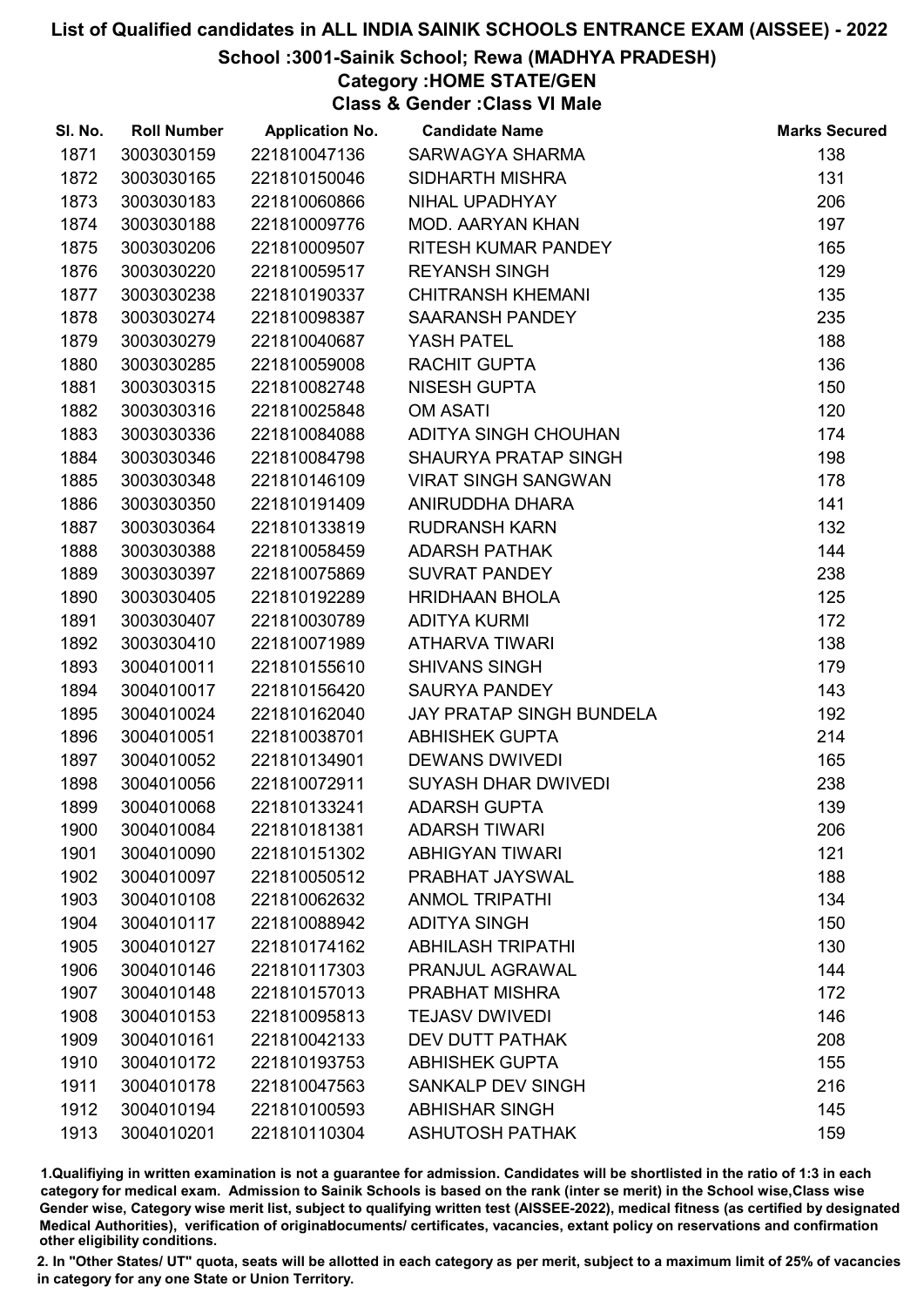# School :3001-Sainik School; Rewa (MADHYA PRADESH)

# Category :HOME STATE/GEN

Class & Gender :Class VI Male

| SI. No. | <b>Roll Number</b> | <b>Application No.</b> | <b>Candidate Name</b>       | <b>Marks Secured</b> |
|---------|--------------------|------------------------|-----------------------------|----------------------|
| 1871    | 3003030159         | 221810047136           | SARWAGYA SHARMA             | 138                  |
| 1872    | 3003030165         | 221810150046           | <b>SIDHARTH MISHRA</b>      | 131                  |
| 1873    | 3003030183         | 221810060866           | NIHAL UPADHYAY              | 206                  |
| 1874    | 3003030188         | 221810009776           | <b>MOD. AARYAN KHAN</b>     | 197                  |
| 1875    | 3003030206         | 221810009507           | RITESH KUMAR PANDEY         | 165                  |
| 1876    | 3003030220         | 221810059517           | <b>REYANSH SINGH</b>        | 129                  |
| 1877    | 3003030238         | 221810190337           | <b>CHITRANSH KHEMANI</b>    | 135                  |
| 1878    | 3003030274         | 221810098387           | SAARANSH PANDEY             | 235                  |
| 1879    | 3003030279         | 221810040687           | YASH PATEL                  | 188                  |
| 1880    | 3003030285         | 221810059008           | RACHIT GUPTA                | 136                  |
| 1881    | 3003030315         | 221810082748           | <b>NISESH GUPTA</b>         | 150                  |
| 1882    | 3003030316         | 221810025848           | <b>OM ASATI</b>             | 120                  |
| 1883    | 3003030336         | 221810084088           | ADITYA SINGH CHOUHAN        | 174                  |
| 1884    | 3003030346         | 221810084798           | <b>SHAURYA PRATAP SINGH</b> | 198                  |
| 1885    | 3003030348         | 221810146109           | <b>VIRAT SINGH SANGWAN</b>  | 178                  |
| 1886    | 3003030350         | 221810191409           | ANIRUDDHA DHARA             | 141                  |
| 1887    | 3003030364         | 221810133819           | <b>RUDRANSH KARN</b>        | 132                  |
| 1888    | 3003030388         | 221810058459           | <b>ADARSH PATHAK</b>        | 144                  |
| 1889    | 3003030397         | 221810075869           | <b>SUVRAT PANDEY</b>        | 238                  |
| 1890    | 3003030405         | 221810192289           | <b>HRIDHAAN BHOLA</b>       | 125                  |
| 1891    | 3003030407         | 221810030789           | <b>ADITYA KURMI</b>         | 172                  |
| 1892    | 3003030410         | 221810071989           | <b>ATHARVA TIWARI</b>       | 138                  |
| 1893    | 3004010011         | 221810155610           | <b>SHIVANS SINGH</b>        | 179                  |
| 1894    | 3004010017         | 221810156420           | <b>SAURYA PANDEY</b>        | 143                  |
| 1895    | 3004010024         | 221810162040           | JAY PRATAP SINGH BUNDELA    | 192                  |
| 1896    | 3004010051         | 221810038701           | <b>ABHISHEK GUPTA</b>       | 214                  |
| 1897    | 3004010052         | 221810134901           | <b>DEWANS DWIVEDI</b>       | 165                  |
| 1898    | 3004010056         | 221810072911           | <b>SUYASH DHAR DWIVEDI</b>  | 238                  |
| 1899    | 3004010068         | 221810133241           | <b>ADARSH GUPTA</b>         | 139                  |
| 1900    | 3004010084         | 221810181381           | <b>ADARSH TIWARI</b>        | 206                  |
| 1901    | 3004010090         | 221810151302           | <b>ABHIGYAN TIWARI</b>      | 121                  |
| 1902    | 3004010097         | 221810050512           | PRABHAT JAYSWAL             | 188                  |
| 1903    | 3004010108         | 221810062632           | <b>ANMOL TRIPATHI</b>       | 134                  |
| 1904    | 3004010117         | 221810088942           | <b>ADITYA SINGH</b>         | 150                  |
| 1905    | 3004010127         | 221810174162           | <b>ABHILASH TRIPATHI</b>    | 130                  |
| 1906    | 3004010146         | 221810117303           | PRANJUL AGRAWAL             | 144                  |
| 1907    | 3004010148         | 221810157013           | PRABHAT MISHRA              | 172                  |
| 1908    | 3004010153         | 221810095813           | <b>TEJASV DWIVEDI</b>       | 146                  |
| 1909    | 3004010161         | 221810042133           | <b>DEV DUTT PATHAK</b>      | 208                  |
| 1910    | 3004010172         | 221810193753           | <b>ABHISHEK GUPTA</b>       | 155                  |
| 1911    | 3004010178         | 221810047563           | <b>SANKALP DEV SINGH</b>    | 216                  |
| 1912    | 3004010194         | 221810100593           | <b>ABHISHAR SINGH</b>       | 145                  |
| 1913    | 3004010201         | 221810110304           | <b>ASHUTOSH PATHAK</b>      | 159                  |

1.Qualifiying in written examination is not a guarantee for admission. Candidates will be shortlisted in the ratio of 1:3 in each category for medical exam. Admission to Sainik Schools is based on the rank (inter se merit) in the School wise,Class wise Gender wise, Category wise merit list, subject to qualifying written test (AISSEE-2022), medical fitness (as certified by designated Medical Authorities), verification of originablocuments/ certificates, vacancies, extant policy on reservations and confirmation other eligibility conditions.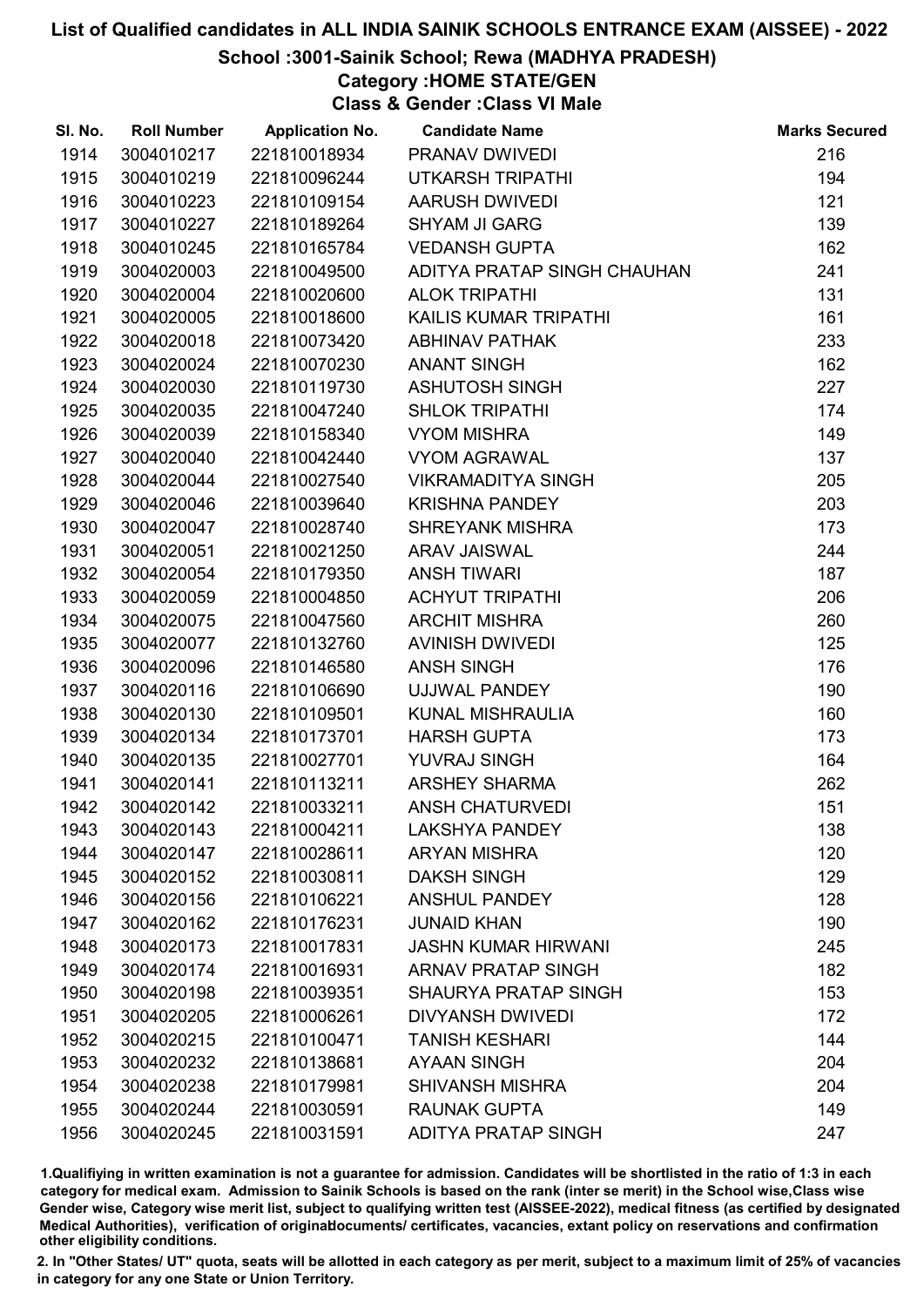# School :3001-Sainik School; Rewa (MADHYA PRADESH)

Category :HOME STATE/GEN

Class & Gender :Class VI Male

| SI. No. | <b>Roll Number</b> | <b>Application No.</b> | <b>Candidate Name</b>       | <b>Marks Secured</b> |
|---------|--------------------|------------------------|-----------------------------|----------------------|
| 1914    | 3004010217         | 221810018934           | PRANAV DWIVEDI              | 216                  |
| 1915    | 3004010219         | 221810096244           | <b>UTKARSH TRIPATHI</b>     | 194                  |
| 1916    | 3004010223         | 221810109154           | <b>AARUSH DWIVEDI</b>       | 121                  |
| 1917    | 3004010227         | 221810189264           | <b>SHYAM JI GARG</b>        | 139                  |
| 1918    | 3004010245         | 221810165784           | <b>VEDANSH GUPTA</b>        | 162                  |
| 1919    | 3004020003         | 221810049500           | ADITYA PRATAP SINGH CHAUHAN | 241                  |
| 1920    | 3004020004         | 221810020600           | <b>ALOK TRIPATHI</b>        | 131                  |
| 1921    | 3004020005         | 221810018600           | KAILIS KUMAR TRIPATHI       | 161                  |
| 1922    | 3004020018         | 221810073420           | <b>ABHINAV PATHAK</b>       | 233                  |
| 1923    | 3004020024         | 221810070230           | <b>ANANT SINGH</b>          | 162                  |
| 1924    | 3004020030         | 221810119730           | <b>ASHUTOSH SINGH</b>       | 227                  |
| 1925    | 3004020035         | 221810047240           | <b>SHLOK TRIPATHI</b>       | 174                  |
| 1926    | 3004020039         | 221810158340           | <b>VYOM MISHRA</b>          | 149                  |
| 1927    | 3004020040         | 221810042440           | <b>VYOM AGRAWAL</b>         | 137                  |
| 1928    | 3004020044         | 221810027540           | <b>VIKRAMADITYA SINGH</b>   | 205                  |
| 1929    | 3004020046         | 221810039640           | <b>KRISHNA PANDEY</b>       | 203                  |
| 1930    | 3004020047         | 221810028740           | <b>SHREYANK MISHRA</b>      | 173                  |
| 1931    | 3004020051         | 221810021250           | <b>ARAV JAISWAL</b>         | 244                  |
| 1932    | 3004020054         | 221810179350           | <b>ANSH TIWARI</b>          | 187                  |
| 1933    | 3004020059         | 221810004850           | <b>ACHYUT TRIPATHI</b>      | 206                  |
| 1934    | 3004020075         | 221810047560           | <b>ARCHIT MISHRA</b>        | 260                  |
| 1935    | 3004020077         | 221810132760           | <b>AVINISH DWIVEDI</b>      | 125                  |
| 1936    | 3004020096         | 221810146580           | <b>ANSH SINGH</b>           | 176                  |
| 1937    | 3004020116         | 221810106690           | UJJWAL PANDEY               | 190                  |
| 1938    | 3004020130         | 221810109501           | KUNAL MISHRAULIA            | 160                  |
| 1939    | 3004020134         | 221810173701           | <b>HARSH GUPTA</b>          | 173                  |
| 1940    | 3004020135         | 221810027701           | YUVRAJ SINGH                | 164                  |
| 1941    | 3004020141         | 221810113211           | <b>ARSHEY SHARMA</b>        | 262                  |
| 1942    | 3004020142         | 221810033211           | <b>ANSH CHATURVEDI</b>      | 151                  |
| 1943    | 3004020143         | 221810004211           | <b>LAKSHYA PANDEY</b>       | 138                  |
| 1944    | 3004020147         | 221810028611           | <b>ARYAN MISHRA</b>         | 120                  |
| 1945    | 3004020152         | 221810030811           | <b>DAKSH SINGH</b>          | 129                  |
| 1946    | 3004020156         | 221810106221           | <b>ANSHUL PANDEY</b>        | 128                  |
| 1947    | 3004020162         | 221810176231           | <b>JUNAID KHAN</b>          | 190                  |
| 1948    | 3004020173         | 221810017831           | <b>JASHN KUMAR HIRWANI</b>  | 245                  |
| 1949    | 3004020174         | 221810016931           | <b>ARNAV PRATAP SINGH</b>   | 182                  |
| 1950    | 3004020198         | 221810039351           | <b>SHAURYA PRATAP SINGH</b> | 153                  |
| 1951    | 3004020205         | 221810006261           | <b>DIVYANSH DWIVEDI</b>     | 172                  |
| 1952    | 3004020215         | 221810100471           | <b>TANISH KESHARI</b>       | 144                  |
| 1953    | 3004020232         | 221810138681           | <b>AYAAN SINGH</b>          | 204                  |
| 1954    | 3004020238         | 221810179981           | <b>SHIVANSH MISHRA</b>      | 204                  |
| 1955    | 3004020244         | 221810030591           | <b>RAUNAK GUPTA</b>         | 149                  |
| 1956    | 3004020245         | 221810031591           | <b>ADITYA PRATAP SINGH</b>  | 247                  |

1.Qualifiying in written examination is not a guarantee for admission. Candidates will be shortlisted in the ratio of 1:3 in each category for medical exam. Admission to Sainik Schools is based on the rank (inter se merit) in the School wise,Class wise Gender wise, Category wise merit list, subject to qualifying written test (AISSEE-2022), medical fitness (as certified by designated Medical Authorities), verification of originablocuments/ certificates, vacancies, extant policy on reservations and confirmation other eligibility conditions.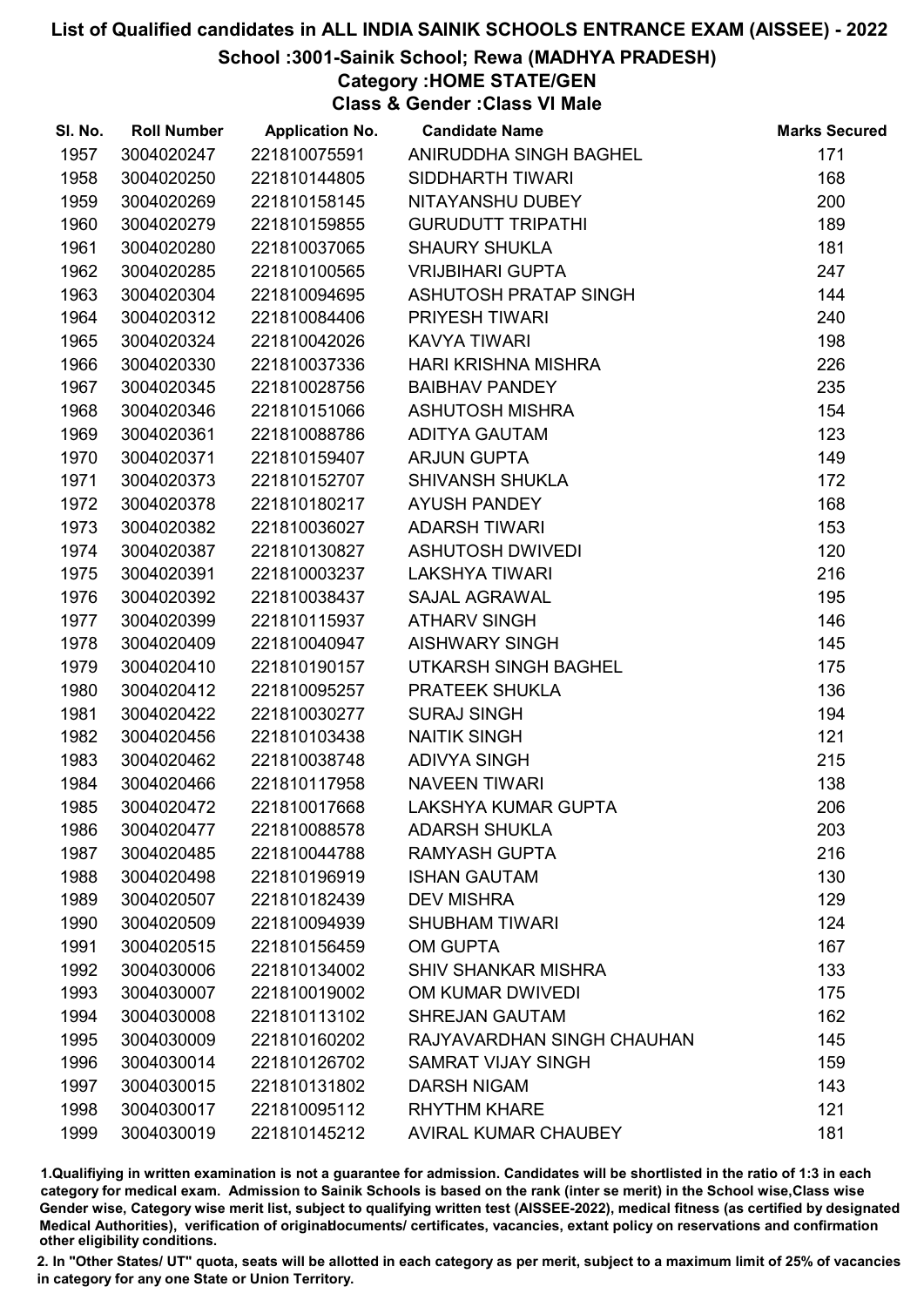School :3001-Sainik School; Rewa (MADHYA PRADESH)

Category :HOME STATE/GEN

Class & Gender :Class VI Male

| SI. No. | <b>Roll Number</b> | <b>Application No.</b> | <b>Candidate Name</b>       | <b>Marks Secured</b> |
|---------|--------------------|------------------------|-----------------------------|----------------------|
| 1957    | 3004020247         | 221810075591           | ANIRUDDHA SINGH BAGHEL      | 171                  |
| 1958    | 3004020250         | 221810144805           | SIDDHARTH TIWARI            | 168                  |
| 1959    | 3004020269         | 221810158145           | NITAYANSHU DUBEY            | 200                  |
| 1960    | 3004020279         | 221810159855           | <b>GURUDUTT TRIPATHI</b>    | 189                  |
| 1961    | 3004020280         | 221810037065           | <b>SHAURY SHUKLA</b>        | 181                  |
| 1962    | 3004020285         | 221810100565           | <b>VRIJBIHARI GUPTA</b>     | 247                  |
| 1963    | 3004020304         | 221810094695           | ASHUTOSH PRATAP SINGH       | 144                  |
| 1964    | 3004020312         | 221810084406           | PRIYESH TIWARI              | 240                  |
| 1965    | 3004020324         | 221810042026           | <b>KAVYA TIWARI</b>         | 198                  |
| 1966    | 3004020330         | 221810037336           | <b>HARI KRISHNA MISHRA</b>  | 226                  |
| 1967    | 3004020345         | 221810028756           | <b>BAIBHAV PANDEY</b>       | 235                  |
| 1968    | 3004020346         | 221810151066           | <b>ASHUTOSH MISHRA</b>      | 154                  |
| 1969    | 3004020361         | 221810088786           | <b>ADITYA GAUTAM</b>        | 123                  |
| 1970    | 3004020371         | 221810159407           | <b>ARJUN GUPTA</b>          | 149                  |
| 1971    | 3004020373         | 221810152707           | <b>SHIVANSH SHUKLA</b>      | 172                  |
| 1972    | 3004020378         | 221810180217           | <b>AYUSH PANDEY</b>         | 168                  |
| 1973    | 3004020382         | 221810036027           | <b>ADARSH TIWARI</b>        | 153                  |
| 1974    | 3004020387         | 221810130827           | <b>ASHUTOSH DWIVEDI</b>     | 120                  |
| 1975    | 3004020391         | 221810003237           | <b>LAKSHYA TIWARI</b>       | 216                  |
| 1976    | 3004020392         | 221810038437           | <b>SAJAL AGRAWAL</b>        | 195                  |
| 1977    | 3004020399         | 221810115937           | <b>ATHARV SINGH</b>         | 146                  |
| 1978    | 3004020409         | 221810040947           | <b>AISHWARY SINGH</b>       | 145                  |
| 1979    | 3004020410         | 221810190157           | UTKARSH SINGH BAGHEL        | 175                  |
| 1980    | 3004020412         | 221810095257           | PRATEEK SHUKLA              | 136                  |
| 1981    | 3004020422         | 221810030277           | <b>SURAJ SINGH</b>          | 194                  |
| 1982    | 3004020456         | 221810103438           | <b>NAITIK SINGH</b>         | 121                  |
| 1983    | 3004020462         | 221810038748           | <b>ADIVYA SINGH</b>         | 215                  |
| 1984    | 3004020466         | 221810117958           | <b>NAVEEN TIWARI</b>        | 138                  |
| 1985    | 3004020472         | 221810017668           | LAKSHYA KUMAR GUPTA         | 206                  |
| 1986    | 3004020477         | 221810088578           | <b>ADARSH SHUKLA</b>        | 203                  |
| 1987    | 3004020485         | 221810044788           | <b>RAMYASH GUPTA</b>        | 216                  |
| 1988    | 3004020498         | 221810196919           | <b>ISHAN GAUTAM</b>         | 130                  |
| 1989    | 3004020507         | 221810182439           | <b>DEV MISHRA</b>           | 129                  |
| 1990    | 3004020509         | 221810094939           | <b>SHUBHAM TIWARI</b>       | 124                  |
| 1991    | 3004020515         | 221810156459           | <b>OM GUPTA</b>             | 167                  |
| 1992    | 3004030006         | 221810134002           | <b>SHIV SHANKAR MISHRA</b>  | 133                  |
| 1993    | 3004030007         | 221810019002           | OM KUMAR DWIVEDI            | 175                  |
| 1994    | 3004030008         | 221810113102           | <b>SHREJAN GAUTAM</b>       | 162                  |
| 1995    | 3004030009         | 221810160202           | RAJYAVARDHAN SINGH CHAUHAN  | 145                  |
| 1996    | 3004030014         | 221810126702           | <b>SAMRAT VIJAY SINGH</b>   | 159                  |
| 1997    | 3004030015         | 221810131802           | <b>DARSH NIGAM</b>          | 143                  |
| 1998    | 3004030017         | 221810095112           | <b>RHYTHM KHARE</b>         | 121                  |
| 1999    | 3004030019         | 221810145212           | <b>AVIRAL KUMAR CHAUBEY</b> | 181                  |

1.Qualifiying in written examination is not a guarantee for admission. Candidates will be shortlisted in the ratio of 1:3 in each category for medical exam. Admission to Sainik Schools is based on the rank (inter se merit) in the School wise,Class wise Gender wise, Category wise merit list, subject to qualifying written test (AISSEE-2022), medical fitness (as certified by designated Medical Authorities), verification of originablocuments/ certificates, vacancies, extant policy on reservations and confirmation other eligibility conditions.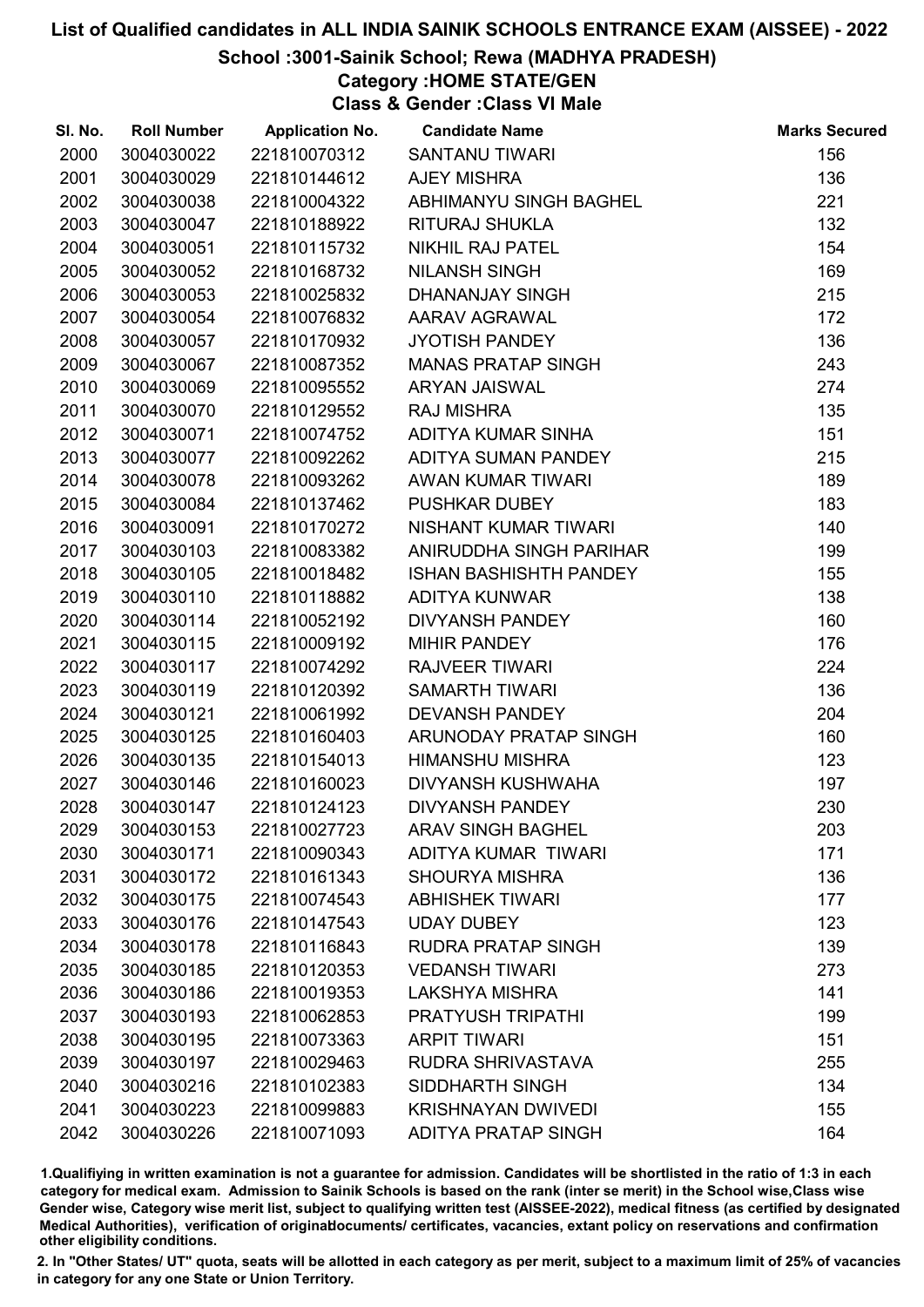# School :3001-Sainik School; Rewa (MADHYA PRADESH)

# Category :HOME STATE/GEN

Class & Gender :Class VI Male

| SI. No. | <b>Roll Number</b> | <b>Application No.</b> | <b>Candidate Name</b>         | <b>Marks Secured</b> |
|---------|--------------------|------------------------|-------------------------------|----------------------|
| 2000    | 3004030022         | 221810070312           | <b>SANTANU TIWARI</b>         | 156                  |
| 2001    | 3004030029         | 221810144612           | <b>AJEY MISHRA</b>            | 136                  |
| 2002    | 3004030038         | 221810004322           | ABHIMANYU SINGH BAGHEL        | 221                  |
| 2003    | 3004030047         | 221810188922           | <b>RITURAJ SHUKLA</b>         | 132                  |
| 2004    | 3004030051         | 221810115732           | <b>NIKHIL RAJ PATEL</b>       | 154                  |
| 2005    | 3004030052         | 221810168732           | <b>NILANSH SINGH</b>          | 169                  |
| 2006    | 3004030053         | 221810025832           | DHANANJAY SINGH               | 215                  |
| 2007    | 3004030054         | 221810076832           | AARAV AGRAWAL                 | 172                  |
| 2008    | 3004030057         | 221810170932           | <b>JYOTISH PANDEY</b>         | 136                  |
| 2009    | 3004030067         | 221810087352           | <b>MANAS PRATAP SINGH</b>     | 243                  |
| 2010    | 3004030069         | 221810095552           | <b>ARYAN JAISWAL</b>          | 274                  |
| 2011    | 3004030070         | 221810129552           | <b>RAJ MISHRA</b>             | 135                  |
| 2012    | 3004030071         | 221810074752           | ADITYA KUMAR SINHA            | 151                  |
| 2013    | 3004030077         | 221810092262           | ADITYA SUMAN PANDEY           | 215                  |
| 2014    | 3004030078         | 221810093262           | AWAN KUMAR TIWARI             | 189                  |
| 2015    | 3004030084         | 221810137462           | <b>PUSHKAR DUBEY</b>          | 183                  |
| 2016    | 3004030091         | 221810170272           | NISHANT KUMAR TIWARI          | 140                  |
| 2017    | 3004030103         | 221810083382           | ANIRUDDHA SINGH PARIHAR       | 199                  |
| 2018    | 3004030105         | 221810018482           | <b>ISHAN BASHISHTH PANDEY</b> | 155                  |
| 2019    | 3004030110         | 221810118882           | <b>ADITYA KUNWAR</b>          | 138                  |
| 2020    | 3004030114         | 221810052192           | DIVYANSH PANDEY               | 160                  |
| 2021    | 3004030115         | 221810009192           | <b>MIHIR PANDEY</b>           | 176                  |
| 2022    | 3004030117         | 221810074292           | <b>RAJVEER TIWARI</b>         | 224                  |
| 2023    | 3004030119         | 221810120392           | <b>SAMARTH TIWARI</b>         | 136                  |
| 2024    | 3004030121         | 221810061992           | <b>DEVANSH PANDEY</b>         | 204                  |
| 2025    | 3004030125         | 221810160403           | ARUNODAY PRATAP SINGH         | 160                  |
| 2026    | 3004030135         | 221810154013           | <b>HIMANSHU MISHRA</b>        | 123                  |
| 2027    | 3004030146         | 221810160023           | <b>DIVYANSH KUSHWAHA</b>      | 197                  |
| 2028    | 3004030147         | 221810124123           | <b>DIVYANSH PANDEY</b>        | 230                  |
| 2029    | 3004030153         | 221810027723           | <b>ARAV SINGH BAGHEL</b>      | 203                  |
| 2030    | 3004030171         | 221810090343           | ADITYA KUMAR TIWARI           | 171                  |
| 2031    | 3004030172         | 221810161343           | <b>SHOURYA MISHRA</b>         | 136                  |
| 2032    | 3004030175         | 221810074543           | <b>ABHISHEK TIWARI</b>        | 177                  |
| 2033    | 3004030176         | 221810147543           | <b>UDAY DUBEY</b>             | 123                  |
| 2034    | 3004030178         | 221810116843           | <b>RUDRA PRATAP SINGH</b>     | 139                  |
| 2035    | 3004030185         | 221810120353           | <b>VEDANSH TIWARI</b>         | 273                  |
| 2036    | 3004030186         | 221810019353           | <b>LAKSHYA MISHRA</b>         | 141                  |
| 2037    | 3004030193         | 221810062853           | <b>PRATYUSH TRIPATHI</b>      | 199                  |
| 2038    | 3004030195         | 221810073363           | <b>ARPIT TIWARI</b>           | 151                  |
| 2039    | 3004030197         | 221810029463           | RUDRA SHRIVASTAVA             | 255                  |
| 2040    | 3004030216         | 221810102383           | SIDDHARTH SINGH               | 134                  |
| 2041    | 3004030223         | 221810099883           | <b>KRISHNAYAN DWIVEDI</b>     | 155                  |
| 2042    | 3004030226         | 221810071093           | ADITYA PRATAP SINGH           | 164                  |

1.Qualifiying in written examination is not a guarantee for admission. Candidates will be shortlisted in the ratio of 1:3 in each category for medical exam. Admission to Sainik Schools is based on the rank (inter se merit) in the School wise,Class wise Gender wise, Category wise merit list, subject to qualifying written test (AISSEE-2022), medical fitness (as certified by designated Medical Authorities), verification of originablocuments/ certificates, vacancies, extant policy on reservations and confirmation other eligibility conditions.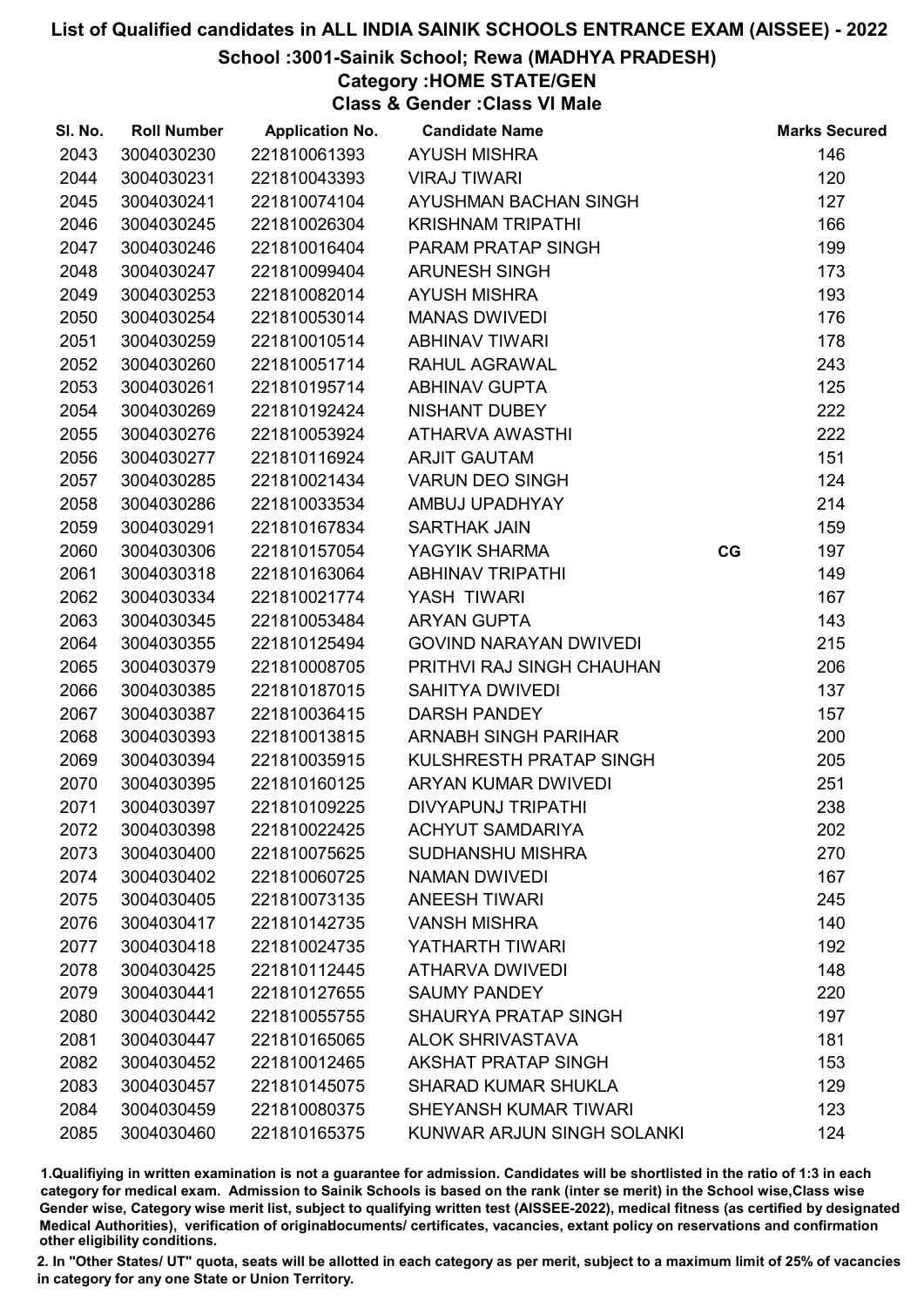# School :3001-Sainik School; Rewa (MADHYA PRADESH)

Category :HOME STATE/GEN

Class & Gender :Class VI Male

| SI. No. | <b>Roll Number</b> | <b>Application No.</b> | <b>Candidate Name</b>         |    | <b>Marks Secured</b> |
|---------|--------------------|------------------------|-------------------------------|----|----------------------|
| 2043    | 3004030230         | 221810061393           | <b>AYUSH MISHRA</b>           |    | 146                  |
| 2044    | 3004030231         | 221810043393           | <b>VIRAJ TIWARI</b>           |    | 120                  |
| 2045    | 3004030241         | 221810074104           | AYUSHMAN BACHAN SINGH         |    | 127                  |
| 2046    | 3004030245         | 221810026304           | <b>KRISHNAM TRIPATHI</b>      |    | 166                  |
| 2047    | 3004030246         | 221810016404           | PARAM PRATAP SINGH            |    | 199                  |
| 2048    | 3004030247         | 221810099404           | <b>ARUNESH SINGH</b>          |    | 173                  |
| 2049    | 3004030253         | 221810082014           | <b>AYUSH MISHRA</b>           |    | 193                  |
| 2050    | 3004030254         | 221810053014           | <b>MANAS DWIVEDI</b>          |    | 176                  |
| 2051    | 3004030259         | 221810010514           | <b>ABHINAV TIWARI</b>         |    | 178                  |
| 2052    | 3004030260         | 221810051714           | RAHUL AGRAWAL                 |    | 243                  |
| 2053    | 3004030261         | 221810195714           | <b>ABHINAV GUPTA</b>          |    | 125                  |
| 2054    | 3004030269         | 221810192424           | <b>NISHANT DUBEY</b>          |    | 222                  |
| 2055    | 3004030276         | 221810053924           | ATHARVA AWASTHI               |    | 222                  |
| 2056    | 3004030277         | 221810116924           | <b>ARJIT GAUTAM</b>           |    | 151                  |
| 2057    | 3004030285         | 221810021434           | <b>VARUN DEO SINGH</b>        |    | 124                  |
| 2058    | 3004030286         | 221810033534           | AMBUJ UPADHYAY                |    | 214                  |
| 2059    | 3004030291         | 221810167834           | <b>SARTHAK JAIN</b>           |    | 159                  |
| 2060    | 3004030306         | 221810157054           | YAGYIK SHARMA                 | CG | 197                  |
| 2061    | 3004030318         | 221810163064           | <b>ABHINAV TRIPATHI</b>       |    | 149                  |
| 2062    | 3004030334         | 221810021774           | YASH TIWARI                   |    | 167                  |
| 2063    | 3004030345         | 221810053484           | <b>ARYAN GUPTA</b>            |    | 143                  |
| 2064    | 3004030355         | 221810125494           | <b>GOVIND NARAYAN DWIVEDI</b> |    | 215                  |
| 2065    | 3004030379         | 221810008705           | PRITHVI RAJ SINGH CHAUHAN     |    | 206                  |
| 2066    | 3004030385         | 221810187015           | <b>SAHITYA DWIVEDI</b>        |    | 137                  |
| 2067    | 3004030387         | 221810036415           | <b>DARSH PANDEY</b>           |    | 157                  |
| 2068    | 3004030393         | 221810013815           | <b>ARNABH SINGH PARIHAR</b>   |    | 200                  |
| 2069    | 3004030394         | 221810035915           | KULSHRESTH PRATAP SINGH       |    | 205                  |
| 2070    | 3004030395         | 221810160125           | <b>ARYAN KUMAR DWIVEDI</b>    |    | 251                  |
| 2071    | 3004030397         | 221810109225           | <b>DIVYAPUNJ TRIPATHI</b>     |    | 238                  |
| 2072    | 3004030398         | 221810022425           | <b>ACHYUT SAMDARIYA</b>       |    | 202                  |
| 2073    | 3004030400         | 221810075625           | <b>SUDHANSHU MISHRA</b>       |    | 270                  |
| 2074    | 3004030402         | 221810060725           | <b>NAMAN DWIVEDI</b>          |    | 167                  |
| 2075    | 3004030405         | 221810073135           | <b>ANEESH TIWARI</b>          |    | 245                  |
| 2076    | 3004030417         | 221810142735           | <b>VANSH MISHRA</b>           |    | 140                  |
| 2077    | 3004030418         | 221810024735           | YATHARTH TIWARI               |    | 192                  |
| 2078    | 3004030425         | 221810112445           | <b>ATHARVA DWIVEDI</b>        |    | 148                  |
| 2079    | 3004030441         | 221810127655           | <b>SAUMY PANDEY</b>           |    | 220                  |
| 2080    | 3004030442         | 221810055755           | <b>SHAURYA PRATAP SINGH</b>   |    | 197                  |
| 2081    | 3004030447         | 221810165065           | <b>ALOK SHRIVASTAVA</b>       |    | 181                  |
| 2082    | 3004030452         | 221810012465           | <b>AKSHAT PRATAP SINGH</b>    |    | 153                  |
| 2083    | 3004030457         | 221810145075           | <b>SHARAD KUMAR SHUKLA</b>    |    | 129                  |
| 2084    | 3004030459         | 221810080375           | SHEYANSH KUMAR TIWARI         |    | 123                  |
| 2085    | 3004030460         | 221810165375           | KUNWAR ARJUN SINGH SOLANKI    |    | 124                  |

1.Qualifiying in written examination is not a guarantee for admission. Candidates will be shortlisted in the ratio of 1:3 in each category for medical exam. Admission to Sainik Schools is based on the rank (inter se merit) in the School wise,Class wise Gender wise, Category wise merit list, subject to qualifying written test (AISSEE-2022), medical fitness (as certified by designated Medical Authorities), verification of originablocuments/ certificates, vacancies, extant policy on reservations and confirmation other eligibility conditions.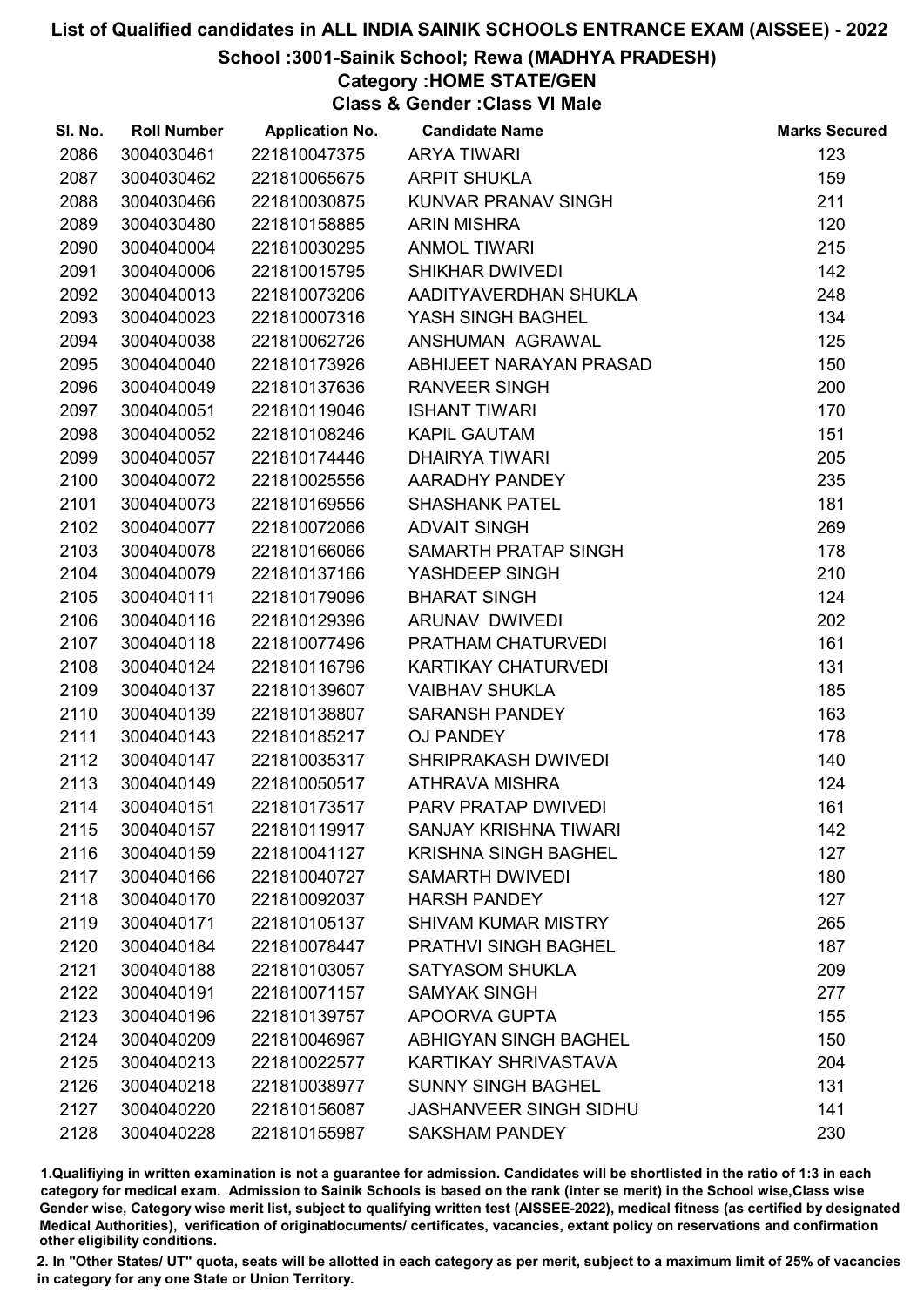# School :3001-Sainik School; Rewa (MADHYA PRADESH)

Category :HOME STATE/GEN

Class & Gender :Class VI Male

| SI. No. | <b>Roll Number</b> | <b>Application No.</b> | <b>Candidate Name</b>         | <b>Marks Secured</b> |
|---------|--------------------|------------------------|-------------------------------|----------------------|
| 2086    | 3004030461         | 221810047375           | <b>ARYA TIWARI</b>            | 123                  |
| 2087    | 3004030462         | 221810065675           | <b>ARPIT SHUKLA</b>           | 159                  |
| 2088    | 3004030466         | 221810030875           | KUNVAR PRANAV SINGH           | 211                  |
| 2089    | 3004030480         | 221810158885           | <b>ARIN MISHRA</b>            | 120                  |
| 2090    | 3004040004         | 221810030295           | <b>ANMOL TIWARI</b>           | 215                  |
| 2091    | 3004040006         | 221810015795           | <b>SHIKHAR DWIVEDI</b>        | 142                  |
| 2092    | 3004040013         | 221810073206           | AADITYAVERDHAN SHUKLA         | 248                  |
| 2093    | 3004040023         | 221810007316           | YASH SINGH BAGHEL             | 134                  |
| 2094    | 3004040038         | 221810062726           | ANSHUMAN AGRAWAL              | 125                  |
| 2095    | 3004040040         | 221810173926           | ABHIJEET NARAYAN PRASAD       | 150                  |
| 2096    | 3004040049         | 221810137636           | <b>RANVEER SINGH</b>          | 200                  |
| 2097    | 3004040051         | 221810119046           | <b>ISHANT TIWARI</b>          | 170                  |
| 2098    | 3004040052         | 221810108246           | <b>KAPIL GAUTAM</b>           | 151                  |
| 2099    | 3004040057         | 221810174446           | <b>DHAIRYA TIWARI</b>         | 205                  |
| 2100    | 3004040072         | 221810025556           | AARADHY PANDEY                | 235                  |
| 2101    | 3004040073         | 221810169556           | <b>SHASHANK PATEL</b>         | 181                  |
| 2102    | 3004040077         | 221810072066           | <b>ADVAIT SINGH</b>           | 269                  |
| 2103    | 3004040078         | 221810166066           | SAMARTH PRATAP SINGH          | 178                  |
| 2104    | 3004040079         | 221810137166           | YASHDEEP SINGH                | 210                  |
| 2105    | 3004040111         | 221810179096           | <b>BHARAT SINGH</b>           | 124                  |
| 2106    | 3004040116         | 221810129396           | ARUNAV DWIVEDI                | 202                  |
| 2107    | 3004040118         | 221810077496           | PRATHAM CHATURVEDI            | 161                  |
| 2108    | 3004040124         | 221810116796           | KARTIKAY CHATURVEDI           | 131                  |
| 2109    | 3004040137         | 221810139607           | <b>VAIBHAV SHUKLA</b>         | 185                  |
| 2110    | 3004040139         | 221810138807           | <b>SARANSH PANDEY</b>         | 163                  |
| 2111    | 3004040143         | 221810185217           | <b>OJ PANDEY</b>              | 178                  |
| 2112    | 3004040147         | 221810035317           | <b>SHRIPRAKASH DWIVEDI</b>    | 140                  |
| 2113    | 3004040149         | 221810050517           | <b>ATHRAVA MISHRA</b>         | 124                  |
| 2114    | 3004040151         | 221810173517           | PARV PRATAP DWIVEDI           | 161                  |
| 2115    | 3004040157         | 221810119917           | <b>SANJAY KRISHNA TIWARI</b>  | 142                  |
| 2116    | 3004040159         | 221810041127           | <b>KRISHNA SINGH BAGHEL</b>   | 127                  |
| 2117    | 3004040166         | 221810040727           | <b>SAMARTH DWIVEDI</b>        | 180                  |
| 2118    | 3004040170         | 221810092037           | <b>HARSH PANDEY</b>           | 127                  |
| 2119    | 3004040171         | 221810105137           | <b>SHIVAM KUMAR MISTRY</b>    | 265                  |
| 2120    | 3004040184         | 221810078447           | <b>PRATHVI SINGH BAGHEL</b>   | 187                  |
| 2121    | 3004040188         | 221810103057           | <b>SATYASOM SHUKLA</b>        | 209                  |
| 2122    | 3004040191         | 221810071157           | <b>SAMYAK SINGH</b>           | 277                  |
| 2123    | 3004040196         | 221810139757           | APOORVA GUPTA                 | 155                  |
| 2124    | 3004040209         | 221810046967           | <b>ABHIGYAN SINGH BAGHEL</b>  | 150                  |
| 2125    | 3004040213         | 221810022577           | KARTIKAY SHRIVASTAVA          | 204                  |
| 2126    | 3004040218         | 221810038977           | <b>SUNNY SINGH BAGHEL</b>     | 131                  |
| 2127    | 3004040220         | 221810156087           | <b>JASHANVEER SINGH SIDHU</b> | 141                  |
| 2128    | 3004040228         | 221810155987           | <b>SAKSHAM PANDEY</b>         | 230                  |

1.Qualifiying in written examination is not a guarantee for admission. Candidates will be shortlisted in the ratio of 1:3 in each category for medical exam. Admission to Sainik Schools is based on the rank (inter se merit) in the School wise,Class wise Gender wise, Category wise merit list, subject to qualifying written test (AISSEE-2022), medical fitness (as certified by designated Medical Authorities), verification of originablocuments/ certificates, vacancies, extant policy on reservations and confirmation other eligibility conditions.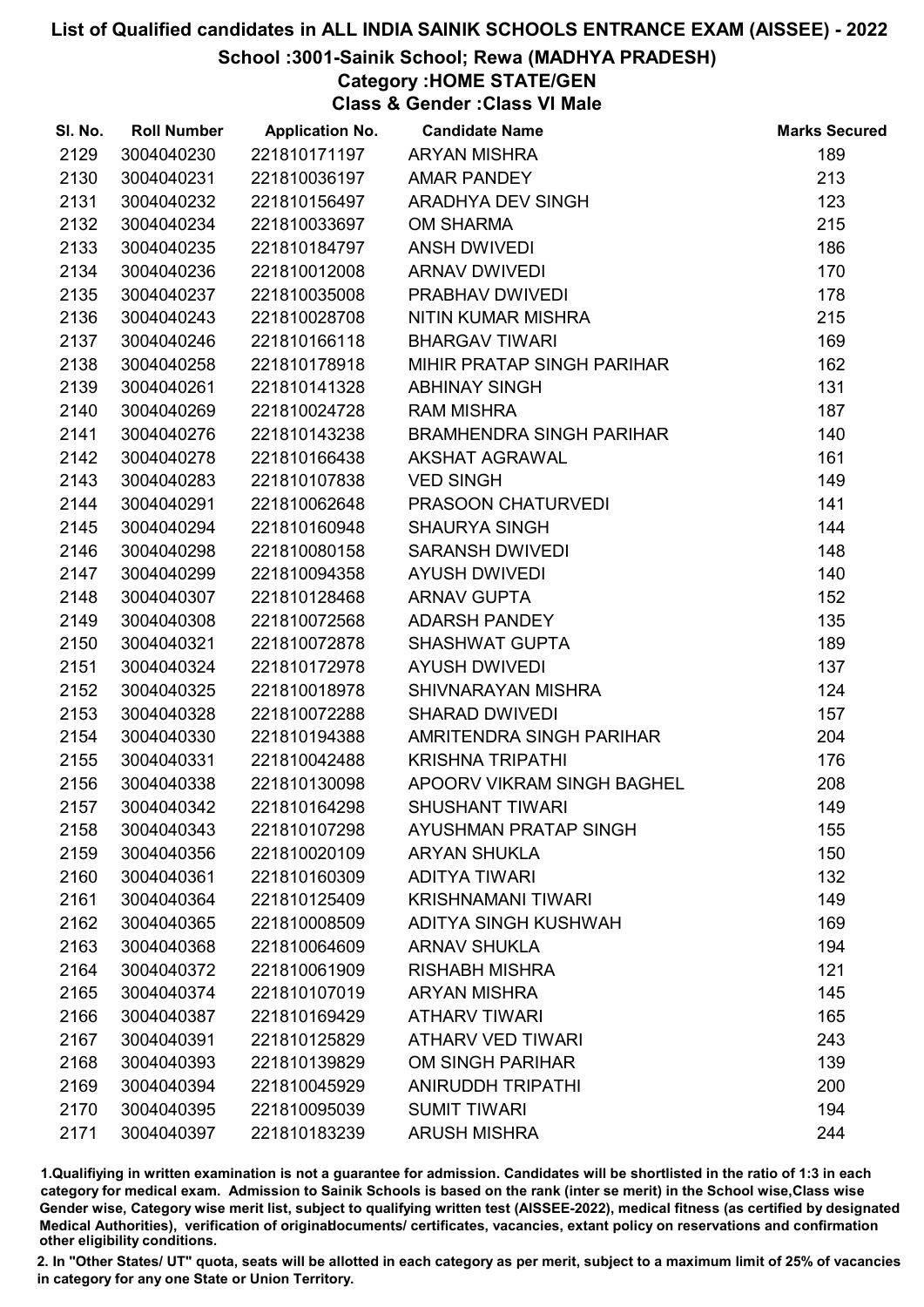# School :3001-Sainik School; Rewa (MADHYA PRADESH)

# Category :HOME STATE/GEN

Class & Gender :Class VI Male

| SI. No. | <b>Roll Number</b> | <b>Application No.</b> | <b>Candidate Name</b>           | <b>Marks Secured</b> |
|---------|--------------------|------------------------|---------------------------------|----------------------|
| 2129    | 3004040230         | 221810171197           | <b>ARYAN MISHRA</b>             | 189                  |
| 2130    | 3004040231         | 221810036197           | <b>AMAR PANDEY</b>              | 213                  |
| 2131    | 3004040232         | 221810156497           | ARADHYA DEV SINGH               | 123                  |
| 2132    | 3004040234         | 221810033697           | <b>OM SHARMA</b>                | 215                  |
| 2133    | 3004040235         | 221810184797           | <b>ANSH DWIVEDI</b>             | 186                  |
| 2134    | 3004040236         | 221810012008           | <b>ARNAV DWIVEDI</b>            | 170                  |
| 2135    | 3004040237         | 221810035008           | PRABHAV DWIVEDI                 | 178                  |
| 2136    | 3004040243         | 221810028708           | NITIN KUMAR MISHRA              | 215                  |
| 2137    | 3004040246         | 221810166118           | <b>BHARGAV TIWARI</b>           | 169                  |
| 2138    | 3004040258         | 221810178918           | MIHIR PRATAP SINGH PARIHAR      | 162                  |
| 2139    | 3004040261         | 221810141328           | <b>ABHINAY SINGH</b>            | 131                  |
| 2140    | 3004040269         | 221810024728           | <b>RAM MISHRA</b>               | 187                  |
| 2141    | 3004040276         | 221810143238           | <b>BRAMHENDRA SINGH PARIHAR</b> | 140                  |
| 2142    | 3004040278         | 221810166438           | <b>AKSHAT AGRAWAL</b>           | 161                  |
| 2143    | 3004040283         | 221810107838           | <b>VED SINGH</b>                | 149                  |
| 2144    | 3004040291         | 221810062648           | PRASOON CHATURVEDI              | 141                  |
| 2145    | 3004040294         | 221810160948           | <b>SHAURYA SINGH</b>            | 144                  |
| 2146    | 3004040298         | 221810080158           | <b>SARANSH DWIVEDI</b>          | 148                  |
| 2147    | 3004040299         | 221810094358           | <b>AYUSH DWIVEDI</b>            | 140                  |
| 2148    | 3004040307         | 221810128468           | <b>ARNAV GUPTA</b>              | 152                  |
| 2149    | 3004040308         | 221810072568           | <b>ADARSH PANDEY</b>            | 135                  |
| 2150    | 3004040321         | 221810072878           | <b>SHASHWAT GUPTA</b>           | 189                  |
| 2151    | 3004040324         | 221810172978           | <b>AYUSH DWIVEDI</b>            | 137                  |
| 2152    | 3004040325         | 221810018978           | SHIVNARAYAN MISHRA              | 124                  |
| 2153    | 3004040328         | 221810072288           | <b>SHARAD DWIVEDI</b>           | 157                  |
| 2154    | 3004040330         | 221810194388           | AMRITENDRA SINGH PARIHAR        | 204                  |
| 2155    | 3004040331         | 221810042488           | <b>KRISHNA TRIPATHI</b>         | 176                  |
| 2156    | 3004040338         | 221810130098           | APOORV VIKRAM SINGH BAGHEL      | 208                  |
| 2157    | 3004040342         | 221810164298           | <b>SHUSHANT TIWARI</b>          | 149                  |
| 2158    | 3004040343         | 221810107298           | <b>AYUSHMAN PRATAP SINGH</b>    | 155                  |
| 2159    | 3004040356         | 221810020109           | <b>ARYAN SHUKLA</b>             | 150                  |
| 2160    | 3004040361         | 221810160309           | <b>ADITYA TIWARI</b>            | 132                  |
| 2161    | 3004040364         | 221810125409           | <b>KRISHNAMANI TIWARI</b>       | 149                  |
| 2162    | 3004040365         | 221810008509           | ADITYA SINGH KUSHWAH            | 169                  |
| 2163    | 3004040368         | 221810064609           | <b>ARNAV SHUKLA</b>             | 194                  |
| 2164    | 3004040372         | 221810061909           | <b>RISHABH MISHRA</b>           | 121                  |
| 2165    | 3004040374         | 221810107019           | <b>ARYAN MISHRA</b>             | 145                  |
| 2166    | 3004040387         | 221810169429           | <b>ATHARV TIWARI</b>            | 165                  |
| 2167    | 3004040391         | 221810125829           | <b>ATHARV VED TIWARI</b>        | 243                  |
| 2168    | 3004040393         | 221810139829           | <b>OM SINGH PARIHAR</b>         | 139                  |
| 2169    | 3004040394         | 221810045929           | <b>ANIRUDDH TRIPATHI</b>        | 200                  |
| 2170    | 3004040395         | 221810095039           | <b>SUMIT TIWARI</b>             | 194                  |
| 2171    | 3004040397         | 221810183239           | <b>ARUSH MISHRA</b>             | 244                  |

1.Qualifiying in written examination is not a guarantee for admission. Candidates will be shortlisted in the ratio of 1:3 in each category for medical exam. Admission to Sainik Schools is based on the rank (inter se merit) in the School wise,Class wise Gender wise, Category wise merit list, subject to qualifying written test (AISSEE-2022), medical fitness (as certified by designated Medical Authorities), verification of originablocuments/ certificates, vacancies, extant policy on reservations and confirmation other eligibility conditions.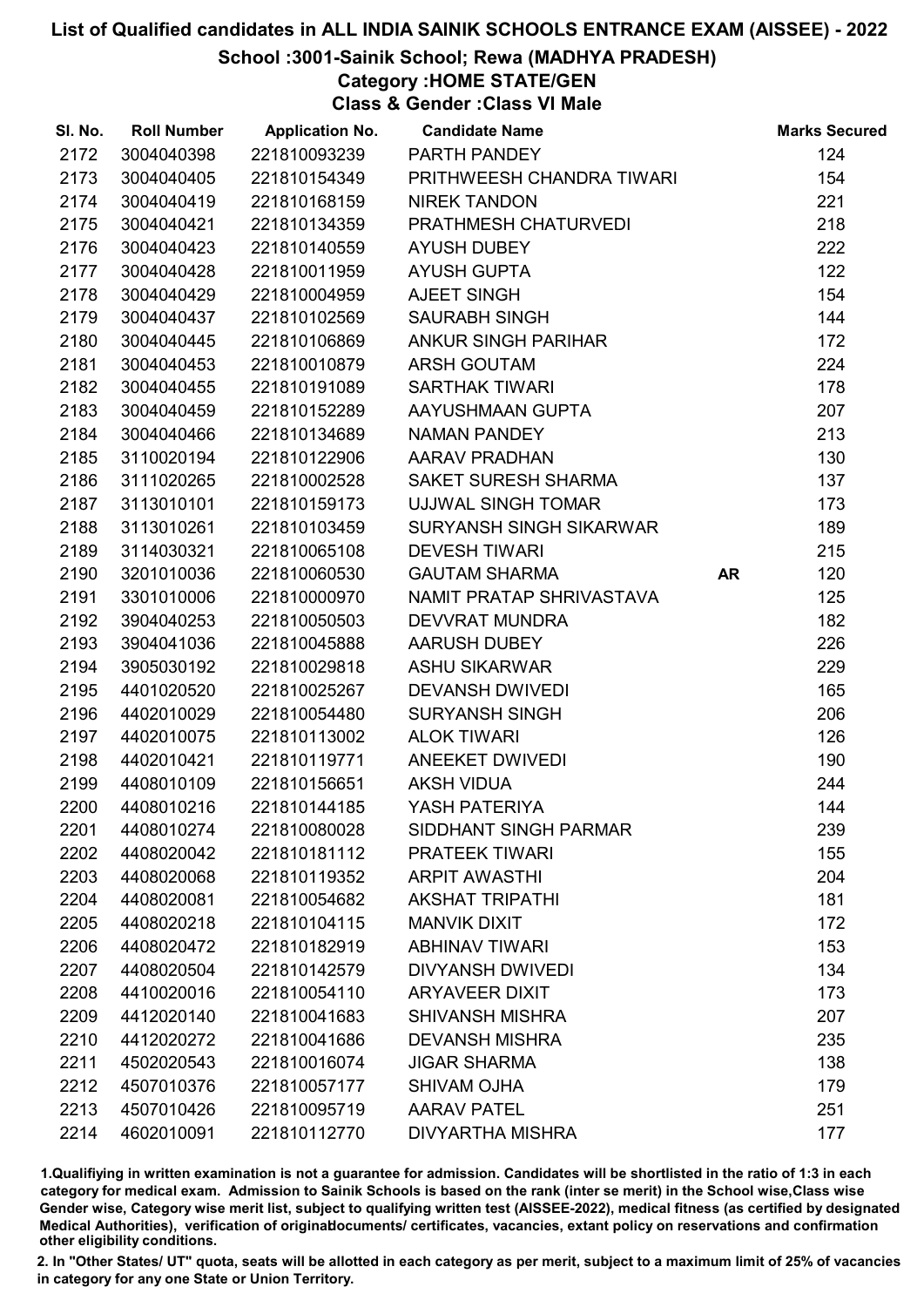# School :3001-Sainik School; Rewa (MADHYA PRADESH)

Category :HOME STATE/GEN

Class & Gender :Class VI Male

| SI. No. | <b>Roll Number</b> | <b>Application No.</b> | <b>Candidate Name</b>          |    | <b>Marks Secured</b> |
|---------|--------------------|------------------------|--------------------------------|----|----------------------|
| 2172    | 3004040398         | 221810093239           | PARTH PANDEY                   |    | 124                  |
| 2173    | 3004040405         | 221810154349           | PRITHWEESH CHANDRA TIWARI      |    | 154                  |
| 2174    | 3004040419         | 221810168159           | <b>NIREK TANDON</b>            |    | 221                  |
| 2175    | 3004040421         | 221810134359           | PRATHMESH CHATURVEDI           |    | 218                  |
| 2176    | 3004040423         | 221810140559           | <b>AYUSH DUBEY</b>             |    | 222                  |
| 2177    | 3004040428         | 221810011959           | <b>AYUSH GUPTA</b>             |    | 122                  |
| 2178    | 3004040429         | 221810004959           | AJEET SINGH                    |    | 154                  |
| 2179    | 3004040437         | 221810102569           | <b>SAURABH SINGH</b>           |    | 144                  |
| 2180    | 3004040445         | 221810106869           | ANKUR SINGH PARIHAR            |    | 172                  |
| 2181    | 3004040453         | 221810010879           | <b>ARSH GOUTAM</b>             |    | 224                  |
| 2182    | 3004040455         | 221810191089           | <b>SARTHAK TIWARI</b>          |    | 178                  |
| 2183    | 3004040459         | 221810152289           | AAYUSHMAAN GUPTA               |    | 207                  |
| 2184    | 3004040466         | 221810134689           | <b>NAMAN PANDEY</b>            |    | 213                  |
| 2185    | 3110020194         | 221810122906           | <b>AARAV PRADHAN</b>           |    | 130                  |
| 2186    | 3111020265         | 221810002528           | SAKET SURESH SHARMA            |    | 137                  |
| 2187    | 3113010101         | 221810159173           | UJJWAL SINGH TOMAR             |    | 173                  |
| 2188    | 3113010261         | 221810103459           | <b>SURYANSH SINGH SIKARWAR</b> |    | 189                  |
| 2189    | 3114030321         | 221810065108           | <b>DEVESH TIWARI</b>           |    | 215                  |
| 2190    | 3201010036         | 221810060530           | <b>GAUTAM SHARMA</b>           | AR | 120                  |
| 2191    | 3301010006         | 221810000970           | NAMIT PRATAP SHRIVASTAVA       |    | 125                  |
| 2192    | 3904040253         | 221810050503           | <b>DEVVRAT MUNDRA</b>          |    | 182                  |
| 2193    | 3904041036         | 221810045888           | AARUSH DUBEY                   |    | 226                  |
| 2194    | 3905030192         | 221810029818           | <b>ASHU SIKARWAR</b>           |    | 229                  |
| 2195    | 4401020520         | 221810025267           | <b>DEVANSH DWIVEDI</b>         |    | 165                  |
| 2196    | 4402010029         | 221810054480           | <b>SURYANSH SINGH</b>          |    | 206                  |
| 2197    | 4402010075         | 221810113002           | <b>ALOK TIWARI</b>             |    | 126                  |
| 2198    | 4402010421         | 221810119771           | ANEEKET DWIVEDI                |    | 190                  |
| 2199    | 4408010109         | 221810156651           | <b>AKSH VIDUA</b>              |    | 244                  |
| 2200    | 4408010216         | 221810144185           | YASH PATERIYA                  |    | 144                  |
| 2201    | 4408010274         | 221810080028           | SIDDHANT SINGH PARMAR          |    | 239                  |
| 2202    | 4408020042         | 221810181112           | <b>PRATEEK TIWARI</b>          |    | 155                  |
| 2203    | 4408020068         | 221810119352           | <b>ARPIT AWASTHI</b>           |    | 204                  |
| 2204    | 4408020081         | 221810054682           | <b>AKSHAT TRIPATHI</b>         |    | 181                  |
| 2205    | 4408020218         | 221810104115           | <b>MANVIK DIXIT</b>            |    | 172                  |
| 2206    | 4408020472         | 221810182919           | <b>ABHINAV TIWARI</b>          |    | 153                  |
| 2207    | 4408020504         | 221810142579           | <b>DIVYANSH DWIVEDI</b>        |    | 134                  |
| 2208    | 4410020016         | 221810054110           | <b>ARYAVEER DIXIT</b>          |    | 173                  |
| 2209    | 4412020140         | 221810041683           | <b>SHIVANSH MISHRA</b>         |    | 207                  |
| 2210    | 4412020272         | 221810041686           | <b>DEVANSH MISHRA</b>          |    | 235                  |
| 2211    | 4502020543         | 221810016074           | <b>JIGAR SHARMA</b>            |    | 138                  |
| 2212    | 4507010376         | 221810057177           | <b>SHIVAM OJHA</b>             |    | 179                  |
| 2213    | 4507010426         | 221810095719           | <b>AARAV PATEL</b>             |    | 251                  |
| 2214    | 4602010091         | 221810112770           | <b>DIVYARTHA MISHRA</b>        |    | 177                  |

1.Qualifiying in written examination is not a guarantee for admission. Candidates will be shortlisted in the ratio of 1:3 in each category for medical exam. Admission to Sainik Schools is based on the rank (inter se merit) in the School wise,Class wise Gender wise, Category wise merit list, subject to qualifying written test (AISSEE-2022), medical fitness (as certified by designated Medical Authorities), verification of originablocuments/ certificates, vacancies, extant policy on reservations and confirmation other eligibility conditions.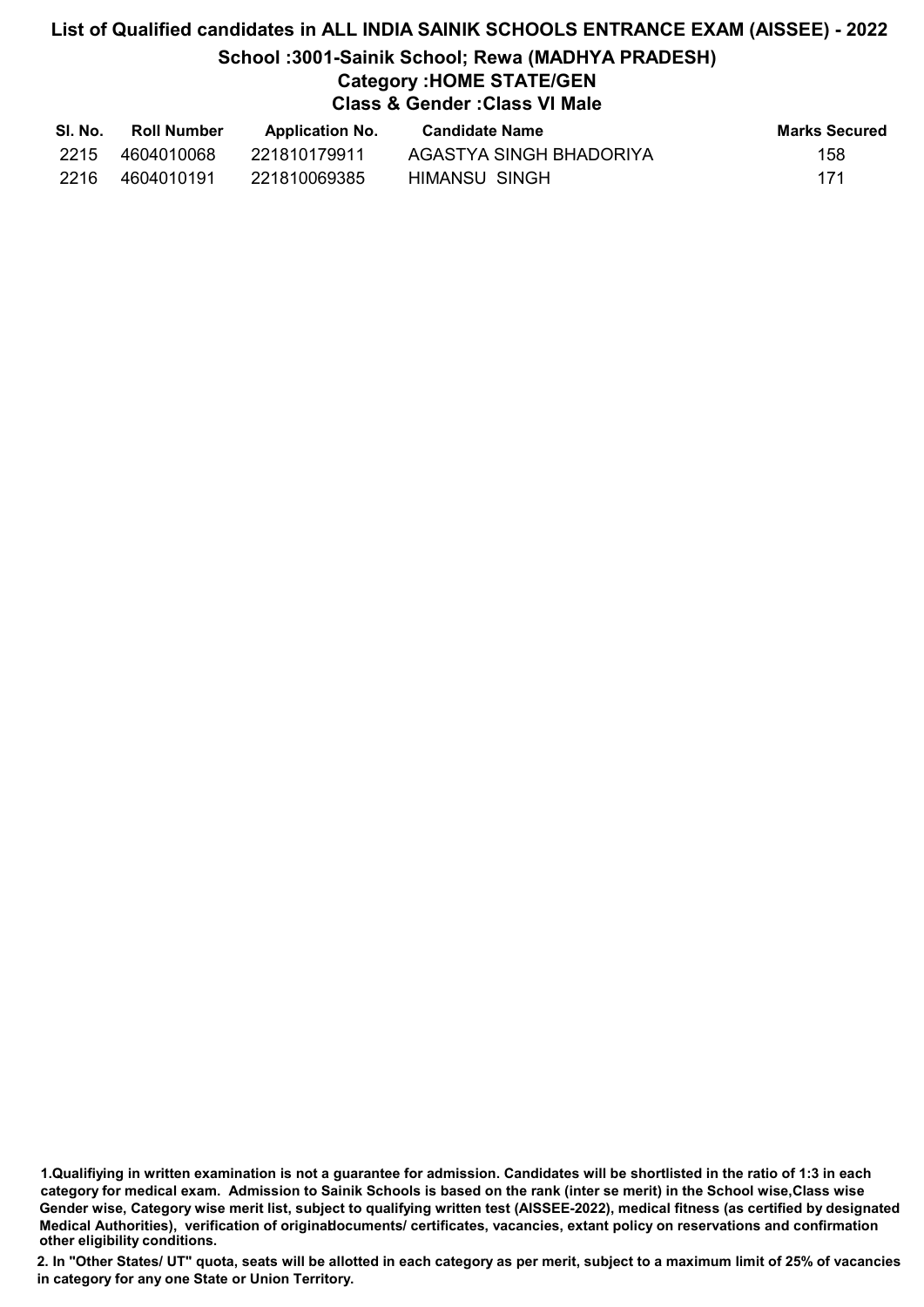# List of Qualified candidates in ALL INDIA SAINIK SCHOOLS ENTRANCE EXAM (AISSEE) - 2022 School :3001-Sainik School; Rewa (MADHYA PRADESH) Category :HOME STATE/GEN Class & Gender :Class VI Male

| SI. No. | <b>Roll Number</b> | <b>Application No.</b> | <b>Candidate Name</b>   | Marks Secured |
|---------|--------------------|------------------------|-------------------------|---------------|
| 2215    | 4604010068         | 221810179911           | AGASTYA SINGH BHADORIYA | 158           |
| 2216    | 4604010191         | 221810069385           | HIMANSU SINGH           | 171           |

<sup>1.</sup>Qualifiying in written examination is not a guarantee for admission. Candidates will be shortlisted in the ratio of 1:3 in each category for medical exam. Admission to Sainik Schools is based on the rank (inter se merit) in the School wise,Class wise Gender wise, Category wise merit list, subject to qualifying written test (AISSEE-2022), medical fitness (as certified by designated Medical Authorities), verification of originablocuments/ certificates, vacancies, extant policy on reservations and confirmation other eligibility conditions.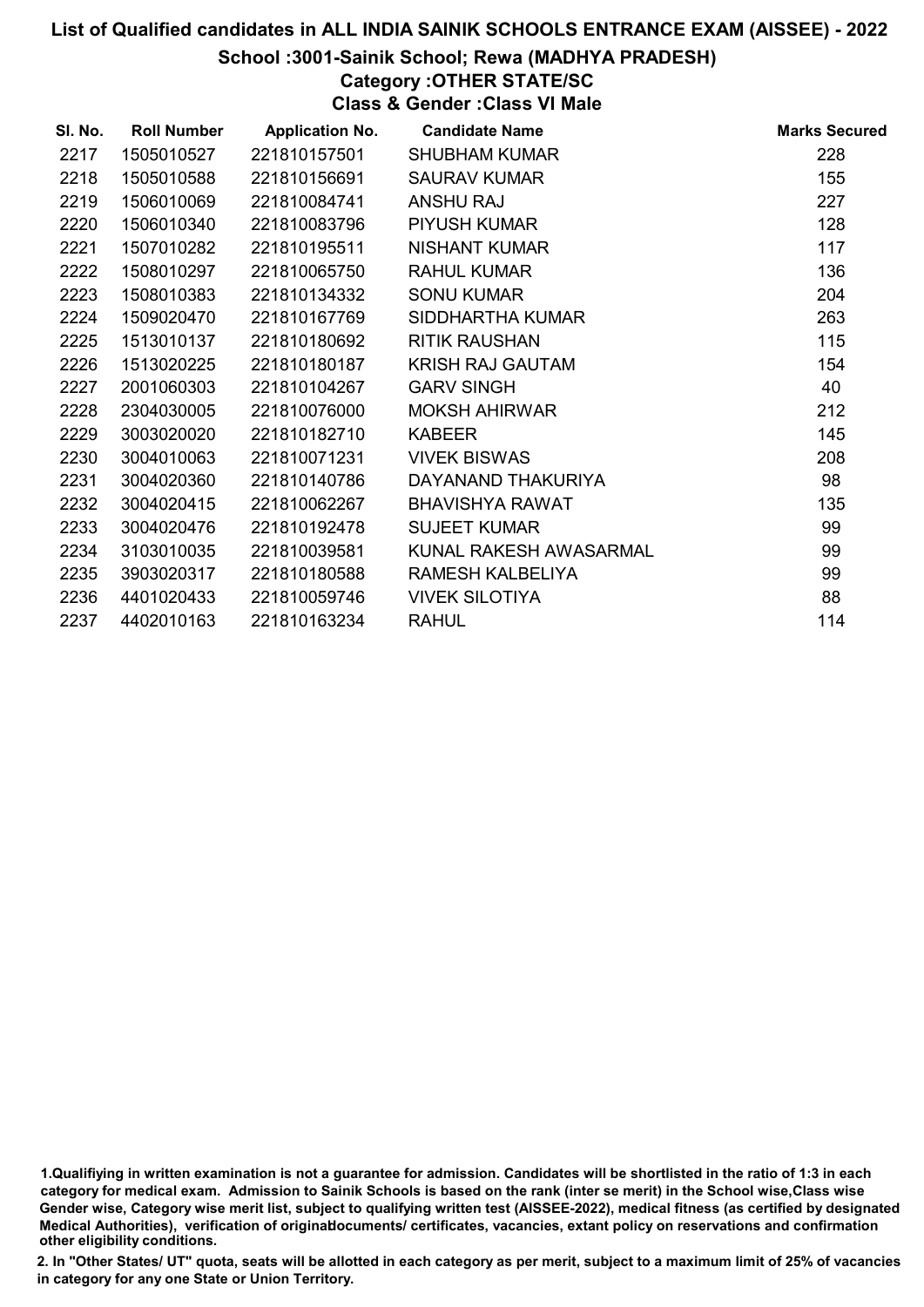#### School :3001-Sainik School; Rewa (MADHYA PRADESH)

# Category :OTHER STATE/SC

Class & Gender :Class VI Male

| SI. No. | <b>Roll Number</b> | <b>Application No.</b> | <b>Candidate Name</b>   | <b>Marks Secured</b> |
|---------|--------------------|------------------------|-------------------------|----------------------|
| 2217    | 1505010527         | 221810157501           | <b>SHUBHAM KUMAR</b>    | 228                  |
| 2218    | 1505010588         | 221810156691           | <b>SAURAV KUMAR</b>     | 155                  |
| 2219    | 1506010069         | 221810084741           | <b>ANSHU RAJ</b>        | 227                  |
| 2220    | 1506010340         | 221810083796           | <b>PIYUSH KUMAR</b>     | 128                  |
| 2221    | 1507010282         | 221810195511           | <b>NISHANT KUMAR</b>    | 117                  |
| 2222    | 1508010297         | 221810065750           | <b>RAHUL KUMAR</b>      | 136                  |
| 2223    | 1508010383         | 221810134332           | <b>SONU KUMAR</b>       | 204                  |
| 2224    | 1509020470         | 221810167769           | SIDDHARTHA KUMAR        | 263                  |
| 2225    | 1513010137         | 221810180692           | <b>RITIK RAUSHAN</b>    | 115                  |
| 2226    | 1513020225         | 221810180187           | <b>KRISH RAJ GAUTAM</b> | 154                  |
| 2227    | 2001060303         | 221810104267           | <b>GARV SINGH</b>       | 40                   |
| 2228    | 2304030005         | 221810076000           | <b>MOKSH AHIRWAR</b>    | 212                  |
| 2229    | 3003020020         | 221810182710           | <b>KABEER</b>           | 145                  |
| 2230    | 3004010063         | 221810071231           | <b>VIVEK BISWAS</b>     | 208                  |
| 2231    | 3004020360         | 221810140786           | DAYANAND THAKURIYA      | 98                   |
| 2232    | 3004020415         | 221810062267           | <b>BHAVISHYA RAWAT</b>  | 135                  |
| 2233    | 3004020476         | 221810192478           | <b>SUJEET KUMAR</b>     | 99                   |
| 2234    | 3103010035         | 221810039581           | KUNAL RAKESH AWASARMAL  | 99                   |
| 2235    | 3903020317         | 221810180588           | RAMESH KALBELIYA        | 99                   |
| 2236    | 4401020433         | 221810059746           | <b>VIVEK SILOTIYA</b>   | 88                   |
| 2237    | 4402010163         | 221810163234           | <b>RAHUL</b>            | 114                  |

<sup>1.</sup>Qualifiying in written examination is not a guarantee for admission. Candidates will be shortlisted in the ratio of 1:3 in each category for medical exam. Admission to Sainik Schools is based on the rank (inter se merit) in the School wise,Class wise Gender wise, Category wise merit list, subject to qualifying written test (AISSEE-2022), medical fitness (as certified by designated Medical Authorities), verification of originablocuments/ certificates, vacancies, extant policy on reservations and confirmation other eligibility conditions.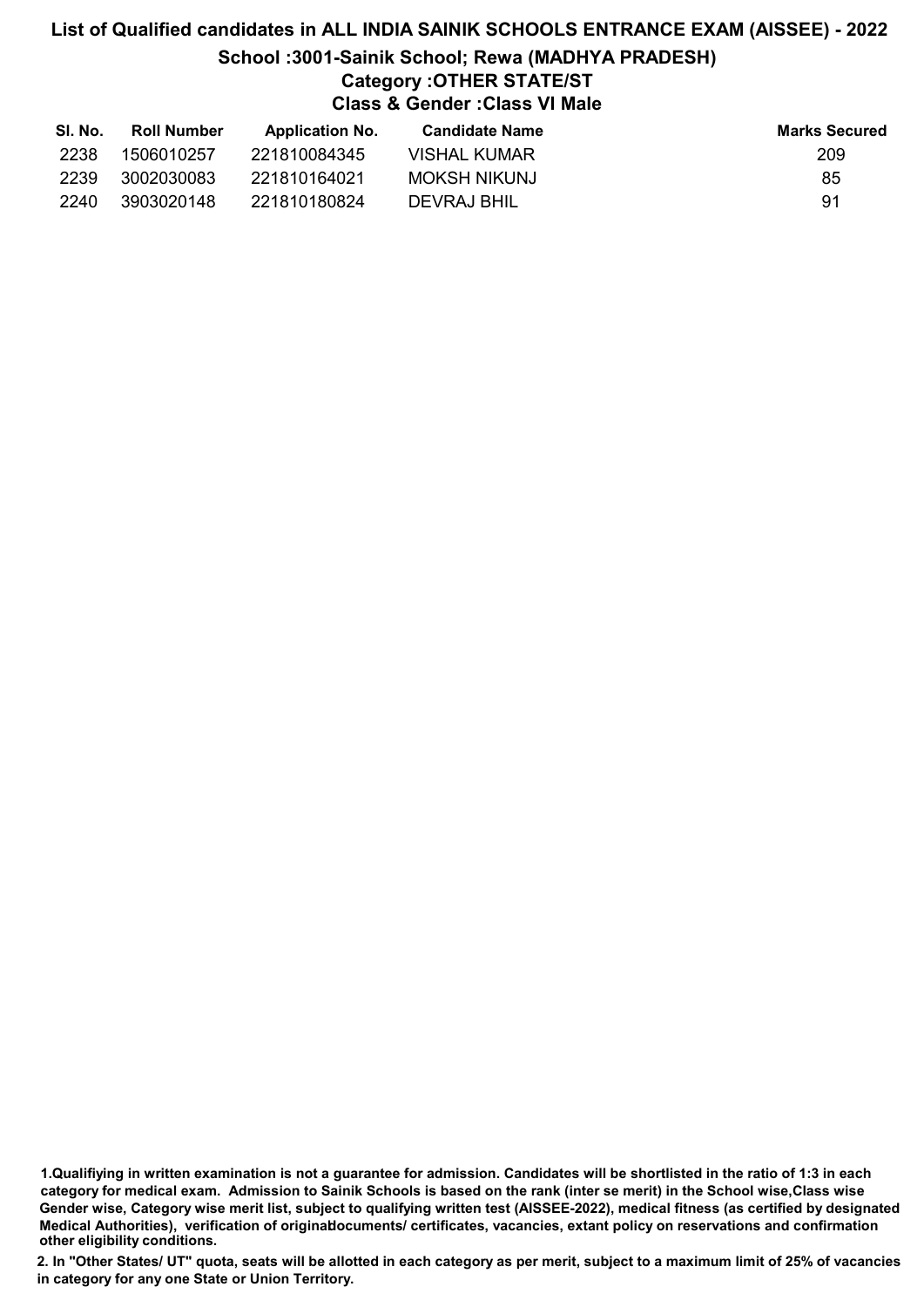# List of Qualified candidates in ALL INDIA SAINIK SCHOOLS ENTRANCE EXAM (AISSEE) - 2022 School :3001-Sainik School; Rewa (MADHYA PRADESH) Category :OTHER STATE/ST Class & Gender :Class VI Male

| SI. No. | Roll Number | <b>Application No.</b> | <b>Candidate Name</b> | <b>Marks Secured</b> |
|---------|-------------|------------------------|-----------------------|----------------------|
| 2238    | 1506010257  | 221810084345           | <b>VISHAL KUMAR</b>   | 209                  |
| 2239    | 3002030083  | 221810164021           | <b>MOKSH NIKUNJ</b>   | 85                   |
| 2240    | 3903020148  | 221810180824           | DEVRAJ BHIL           | .91                  |

1.Qualifiying in written examination is not a guarantee for admission. Candidates will be shortlisted in the ratio of 1:3 in each category for medical exam. Admission to Sainik Schools is based on the rank (inter se merit) in the School wise,Class wise Gender wise, Category wise merit list, subject to qualifying written test (AISSEE-2022), medical fitness (as certified by designated Medical Authorities), verification of originablocuments/ certificates, vacancies, extant policy on reservations and confirmation other eligibility conditions.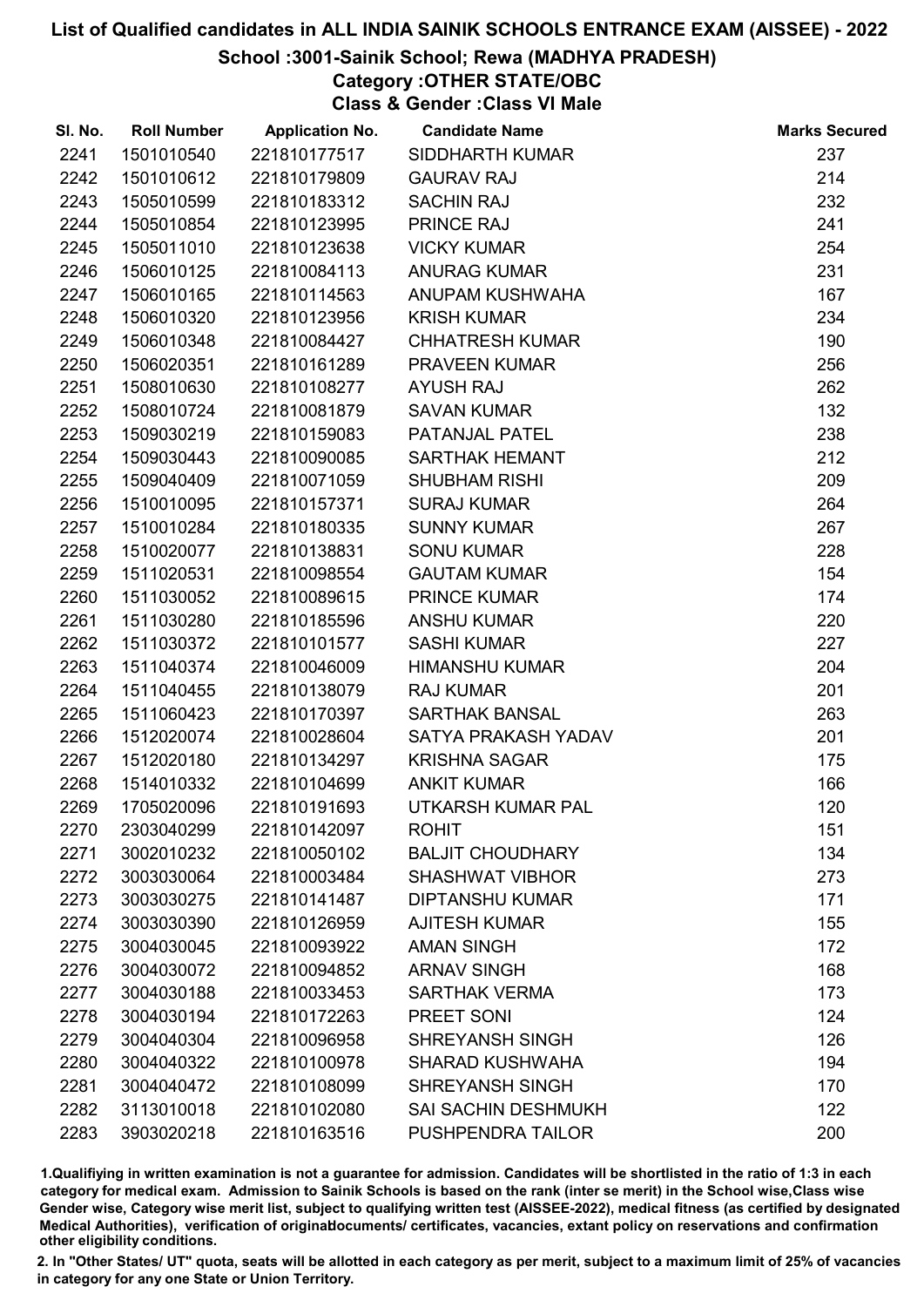# School :3001-Sainik School; Rewa (MADHYA PRADESH)

# Category :OTHER STATE/OBC

Class & Gender :Class VI Male

| SI. No. | <b>Roll Number</b> | <b>Application No.</b> | <b>Candidate Name</b>      | <b>Marks Secured</b> |
|---------|--------------------|------------------------|----------------------------|----------------------|
| 2241    | 1501010540         | 221810177517           | <b>SIDDHARTH KUMAR</b>     | 237                  |
| 2242    | 1501010612         | 221810179809           | <b>GAURAV RAJ</b>          | 214                  |
| 2243    | 1505010599         | 221810183312           | <b>SACHIN RAJ</b>          | 232                  |
| 2244    | 1505010854         | 221810123995           | <b>PRINCE RAJ</b>          | 241                  |
| 2245    | 1505011010         | 221810123638           | <b>VICKY KUMAR</b>         | 254                  |
| 2246    | 1506010125         | 221810084113           | <b>ANURAG KUMAR</b>        | 231                  |
| 2247    | 1506010165         | 221810114563           | ANUPAM KUSHWAHA            | 167                  |
| 2248    | 1506010320         | 221810123956           | <b>KRISH KUMAR</b>         | 234                  |
| 2249    | 1506010348         | 221810084427           | <b>CHHATRESH KUMAR</b>     | 190                  |
| 2250    | 1506020351         | 221810161289           | PRAVEEN KUMAR              | 256                  |
| 2251    | 1508010630         | 221810108277           | <b>AYUSH RAJ</b>           | 262                  |
| 2252    | 1508010724         | 221810081879           | <b>SAVAN KUMAR</b>         | 132                  |
| 2253    | 1509030219         | 221810159083           | PATANJAL PATEL             | 238                  |
| 2254    | 1509030443         | 221810090085           | SARTHAK HEMANT             | 212                  |
| 2255    | 1509040409         | 221810071059           | <b>SHUBHAM RISHI</b>       | 209                  |
| 2256    | 1510010095         | 221810157371           | <b>SURAJ KUMAR</b>         | 264                  |
| 2257    | 1510010284         | 221810180335           | <b>SUNNY KUMAR</b>         | 267                  |
| 2258    | 1510020077         | 221810138831           | <b>SONU KUMAR</b>          | 228                  |
| 2259    | 1511020531         | 221810098554           | <b>GAUTAM KUMAR</b>        | 154                  |
| 2260    | 1511030052         | 221810089615           | <b>PRINCE KUMAR</b>        | 174                  |
| 2261    | 1511030280         | 221810185596           | <b>ANSHU KUMAR</b>         | 220                  |
| 2262    | 1511030372         | 221810101577           | <b>SASHI KUMAR</b>         | 227                  |
| 2263    | 1511040374         | 221810046009           | <b>HIMANSHU KUMAR</b>      | 204                  |
| 2264    | 1511040455         | 221810138079           | <b>RAJ KUMAR</b>           | 201                  |
| 2265    | 1511060423         | 221810170397           | <b>SARTHAK BANSAL</b>      | 263                  |
| 2266    | 1512020074         | 221810028604           | SATYA PRAKASH YADAV        | 201                  |
| 2267    | 1512020180         | 221810134297           | <b>KRISHNA SAGAR</b>       | 175                  |
| 2268    | 1514010332         | 221810104699           | <b>ANKIT KUMAR</b>         | 166                  |
| 2269    | 1705020096         | 221810191693           | UTKARSH KUMAR PAL          | 120                  |
| 2270    | 2303040299         | 221810142097           | <b>ROHIT</b>               | 151                  |
| 2271    | 3002010232         | 221810050102           | <b>BALJIT CHOUDHARY</b>    | 134                  |
| 2272    | 3003030064         | 221810003484           | <b>SHASHWAT VIBHOR</b>     | 273                  |
| 2273    | 3003030275         | 221810141487           | <b>DIPTANSHU KUMAR</b>     | 171                  |
| 2274    | 3003030390         | 221810126959           | <b>AJITESH KUMAR</b>       | 155                  |
| 2275    | 3004030045         | 221810093922           | <b>AMAN SINGH</b>          | 172                  |
| 2276    | 3004030072         | 221810094852           | <b>ARNAV SINGH</b>         | 168                  |
| 2277    | 3004030188         | 221810033453           | <b>SARTHAK VERMA</b>       | 173                  |
| 2278    | 3004030194         | 221810172263           | PREET SONI                 | 124                  |
| 2279    | 3004040304         | 221810096958           | <b>SHREYANSH SINGH</b>     | 126                  |
| 2280    | 3004040322         | 221810100978           | <b>SHARAD KUSHWAHA</b>     | 194                  |
| 2281    | 3004040472         | 221810108099           | <b>SHREYANSH SINGH</b>     | 170                  |
| 2282    | 3113010018         | 221810102080           | <b>SAI SACHIN DESHMUKH</b> | 122                  |
| 2283    | 3903020218         | 221810163516           | PUSHPENDRA TAILOR          | 200                  |

1.Qualifiying in written examination is not a guarantee for admission. Candidates will be shortlisted in the ratio of 1:3 in each category for medical exam. Admission to Sainik Schools is based on the rank (inter se merit) in the School wise,Class wise Gender wise, Category wise merit list, subject to qualifying written test (AISSEE-2022), medical fitness (as certified by designated Medical Authorities), verification of originablocuments/ certificates, vacancies, extant policy on reservations and confirmation other eligibility conditions.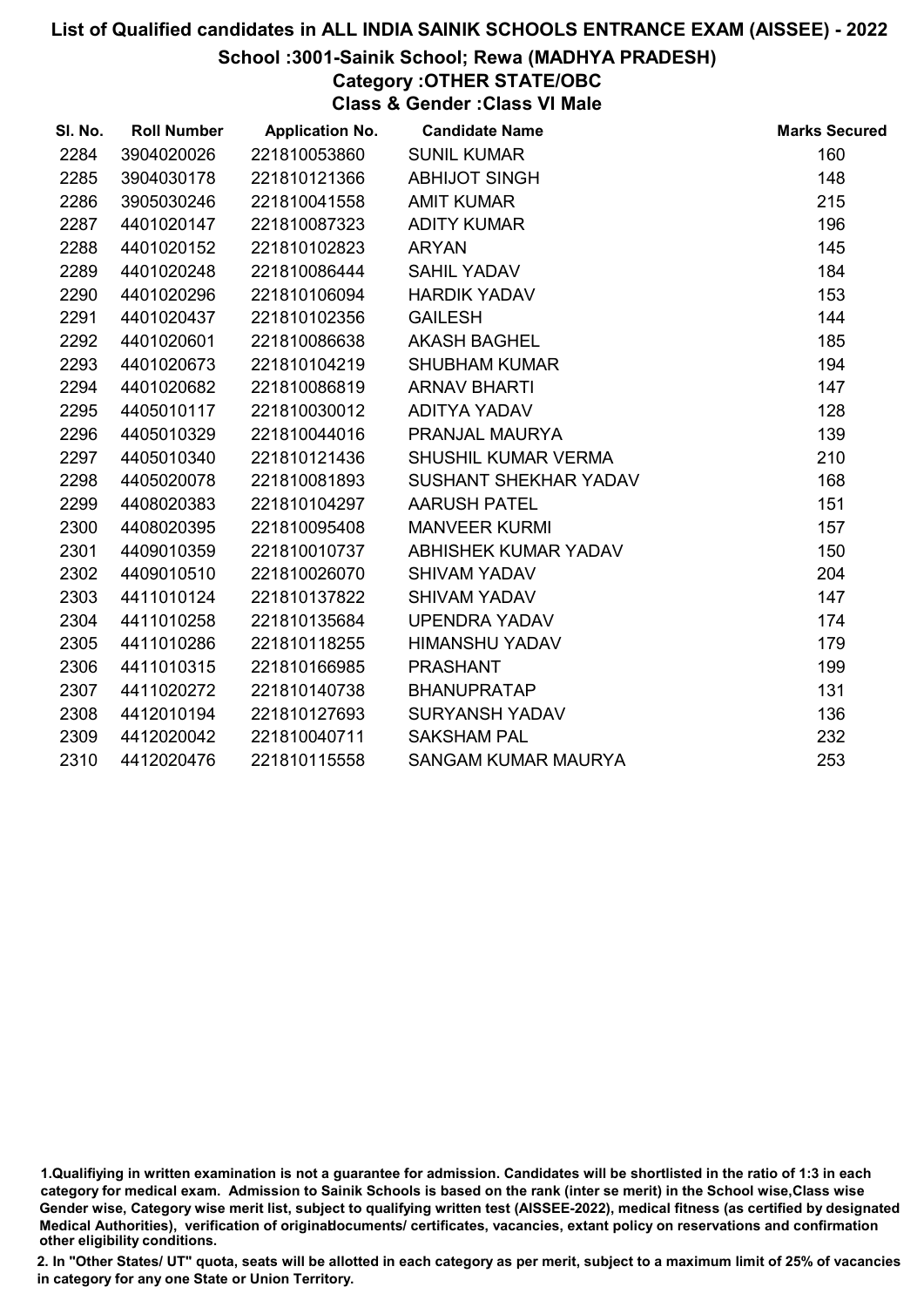#### School :3001-Sainik School; Rewa (MADHYA PRADESH)

# Category :OTHER STATE/OBC

Class & Gender :Class VI Male

| SI. No. | <b>Roll Number</b> | <b>Application No.</b> | <b>Candidate Name</b>      | <b>Marks Secured</b> |
|---------|--------------------|------------------------|----------------------------|----------------------|
| 2284    | 3904020026         | 221810053860           | <b>SUNIL KUMAR</b>         | 160                  |
| 2285    | 3904030178         | 221810121366           | <b>ABHIJOT SINGH</b>       | 148                  |
| 2286    | 3905030246         | 221810041558           | <b>AMIT KUMAR</b>          | 215                  |
| 2287    | 4401020147         | 221810087323           | <b>ADITY KUMAR</b>         | 196                  |
| 2288    | 4401020152         | 221810102823           | <b>ARYAN</b>               | 145                  |
| 2289    | 4401020248         | 221810086444           | SAHIL YADAV                | 184                  |
| 2290    | 4401020296         | 221810106094           | <b>HARDIK YADAV</b>        | 153                  |
| 2291    | 4401020437         | 221810102356           | <b>GAILESH</b>             | 144                  |
| 2292    | 4401020601         | 221810086638           | <b>AKASH BAGHEL</b>        | 185                  |
| 2293    | 4401020673         | 221810104219           | <b>SHUBHAM KUMAR</b>       | 194                  |
| 2294    | 4401020682         | 221810086819           | <b>ARNAV BHARTI</b>        | 147                  |
| 2295    | 4405010117         | 221810030012           | ADITYA YADAV               | 128                  |
| 2296    | 4405010329         | 221810044016           | PRANJAL MAURYA             | 139                  |
| 2297    | 4405010340         | 221810121436           | <b>SHUSHIL KUMAR VERMA</b> | 210                  |
| 2298    | 4405020078         | 221810081893           | SUSHANT SHEKHAR YADAV      | 168                  |
| 2299    | 4408020383         | 221810104297           | <b>AARUSH PATEL</b>        | 151                  |
| 2300    | 4408020395         | 221810095408           | <b>MANVEER KURMI</b>       | 157                  |
| 2301    | 4409010359         | 221810010737           | ABHISHEK KUMAR YADAV       | 150                  |
| 2302    | 4409010510         | 221810026070           | <b>SHIVAM YADAV</b>        | 204                  |
| 2303    | 4411010124         | 221810137822           | <b>SHIVAM YADAV</b>        | 147                  |
| 2304    | 4411010258         | 221810135684           | UPENDRA YADAV              | 174                  |
| 2305    | 4411010286         | 221810118255           | HIMANSHU YADAV             | 179                  |
| 2306    | 4411010315         | 221810166985           | <b>PRASHANT</b>            | 199                  |
| 2307    | 4411020272         | 221810140738           | <b>BHANUPRATAP</b>         | 131                  |
| 2308    | 4412010194         | 221810127693           | <b>SURYANSH YADAV</b>      | 136                  |
| 2309    | 4412020042         | 221810040711           | <b>SAKSHAM PAL</b>         | 232                  |
| 2310    | 4412020476         | 221810115558           | SANGAM KUMAR MAURYA        | 253                  |

<sup>1.</sup>Qualifiying in written examination is not a guarantee for admission. Candidates will be shortlisted in the ratio of 1:3 in each category for medical exam. Admission to Sainik Schools is based on the rank (inter se merit) in the School wise,Class wise Gender wise, Category wise merit list, subject to qualifying written test (AISSEE-2022), medical fitness (as certified by designated Medical Authorities), verification of originablocuments/ certificates, vacancies, extant policy on reservations and confirmation other eligibility conditions.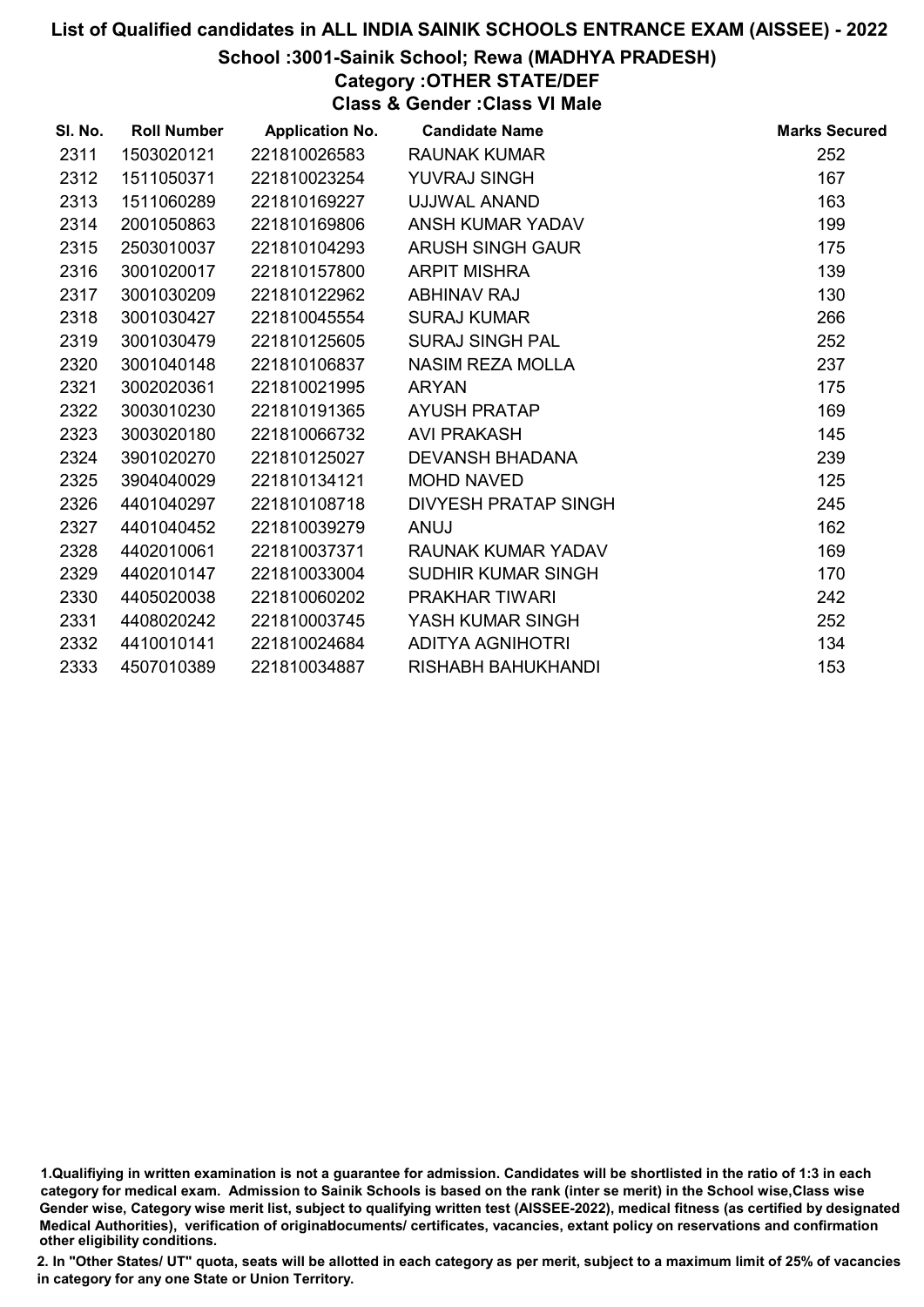## School :3001-Sainik School; Rewa (MADHYA PRADESH)

# Category :OTHER STATE/DEF

Class & Gender :Class VI Male

| SI. No. | <b>Roll Number</b> | <b>Application No.</b> | <b>Candidate Name</b>   | <b>Marks Secured</b> |
|---------|--------------------|------------------------|-------------------------|----------------------|
| 2311    | 1503020121         | 221810026583           | <b>RAUNAK KUMAR</b>     | 252                  |
| 2312    | 1511050371         | 221810023254           | <b>YUVRAJ SINGH</b>     | 167                  |
| 2313    | 1511060289         | 221810169227           | UJJWAL ANAND            | 163                  |
| 2314    | 2001050863         | 221810169806           | ANSH KUMAR YADAV        | 199                  |
| 2315    | 2503010037         | 221810104293           | ARUSH SINGH GAUR        | 175                  |
| 2316    | 3001020017         | 221810157800           | <b>ARPIT MISHRA</b>     | 139                  |
| 2317    | 3001030209         | 221810122962           | <b>ABHINAV RAJ</b>      | 130                  |
| 2318    | 3001030427         | 221810045554           | <b>SURAJ KUMAR</b>      | 266                  |
| 2319    | 3001030479         | 221810125605           | <b>SURAJ SINGH PAL</b>  | 252                  |
| 2320    | 3001040148         | 221810106837           | NASIM REZA MOLLA        | 237                  |
| 2321    | 3002020361         | 221810021995           | <b>ARYAN</b>            | 175                  |
| 2322    | 3003010230         | 221810191365           | <b>AYUSH PRATAP</b>     | 169                  |
| 2323    | 3003020180         | 221810066732           | <b>AVI PRAKASH</b>      | 145                  |
| 2324    | 3901020270         | 221810125027           | <b>DEVANSH BHADANA</b>  | 239                  |
| 2325    | 3904040029         | 221810134121           | <b>MOHD NAVED</b>       | 125                  |
| 2326    | 4401040297         | 221810108718           | DIVYESH PRATAP SINGH    | 245                  |
| 2327    | 4401040452         | 221810039279           | ANUJ                    | 162                  |
| 2328    | 4402010061         | 221810037371           | RAUNAK KUMAR YADAV      | 169                  |
| 2329    | 4402010147         | 221810033004           | SUDHIR KUMAR SINGH      | 170                  |
| 2330    | 4405020038         | 221810060202           | <b>PRAKHAR TIWARI</b>   | 242                  |
| 2331    | 4408020242         | 221810003745           | YASH KUMAR SINGH        | 252                  |
| 2332    | 4410010141         | 221810024684           | <b>ADITYA AGNIHOTRI</b> | 134                  |
| 2333    | 4507010389         | 221810034887           | RISHABH BAHUKHANDI      | 153                  |

<sup>1.</sup>Qualifiying in written examination is not a guarantee for admission. Candidates will be shortlisted in the ratio of 1:3 in each category for medical exam. Admission to Sainik Schools is based on the rank (inter se merit) in the School wise,Class wise Gender wise, Category wise merit list, subject to qualifying written test (AISSEE-2022), medical fitness (as certified by designated Medical Authorities), verification of originablocuments/ certificates, vacancies, extant policy on reservations and confirmation other eligibility conditions.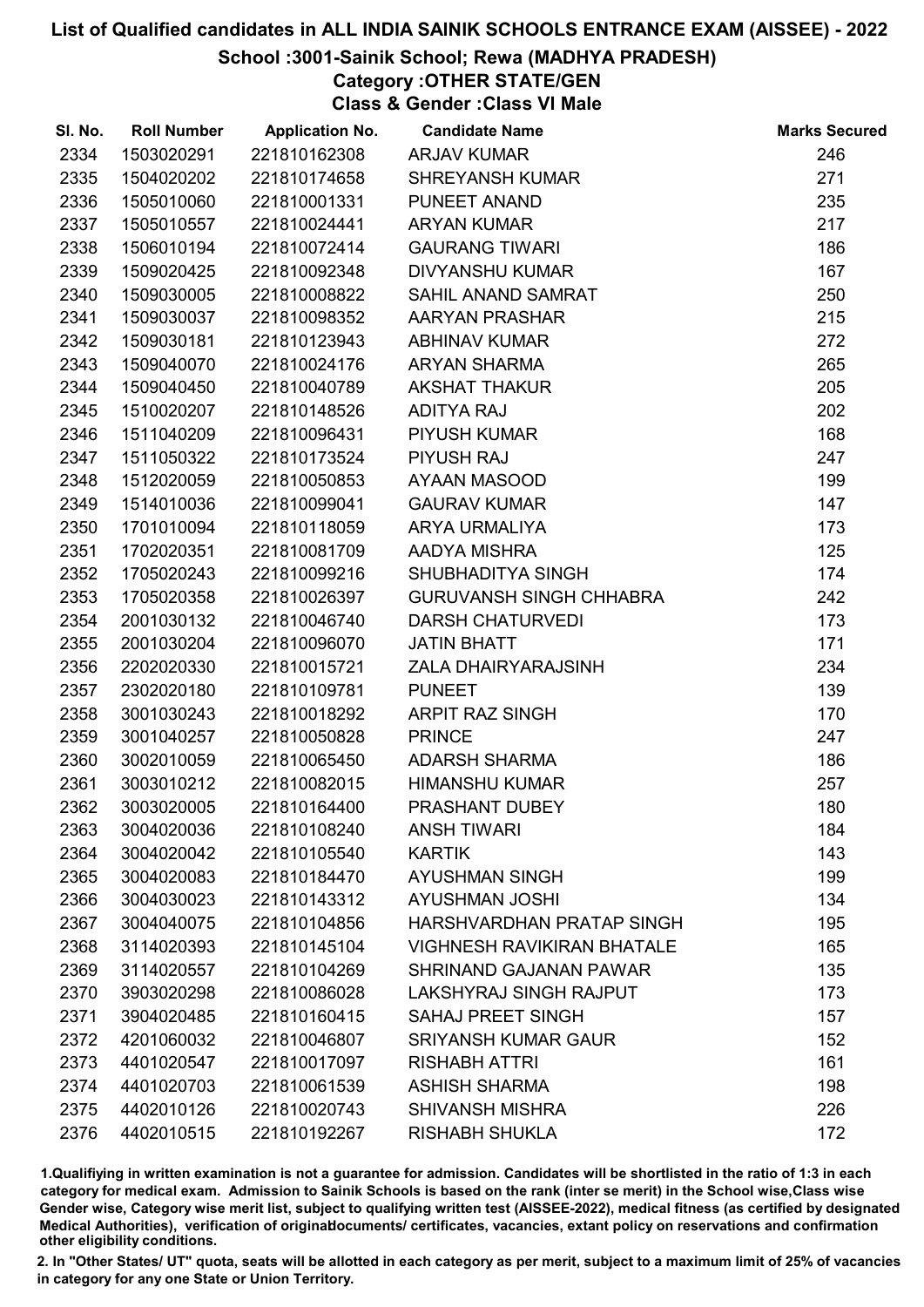# School :3001-Sainik School; Rewa (MADHYA PRADESH)

Category :OTHER STATE/GEN Class & Gender :Class VI Male

| SI. No. | <b>Roll Number</b> | <b>Application No.</b> | <b>Candidate Name</b>             | <b>Marks Secured</b> |
|---------|--------------------|------------------------|-----------------------------------|----------------------|
| 2334    | 1503020291         | 221810162308           | <b>ARJAV KUMAR</b>                | 246                  |
| 2335    | 1504020202         | 221810174658           | <b>SHREYANSH KUMAR</b>            | 271                  |
| 2336    | 1505010060         | 221810001331           | PUNEET ANAND                      | 235                  |
| 2337    | 1505010557         | 221810024441           | <b>ARYAN KUMAR</b>                | 217                  |
| 2338    | 1506010194         | 221810072414           | <b>GAURANG TIWARI</b>             | 186                  |
| 2339    | 1509020425         | 221810092348           | <b>DIVYANSHU KUMAR</b>            | 167                  |
| 2340    | 1509030005         | 221810008822           | SAHIL ANAND SAMRAT                | 250                  |
| 2341    | 1509030037         | 221810098352           | AARYAN PRASHAR                    | 215                  |
| 2342    | 1509030181         | 221810123943           | <b>ABHINAV KUMAR</b>              | 272                  |
| 2343    | 1509040070         | 221810024176           | <b>ARYAN SHARMA</b>               | 265                  |
| 2344    | 1509040450         | 221810040789           | <b>AKSHAT THAKUR</b>              | 205                  |
| 2345    | 1510020207         | 221810148526           | <b>ADITYA RAJ</b>                 | 202                  |
| 2346    | 1511040209         | 221810096431           | PIYUSH KUMAR                      | 168                  |
| 2347    | 1511050322         | 221810173524           | <b>PIYUSH RAJ</b>                 | 247                  |
| 2348    | 1512020059         | 221810050853           | AYAAN MASOOD                      | 199                  |
| 2349    | 1514010036         | 221810099041           | <b>GAURAV KUMAR</b>               | 147                  |
| 2350    | 1701010094         | 221810118059           | ARYA URMALIYA                     | 173                  |
| 2351    | 1702020351         | 221810081709           | AADYA MISHRA                      | 125                  |
| 2352    | 1705020243         | 221810099216           | SHUBHADITYA SINGH                 | 174                  |
| 2353    | 1705020358         | 221810026397           | <b>GURUVANSH SINGH CHHABRA</b>    | 242                  |
| 2354    | 2001030132         | 221810046740           | <b>DARSH CHATURVEDI</b>           | 173                  |
| 2355    | 2001030204         | 221810096070           | <b>JATIN BHATT</b>                | 171                  |
| 2356    | 2202020330         | 221810015721           | ZALA DHAIRYARAJSINH               | 234                  |
| 2357    | 2302020180         | 221810109781           | <b>PUNEET</b>                     | 139                  |
| 2358    | 3001030243         | 221810018292           | <b>ARPIT RAZ SINGH</b>            | 170                  |
| 2359    | 3001040257         | 221810050828           | <b>PRINCE</b>                     | 247                  |
| 2360    | 3002010059         | 221810065450           | <b>ADARSH SHARMA</b>              | 186                  |
| 2361    | 3003010212         | 221810082015           | <b>HIMANSHU KUMAR</b>             | 257                  |
| 2362    | 3003020005         | 221810164400           | PRASHANT DUBEY                    | 180                  |
| 2363    | 3004020036         | 221810108240           | <b>ANSH TIWARI</b>                | 184                  |
| 2364    | 3004020042         | 221810105540           | <b>KARTIK</b>                     | 143                  |
| 2365    | 3004020083         | 221810184470           | <b>AYUSHMAN SINGH</b>             | 199                  |
| 2366    | 3004030023         | 221810143312           | <b>AYUSHMAN JOSHI</b>             | 134                  |
| 2367    | 3004040075         | 221810104856           | HARSHVARDHAN PRATAP SINGH         | 195                  |
| 2368    | 3114020393         | 221810145104           | <b>VIGHNESH RAVIKIRAN BHATALE</b> | 165                  |
| 2369    | 3114020557         | 221810104269           | SHRINAND GAJANAN PAWAR            | 135                  |
| 2370    | 3903020298         | 221810086028           | LAKSHYRAJ SINGH RAJPUT            | 173                  |
| 2371    | 3904020485         | 221810160415           | <b>SAHAJ PREET SINGH</b>          | 157                  |
| 2372    | 4201060032         | 221810046807           | <b>SRIYANSH KUMAR GAUR</b>        | 152                  |
| 2373    | 4401020547         | 221810017097           | <b>RISHABH ATTRI</b>              | 161                  |
| 2374    | 4401020703         | 221810061539           | <b>ASHISH SHARMA</b>              | 198                  |
| 2375    | 4402010126         | 221810020743           | <b>SHIVANSH MISHRA</b>            | 226                  |
| 2376    | 4402010515         | 221810192267           | <b>RISHABH SHUKLA</b>             | 172                  |

1.Qualifiying in written examination is not a guarantee for admission. Candidates will be shortlisted in the ratio of 1:3 in each category for medical exam. Admission to Sainik Schools is based on the rank (inter se merit) in the School wise,Class wise Gender wise, Category wise merit list, subject to qualifying written test (AISSEE-2022), medical fitness (as certified by designated Medical Authorities), verification of originablocuments/ certificates, vacancies, extant policy on reservations and confirmation other eligibility conditions.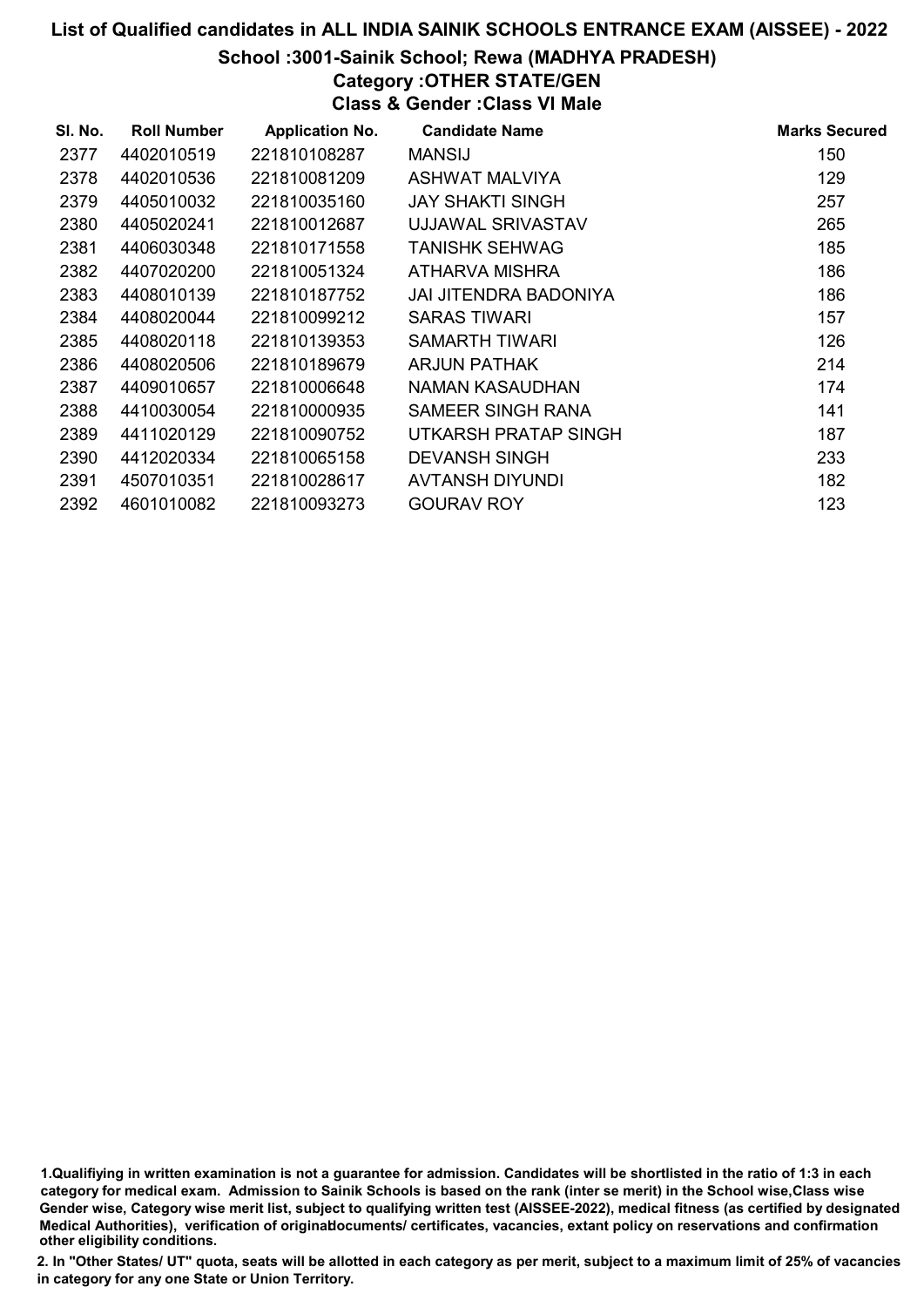#### School :3001-Sainik School; Rewa (MADHYA PRADESH)

# Category :OTHER STATE/GEN

Class & Gender :Class VI Male

| SI. No. | <b>Roll Number</b> | <b>Application No.</b> | <b>Candidate Name</b> | <b>Marks Secured</b> |
|---------|--------------------|------------------------|-----------------------|----------------------|
| 2377    | 4402010519         | 221810108287           | <b>MANSIJ</b>         | 150                  |
| 2378    | 4402010536         | 221810081209           | ASHWAT MALVIYA        | 129                  |
| 2379    | 4405010032         | 221810035160           | JAY SHAKTI SINGH      | 257                  |
| 2380    | 4405020241         | 221810012687           | UJJAWAL SRIVASTAV     | 265                  |
| 2381    | 4406030348         | 221810171558           | TANISHK SEHWAG        | 185                  |
| 2382    | 4407020200         | 221810051324           | ATHARVA MISHRA        | 186                  |
| 2383    | 4408010139         | 221810187752           | JAI JITENDRA BADONIYA | 186                  |
| 2384    | 4408020044         | 221810099212           | SARAS TIWARI          | 157                  |
| 2385    | 4408020118         | 221810139353           | SAMARTH TIWARI        | 126                  |
| 2386    | 4408020506         | 221810189679           | ARJUN PATHAK          | 214                  |
| 2387    | 4409010657         | 221810006648           | NAMAN KASAUDHAN       | 174                  |
| 2388    | 4410030054         | 221810000935           | SAMEER SINGH RANA     | 141                  |
| 2389    | 4411020129         | 221810090752           | UTKARSH PRATAP SINGH  | 187                  |
| 2390    | 4412020334         | 221810065158           | <b>DEVANSH SINGH</b>  | 233                  |
| 2391    | 4507010351         | 221810028617           | AVTANSH DIYUNDI       | 182                  |
| 2392    | 4601010082         | 221810093273           | <b>GOURAV ROY</b>     | 123                  |

1.Qualifiying in written examination is not a guarantee for admission. Candidates will be shortlisted in the ratio of 1:3 in each category for medical exam. Admission to Sainik Schools is based on the rank (inter se merit) in the School wise,Class wise Gender wise, Category wise merit list, subject to qualifying written test (AISSEE-2022), medical fitness (as certified by designated Medical Authorities), verification of originablocuments/ certificates, vacancies, extant policy on reservations and confirmation other eligibility conditions.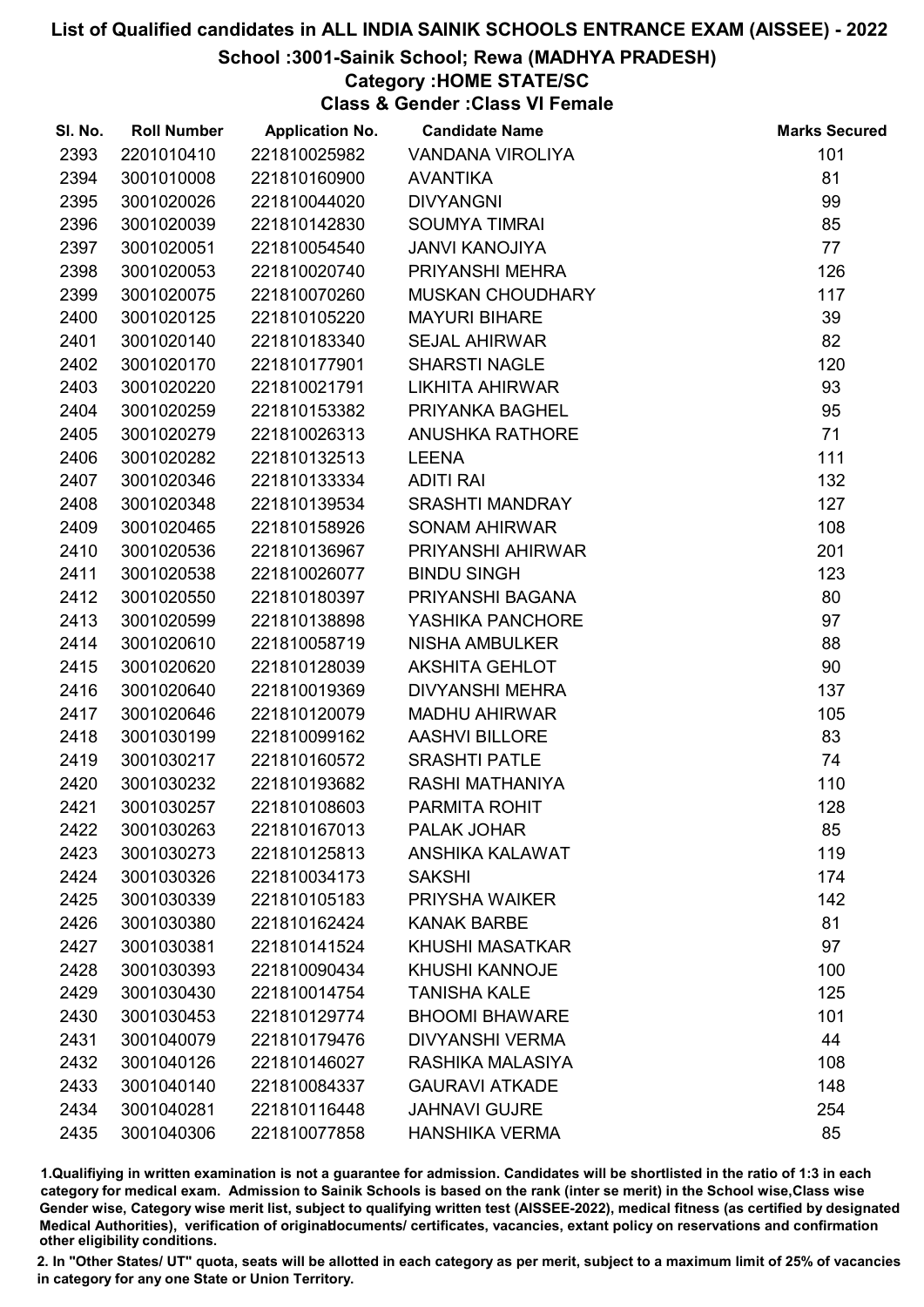# School :3001-Sainik School; Rewa (MADHYA PRADESH)

# Category :HOME STATE/SC

Class & Gender :Class VI Female

| SI. No. | <b>Roll Number</b> | <b>Application No.</b> | <b>Candidate Name</b>   | <b>Marks Secured</b> |
|---------|--------------------|------------------------|-------------------------|----------------------|
| 2393    | 2201010410         | 221810025982           | VANDANA VIROLIYA        | 101                  |
| 2394    | 3001010008         | 221810160900           | <b>AVANTIKA</b>         | 81                   |
| 2395    | 3001020026         | 221810044020           | <b>DIVYANGNI</b>        | 99                   |
| 2396    | 3001020039         | 221810142830           | <b>SOUMYA TIMRAI</b>    | 85                   |
| 2397    | 3001020051         | 221810054540           | <b>JANVI KANOJIYA</b>   | 77                   |
| 2398    | 3001020053         | 221810020740           | PRIYANSHI MEHRA         | 126                  |
| 2399    | 3001020075         | 221810070260           | <b>MUSKAN CHOUDHARY</b> | 117                  |
| 2400    | 3001020125         | 221810105220           | <b>MAYURI BIHARE</b>    | 39                   |
| 2401    | 3001020140         | 221810183340           | <b>SEJAL AHIRWAR</b>    | 82                   |
| 2402    | 3001020170         | 221810177901           | <b>SHARSTI NAGLE</b>    | 120                  |
| 2403    | 3001020220         | 221810021791           | <b>LIKHITA AHIRWAR</b>  | 93                   |
| 2404    | 3001020259         | 221810153382           | PRIYANKA BAGHEL         | 95                   |
| 2405    | 3001020279         | 221810026313           | <b>ANUSHKA RATHORE</b>  | 71                   |
| 2406    | 3001020282         | 221810132513           | <b>LEENA</b>            | 111                  |
| 2407    | 3001020346         | 221810133334           | <b>ADITI RAI</b>        | 132                  |
| 2408    | 3001020348         | 221810139534           | <b>SRASHTI MANDRAY</b>  | 127                  |
| 2409    | 3001020465         | 221810158926           | <b>SONAM AHIRWAR</b>    | 108                  |
| 2410    | 3001020536         | 221810136967           | PRIYANSHI AHIRWAR       | 201                  |
| 2411    | 3001020538         | 221810026077           | <b>BINDU SINGH</b>      | 123                  |
| 2412    | 3001020550         | 221810180397           | PRIYANSHI BAGANA        | 80                   |
| 2413    | 3001020599         | 221810138898           | YASHIKA PANCHORE        | 97                   |
| 2414    | 3001020610         | 221810058719           | <b>NISHA AMBULKER</b>   | 88                   |
| 2415    | 3001020620         | 221810128039           | <b>AKSHITA GEHLOT</b>   | 90                   |
| 2416    | 3001020640         | 221810019369           | DIVYANSHI MEHRA         | 137                  |
| 2417    | 3001020646         | 221810120079           | <b>MADHU AHIRWAR</b>    | 105                  |
| 2418    | 3001030199         | 221810099162           | <b>AASHVI BILLORE</b>   | 83                   |
| 2419    | 3001030217         | 221810160572           | <b>SRASHTI PATLE</b>    | 74                   |
| 2420    | 3001030232         | 221810193682           | RASHI MATHANIYA         | 110                  |
| 2421    | 3001030257         | 221810108603           | PARMITA ROHIT           | 128                  |
| 2422    | 3001030263         | 221810167013           | PALAK JOHAR             | 85                   |
| 2423    | 3001030273         | 221810125813           | ANSHIKA KALAWAT         | 119                  |
| 2424    | 3001030326         | 221810034173           | <b>SAKSHI</b>           | 174                  |
| 2425    | 3001030339         | 221810105183           | PRIYSHA WAIKER          | 142                  |
| 2426    | 3001030380         | 221810162424           | <b>KANAK BARBE</b>      | 81                   |
| 2427    | 3001030381         | 221810141524           | <b>KHUSHI MASATKAR</b>  | 97                   |
| 2428    | 3001030393         | 221810090434           | <b>KHUSHI KANNOJE</b>   | 100                  |
| 2429    | 3001030430         | 221810014754           | <b>TANISHA KALE</b>     | 125                  |
| 2430    | 3001030453         | 221810129774           | <b>BHOOMI BHAWARE</b>   | 101                  |
| 2431    | 3001040079         | 221810179476           | <b>DIVYANSHI VERMA</b>  | 44                   |
| 2432    | 3001040126         | 221810146027           | RASHIKA MALASIYA        | 108                  |
| 2433    | 3001040140         | 221810084337           | <b>GAURAVI ATKADE</b>   | 148                  |
| 2434    | 3001040281         | 221810116448           | <b>JAHNAVI GUJRE</b>    | 254                  |
| 2435    | 3001040306         | 221810077858           | <b>HANSHIKA VERMA</b>   | 85                   |

1.Qualifiying in written examination is not a guarantee for admission. Candidates will be shortlisted in the ratio of 1:3 in each category for medical exam. Admission to Sainik Schools is based on the rank (inter se merit) in the School wise,Class wise Gender wise, Category wise merit list, subject to qualifying written test (AISSEE-2022), medical fitness (as certified by designated Medical Authorities), verification of originablocuments/ certificates, vacancies, extant policy on reservations and confirmation other eligibility conditions.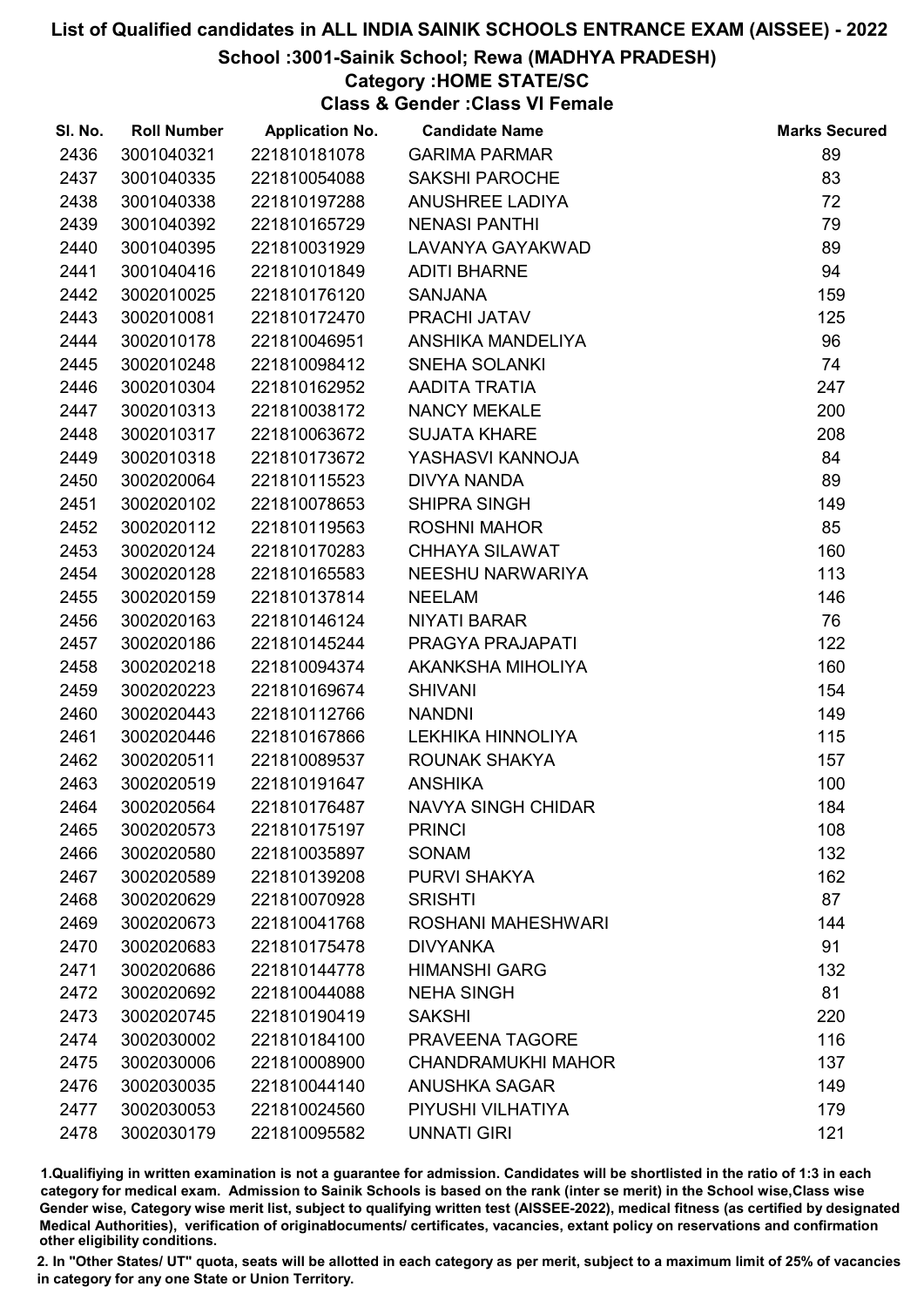# School :3001-Sainik School; Rewa (MADHYA PRADESH)

# Category :HOME STATE/SC

Class & Gender :Class VI Female

| SI. No. | <b>Roll Number</b> | <b>Application No.</b> | <b>Candidate Name</b>     | <b>Marks Secured</b> |
|---------|--------------------|------------------------|---------------------------|----------------------|
| 2436    | 3001040321         | 221810181078           | <b>GARIMA PARMAR</b>      | 89                   |
| 2437    | 3001040335         | 221810054088           | <b>SAKSHI PAROCHE</b>     | 83                   |
| 2438    | 3001040338         | 221810197288           | <b>ANUSHREE LADIYA</b>    | 72                   |
| 2439    | 3001040392         | 221810165729           | <b>NENASI PANTHI</b>      | 79                   |
| 2440    | 3001040395         | 221810031929           | LAVANYA GAYAKWAD          | 89                   |
| 2441    | 3001040416         | 221810101849           | <b>ADITI BHARNE</b>       | 94                   |
| 2442    | 3002010025         | 221810176120           | <b>SANJANA</b>            | 159                  |
| 2443    | 3002010081         | 221810172470           | PRACHI JATAV              | 125                  |
| 2444    | 3002010178         | 221810046951           | ANSHIKA MANDELIYA         | 96                   |
| 2445    | 3002010248         | 221810098412           | <b>SNEHA SOLANKI</b>      | 74                   |
| 2446    | 3002010304         | 221810162952           | AADITA TRATIA             | 247                  |
| 2447    | 3002010313         | 221810038172           | NANCY MEKALE              | 200                  |
| 2448    | 3002010317         | 221810063672           | <b>SUJATA KHARE</b>       | 208                  |
| 2449    | 3002010318         | 221810173672           | YASHASVI KANNOJA          | 84                   |
| 2450    | 3002020064         | 221810115523           | <b>DIVYA NANDA</b>        | 89                   |
| 2451    | 3002020102         | 221810078653           | <b>SHIPRA SINGH</b>       | 149                  |
| 2452    | 3002020112         | 221810119563           | <b>ROSHNI MAHOR</b>       | 85                   |
| 2453    | 3002020124         | 221810170283           | <b>CHHAYA SILAWAT</b>     | 160                  |
| 2454    | 3002020128         | 221810165583           | NEESHU NARWARIYA          | 113                  |
| 2455    | 3002020159         | 221810137814           | <b>NEELAM</b>             | 146                  |
| 2456    | 3002020163         | 221810146124           | NIYATI BARAR              | 76                   |
| 2457    | 3002020186         | 221810145244           | PRAGYA PRAJAPATI          | 122                  |
| 2458    | 3002020218         | 221810094374           | AKANKSHA MIHOLIYA         | 160                  |
| 2459    | 3002020223         | 221810169674           | <b>SHIVANI</b>            | 154                  |
| 2460    | 3002020443         | 221810112766           | <b>NANDNI</b>             | 149                  |
| 2461    | 3002020446         | 221810167866           | LEKHIKA HINNOLIYA         | 115                  |
| 2462    | 3002020511         | 221810089537           | ROUNAK SHAKYA             | 157                  |
| 2463    | 3002020519         | 221810191647           | <b>ANSHIKA</b>            | 100                  |
| 2464    | 3002020564         | 221810176487           | <b>NAVYA SINGH CHIDAR</b> | 184                  |
| 2465    | 3002020573         | 221810175197           | <b>PRINCI</b>             | 108                  |
| 2466    | 3002020580         | 221810035897           | <b>SONAM</b>              | 132                  |
| 2467    | 3002020589         | 221810139208           | PURVI SHAKYA              | 162                  |
| 2468    | 3002020629         | 221810070928           | <b>SRISHTI</b>            | 87                   |
| 2469    | 3002020673         | 221810041768           | <b>ROSHANI MAHESHWARI</b> | 144                  |
| 2470    | 3002020683         | 221810175478           | <b>DIVYANKA</b>           | 91                   |
| 2471    | 3002020686         | 221810144778           | <b>HIMANSHI GARG</b>      | 132                  |
| 2472    | 3002020692         | 221810044088           | <b>NEHA SINGH</b>         | 81                   |
| 2473    | 3002020745         | 221810190419           | <b>SAKSHI</b>             | 220                  |
| 2474    | 3002030002         | 221810184100           | PRAVEENA TAGORE           | 116                  |
| 2475    | 3002030006         | 221810008900           | <b>CHANDRAMUKHI MAHOR</b> | 137                  |
| 2476    | 3002030035         | 221810044140           | <b>ANUSHKA SAGAR</b>      | 149                  |
| 2477    | 3002030053         | 221810024560           | PIYUSHI VILHATIYA         | 179                  |
| 2478    | 3002030179         | 221810095582           | <b>UNNATI GIRI</b>        | 121                  |

1.Qualifiying in written examination is not a guarantee for admission. Candidates will be shortlisted in the ratio of 1:3 in each category for medical exam. Admission to Sainik Schools is based on the rank (inter se merit) in the School wise,Class wise Gender wise, Category wise merit list, subject to qualifying written test (AISSEE-2022), medical fitness (as certified by designated Medical Authorities), verification of originablocuments/ certificates, vacancies, extant policy on reservations and confirmation other eligibility conditions.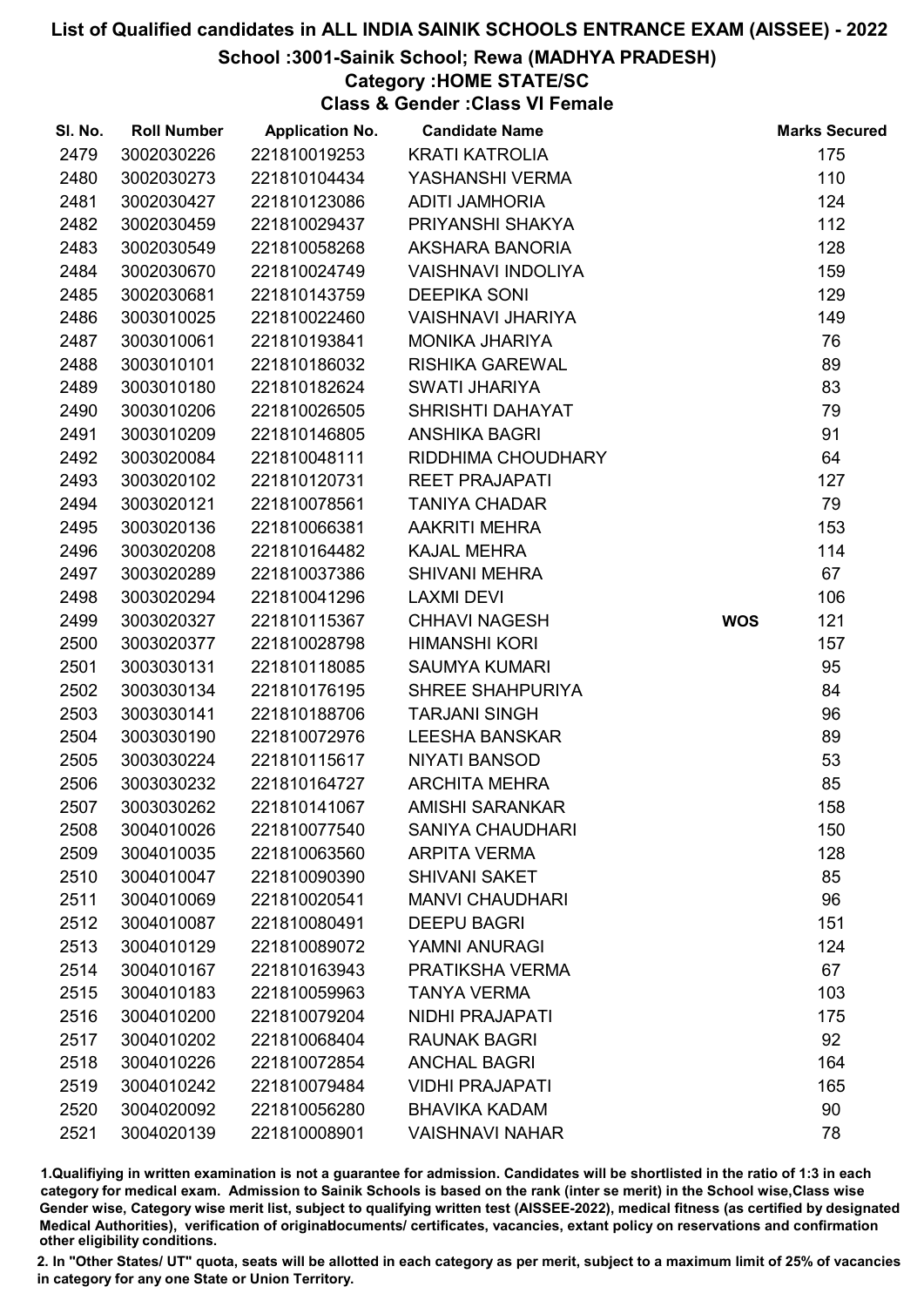# School :3001-Sainik School; Rewa (MADHYA PRADESH)

# Category :HOME STATE/SC

Class & Gender :Class VI Female

| SI. No. | <b>Roll Number</b> | <b>Application No.</b> | <b>Candidate Name</b>     |            | <b>Marks Secured</b> |
|---------|--------------------|------------------------|---------------------------|------------|----------------------|
| 2479    | 3002030226         | 221810019253           | <b>KRATI KATROLIA</b>     |            | 175                  |
| 2480    | 3002030273         | 221810104434           | YASHANSHI VERMA           |            | 110                  |
| 2481    | 3002030427         | 221810123086           | <b>ADITI JAMHORIA</b>     |            | 124                  |
| 2482    | 3002030459         | 221810029437           | PRIYANSHI SHAKYA          |            | 112                  |
| 2483    | 3002030549         | 221810058268           | AKSHARA BANORIA           |            | 128                  |
| 2484    | 3002030670         | 221810024749           | <b>VAISHNAVI INDOLIYA</b> |            | 159                  |
| 2485    | 3002030681         | 221810143759           | <b>DEEPIKA SONI</b>       |            | 129                  |
| 2486    | 3003010025         | 221810022460           | <b>VAISHNAVI JHARIYA</b>  |            | 149                  |
| 2487    | 3003010061         | 221810193841           | <b>MONIKA JHARIYA</b>     |            | 76                   |
| 2488    | 3003010101         | 221810186032           | <b>RISHIKA GAREWAL</b>    |            | 89                   |
| 2489    | 3003010180         | 221810182624           | <b>SWATI JHARIYA</b>      |            | 83                   |
| 2490    | 3003010206         | 221810026505           | SHRISHTI DAHAYAT          |            | 79                   |
| 2491    | 3003010209         | 221810146805           | <b>ANSHIKA BAGRI</b>      |            | 91                   |
| 2492    | 3003020084         | 221810048111           | RIDDHIMA CHOUDHARY        |            | 64                   |
| 2493    | 3003020102         | 221810120731           | <b>REET PRAJAPATI</b>     |            | 127                  |
| 2494    | 3003020121         | 221810078561           | <b>TANIYA CHADAR</b>      |            | 79                   |
| 2495    | 3003020136         | 221810066381           | <b>AAKRITI MEHRA</b>      |            | 153                  |
| 2496    | 3003020208         | 221810164482           | <b>KAJAL MEHRA</b>        |            | 114                  |
| 2497    | 3003020289         | 221810037386           | <b>SHIVANI MEHRA</b>      |            | 67                   |
| 2498    | 3003020294         | 221810041296           | <b>LAXMI DEVI</b>         |            | 106                  |
| 2499    | 3003020327         | 221810115367           | <b>CHHAVI NAGESH</b>      | <b>WOS</b> | 121                  |
| 2500    | 3003020377         | 221810028798           | <b>HIMANSHI KORI</b>      |            | 157                  |
| 2501    | 3003030131         | 221810118085           | <b>SAUMYA KUMARI</b>      |            | 95                   |
| 2502    | 3003030134         | 221810176195           | SHREE SHAHPURIYA          |            | 84                   |
| 2503    | 3003030141         | 221810188706           | <b>TARJANI SINGH</b>      |            | 96                   |
| 2504    | 3003030190         | 221810072976           | <b>LEESHA BANSKAR</b>     |            | 89                   |
| 2505    | 3003030224         | 221810115617           | <b>NIYATI BANSOD</b>      |            | 53                   |
| 2506    | 3003030232         | 221810164727           | <b>ARCHITA MEHRA</b>      |            | 85                   |
| 2507    | 3003030262         | 221810141067           | <b>AMISHI SARANKAR</b>    |            | 158                  |
| 2508    | 3004010026         | 221810077540           | <b>SANIYA CHAUDHARI</b>   |            | 150                  |
| 2509    | 3004010035         | 221810063560           | <b>ARPITA VERMA</b>       |            | 128                  |
| 2510    | 3004010047         | 221810090390           | <b>SHIVANI SAKET</b>      |            | 85                   |
| 2511    | 3004010069         | 221810020541           | <b>MANVI CHAUDHARI</b>    |            | 96                   |
| 2512    | 3004010087         | 221810080491           | <b>DEEPU BAGRI</b>        |            | 151                  |
| 2513    | 3004010129         | 221810089072           | YAMNI ANURAGI             |            | 124                  |
| 2514    | 3004010167         | 221810163943           | PRATIKSHA VERMA           |            | 67                   |
| 2515    | 3004010183         | 221810059963           | <b>TANYA VERMA</b>        |            | 103                  |
| 2516    | 3004010200         | 221810079204           | <b>NIDHI PRAJAPATI</b>    |            | 175                  |
| 2517    | 3004010202         | 221810068404           | <b>RAUNAK BAGRI</b>       |            | 92                   |
| 2518    | 3004010226         | 221810072854           | <b>ANCHAL BAGRI</b>       |            | 164                  |
| 2519    | 3004010242         | 221810079484           | <b>VIDHI PRAJAPATI</b>    |            | 165                  |
| 2520    | 3004020092         | 221810056280           | <b>BHAVIKA KADAM</b>      |            | 90                   |
| 2521    | 3004020139         | 221810008901           | <b>VAISHNAVI NAHAR</b>    |            | 78                   |

1.Qualifiying in written examination is not a guarantee for admission. Candidates will be shortlisted in the ratio of 1:3 in each category for medical exam. Admission to Sainik Schools is based on the rank (inter se merit) in the School wise,Class wise Gender wise, Category wise merit list, subject to qualifying written test (AISSEE-2022), medical fitness (as certified by designated Medical Authorities), verification of originablocuments/ certificates, vacancies, extant policy on reservations and confirmation other eligibility conditions.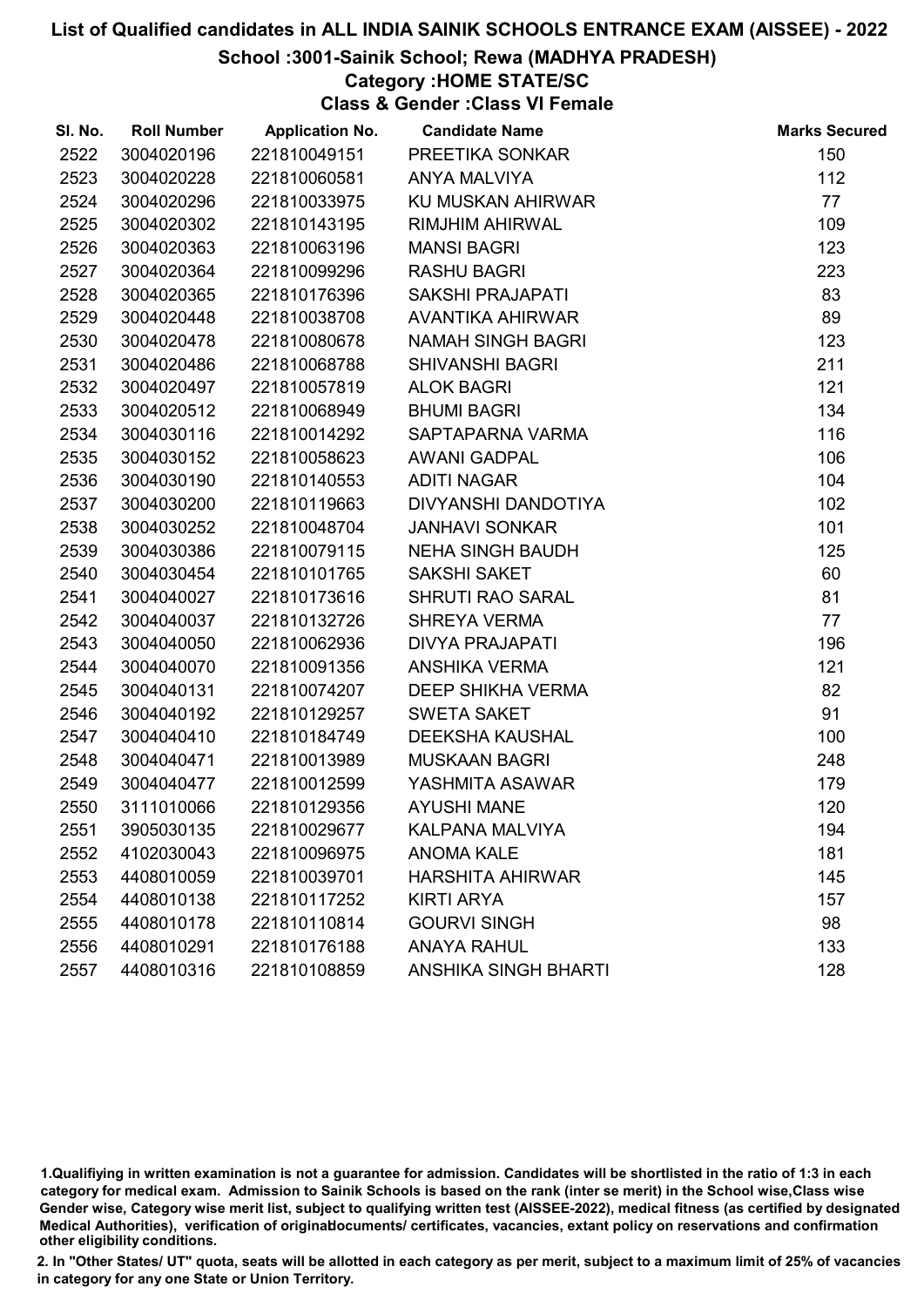# School :3001-Sainik School; Rewa (MADHYA PRADESH)

# Category :HOME STATE/SC

Class & Gender :Class VI Female

| SI. No. | <b>Roll Number</b> | <b>Application No.</b> | <b>Candidate Name</b>       | <b>Marks Secured</b> |
|---------|--------------------|------------------------|-----------------------------|----------------------|
| 2522    | 3004020196         | 221810049151           | PREETIKA SONKAR             | 150                  |
| 2523    | 3004020228         | 221810060581           | <b>ANYA MALVIYA</b>         | 112                  |
| 2524    | 3004020296         | 221810033975           | KU MUSKAN AHIRWAR           | 77                   |
| 2525    | 3004020302         | 221810143195           | <b>RIMJHIM AHIRWAL</b>      | 109                  |
| 2526    | 3004020363         | 221810063196           | <b>MANSI BAGRI</b>          | 123                  |
| 2527    | 3004020364         | 221810099296           | <b>RASHU BAGRI</b>          | 223                  |
| 2528    | 3004020365         | 221810176396           | SAKSHI PRAJAPATI            | 83                   |
| 2529    | 3004020448         | 221810038708           | AVANTIKA AHIRWAR            | 89                   |
| 2530    | 3004020478         | 221810080678           | <b>NAMAH SINGH BAGRI</b>    | 123                  |
| 2531    | 3004020486         | 221810068788           | <b>SHIVANSHI BAGRI</b>      | 211                  |
| 2532    | 3004020497         | 221810057819           | <b>ALOK BAGRI</b>           | 121                  |
| 2533    | 3004020512         | 221810068949           | <b>BHUMI BAGRI</b>          | 134                  |
| 2534    | 3004030116         | 221810014292           | SAPTAPARNA VARMA            | 116                  |
| 2535    | 3004030152         | 221810058623           | <b>AWANI GADPAL</b>         | 106                  |
| 2536    | 3004030190         | 221810140553           | <b>ADITI NAGAR</b>          | 104                  |
| 2537    | 3004030200         | 221810119663           | DIVYANSHI DANDOTIYA         | 102                  |
| 2538    | 3004030252         | 221810048704           | <b>JANHAVI SONKAR</b>       | 101                  |
| 2539    | 3004030386         | 221810079115           | <b>NEHA SINGH BAUDH</b>     | 125                  |
| 2540    | 3004030454         | 221810101765           | <b>SAKSHI SAKET</b>         | 60                   |
| 2541    | 3004040027         | 221810173616           | <b>SHRUTI RAO SARAL</b>     | 81                   |
| 2542    | 3004040037         | 221810132726           | <b>SHREYA VERMA</b>         | 77                   |
| 2543    | 3004040050         | 221810062936           | <b>DIVYA PRAJAPATI</b>      | 196                  |
| 2544    | 3004040070         | 221810091356           | <b>ANSHIKA VERMA</b>        | 121                  |
| 2545    | 3004040131         | 221810074207           | DEEP SHIKHA VERMA           | 82                   |
| 2546    | 3004040192         | 221810129257           | <b>SWETA SAKET</b>          | 91                   |
| 2547    | 3004040410         | 221810184749           | <b>DEEKSHA KAUSHAL</b>      | 100                  |
| 2548    | 3004040471         | 221810013989           | <b>MUSKAAN BAGRI</b>        | 248                  |
| 2549    | 3004040477         | 221810012599           | YASHMITA ASAWAR             | 179                  |
| 2550    | 3111010066         | 221810129356           | <b>AYUSHI MANE</b>          | 120                  |
| 2551    | 3905030135         | 221810029677           | <b>KALPANA MALVIYA</b>      | 194                  |
| 2552    | 4102030043         | 221810096975           | <b>ANOMA KALE</b>           | 181                  |
| 2553    | 4408010059         | 221810039701           | <b>HARSHITA AHIRWAR</b>     | 145                  |
| 2554    | 4408010138         | 221810117252           | <b>KIRTI ARYA</b>           | 157                  |
| 2555    | 4408010178         | 221810110814           | <b>GOURVI SINGH</b>         | 98                   |
| 2556    | 4408010291         | 221810176188           | <b>ANAYA RAHUL</b>          | 133                  |
| 2557    | 4408010316         | 221810108859           | <b>ANSHIKA SINGH BHARTI</b> | 128                  |

1.Qualifiying in written examination is not a guarantee for admission. Candidates will be shortlisted in the ratio of 1:3 in each category for medical exam. Admission to Sainik Schools is based on the rank (inter se merit) in the School wise,Class wise Gender wise, Category wise merit list, subject to qualifying written test (AISSEE-2022), medical fitness (as certified by designated Medical Authorities), verification of originablocuments/ certificates, vacancies, extant policy on reservations and confirmation other eligibility conditions.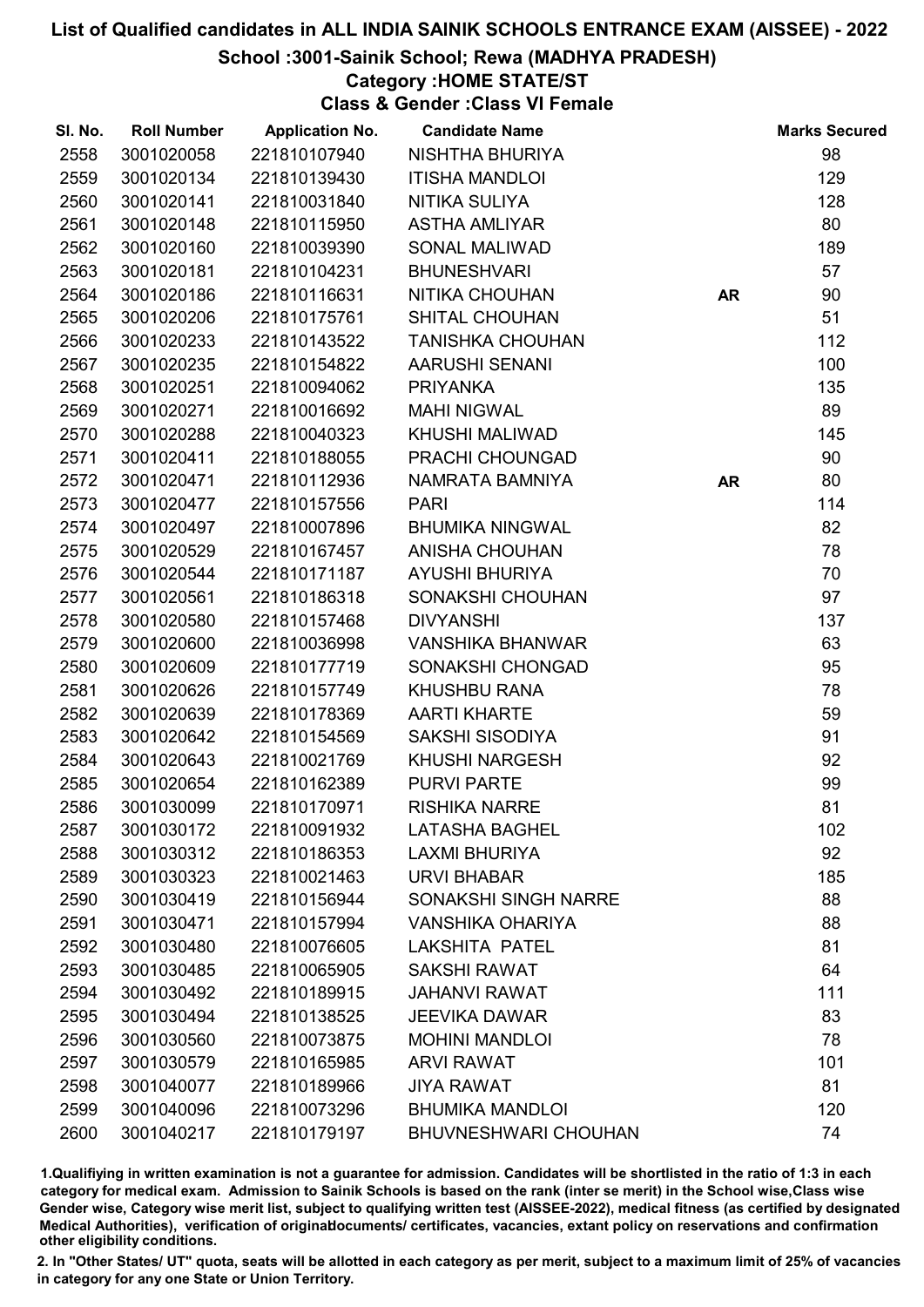#### School :3001-Sainik School; Rewa (MADHYA PRADESH)

# Category :HOME STATE/ST

Class & Gender :Class VI Female

| SI. No. | <b>Roll Number</b> | <b>Application No.</b> | <b>Candidate Name</b>       |           | <b>Marks Secured</b> |
|---------|--------------------|------------------------|-----------------------------|-----------|----------------------|
| 2558    | 3001020058         | 221810107940           | NISHTHA BHURIYA             |           | 98                   |
| 2559    | 3001020134         | 221810139430           | <b>ITISHA MANDLOI</b>       |           | 129                  |
| 2560    | 3001020141         | 221810031840           | NITIKA SULIYA               |           | 128                  |
| 2561    | 3001020148         | 221810115950           | <b>ASTHA AMLIYAR</b>        |           | 80                   |
| 2562    | 3001020160         | 221810039390           | <b>SONAL MALIWAD</b>        |           | 189                  |
| 2563    | 3001020181         | 221810104231           | <b>BHUNESHVARI</b>          |           | 57                   |
| 2564    | 3001020186         | 221810116631           | NITIKA CHOUHAN              | <b>AR</b> | 90                   |
| 2565    | 3001020206         | 221810175761           | <b>SHITAL CHOUHAN</b>       |           | 51                   |
| 2566    | 3001020233         | 221810143522           | <b>TANISHKA CHOUHAN</b>     |           | 112                  |
| 2567    | 3001020235         | 221810154822           | <b>AARUSHI SENANI</b>       |           | 100                  |
| 2568    | 3001020251         | 221810094062           | <b>PRIYANKA</b>             |           | 135                  |
| 2569    | 3001020271         | 221810016692           | <b>MAHI NIGWAL</b>          |           | 89                   |
| 2570    | 3001020288         | 221810040323           | KHUSHI MALIWAD              |           | 145                  |
| 2571    | 3001020411         | 221810188055           | PRACHI CHOUNGAD             |           | 90                   |
| 2572    | 3001020471         | 221810112936           | NAMRATA BAMNIYA             | <b>AR</b> | 80                   |
| 2573    | 3001020477         | 221810157556           | <b>PARI</b>                 |           | 114                  |
| 2574    | 3001020497         | 221810007896           | <b>BHUMIKA NINGWAL</b>      |           | 82                   |
| 2575    | 3001020529         | 221810167457           | <b>ANISHA CHOUHAN</b>       |           | 78                   |
| 2576    | 3001020544         | 221810171187           | <b>AYUSHI BHURIYA</b>       |           | 70                   |
| 2577    | 3001020561         | 221810186318           | SONAKSHI CHOUHAN            |           | 97                   |
| 2578    | 3001020580         | 221810157468           | <b>DIVYANSHI</b>            |           | 137                  |
| 2579    | 3001020600         | 221810036998           | <b>VANSHIKA BHANWAR</b>     |           | 63                   |
| 2580    | 3001020609         | 221810177719           | SONAKSHI CHONGAD            |           | 95                   |
| 2581    | 3001020626         | 221810157749           | <b>KHUSHBU RANA</b>         |           | 78                   |
| 2582    | 3001020639         | 221810178369           | <b>AARTI KHARTE</b>         |           | 59                   |
| 2583    | 3001020642         | 221810154569           | SAKSHI SISODIYA             |           | 91                   |
| 2584    | 3001020643         | 221810021769           | <b>KHUSHI NARGESH</b>       |           | 92                   |
| 2585    | 3001020654         | 221810162389           | <b>PURVI PARTE</b>          |           | 99                   |
| 2586    | 3001030099         | 221810170971           | <b>RISHIKA NARRE</b>        |           | 81                   |
| 2587    | 3001030172         | 221810091932           | <b>LATASHA BAGHEL</b>       |           | 102                  |
| 2588    | 3001030312         | 221810186353           | <b>LAXMI BHURIYA</b>        |           | 92                   |
| 2589    | 3001030323         | 221810021463           | <b>URVI BHABAR</b>          |           | 185                  |
| 2590    | 3001030419         | 221810156944           | <b>SONAKSHI SINGH NARRE</b> |           | 88                   |
| 2591    | 3001030471         | 221810157994           | <b>VANSHIKA OHARIYA</b>     |           | 88                   |
| 2592    | 3001030480         | 221810076605           | <b>LAKSHITA PATEL</b>       |           | 81                   |
| 2593    | 3001030485         | 221810065905           | <b>SAKSHI RAWAT</b>         |           | 64                   |
| 2594    | 3001030492         | 221810189915           | <b>JAHANVI RAWAT</b>        |           | 111                  |
| 2595    | 3001030494         | 221810138525           | <b>JEEVIKA DAWAR</b>        |           | 83                   |
| 2596    | 3001030560         | 221810073875           | <b>MOHINI MANDLOI</b>       |           | 78                   |
| 2597    | 3001030579         | 221810165985           | <b>ARVI RAWAT</b>           |           | 101                  |
| 2598    | 3001040077         | 221810189966           | <b>JIYA RAWAT</b>           |           | 81                   |
| 2599    | 3001040096         | 221810073296           | <b>BHUMIKA MANDLOI</b>      |           | 120                  |
| 2600    | 3001040217         | 221810179197           | <b>BHUVNESHWARI CHOUHAN</b> |           | 74                   |

1.Qualifiying in written examination is not a guarantee for admission. Candidates will be shortlisted in the ratio of 1:3 in each category for medical exam. Admission to Sainik Schools is based on the rank (inter se merit) in the School wise,Class wise Gender wise, Category wise merit list, subject to qualifying written test (AISSEE-2022), medical fitness (as certified by designated Medical Authorities), verification of originablocuments/ certificates, vacancies, extant policy on reservations and confirmation other eligibility conditions.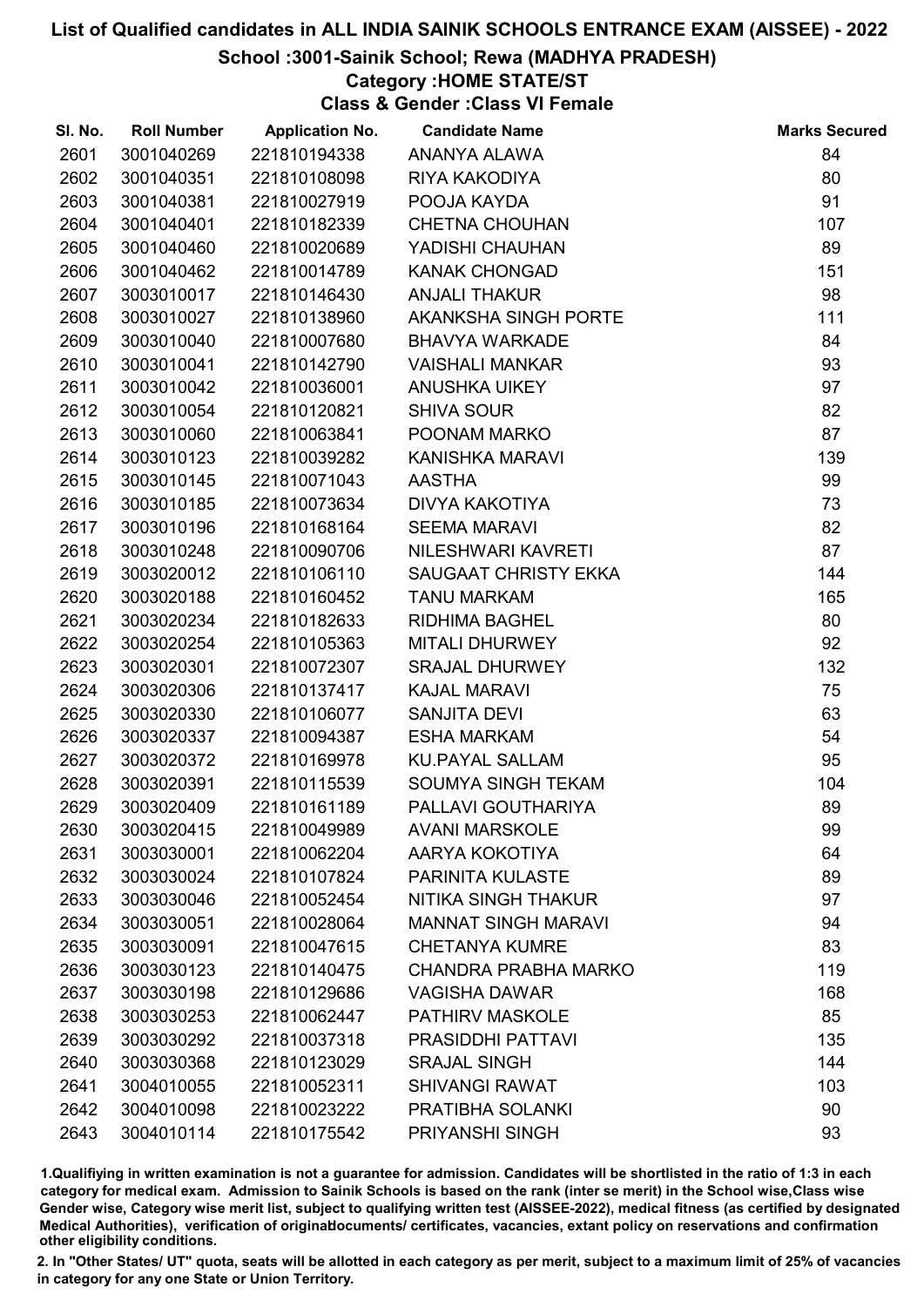# School :3001-Sainik School; Rewa (MADHYA PRADESH)

# Category :HOME STATE/ST

Class & Gender :Class VI Female

| SI. No. | <b>Roll Number</b> | <b>Application No.</b> | <b>Candidate Name</b>      | <b>Marks Secured</b> |
|---------|--------------------|------------------------|----------------------------|----------------------|
| 2601    | 3001040269         | 221810194338           | ANANYA ALAWA               | 84                   |
| 2602    | 3001040351         | 221810108098           | RIYA KAKODIYA              | 80                   |
| 2603    | 3001040381         | 221810027919           | POOJA KAYDA                | 91                   |
| 2604    | 3001040401         | 221810182339           | <b>CHETNA CHOUHAN</b>      | 107                  |
| 2605    | 3001040460         | 221810020689           | YADISHI CHAUHAN            | 89                   |
| 2606    | 3001040462         | 221810014789           | <b>KANAK CHONGAD</b>       | 151                  |
| 2607    | 3003010017         | 221810146430           | <b>ANJALI THAKUR</b>       | 98                   |
| 2608    | 3003010027         | 221810138960           | AKANKSHA SINGH PORTE       | 111                  |
| 2609    | 3003010040         | 221810007680           | <b>BHAVYA WARKADE</b>      | 84                   |
| 2610    | 3003010041         | 221810142790           | <b>VAISHALI MANKAR</b>     | 93                   |
| 2611    | 3003010042         | 221810036001           | <b>ANUSHKA UIKEY</b>       | 97                   |
| 2612    | 3003010054         | 221810120821           | <b>SHIVA SOUR</b>          | 82                   |
| 2613    | 3003010060         | 221810063841           | POONAM MARKO               | 87                   |
| 2614    | 3003010123         | 221810039282           | KANISHKA MARAVI            | 139                  |
| 2615    | 3003010145         | 221810071043           | <b>AASTHA</b>              | 99                   |
| 2616    | 3003010185         | 221810073634           | DIVYA KAKOTIYA             | 73                   |
| 2617    | 3003010196         | 221810168164           | <b>SEEMA MARAVI</b>        | 82                   |
| 2618    | 3003010248         | 221810090706           | NILESHWARI KAVRETI         | 87                   |
| 2619    | 3003020012         | 221810106110           | SAUGAAT CHRISTY EKKA       | 144                  |
| 2620    | 3003020188         | 221810160452           | <b>TANU MARKAM</b>         | 165                  |
| 2621    | 3003020234         | 221810182633           | <b>RIDHIMA BAGHEL</b>      | 80                   |
| 2622    | 3003020254         | 221810105363           | <b>MITALI DHURWEY</b>      | 92                   |
| 2623    | 3003020301         | 221810072307           | <b>SRAJAL DHURWEY</b>      | 132                  |
| 2624    | 3003020306         | 221810137417           | <b>KAJAL MARAVI</b>        | 75                   |
| 2625    | 3003020330         | 221810106077           | SANJITA DEVI               | 63                   |
| 2626    | 3003020337         | 221810094387           | <b>ESHA MARKAM</b>         | 54                   |
| 2627    | 3003020372         | 221810169978           | <b>KU.PAYAL SALLAM</b>     | 95                   |
| 2628    | 3003020391         | 221810115539           | <b>SOUMYA SINGH TEKAM</b>  | 104                  |
| 2629    | 3003020409         | 221810161189           | PALLAVI GOUTHARIYA         | 89                   |
| 2630    | 3003020415         | 221810049989           | <b>AVANI MARSKOLE</b>      | 99                   |
| 2631    | 3003030001         | 221810062204           | AARYA KOKOTIYA             | 64                   |
| 2632    | 3003030024         | 221810107824           | PARINITA KULASTE           | 89                   |
| 2633    | 3003030046         | 221810052454           | <b>NITIKA SINGH THAKUR</b> | 97                   |
| 2634    | 3003030051         | 221810028064           | <b>MANNAT SINGH MARAVI</b> | 94                   |
| 2635    | 3003030091         | 221810047615           | <b>CHETANYA KUMRE</b>      | 83                   |
| 2636    | 3003030123         | 221810140475           | CHANDRA PRABHA MARKO       | 119                  |
| 2637    | 3003030198         | 221810129686           | <b>VAGISHA DAWAR</b>       | 168                  |
| 2638    | 3003030253         | 221810062447           | <b>PATHIRV MASKOLE</b>     | 85                   |
| 2639    | 3003030292         | 221810037318           | PRASIDDHI PATTAVI          | 135                  |
| 2640    | 3003030368         | 221810123029           | <b>SRAJAL SINGH</b>        | 144                  |
| 2641    | 3004010055         | 221810052311           | <b>SHIVANGI RAWAT</b>      | 103                  |
| 2642    | 3004010098         | 221810023222           | PRATIBHA SOLANKI           | 90                   |
| 2643    | 3004010114         | 221810175542           | PRIYANSHI SINGH            | 93                   |

1.Qualifiying in written examination is not a guarantee for admission. Candidates will be shortlisted in the ratio of 1:3 in each category for medical exam. Admission to Sainik Schools is based on the rank (inter se merit) in the School wise,Class wise Gender wise, Category wise merit list, subject to qualifying written test (AISSEE-2022), medical fitness (as certified by designated Medical Authorities), verification of originablocuments/ certificates, vacancies, extant policy on reservations and confirmation other eligibility conditions.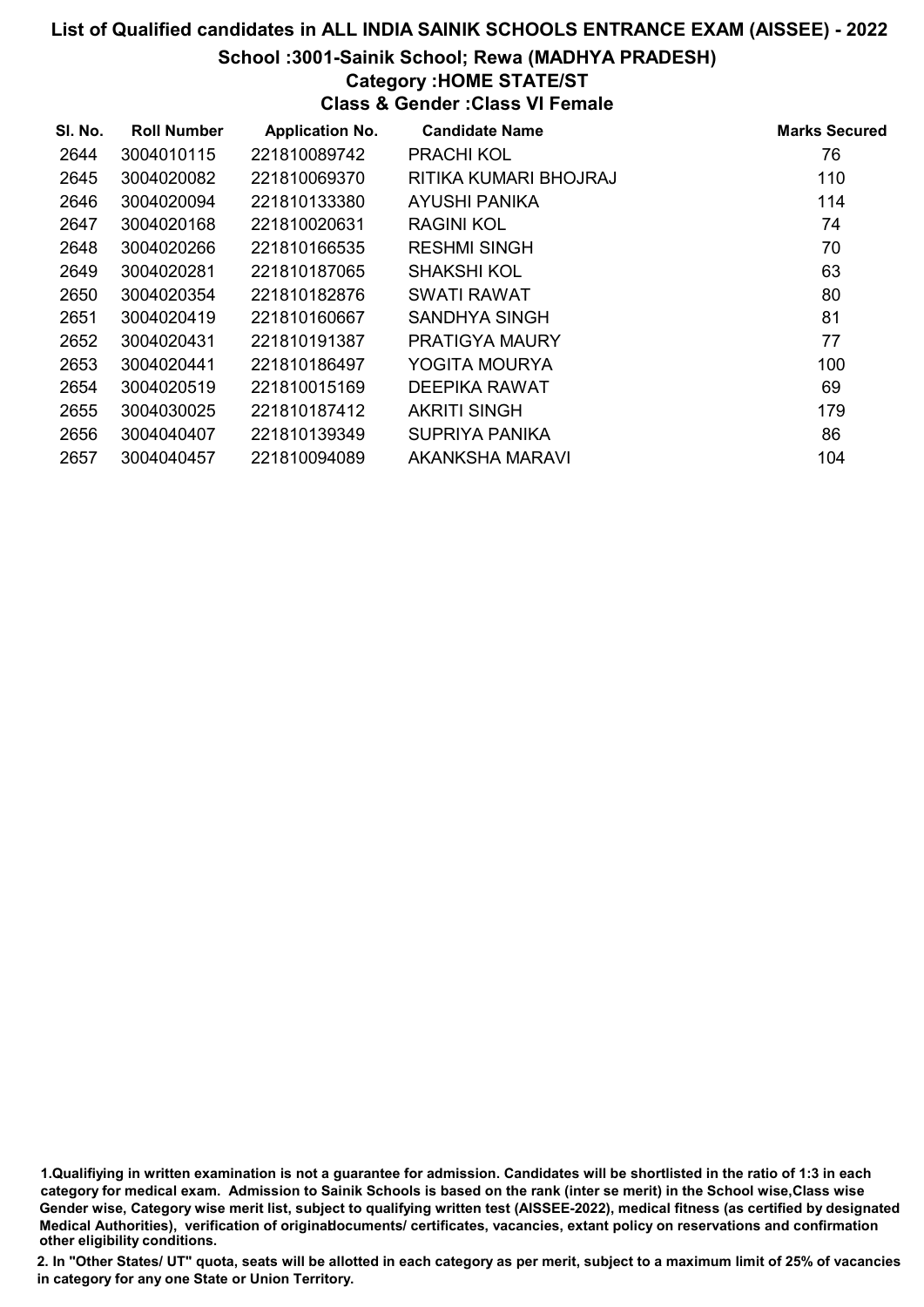#### School :3001-Sainik School; Rewa (MADHYA PRADESH)

# Category :HOME STATE/ST

Class & Gender :Class VI Female

| SI. No. | <b>Roll Number</b> | <b>Application No.</b> | <b>Candidate Name</b> | <b>Marks Secured</b> |
|---------|--------------------|------------------------|-----------------------|----------------------|
| 2644    | 3004010115         | 221810089742           | <b>PRACHI KOL</b>     | 76                   |
| 2645    | 3004020082         | 221810069370           | RITIKA KUMARI BHOJRAJ | 110                  |
| 2646    | 3004020094         | 221810133380           | AYUSHI PANIKA         | 114                  |
| 2647    | 3004020168         | 221810020631           | <b>RAGINI KOL</b>     | 74                   |
| 2648    | 3004020266         | 221810166535           | <b>RESHMI SINGH</b>   | 70                   |
| 2649    | 3004020281         | 221810187065           | <b>SHAKSHI KOL</b>    | 63                   |
| 2650    | 3004020354         | 221810182876           | SWATI RAWAT           | 80                   |
| 2651    | 3004020419         | 221810160667           | SANDHYA SINGH         | 81                   |
| 2652    | 3004020431         | 221810191387           | PRATIGYA MAURY        | 77                   |
| 2653    | 3004020441         | 221810186497           | YOGITA MOURYA         | 100                  |
| 2654    | 3004020519         | 221810015169           | DEEPIKA RAWAT         | 69                   |
| 2655    | 3004030025         | 221810187412           | <b>AKRITI SINGH</b>   | 179                  |
| 2656    | 3004040407         | 221810139349           | <b>SUPRIYA PANIKA</b> | 86                   |
| 2657    | 3004040457         | 221810094089           | AKANKSHA MARAVI       | 104                  |

1.Qualifiying in written examination is not a guarantee for admission. Candidates will be shortlisted in the ratio of 1:3 in each category for medical exam. Admission to Sainik Schools is based on the rank (inter se merit) in the School wise,Class wise Gender wise, Category wise merit list, subject to qualifying written test (AISSEE-2022), medical fitness (as certified by designated Medical Authorities), verification of originablocuments/ certificates, vacancies, extant policy on reservations and confirmation other eligibility conditions.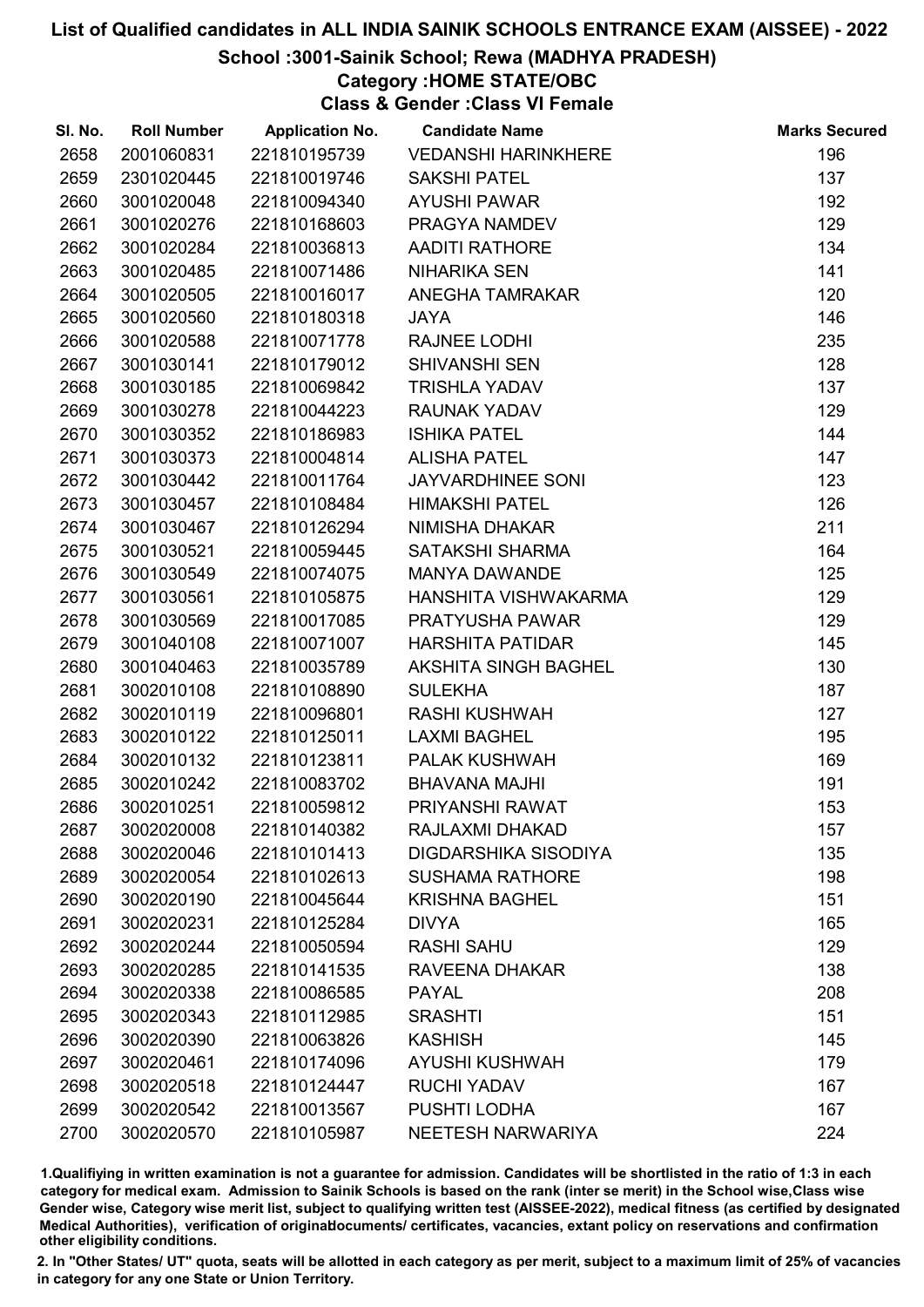# School :3001-Sainik School; Rewa (MADHYA PRADESH)

# Category :HOME STATE/OBC

Class & Gender :Class VI Female

| SI. No. | <b>Roll Number</b> | <b>Application No.</b> | <b>Candidate Name</b>       | <b>Marks Secured</b> |
|---------|--------------------|------------------------|-----------------------------|----------------------|
| 2658    | 2001060831         | 221810195739           | <b>VEDANSHI HARINKHERE</b>  | 196                  |
| 2659    | 2301020445         | 221810019746           | <b>SAKSHI PATEL</b>         | 137                  |
| 2660    | 3001020048         | 221810094340           | <b>AYUSHI PAWAR</b>         | 192                  |
| 2661    | 3001020276         | 221810168603           | PRAGYA NAMDEV               | 129                  |
| 2662    | 3001020284         | 221810036813           | <b>AADITI RATHORE</b>       | 134                  |
| 2663    | 3001020485         | 221810071486           | <b>NIHARIKA SEN</b>         | 141                  |
| 2664    | 3001020505         | 221810016017           | <b>ANEGHA TAMRAKAR</b>      | 120                  |
| 2665    | 3001020560         | 221810180318           | <b>JAYA</b>                 | 146                  |
| 2666    | 3001020588         | 221810071778           | RAJNEE LODHI                | 235                  |
| 2667    | 3001030141         | 221810179012           | <b>SHIVANSHI SEN</b>        | 128                  |
| 2668    | 3001030185         | 221810069842           | <b>TRISHLA YADAV</b>        | 137                  |
| 2669    | 3001030278         | 221810044223           | <b>RAUNAK YADAV</b>         | 129                  |
| 2670    | 3001030352         | 221810186983           | <b>ISHIKA PATEL</b>         | 144                  |
| 2671    | 3001030373         | 221810004814           | <b>ALISHA PATEL</b>         | 147                  |
| 2672    | 3001030442         | 221810011764           | <b>JAYVARDHINEE SONI</b>    | 123                  |
| 2673    | 3001030457         | 221810108484           | <b>HIMAKSHI PATEL</b>       | 126                  |
| 2674    | 3001030467         | 221810126294           | <b>NIMISHA DHAKAR</b>       | 211                  |
| 2675    | 3001030521         | 221810059445           | SATAKSHI SHARMA             | 164                  |
| 2676    | 3001030549         | 221810074075           | <b>MANYA DAWANDE</b>        | 125                  |
| 2677    | 3001030561         | 221810105875           | HANSHITA VISHWAKARMA        | 129                  |
| 2678    | 3001030569         | 221810017085           | PRATYUSHA PAWAR             | 129                  |
| 2679    | 3001040108         | 221810071007           | <b>HARSHITA PATIDAR</b>     | 145                  |
| 2680    | 3001040463         | 221810035789           | AKSHITA SINGH BAGHEL        | 130                  |
| 2681    | 3002010108         | 221810108890           | <b>SULEKHA</b>              | 187                  |
| 2682    | 3002010119         | 221810096801           | <b>RASHI KUSHWAH</b>        | 127                  |
| 2683    | 3002010122         | 221810125011           | <b>LAXMI BAGHEL</b>         | 195                  |
| 2684    | 3002010132         | 221810123811           | PALAK KUSHWAH               | 169                  |
| 2685    | 3002010242         | 221810083702           | <b>BHAVANA MAJHI</b>        | 191                  |
| 2686    | 3002010251         | 221810059812           | PRIYANSHI RAWAT             | 153                  |
| 2687    | 3002020008         | 221810140382           | RAJLAXMI DHAKAD             | 157                  |
| 2688    | 3002020046         | 221810101413           | <b>DIGDARSHIKA SISODIYA</b> | 135                  |
| 2689    | 3002020054         | 221810102613           | <b>SUSHAMA RATHORE</b>      | 198                  |
| 2690    | 3002020190         | 221810045644           | <b>KRISHNA BAGHEL</b>       | 151                  |
| 2691    | 3002020231         | 221810125284           | <b>DIVYA</b>                | 165                  |
| 2692    | 3002020244         | 221810050594           | <b>RASHI SAHU</b>           | 129                  |
| 2693    | 3002020285         | 221810141535           | RAVEENA DHAKAR              | 138                  |
| 2694    | 3002020338         | 221810086585           | <b>PAYAL</b>                | 208                  |
| 2695    | 3002020343         | 221810112985           | <b>SRASHTI</b>              | 151                  |
| 2696    | 3002020390         | 221810063826           | <b>KASHISH</b>              | 145                  |
| 2697    | 3002020461         | 221810174096           | <b>AYUSHI KUSHWAH</b>       | 179                  |
| 2698    | 3002020518         | 221810124447           | <b>RUCHI YADAV</b>          | 167                  |
| 2699    | 3002020542         | 221810013567           | PUSHTI LODHA                | 167                  |
| 2700    | 3002020570         | 221810105987           | NEETESH NARWARIYA           | 224                  |

1.Qualifiying in written examination is not a guarantee for admission. Candidates will be shortlisted in the ratio of 1:3 in each category for medical exam. Admission to Sainik Schools is based on the rank (inter se merit) in the School wise,Class wise Gender wise, Category wise merit list, subject to qualifying written test (AISSEE-2022), medical fitness (as certified by designated Medical Authorities), verification of originablocuments/ certificates, vacancies, extant policy on reservations and confirmation other eligibility conditions.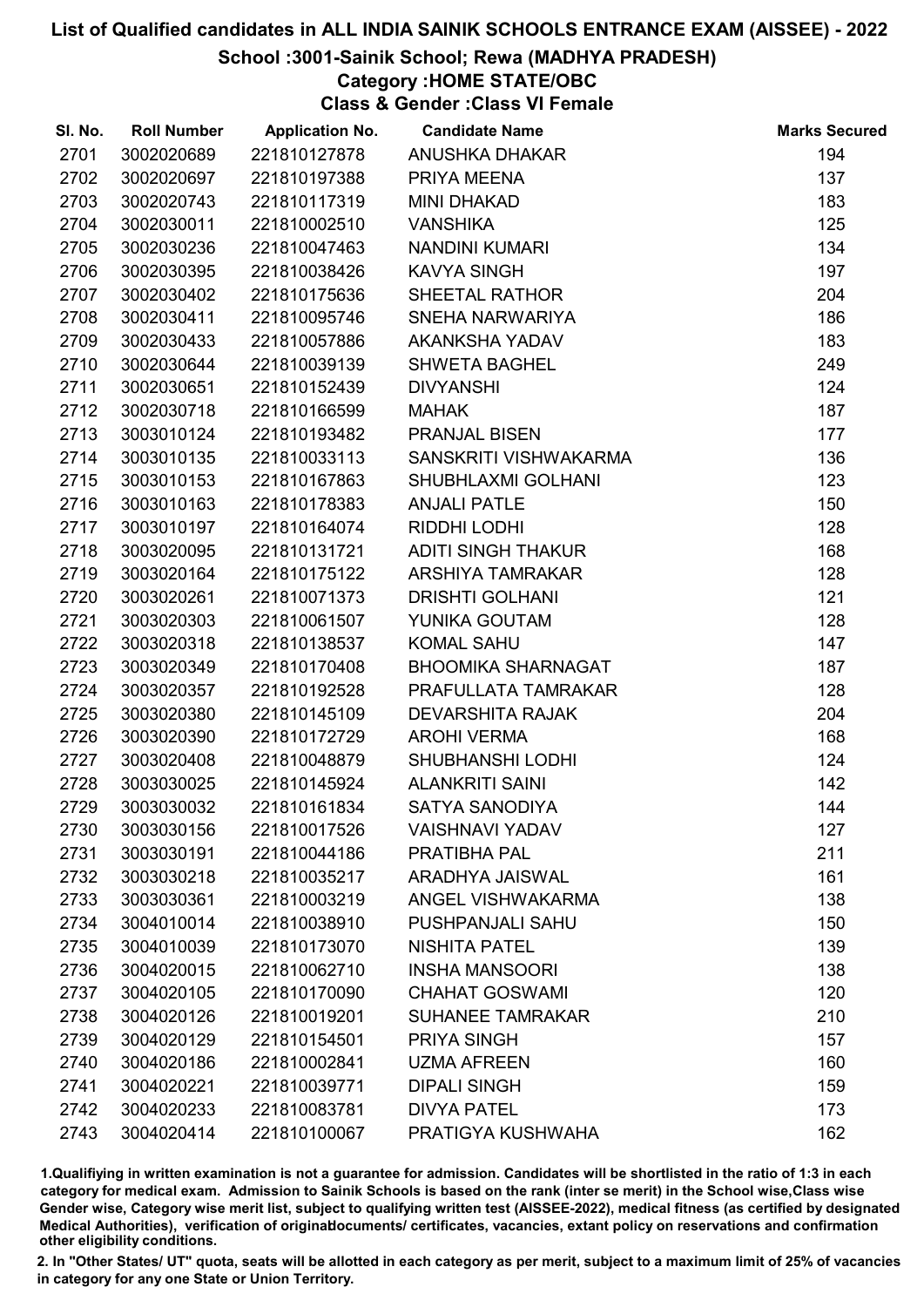# School :3001-Sainik School; Rewa (MADHYA PRADESH)

# Category :HOME STATE/OBC

Class & Gender :Class VI Female

| SI. No. | <b>Roll Number</b> | <b>Application No.</b> | <b>Candidate Name</b>     | <b>Marks Secured</b> |
|---------|--------------------|------------------------|---------------------------|----------------------|
| 2701    | 3002020689         | 221810127878           | ANUSHKA DHAKAR            | 194                  |
| 2702    | 3002020697         | 221810197388           | PRIYA MEENA               | 137                  |
| 2703    | 3002020743         | 221810117319           | <b>MINI DHAKAD</b>        | 183                  |
| 2704    | 3002030011         | 221810002510           | <b>VANSHIKA</b>           | 125                  |
| 2705    | 3002030236         | 221810047463           | <b>NANDINI KUMARI</b>     | 134                  |
| 2706    | 3002030395         | 221810038426           | <b>KAVYA SINGH</b>        | 197                  |
| 2707    | 3002030402         | 221810175636           | SHEETAL RATHOR            | 204                  |
| 2708    | 3002030411         | 221810095746           | SNEHA NARWARIYA           | 186                  |
| 2709    | 3002030433         | 221810057886           | AKANKSHA YADAV            | 183                  |
| 2710    | 3002030644         | 221810039139           | <b>SHWETA BAGHEL</b>      | 249                  |
| 2711    | 3002030651         | 221810152439           | <b>DIVYANSHI</b>          | 124                  |
| 2712    | 3002030718         | 221810166599           | <b>MAHAK</b>              | 187                  |
| 2713    | 3003010124         | 221810193482           | <b>PRANJAL BISEN</b>      | 177                  |
| 2714    | 3003010135         | 221810033113           | SANSKRITI VISHWAKARMA     | 136                  |
| 2715    | 3003010153         | 221810167863           | SHUBHLAXMI GOLHANI        | 123                  |
| 2716    | 3003010163         | 221810178383           | <b>ANJALI PATLE</b>       | 150                  |
| 2717    | 3003010197         | 221810164074           | RIDDHI LODHI              | 128                  |
| 2718    | 3003020095         | 221810131721           | <b>ADITI SINGH THAKUR</b> | 168                  |
| 2719    | 3003020164         | 221810175122           | ARSHIYA TAMRAKAR          | 128                  |
| 2720    | 3003020261         | 221810071373           | <b>DRISHTI GOLHANI</b>    | 121                  |
| 2721    | 3003020303         | 221810061507           | YUNIKA GOUTAM             | 128                  |
| 2722    | 3003020318         | 221810138537           | <b>KOMAL SAHU</b>         | 147                  |
| 2723    | 3003020349         | 221810170408           | <b>BHOOMIKA SHARNAGAT</b> | 187                  |
| 2724    | 3003020357         | 221810192528           | PRAFULLATA TAMRAKAR       | 128                  |
| 2725    | 3003020380         | 221810145109           | <b>DEVARSHITA RAJAK</b>   | 204                  |
| 2726    | 3003020390         | 221810172729           | <b>AROHI VERMA</b>        | 168                  |
| 2727    | 3003020408         | 221810048879           | SHUBHANSHI LODHI          | 124                  |
| 2728    | 3003030025         | 221810145924           | <b>ALANKRITI SAINI</b>    | 142                  |
| 2729    | 3003030032         | 221810161834           | <b>SATYA SANODIYA</b>     | 144                  |
| 2730    | 3003030156         | 221810017526           | <b>VAISHNAVI YADAV</b>    | 127                  |
| 2731    | 3003030191         | 221810044186           | PRATIBHA PAL              | 211                  |
| 2732    | 3003030218         | 221810035217           | ARADHYA JAISWAL           | 161                  |
| 2733    | 3003030361         | 221810003219           | <b>ANGEL VISHWAKARMA</b>  | 138                  |
| 2734    | 3004010014         | 221810038910           | <b>PUSHPANJALI SAHU</b>   | 150                  |
| 2735    | 3004010039         | 221810173070           | <b>NISHITA PATEL</b>      | 139                  |
| 2736    | 3004020015         | 221810062710           | <b>INSHA MANSOORI</b>     | 138                  |
| 2737    | 3004020105         | 221810170090           | <b>CHAHAT GOSWAMI</b>     | 120                  |
| 2738    | 3004020126         | 221810019201           | <b>SUHANEE TAMRAKAR</b>   | 210                  |
| 2739    | 3004020129         | 221810154501           | <b>PRIYA SINGH</b>        | 157                  |
| 2740    | 3004020186         | 221810002841           | <b>UZMA AFREEN</b>        | 160                  |
| 2741    | 3004020221         | 221810039771           | <b>DIPALI SINGH</b>       | 159                  |
| 2742    | 3004020233         | 221810083781           | <b>DIVYA PATEL</b>        | 173                  |
| 2743    | 3004020414         | 221810100067           | PRATIGYA KUSHWAHA         | 162                  |

1.Qualifiying in written examination is not a guarantee for admission. Candidates will be shortlisted in the ratio of 1:3 in each category for medical exam. Admission to Sainik Schools is based on the rank (inter se merit) in the School wise,Class wise Gender wise, Category wise merit list, subject to qualifying written test (AISSEE-2022), medical fitness (as certified by designated Medical Authorities), verification of originablocuments/ certificates, vacancies, extant policy on reservations and confirmation other eligibility conditions.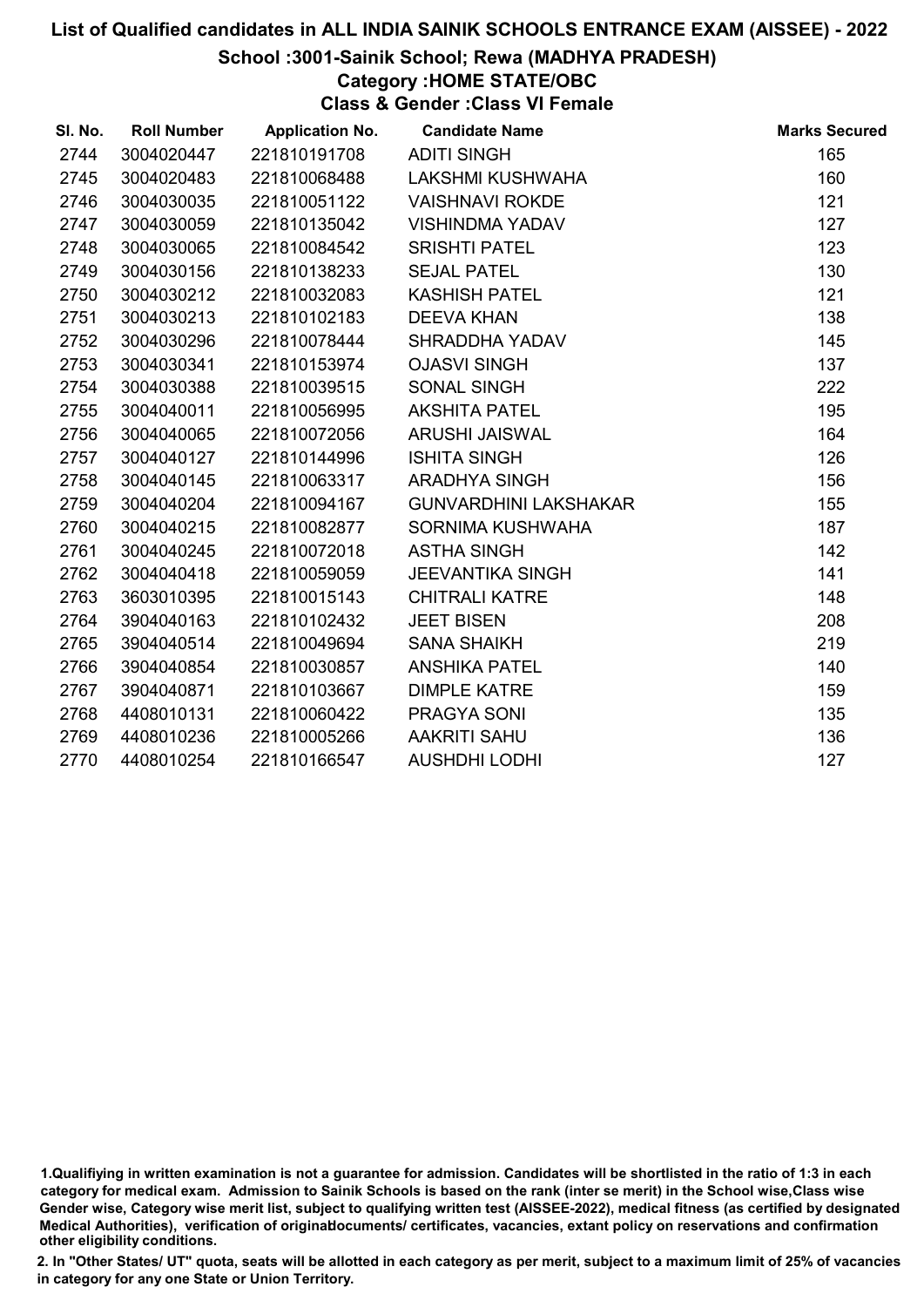#### School :3001-Sainik School; Rewa (MADHYA PRADESH)

# Category :HOME STATE/OBC

Class & Gender :Class VI Female

| SI. No. | <b>Roll Number</b> | <b>Application No.</b> | <b>Candidate Name</b>        | <b>Marks Secured</b> |
|---------|--------------------|------------------------|------------------------------|----------------------|
| 2744    | 3004020447         | 221810191708           | <b>ADITI SINGH</b>           | 165                  |
| 2745    | 3004020483         | 221810068488           | LAKSHMI KUSHWAHA             | 160                  |
| 2746    | 3004030035         | 221810051122           | <b>VAISHNAVI ROKDE</b>       | 121                  |
| 2747    | 3004030059         | 221810135042           | <b>VISHINDMA YADAV</b>       | 127                  |
| 2748    | 3004030065         | 221810084542           | <b>SRISHTI PATEL</b>         | 123                  |
| 2749    | 3004030156         | 221810138233           | <b>SEJAL PATEL</b>           | 130                  |
| 2750    | 3004030212         | 221810032083           | <b>KASHISH PATEL</b>         | 121                  |
| 2751    | 3004030213         | 221810102183           | <b>DEEVA KHAN</b>            | 138                  |
| 2752    | 3004030296         | 221810078444           | SHRADDHA YADAV               | 145                  |
| 2753    | 3004030341         | 221810153974           | <b>OJASVI SINGH</b>          | 137                  |
| 2754    | 3004030388         | 221810039515           | SONAL SINGH                  | 222                  |
| 2755    | 3004040011         | 221810056995           | <b>AKSHITA PATEL</b>         | 195                  |
| 2756    | 3004040065         | 221810072056           | <b>ARUSHI JAISWAL</b>        | 164                  |
| 2757    | 3004040127         | 221810144996           | <b>ISHITA SINGH</b>          | 126                  |
| 2758    | 3004040145         | 221810063317           | ARADHYA SINGH                | 156                  |
| 2759    | 3004040204         | 221810094167           | <b>GUNVARDHINI LAKSHAKAR</b> | 155                  |
| 2760    | 3004040215         | 221810082877           | SORNIMA KUSHWAHA             | 187                  |
| 2761    | 3004040245         | 221810072018           | <b>ASTHA SINGH</b>           | 142                  |
| 2762    | 3004040418         | 221810059059           | <b>JEEVANTIKA SINGH</b>      | 141                  |
| 2763    | 3603010395         | 221810015143           | <b>CHITRALI KATRE</b>        | 148                  |
| 2764    | 3904040163         | 221810102432           | <b>JEET BISEN</b>            | 208                  |
| 2765    | 3904040514         | 221810049694           | <b>SANA SHAIKH</b>           | 219                  |
| 2766    | 3904040854         | 221810030857           | <b>ANSHIKA PATEL</b>         | 140                  |
| 2767    | 3904040871         | 221810103667           | <b>DIMPLE KATRE</b>          | 159                  |
| 2768    | 4408010131         | 221810060422           | PRAGYA SONI                  | 135                  |
| 2769    | 4408010236         | 221810005266           | <b>AAKRITI SAHU</b>          | 136                  |
| 2770    | 4408010254         | 221810166547           | <b>AUSHDHI LODHI</b>         | 127                  |

<sup>1.</sup>Qualifiying in written examination is not a guarantee for admission. Candidates will be shortlisted in the ratio of 1:3 in each category for medical exam. Admission to Sainik Schools is based on the rank (inter se merit) in the School wise,Class wise Gender wise, Category wise merit list, subject to qualifying written test (AISSEE-2022), medical fitness (as certified by designated Medical Authorities), verification of originablocuments/ certificates, vacancies, extant policy on reservations and confirmation other eligibility conditions.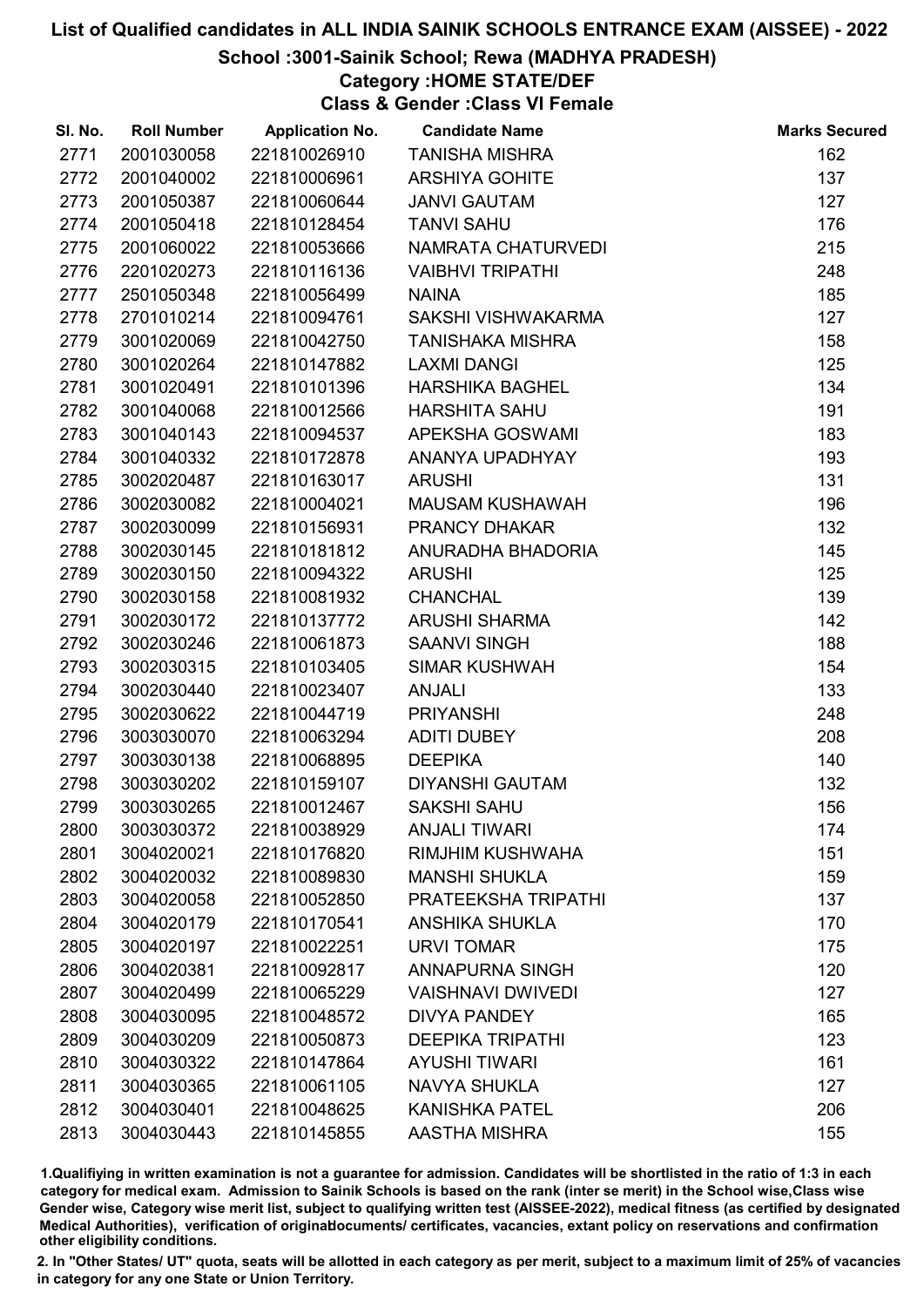# School :3001-Sainik School; Rewa (MADHYA PRADESH)

# Category :HOME STATE/DEF

Class & Gender :Class VI Female

| SI. No. | <b>Roll Number</b> | <b>Application No.</b> | <b>Candidate Name</b>    | <b>Marks Secured</b> |
|---------|--------------------|------------------------|--------------------------|----------------------|
| 2771    | 2001030058         | 221810026910           | <b>TANISHA MISHRA</b>    | 162                  |
| 2772    | 2001040002         | 221810006961           | <b>ARSHIYA GOHITE</b>    | 137                  |
| 2773    | 2001050387         | 221810060644           | <b>JANVI GAUTAM</b>      | 127                  |
| 2774    | 2001050418         | 221810128454           | <b>TANVI SAHU</b>        | 176                  |
| 2775    | 2001060022         | 221810053666           | NAMRATA CHATURVEDI       | 215                  |
| 2776    | 2201020273         | 221810116136           | <b>VAIBHVI TRIPATHI</b>  | 248                  |
| 2777    | 2501050348         | 221810056499           | <b>NAINA</b>             | 185                  |
| 2778    | 2701010214         | 221810094761           | SAKSHI VISHWAKARMA       | 127                  |
| 2779    | 3001020069         | 221810042750           | <b>TANISHAKA MISHRA</b>  | 158                  |
| 2780    | 3001020264         | 221810147882           | <b>LAXMI DANGI</b>       | 125                  |
| 2781    | 3001020491         | 221810101396           | <b>HARSHIKA BAGHEL</b>   | 134                  |
| 2782    | 3001040068         | 221810012566           | <b>HARSHITA SAHU</b>     | 191                  |
| 2783    | 3001040143         | 221810094537           | APEKSHA GOSWAMI          | 183                  |
| 2784    | 3001040332         | 221810172878           | ANANYA UPADHYAY          | 193                  |
| 2785    | 3002020487         | 221810163017           | <b>ARUSHI</b>            | 131                  |
| 2786    | 3002030082         | 221810004021           | <b>MAUSAM KUSHAWAH</b>   | 196                  |
| 2787    | 3002030099         | 221810156931           | PRANCY DHAKAR            | 132                  |
| 2788    | 3002030145         | 221810181812           | ANURADHA BHADORIA        | 145                  |
| 2789    | 3002030150         | 221810094322           | <b>ARUSHI</b>            | 125                  |
| 2790    | 3002030158         | 221810081932           | <b>CHANCHAL</b>          | 139                  |
| 2791    | 3002030172         | 221810137772           | <b>ARUSHI SHARMA</b>     | 142                  |
| 2792    | 3002030246         | 221810061873           | <b>SAANVI SINGH</b>      | 188                  |
| 2793    | 3002030315         | 221810103405           | <b>SIMAR KUSHWAH</b>     | 154                  |
| 2794    | 3002030440         | 221810023407           | <b>ANJALI</b>            | 133                  |
| 2795    | 3002030622         | 221810044719           | <b>PRIYANSHI</b>         | 248                  |
| 2796    | 3003030070         | 221810063294           | <b>ADITI DUBEY</b>       | 208                  |
| 2797    | 3003030138         | 221810068895           | <b>DEEPIKA</b>           | 140                  |
| 2798    | 3003030202         | 221810159107           | <b>DIYANSHI GAUTAM</b>   | 132                  |
| 2799    | 3003030265         | 221810012467           | <b>SAKSHI SAHU</b>       | 156                  |
| 2800    | 3003030372         | 221810038929           | <b>ANJALI TIWARI</b>     | 174                  |
| 2801    | 3004020021         | 221810176820           | <b>RIMJHIM KUSHWAHA</b>  | 151                  |
| 2802    | 3004020032         | 221810089830           | <b>MANSHI SHUKLA</b>     | 159                  |
| 2803    | 3004020058         | 221810052850           | PRATEEKSHA TRIPATHI      | 137                  |
| 2804    | 3004020179         | 221810170541           | <b>ANSHIKA SHUKLA</b>    | 170                  |
| 2805    | 3004020197         | 221810022251           | <b>URVI TOMAR</b>        | 175                  |
| 2806    | 3004020381         | 221810092817           | <b>ANNAPURNA SINGH</b>   | 120                  |
| 2807    | 3004020499         | 221810065229           | <b>VAISHNAVI DWIVEDI</b> | 127                  |
| 2808    | 3004030095         | 221810048572           | <b>DIVYA PANDEY</b>      | 165                  |
| 2809    | 3004030209         | 221810050873           | <b>DEEPIKA TRIPATHI</b>  | 123                  |
| 2810    | 3004030322         | 221810147864           | <b>AYUSHI TIWARI</b>     | 161                  |
| 2811    | 3004030365         | 221810061105           | <b>NAVYA SHUKLA</b>      | 127                  |
| 2812    | 3004030401         | 221810048625           | <b>KANISHKA PATEL</b>    | 206                  |
| 2813    | 3004030443         | 221810145855           | AASTHA MISHRA            | 155                  |

1.Qualifiying in written examination is not a guarantee for admission. Candidates will be shortlisted in the ratio of 1:3 in each category for medical exam. Admission to Sainik Schools is based on the rank (inter se merit) in the School wise,Class wise Gender wise, Category wise merit list, subject to qualifying written test (AISSEE-2022), medical fitness (as certified by designated Medical Authorities), verification of originablocuments/ certificates, vacancies, extant policy on reservations and confirmation other eligibility conditions.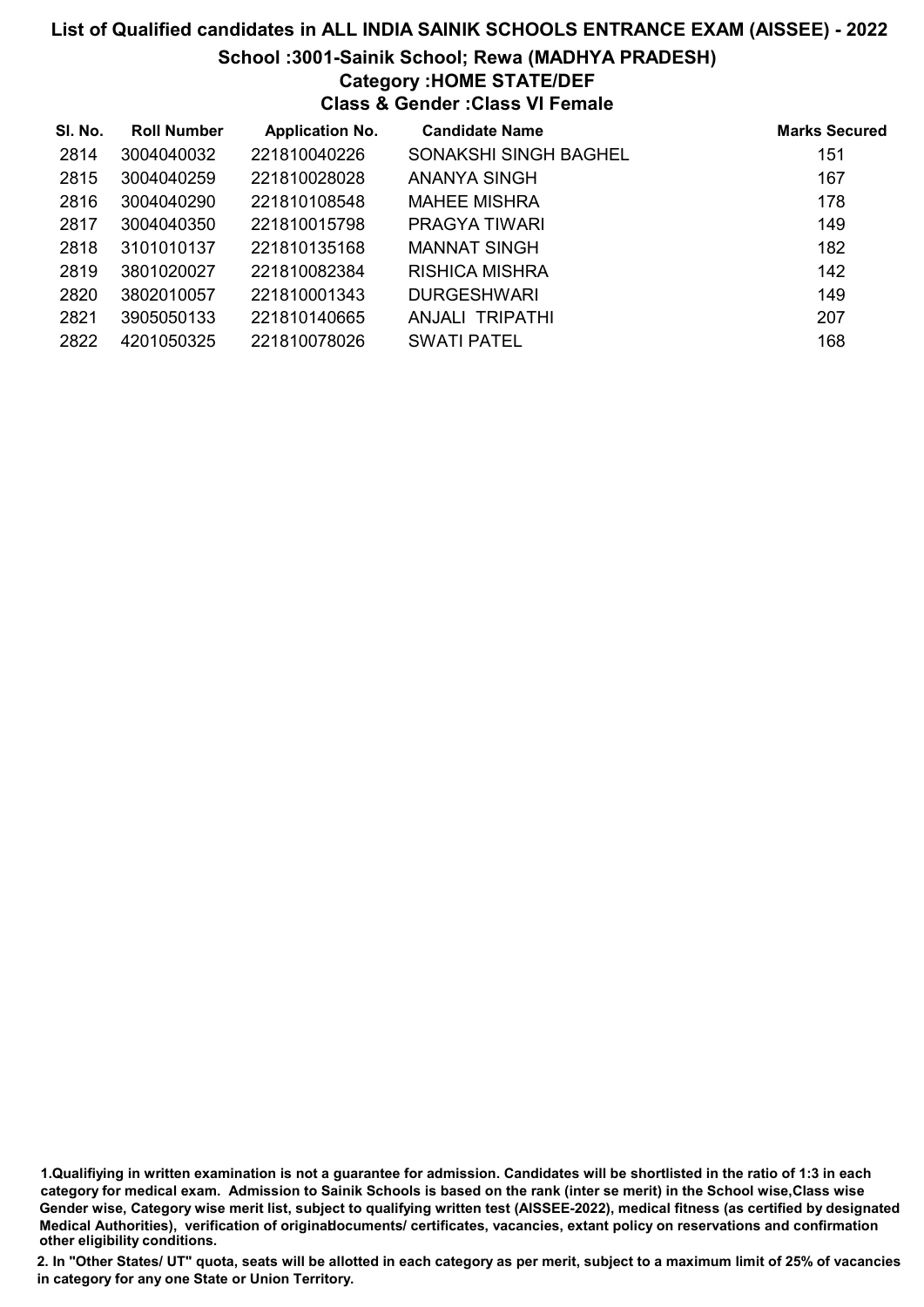## School :3001-Sainik School; Rewa (MADHYA PRADESH)

# Category :HOME STATE/DEF

Class & Gender :Class VI Female

| SI. No. | <b>Roll Number</b> | <b>Application No.</b> | <b>Candidate Name</b> | <b>Marks Secured</b> |
|---------|--------------------|------------------------|-----------------------|----------------------|
| 2814    | 3004040032         | 221810040226           | SONAKSHI SINGH BAGHEL | 151                  |
| 2815    | 3004040259         | 221810028028           | ANANYA SINGH          | 167                  |
| 2816    | 3004040290         | 221810108548           | <b>MAHEE MISHRA</b>   | 178                  |
| 2817    | 3004040350         | 221810015798           | PRAGYA TIWARI         | 149                  |
| 2818    | 3101010137         | 221810135168           | <b>MANNAT SINGH</b>   | 182                  |
| 2819    | 3801020027         | 221810082384           | RISHICA MISHRA        | 142                  |
| 2820    | 3802010057         | 221810001343           | <b>DURGESHWARI</b>    | 149                  |
| 2821    | 3905050133         | 221810140665           | ANJALI TRIPATHI       | 207                  |
| 2822    | 4201050325         | 221810078026           | <b>SWATI PATEL</b>    | 168                  |

1.Qualifiying in written examination is not a guarantee for admission. Candidates will be shortlisted in the ratio of 1:3 in each category for medical exam. Admission to Sainik Schools is based on the rank (inter se merit) in the School wise,Class wise Gender wise, Category wise merit list, subject to qualifying written test (AISSEE-2022), medical fitness (as certified by designated Medical Authorities), verification of originablocuments/ certificates, vacancies, extant policy on reservations and confirmation other eligibility conditions.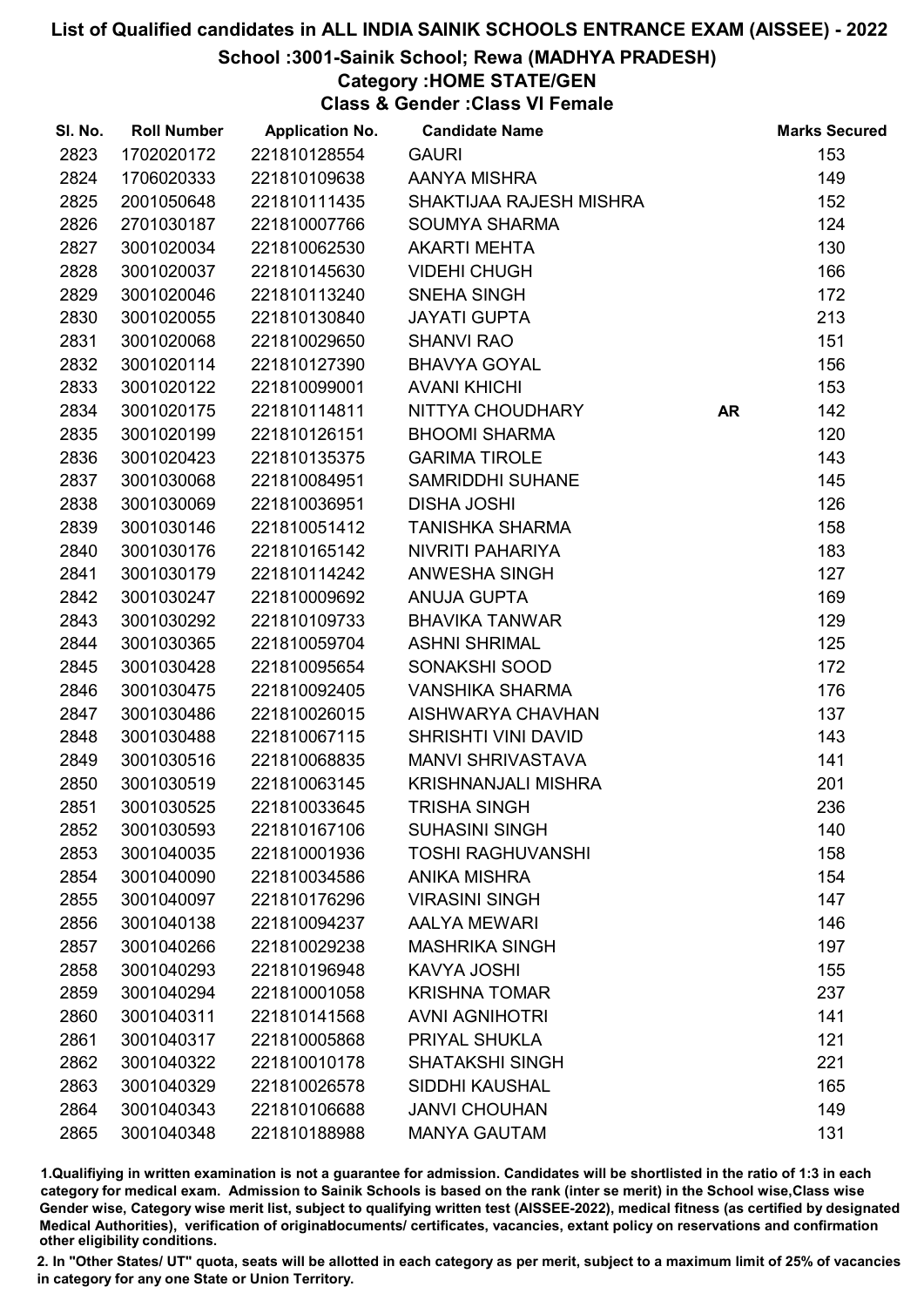## School :3001-Sainik School; Rewa (MADHYA PRADESH)

# Category :HOME STATE/GEN

Class & Gender :Class VI Female

| SI. No. | <b>Roll Number</b> | <b>Application No.</b> | <b>Candidate Name</b>      |           | <b>Marks Secured</b> |
|---------|--------------------|------------------------|----------------------------|-----------|----------------------|
| 2823    | 1702020172         | 221810128554           | <b>GAURI</b>               |           | 153                  |
| 2824    | 1706020333         | 221810109638           | AANYA MISHRA               |           | 149                  |
| 2825    | 2001050648         | 221810111435           | SHAKTIJAA RAJESH MISHRA    |           | 152                  |
| 2826    | 2701030187         | 221810007766           | <b>SOUMYA SHARMA</b>       |           | 124                  |
| 2827    | 3001020034         | 221810062530           | <b>AKARTI MEHTA</b>        |           | 130                  |
| 2828    | 3001020037         | 221810145630           | <b>VIDEHI CHUGH</b>        |           | 166                  |
| 2829    | 3001020046         | 221810113240           | SNEHA SINGH                |           | 172                  |
| 2830    | 3001020055         | 221810130840           | <b>JAYATI GUPTA</b>        |           | 213                  |
| 2831    | 3001020068         | 221810029650           | <b>SHANVI RAO</b>          |           | 151                  |
| 2832    | 3001020114         | 221810127390           | <b>BHAVYA GOYAL</b>        |           | 156                  |
| 2833    | 3001020122         | 221810099001           | <b>AVANI KHICHI</b>        |           | 153                  |
| 2834    | 3001020175         | 221810114811           | NITTYA CHOUDHARY           | <b>AR</b> | 142                  |
| 2835    | 3001020199         | 221810126151           | <b>BHOOMI SHARMA</b>       |           | 120                  |
| 2836    | 3001020423         | 221810135375           | <b>GARIMA TIROLE</b>       |           | 143                  |
| 2837    | 3001030068         | 221810084951           | <b>SAMRIDDHI SUHANE</b>    |           | 145                  |
| 2838    | 3001030069         | 221810036951           | <b>DISHA JOSHI</b>         |           | 126                  |
| 2839    | 3001030146         | 221810051412           | TANISHKA SHARMA            |           | 158                  |
| 2840    | 3001030176         | 221810165142           | NIVRITI PAHARIYA           |           | 183                  |
| 2841    | 3001030179         | 221810114242           | <b>ANWESHA SINGH</b>       |           | 127                  |
| 2842    | 3001030247         | 221810009692           | <b>ANUJA GUPTA</b>         |           | 169                  |
| 2843    | 3001030292         | 221810109733           | <b>BHAVIKA TANWAR</b>      |           | 129                  |
| 2844    | 3001030365         | 221810059704           | <b>ASHNI SHRIMAL</b>       |           | 125                  |
| 2845    | 3001030428         | 221810095654           | SONAKSHI SOOD              |           | 172                  |
| 2846    | 3001030475         | 221810092405           | <b>VANSHIKA SHARMA</b>     |           | 176                  |
| 2847    | 3001030486         | 221810026015           | AISHWARYA CHAVHAN          |           | 137                  |
| 2848    | 3001030488         | 221810067115           | <b>SHRISHTI VINI DAVID</b> |           | 143                  |
| 2849    | 3001030516         | 221810068835           | <b>MANVI SHRIVASTAVA</b>   |           | 141                  |
| 2850    | 3001030519         | 221810063145           | <b>KRISHNANJALI MISHRA</b> |           | 201                  |
| 2851    | 3001030525         | 221810033645           | <b>TRISHA SINGH</b>        |           | 236                  |
| 2852    | 3001030593         | 221810167106           | <b>SUHASINI SINGH</b>      |           | 140                  |
| 2853    | 3001040035         | 221810001936           | <b>TOSHI RAGHUVANSHI</b>   |           | 158                  |
| 2854    | 3001040090         | 221810034586           | <b>ANIKA MISHRA</b>        |           | 154                  |
| 2855    | 3001040097         | 221810176296           | <b>VIRASINI SINGH</b>      |           | 147                  |
| 2856    | 3001040138         | 221810094237           | <b>AALYA MEWARI</b>        |           | 146                  |
| 2857    | 3001040266         | 221810029238           | <b>MASHRIKA SINGH</b>      |           | 197                  |
| 2858    | 3001040293         | 221810196948           | <b>KAVYA JOSHI</b>         |           | 155                  |
| 2859    | 3001040294         | 221810001058           | <b>KRISHNA TOMAR</b>       |           | 237                  |
| 2860    | 3001040311         | 221810141568           | <b>AVNI AGNIHOTRI</b>      |           | 141                  |
| 2861    | 3001040317         | 221810005868           | PRIYAL SHUKLA              |           | 121                  |
| 2862    | 3001040322         | 221810010178           | <b>SHATAKSHI SINGH</b>     |           | 221                  |
| 2863    | 3001040329         | 221810026578           | SIDDHI KAUSHAL             |           | 165                  |
| 2864    | 3001040343         | 221810106688           | <b>JANVI CHOUHAN</b>       |           | 149                  |
| 2865    | 3001040348         | 221810188988           | <b>MANYA GAUTAM</b>        |           | 131                  |

1.Qualifiying in written examination is not a guarantee for admission. Candidates will be shortlisted in the ratio of 1:3 in each category for medical exam. Admission to Sainik Schools is based on the rank (inter se merit) in the School wise,Class wise Gender wise, Category wise merit list, subject to qualifying written test (AISSEE-2022), medical fitness (as certified by designated Medical Authorities), verification of originablocuments/ certificates, vacancies, extant policy on reservations and confirmation other eligibility conditions.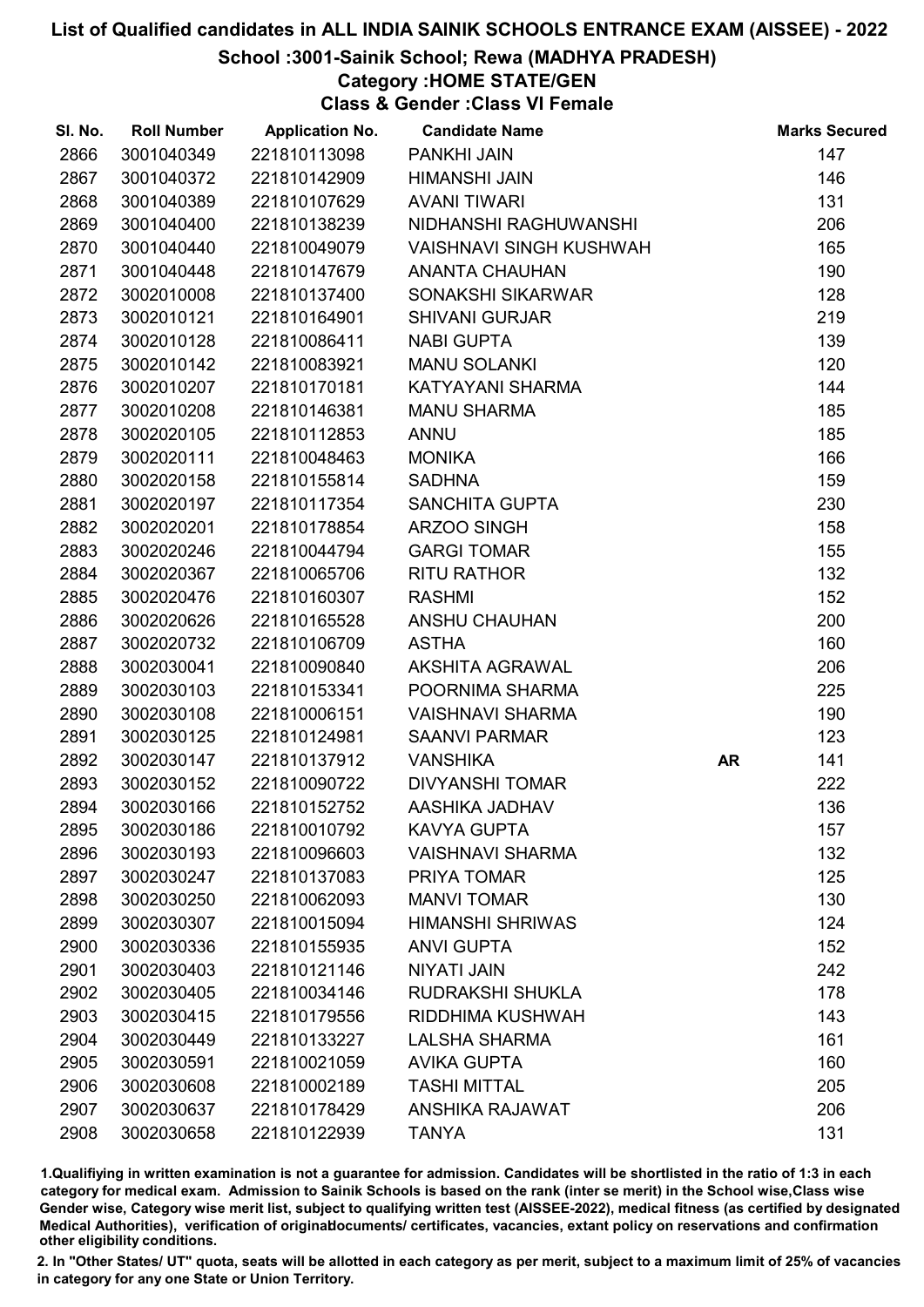# School :3001-Sainik School; Rewa (MADHYA PRADESH)

# Category :HOME STATE/GEN

Class & Gender :Class VI Female

| SI. No. | <b>Roll Number</b> | <b>Application No.</b> | <b>Candidate Name</b>          |           | <b>Marks Secured</b> |
|---------|--------------------|------------------------|--------------------------------|-----------|----------------------|
| 2866    | 3001040349         | 221810113098           | PANKHI JAIN                    |           | 147                  |
| 2867    | 3001040372         | 221810142909           | <b>HIMANSHI JAIN</b>           |           | 146                  |
| 2868    | 3001040389         | 221810107629           | <b>AVANI TIWARI</b>            |           | 131                  |
| 2869    | 3001040400         | 221810138239           | NIDHANSHI RAGHUWANSHI          |           | 206                  |
| 2870    | 3001040440         | 221810049079           | <b>VAISHNAVI SINGH KUSHWAH</b> |           | 165                  |
| 2871    | 3001040448         | 221810147679           | <b>ANANTA CHAUHAN</b>          |           | 190                  |
| 2872    | 3002010008         | 221810137400           | SONAKSHI SIKARWAR              |           | 128                  |
| 2873    | 3002010121         | 221810164901           | <b>SHIVANI GURJAR</b>          |           | 219                  |
| 2874    | 3002010128         | 221810086411           | <b>NABI GUPTA</b>              |           | 139                  |
| 2875    | 3002010142         | 221810083921           | <b>MANU SOLANKI</b>            |           | 120                  |
| 2876    | 3002010207         | 221810170181           | KATYAYANI SHARMA               |           | 144                  |
| 2877    | 3002010208         | 221810146381           | <b>MANU SHARMA</b>             |           | 185                  |
| 2878    | 3002020105         | 221810112853           | <b>ANNU</b>                    |           | 185                  |
| 2879    | 3002020111         | 221810048463           | <b>MONIKA</b>                  |           | 166                  |
| 2880    | 3002020158         | 221810155814           | <b>SADHNA</b>                  |           | 159                  |
| 2881    | 3002020197         | 221810117354           | <b>SANCHITA GUPTA</b>          |           | 230                  |
| 2882    | 3002020201         | 221810178854           | ARZOO SINGH                    |           | 158                  |
| 2883    | 3002020246         | 221810044794           | <b>GARGI TOMAR</b>             |           | 155                  |
| 2884    | 3002020367         | 221810065706           | <b>RITU RATHOR</b>             |           | 132                  |
| 2885    | 3002020476         | 221810160307           | <b>RASHMI</b>                  |           | 152                  |
| 2886    | 3002020626         | 221810165528           | ANSHU CHAUHAN                  |           | 200                  |
| 2887    | 3002020732         | 221810106709           | <b>ASTHA</b>                   |           | 160                  |
| 2888    | 3002030041         | 221810090840           | AKSHITA AGRAWAL                |           | 206                  |
| 2889    | 3002030103         | 221810153341           | POORNIMA SHARMA                |           | 225                  |
| 2890    | 3002030108         | 221810006151           | <b>VAISHNAVI SHARMA</b>        |           | 190                  |
| 2891    | 3002030125         | 221810124981           | <b>SAANVI PARMAR</b>           |           | 123                  |
| 2892    | 3002030147         | 221810137912           | <b>VANSHIKA</b>                | <b>AR</b> | 141                  |
| 2893    | 3002030152         | 221810090722           | <b>DIVYANSHI TOMAR</b>         |           | 222                  |
| 2894    | 3002030166         | 221810152752           | AASHIKA JADHAV                 |           | 136                  |
| 2895    | 3002030186         | 221810010792           | <b>KAVYA GUPTA</b>             |           | 157                  |
| 2896    | 3002030193         | 221810096603           | <b>VAISHNAVI SHARMA</b>        |           | 132                  |
| 2897    | 3002030247         | 221810137083           | PRIYA TOMAR                    |           | 125                  |
| 2898    | 3002030250         | 221810062093           | <b>MANVI TOMAR</b>             |           | 130                  |
| 2899    | 3002030307         | 221810015094           | <b>HIMANSHI SHRIWAS</b>        |           | 124                  |
| 2900    | 3002030336         | 221810155935           | <b>ANVI GUPTA</b>              |           | 152                  |
| 2901    | 3002030403         | 221810121146           | <b>NIYATI JAIN</b>             |           | 242                  |
| 2902    | 3002030405         | 221810034146           | RUDRAKSHI SHUKLA               |           | 178                  |
| 2903    | 3002030415         | 221810179556           | RIDDHIMA KUSHWAH               |           | 143                  |
| 2904    | 3002030449         | 221810133227           | <b>LALSHA SHARMA</b>           |           | 161                  |
| 2905    | 3002030591         | 221810021059           | <b>AVIKA GUPTA</b>             |           | 160                  |
| 2906    | 3002030608         | 221810002189           | <b>TASHI MITTAL</b>            |           | 205                  |
| 2907    | 3002030637         | 221810178429           | ANSHIKA RAJAWAT                |           | 206                  |
| 2908    | 3002030658         | 221810122939           | <b>TANYA</b>                   |           | 131                  |

1.Qualifiying in written examination is not a guarantee for admission. Candidates will be shortlisted in the ratio of 1:3 in each category for medical exam. Admission to Sainik Schools is based on the rank (inter se merit) in the School wise,Class wise Gender wise, Category wise merit list, subject to qualifying written test (AISSEE-2022), medical fitness (as certified by designated Medical Authorities), verification of originablocuments/ certificates, vacancies, extant policy on reservations and confirmation other eligibility conditions.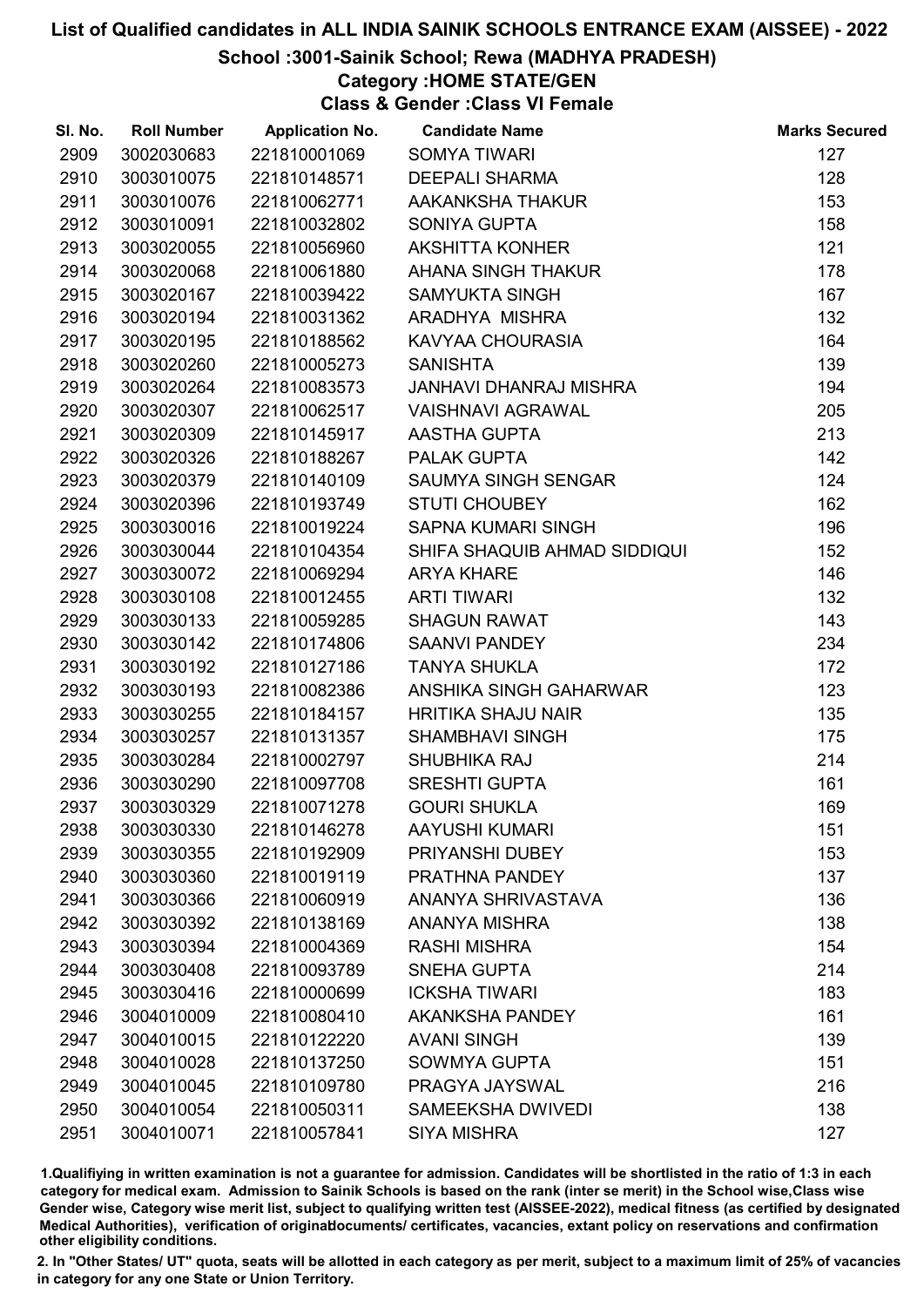# School :3001-Sainik School; Rewa (MADHYA PRADESH)

# Category :HOME STATE/GEN

Class & Gender :Class VI Female

| SI. No. | <b>Roll Number</b> | <b>Application No.</b> | <b>Candidate Name</b>        | <b>Marks Secured</b> |
|---------|--------------------|------------------------|------------------------------|----------------------|
| 2909    | 3002030683         | 221810001069           | <b>SOMYA TIWARI</b>          | 127                  |
| 2910    | 3003010075         | 221810148571           | <b>DEEPALI SHARMA</b>        | 128                  |
| 2911    | 3003010076         | 221810062771           | AAKANKSHA THAKUR             | 153                  |
| 2912    | 3003010091         | 221810032802           | SONIYA GUPTA                 | 158                  |
| 2913    | 3003020055         | 221810056960           | <b>AKSHITTA KONHER</b>       | 121                  |
| 2914    | 3003020068         | 221810061880           | AHANA SINGH THAKUR           | 178                  |
| 2915    | 3003020167         | 221810039422           | <b>SAMYUKTA SINGH</b>        | 167                  |
| 2916    | 3003020194         | 221810031362           | ARADHYA MISHRA               | 132                  |
| 2917    | 3003020195         | 221810188562           | KAVYAA CHOURASIA             | 164                  |
| 2918    | 3003020260         | 221810005273           | <b>SANISHTA</b>              | 139                  |
| 2919    | 3003020264         | 221810083573           | JANHAVI DHANRAJ MISHRA       | 194                  |
| 2920    | 3003020307         | 221810062517           | <b>VAISHNAVI AGRAWAL</b>     | 205                  |
| 2921    | 3003020309         | 221810145917           | AASTHA GUPTA                 | 213                  |
| 2922    | 3003020326         | 221810188267           | PALAK GUPTA                  | 142                  |
| 2923    | 3003020379         | 221810140109           | SAUMYA SINGH SENGAR          | 124                  |
| 2924    | 3003020396         | 221810193749           | <b>STUTI CHOUBEY</b>         | 162                  |
| 2925    | 3003030016         | 221810019224           | <b>SAPNA KUMARI SINGH</b>    | 196                  |
| 2926    | 3003030044         | 221810104354           | SHIFA SHAQUIB AHMAD SIDDIQUI | 152                  |
| 2927    | 3003030072         | 221810069294           | <b>ARYA KHARE</b>            | 146                  |
| 2928    | 3003030108         | 221810012455           | <b>ARTI TIWARI</b>           | 132                  |
| 2929    | 3003030133         | 221810059285           | <b>SHAGUN RAWAT</b>          | 143                  |
| 2930    | 3003030142         | 221810174806           | <b>SAANVI PANDEY</b>         | 234                  |
| 2931    | 3003030192         | 221810127186           | <b>TANYA SHUKLA</b>          | 172                  |
| 2932    | 3003030193         | 221810082386           | ANSHIKA SINGH GAHARWAR       | 123                  |
| 2933    | 3003030255         | 221810184157           | <b>HRITIKA SHAJU NAIR</b>    | 135                  |
| 2934    | 3003030257         | 221810131357           | <b>SHAMBHAVI SINGH</b>       | 175                  |
| 2935    | 3003030284         | 221810002797           | <b>SHUBHIKA RAJ</b>          | 214                  |
| 2936    | 3003030290         | 221810097708           | <b>SRESHTI GUPTA</b>         | 161                  |
| 2937    | 3003030329         | 221810071278           | <b>GOURI SHUKLA</b>          | 169                  |
| 2938    | 3003030330         | 221810146278           | <b>AAYUSHI KUMARI</b>        | 151                  |
| 2939    | 3003030355         | 221810192909           | PRIYANSHI DUBEY              | 153                  |
| 2940    | 3003030360         | 221810019119           | PRATHNA PANDEY               | 137                  |
| 2941    | 3003030366         | 221810060919           | ANANYA SHRIVASTAVA           | 136                  |
| 2942    | 3003030392         | 221810138169           | <b>ANANYA MISHRA</b>         | 138                  |
| 2943    | 3003030394         | 221810004369           | <b>RASHI MISHRA</b>          | 154                  |
| 2944    | 3003030408         | 221810093789           | <b>SNEHA GUPTA</b>           | 214                  |
| 2945    | 3003030416         | 221810000699           | <b>ICKSHA TIWARI</b>         | 183                  |
| 2946    | 3004010009         | 221810080410           | <b>AKANKSHA PANDEY</b>       | 161                  |
| 2947    | 3004010015         | 221810122220           | <b>AVANI SINGH</b>           | 139                  |
| 2948    | 3004010028         | 221810137250           | <b>SOWMYA GUPTA</b>          | 151                  |
| 2949    | 3004010045         | 221810109780           | PRAGYA JAYSWAL               | 216                  |
| 2950    | 3004010054         | 221810050311           | <b>SAMEEKSHA DWIVEDI</b>     | 138                  |
| 2951    | 3004010071         | 221810057841           | <b>SIYA MISHRA</b>           | 127                  |

1.Qualifiying in written examination is not a guarantee for admission. Candidates will be shortlisted in the ratio of 1:3 in each category for medical exam. Admission to Sainik Schools is based on the rank (inter se merit) in the School wise,Class wise Gender wise, Category wise merit list, subject to qualifying written test (AISSEE-2022), medical fitness (as certified by designated Medical Authorities), verification of originablocuments/ certificates, vacancies, extant policy on reservations and confirmation other eligibility conditions.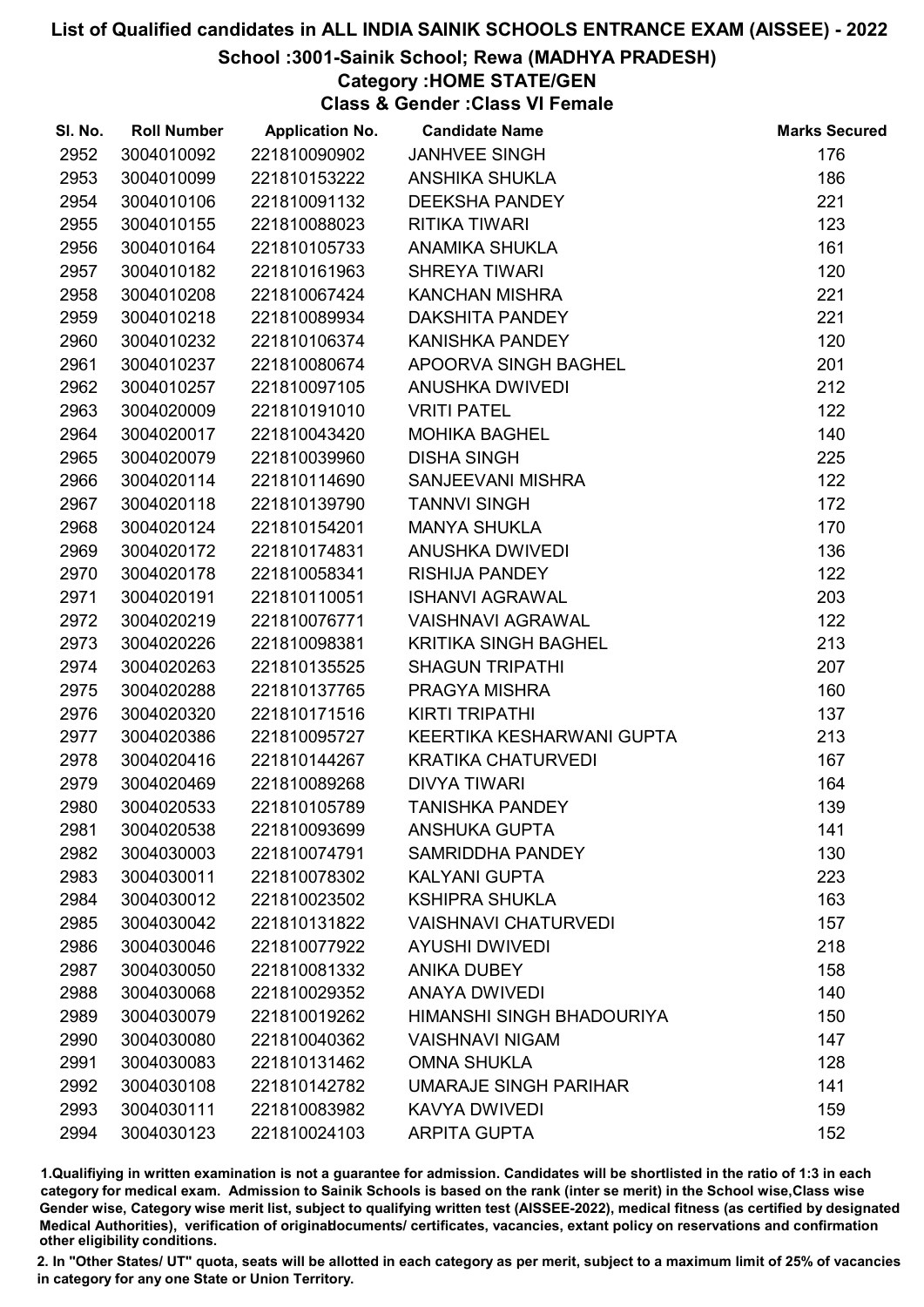# School :3001-Sainik School; Rewa (MADHYA PRADESH)

# Category :HOME STATE/GEN

Class & Gender :Class VI Female

| SI. No. | <b>Roll Number</b> | <b>Application No.</b> | <b>Candidate Name</b>        | <b>Marks Secured</b> |
|---------|--------------------|------------------------|------------------------------|----------------------|
| 2952    | 3004010092         | 221810090902           | <b>JANHVEE SINGH</b>         | 176                  |
| 2953    | 3004010099         | 221810153222           | <b>ANSHIKA SHUKLA</b>        | 186                  |
| 2954    | 3004010106         | 221810091132           | <b>DEEKSHA PANDEY</b>        | 221                  |
| 2955    | 3004010155         | 221810088023           | <b>RITIKA TIWARI</b>         | 123                  |
| 2956    | 3004010164         | 221810105733           | <b>ANAMIKA SHUKLA</b>        | 161                  |
| 2957    | 3004010182         | 221810161963           | <b>SHREYA TIWARI</b>         | 120                  |
| 2958    | 3004010208         | 221810067424           | <b>KANCHAN MISHRA</b>        | 221                  |
| 2959    | 3004010218         | 221810089934           | <b>DAKSHITA PANDEY</b>       | 221                  |
| 2960    | 3004010232         | 221810106374           | KANISHKA PANDEY              | 120                  |
| 2961    | 3004010237         | 221810080674           | APOORVA SINGH BAGHEL         | 201                  |
| 2962    | 3004010257         | 221810097105           | <b>ANUSHKA DWIVEDI</b>       | 212                  |
| 2963    | 3004020009         | 221810191010           | <b>VRITI PATEL</b>           | 122                  |
| 2964    | 3004020017         | 221810043420           | <b>MOHIKA BAGHEL</b>         | 140                  |
| 2965    | 3004020079         | 221810039960           | <b>DISHA SINGH</b>           | 225                  |
| 2966    | 3004020114         | 221810114690           | SANJEEVANI MISHRA            | 122                  |
| 2967    | 3004020118         | 221810139790           | <b>TANNVI SINGH</b>          | 172                  |
| 2968    | 3004020124         | 221810154201           | <b>MANYA SHUKLA</b>          | 170                  |
| 2969    | 3004020172         | 221810174831           | ANUSHKA DWIVEDI              | 136                  |
| 2970    | 3004020178         | 221810058341           | <b>RISHIJA PANDEY</b>        | 122                  |
| 2971    | 3004020191         | 221810110051           | <b>ISHANVI AGRAWAL</b>       | 203                  |
| 2972    | 3004020219         | 221810076771           | <b>VAISHNAVI AGRAWAL</b>     | 122                  |
| 2973    | 3004020226         | 221810098381           | <b>KRITIKA SINGH BAGHEL</b>  | 213                  |
| 2974    | 3004020263         | 221810135525           | <b>SHAGUN TRIPATHI</b>       | 207                  |
| 2975    | 3004020288         | 221810137765           | PRAGYA MISHRA                | 160                  |
| 2976    | 3004020320         | 221810171516           | <b>KIRTI TRIPATHI</b>        | 137                  |
| 2977    | 3004020386         | 221810095727           | KEERTIKA KESHARWANI GUPTA    | 213                  |
| 2978    | 3004020416         | 221810144267           | <b>KRATIKA CHATURVEDI</b>    | 167                  |
| 2979    | 3004020469         | 221810089268           | <b>DIVYA TIWARI</b>          | 164                  |
| 2980    | 3004020533         | 221810105789           | <b>TANISHKA PANDEY</b>       | 139                  |
| 2981    | 3004020538         | 221810093699           | <b>ANSHUKA GUPTA</b>         | 141                  |
| 2982    | 3004030003         | 221810074791           | <b>SAMRIDDHA PANDEY</b>      | 130                  |
| 2983    | 3004030011         | 221810078302           | <b>KALYANI GUPTA</b>         | 223                  |
| 2984    | 3004030012         | 221810023502           | <b>KSHIPRA SHUKLA</b>        | 163                  |
| 2985    | 3004030042         | 221810131822           | <b>VAISHNAVI CHATURVEDI</b>  | 157                  |
| 2986    | 3004030046         | 221810077922           | <b>AYUSHI DWIVEDI</b>        | 218                  |
| 2987    | 3004030050         | 221810081332           | <b>ANIKA DUBEY</b>           | 158                  |
| 2988    | 3004030068         | 221810029352           | <b>ANAYA DWIVEDI</b>         | 140                  |
| 2989    | 3004030079         | 221810019262           | HIMANSHI SINGH BHADOURIYA    | 150                  |
| 2990    | 3004030080         | 221810040362           | <b>VAISHNAVI NIGAM</b>       | 147                  |
| 2991    | 3004030083         | 221810131462           | <b>OMNA SHUKLA</b>           | 128                  |
| 2992    | 3004030108         | 221810142782           | <b>UMARAJE SINGH PARIHAR</b> | 141                  |
| 2993    | 3004030111         | 221810083982           | <b>KAVYA DWIVEDI</b>         | 159                  |
| 2994    | 3004030123         | 221810024103           | <b>ARPITA GUPTA</b>          | 152                  |

1.Qualifiying in written examination is not a guarantee for admission. Candidates will be shortlisted in the ratio of 1:3 in each category for medical exam. Admission to Sainik Schools is based on the rank (inter se merit) in the School wise,Class wise Gender wise, Category wise merit list, subject to qualifying written test (AISSEE-2022), medical fitness (as certified by designated Medical Authorities), verification of originablocuments/ certificates, vacancies, extant policy on reservations and confirmation other eligibility conditions.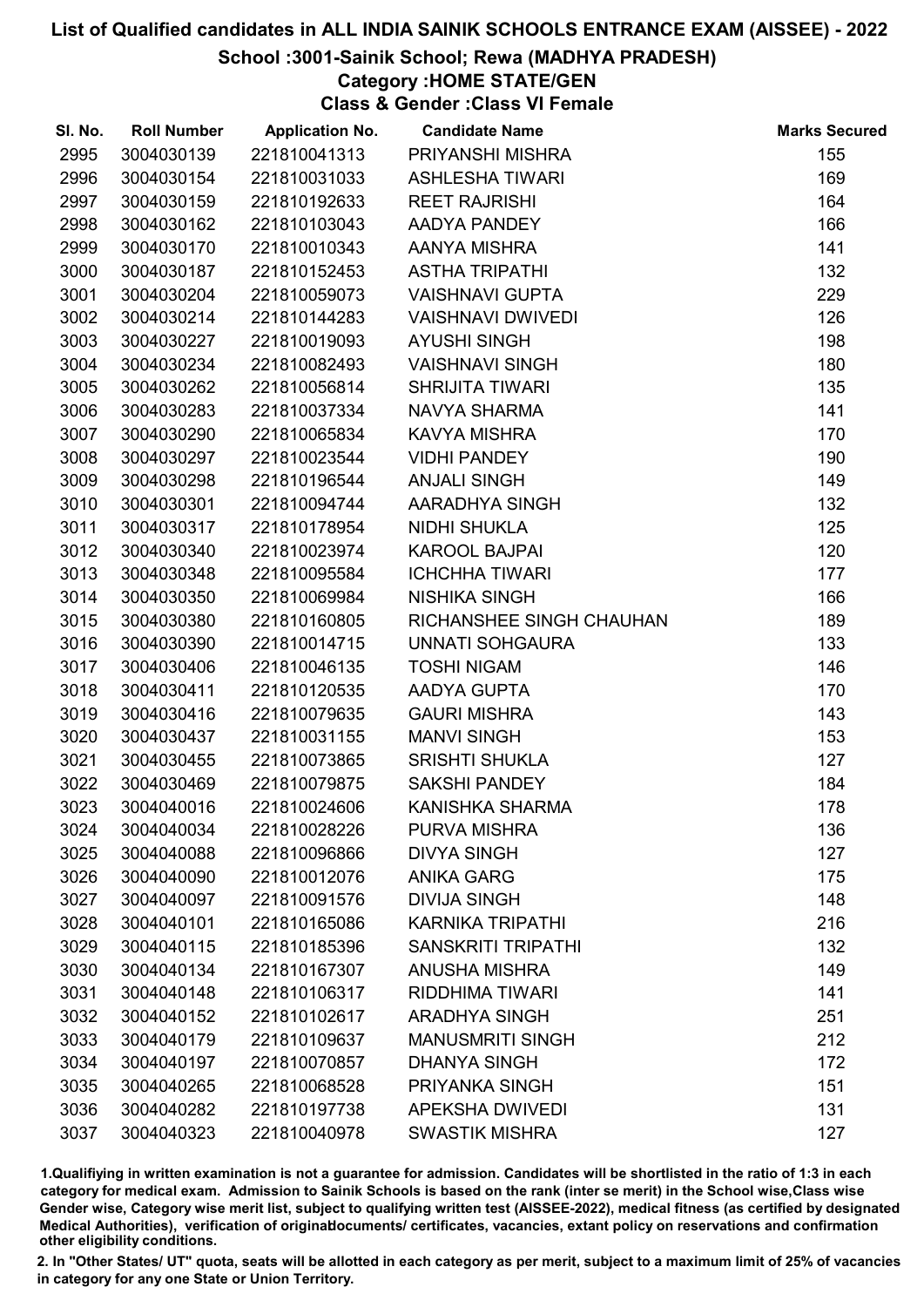# School :3001-Sainik School; Rewa (MADHYA PRADESH)

# Category :HOME STATE/GEN

Class & Gender :Class VI Female

| SI. No. | <b>Roll Number</b> | <b>Application No.</b> | <b>Candidate Name</b>     | <b>Marks Secured</b> |
|---------|--------------------|------------------------|---------------------------|----------------------|
| 2995    | 3004030139         | 221810041313           | PRIYANSHI MISHRA          | 155                  |
| 2996    | 3004030154         | 221810031033           | <b>ASHLESHA TIWARI</b>    | 169                  |
| 2997    | 3004030159         | 221810192633           | <b>REET RAJRISHI</b>      | 164                  |
| 2998    | 3004030162         | 221810103043           | AADYA PANDEY              | 166                  |
| 2999    | 3004030170         | 221810010343           | AANYA MISHRA              | 141                  |
| 3000    | 3004030187         | 221810152453           | <b>ASTHA TRIPATHI</b>     | 132                  |
| 3001    | 3004030204         | 221810059073           | <b>VAISHNAVI GUPTA</b>    | 229                  |
| 3002    | 3004030214         | 221810144283           | <b>VAISHNAVI DWIVEDI</b>  | 126                  |
| 3003    | 3004030227         | 221810019093           | <b>AYUSHI SINGH</b>       | 198                  |
| 3004    | 3004030234         | 221810082493           | <b>VAISHNAVI SINGH</b>    | 180                  |
| 3005    | 3004030262         | 221810056814           | <b>SHRIJITA TIWARI</b>    | 135                  |
| 3006    | 3004030283         | 221810037334           | NAVYA SHARMA              | 141                  |
| 3007    | 3004030290         | 221810065834           | <b>KAVYA MISHRA</b>       | 170                  |
| 3008    | 3004030297         | 221810023544           | <b>VIDHI PANDEY</b>       | 190                  |
| 3009    | 3004030298         | 221810196544           | <b>ANJALI SINGH</b>       | 149                  |
| 3010    | 3004030301         | 221810094744           | AARADHYA SINGH            | 132                  |
| 3011    | 3004030317         | 221810178954           | <b>NIDHI SHUKLA</b>       | 125                  |
| 3012    | 3004030340         | 221810023974           | <b>KAROOL BAJPAI</b>      | 120                  |
| 3013    | 3004030348         | 221810095584           | <b>ICHCHHA TIWARI</b>     | 177                  |
| 3014    | 3004030350         | 221810069984           | <b>NISHIKA SINGH</b>      | 166                  |
| 3015    | 3004030380         | 221810160805           | RICHANSHEE SINGH CHAUHAN  | 189                  |
| 3016    | 3004030390         | 221810014715           | <b>UNNATI SOHGAURA</b>    | 133                  |
| 3017    | 3004030406         | 221810046135           | <b>TOSHI NIGAM</b>        | 146                  |
| 3018    | 3004030411         | 221810120535           | AADYA GUPTA               | 170                  |
| 3019    | 3004030416         | 221810079635           | <b>GAURI MISHRA</b>       | 143                  |
| 3020    | 3004030437         | 221810031155           | <b>MANVI SINGH</b>        | 153                  |
| 3021    | 3004030455         | 221810073865           | <b>SRISHTI SHUKLA</b>     | 127                  |
| 3022    | 3004030469         | 221810079875           | <b>SAKSHI PANDEY</b>      | 184                  |
| 3023    | 3004040016         | 221810024606           | KANISHKA SHARMA           | 178                  |
| 3024    | 3004040034         | 221810028226           | <b>PURVA MISHRA</b>       | 136                  |
| 3025    | 3004040088         | 221810096866           | <b>DIVYA SINGH</b>        | 127                  |
| 3026    | 3004040090         | 221810012076           | <b>ANIKA GARG</b>         | 175                  |
| 3027    | 3004040097         | 221810091576           | <b>DIVIJA SINGH</b>       | 148                  |
| 3028    | 3004040101         | 221810165086           | <b>KARNIKA TRIPATHI</b>   | 216                  |
| 3029    | 3004040115         | 221810185396           | <b>SANSKRITI TRIPATHI</b> | 132                  |
| 3030    | 3004040134         | 221810167307           | <b>ANUSHA MISHRA</b>      | 149                  |
| 3031    | 3004040148         | 221810106317           | <b>RIDDHIMA TIWARI</b>    | 141                  |
| 3032    | 3004040152         | 221810102617           | <b>ARADHYA SINGH</b>      | 251                  |
| 3033    | 3004040179         | 221810109637           | <b>MANUSMRITI SINGH</b>   | 212                  |
| 3034    | 3004040197         | 221810070857           | <b>DHANYA SINGH</b>       | 172                  |
| 3035    | 3004040265         | 221810068528           | PRIYANKA SINGH            | 151                  |
| 3036    | 3004040282         | 221810197738           | <b>APEKSHA DWIVEDI</b>    | 131                  |
| 3037    | 3004040323         | 221810040978           | <b>SWASTIK MISHRA</b>     | 127                  |

1.Qualifiying in written examination is not a guarantee for admission. Candidates will be shortlisted in the ratio of 1:3 in each category for medical exam. Admission to Sainik Schools is based on the rank (inter se merit) in the School wise,Class wise Gender wise, Category wise merit list, subject to qualifying written test (AISSEE-2022), medical fitness (as certified by designated Medical Authorities), verification of originablocuments/ certificates, vacancies, extant policy on reservations and confirmation other eligibility conditions.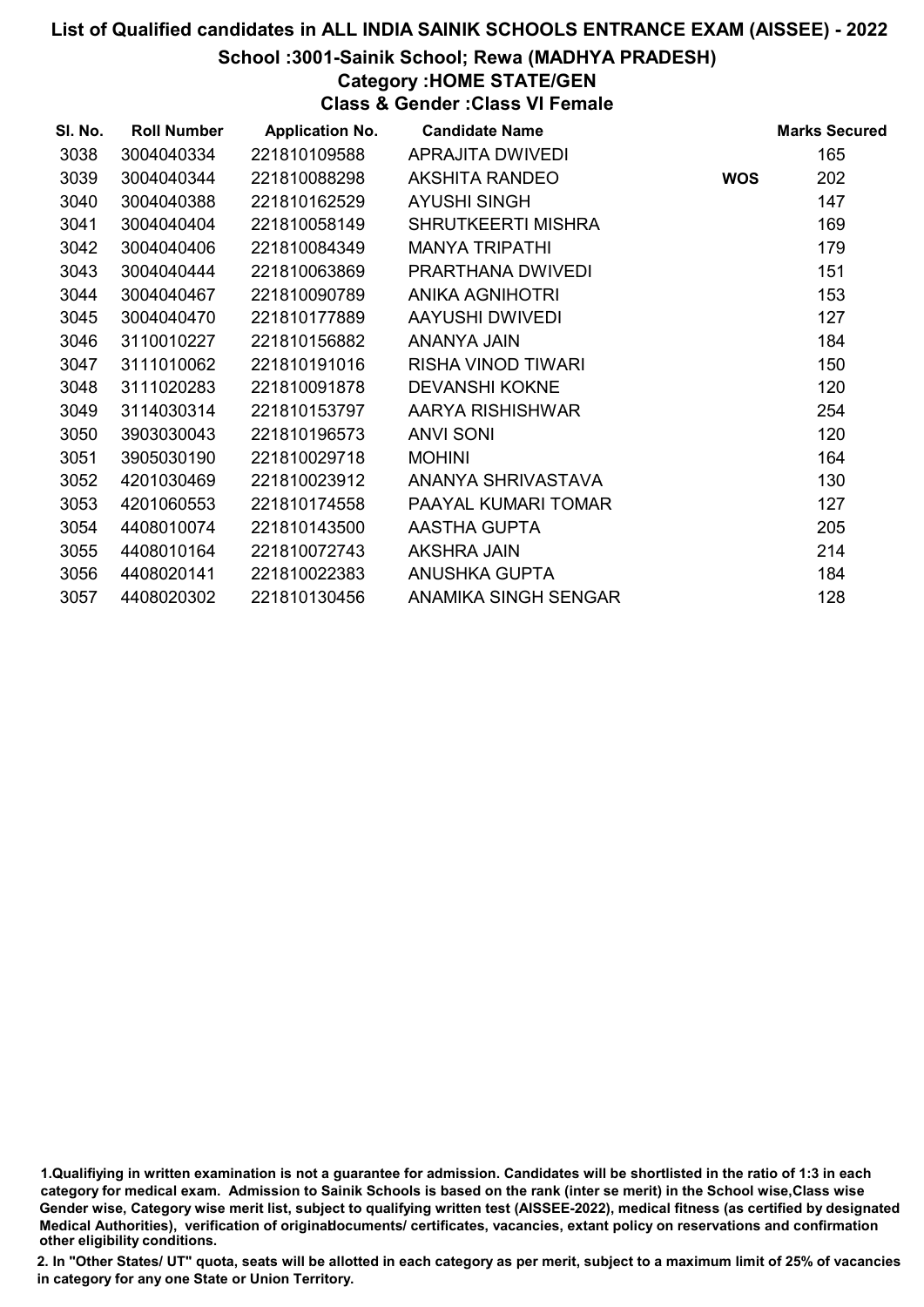# School :3001-Sainik School; Rewa (MADHYA PRADESH)

# Category :HOME STATE/GEN

Class & Gender :Class VI Female

| SI. No. | <b>Roll Number</b> | <b>Application No.</b> | <b>Candidate Name</b>     |            | <b>Marks Secured</b> |
|---------|--------------------|------------------------|---------------------------|------------|----------------------|
| 3038    | 3004040334         | 221810109588           | APRAJITA DWIVEDI          |            | 165                  |
| 3039    | 3004040344         | 221810088298           | AKSHITA RANDEO            | <b>WOS</b> | 202                  |
| 3040    | 3004040388         | 221810162529           | <b>AYUSHI SINGH</b>       |            | 147                  |
| 3041    | 3004040404         | 221810058149           | <b>SHRUTKEERTI MISHRA</b> |            | 169                  |
| 3042    | 3004040406         | 221810084349           | <b>MANYA TRIPATHI</b>     |            | 179                  |
| 3043    | 3004040444         | 221810063869           | PRARTHANA DWIVEDI         |            | 151                  |
| 3044    | 3004040467         | 221810090789           | <b>ANIKA AGNIHOTRI</b>    |            | 153                  |
| 3045    | 3004040470         | 221810177889           | AAYUSHI DWIVEDI           |            | 127                  |
| 3046    | 3110010227         | 221810156882           | ANANYA JAIN               |            | 184                  |
| 3047    | 3111010062         | 221810191016           | RISHA VINOD TIWARI        |            | 150                  |
| 3048    | 3111020283         | 221810091878           | <b>DEVANSHI KOKNE</b>     |            | 120                  |
| 3049    | 3114030314         | 221810153797           | AARYA RISHISHWAR          |            | 254                  |
| 3050    | 3903030043         | 221810196573           | <b>ANVI SONI</b>          |            | 120                  |
| 3051    | 3905030190         | 221810029718           | <b>MOHINI</b>             |            | 164                  |
| 3052    | 4201030469         | 221810023912           | ANANYA SHRIVASTAVA        |            | 130                  |
| 3053    | 4201060553         | 221810174558           | PAAYAL KUMARI TOMAR       |            | 127                  |
| 3054    | 4408010074         | 221810143500           | AASTHA GUPTA              |            | 205                  |
| 3055    | 4408010164         | 221810072743           | <b>AKSHRA JAIN</b>        |            | 214                  |
| 3056    | 4408020141         | 221810022383           | ANUSHKA GUPTA             |            | 184                  |
| 3057    | 4408020302         | 221810130456           | ANAMIKA SINGH SENGAR      |            | 128                  |

1.Qualifiying in written examination is not a guarantee for admission. Candidates will be shortlisted in the ratio of 1:3 in each category for medical exam. Admission to Sainik Schools is based on the rank (inter se merit) in the School wise,Class wise Gender wise, Category wise merit list, subject to qualifying written test (AISSEE-2022), medical fitness (as certified by designated Medical Authorities), verification of originablocuments/ certificates, vacancies, extant policy on reservations and confirmation other eligibility conditions.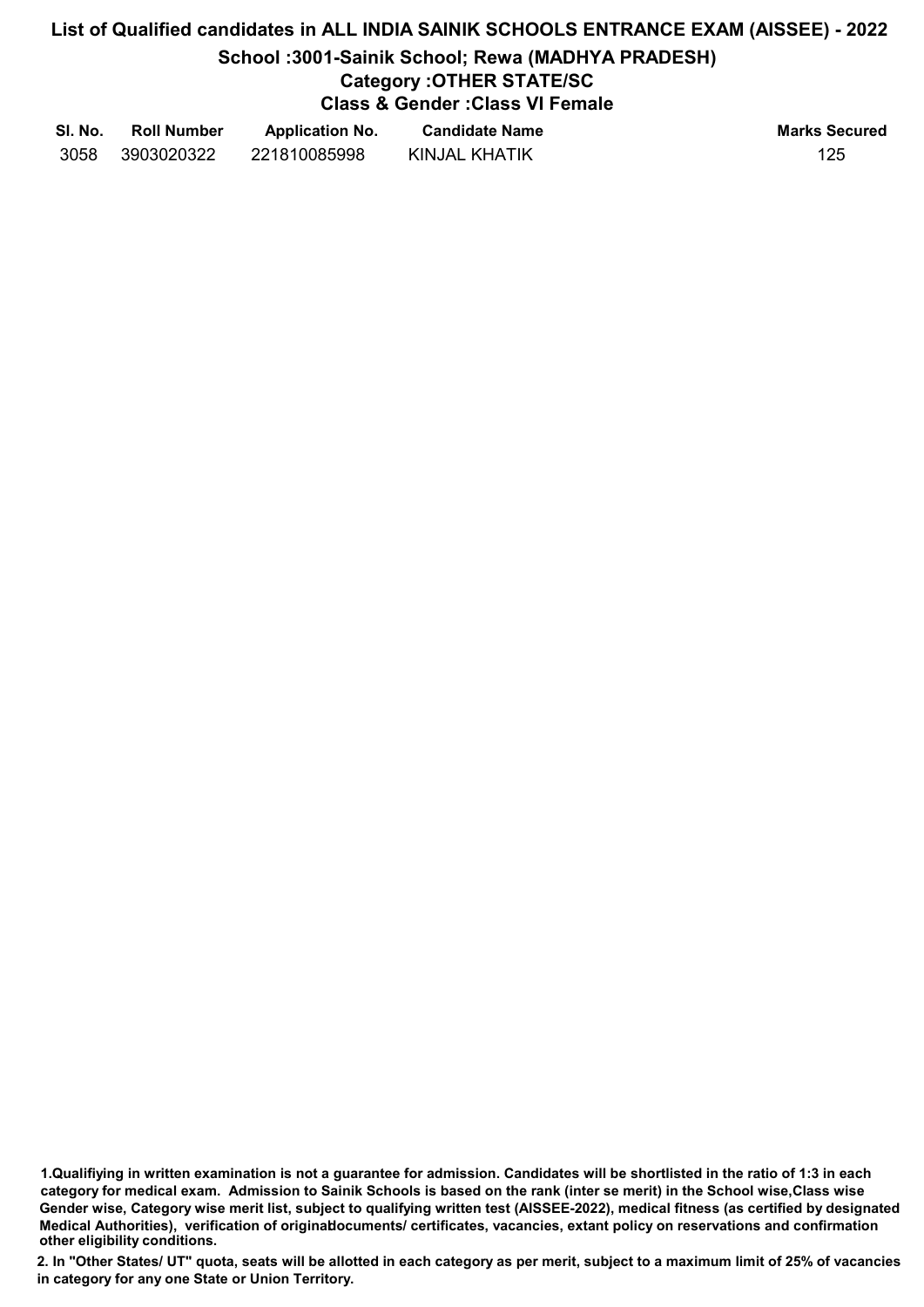# List of Qualified candidates in ALL INDIA SAINIK SCHOOLS ENTRANCE EXAM (AISSEE) - 2022 School :3001-Sainik School; Rewa (MADHYA PRADESH) Category :OTHER STATE/SC Class & Gender :Class VI Female

| SI. No. | <b>Roll Number</b> | <b>Application No.</b> | <b>Candidate Name</b> | <b>Marks Secured</b> |
|---------|--------------------|------------------------|-----------------------|----------------------|
| 3058    | 3903020322         | 221810085998           | KINJAL KHATIK         | 125                  |

1.Qualifiying in written examination is not a guarantee for admission. Candidates will be shortlisted in the ratio of 1:3 in each category for medical exam. Admission to Sainik Schools is based on the rank (inter se merit) in the School wise,Class wise Gender wise, Category wise merit list, subject to qualifying written test (AISSEE-2022), medical fitness (as certified by designated Medical Authorities), verification of originablocuments/ certificates, vacancies, extant policy on reservations and confirmation other eligibility conditions.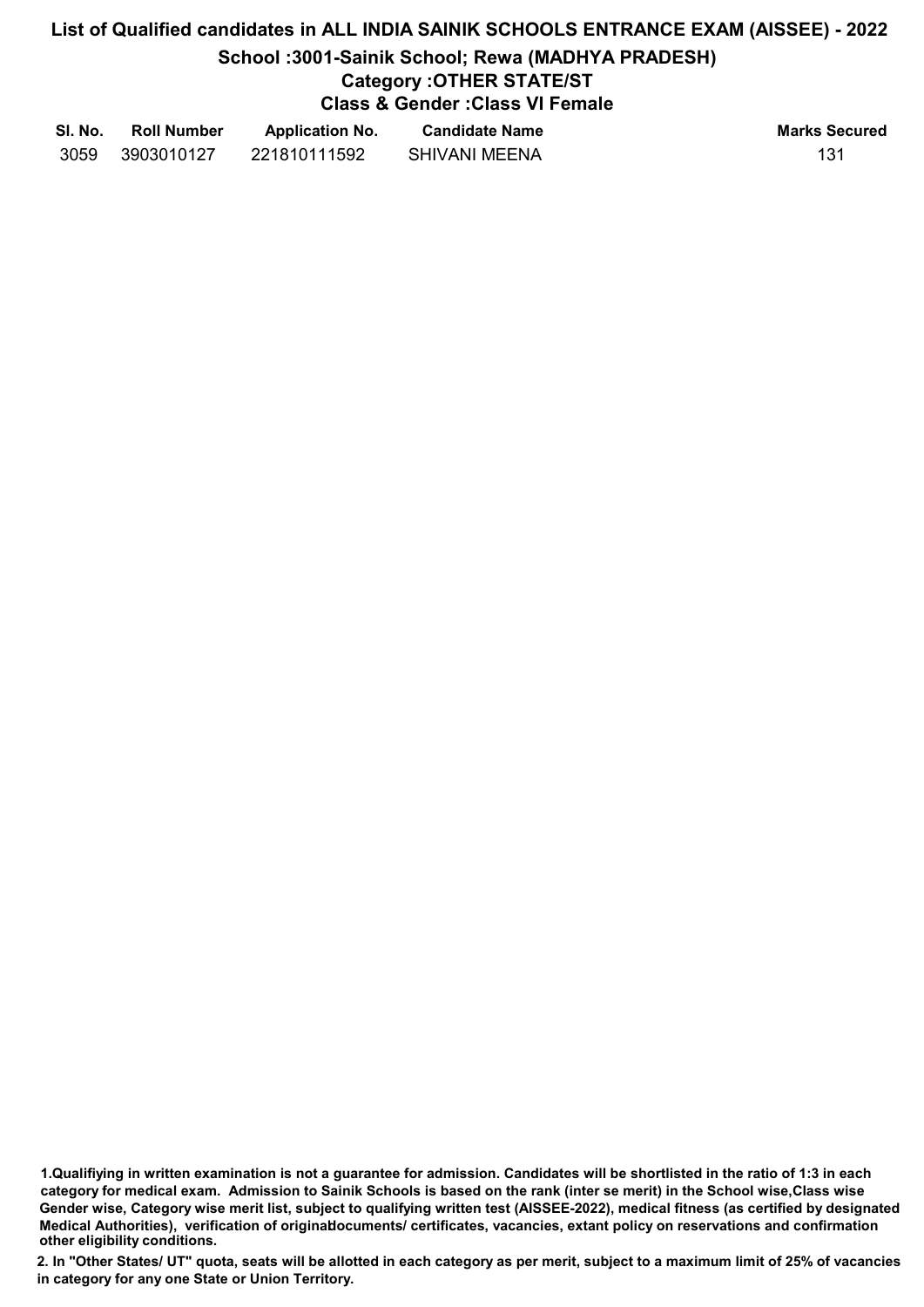# List of Qualified candidates in ALL INDIA SAINIK SCHOOLS ENTRANCE EXAM (AISSEE) - 2022 School :3001-Sainik School; Rewa (MADHYA PRADESH)

# Category :OTHER STATE/ST

Class & Gender :Class VI Female

| SI. No. | <b>Roll Number</b> | <b>Application No.</b> | <b>Candidate Name</b> | <b>Marks Secured</b> |
|---------|--------------------|------------------------|-----------------------|----------------------|
| 3059    | 3903010127         | 221810111592           | <b>SHIVANI MEENA</b>  | 131                  |

1.Qualifiying in written examination is not a guarantee for admission. Candidates will be shortlisted in the ratio of 1:3 in each category for medical exam. Admission to Sainik Schools is based on the rank (inter se merit) in the School wise,Class wise Gender wise, Category wise merit list, subject to qualifying written test (AISSEE-2022), medical fitness (as certified by designated Medical Authorities), verification of originablocuments/ certificates, vacancies, extant policy on reservations and confirmation other eligibility conditions.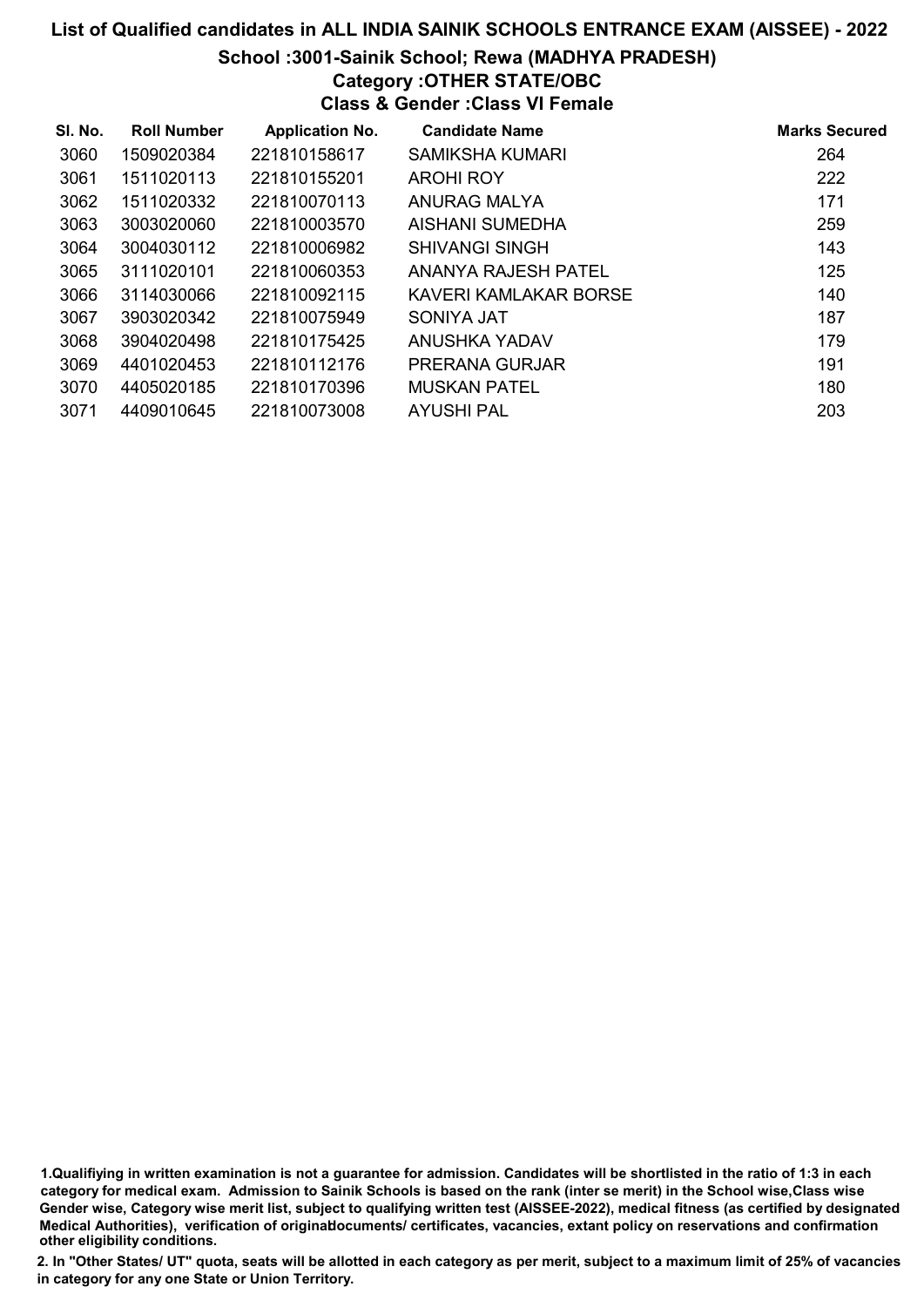# School :3001-Sainik School; Rewa (MADHYA PRADESH)

# Category :OTHER STATE/OBC

Class & Gender :Class VI Female

| SI. No. | <b>Roll Number</b> | <b>Application No.</b> | <b>Candidate Name</b> | <b>Marks Secured</b> |
|---------|--------------------|------------------------|-----------------------|----------------------|
| 3060    | 1509020384         | 221810158617           | SAMIKSHA KUMARI       | 264                  |
| 3061    | 1511020113         | 221810155201           | <b>AROHI ROY</b>      | 222                  |
| 3062    | 1511020332         | 221810070113           | ANURAG MALYA          | 171                  |
| 3063    | 3003020060         | 221810003570           | AISHANI SUMEDHA       | 259                  |
| 3064    | 3004030112         | 221810006982           | SHIVANGI SINGH        | 143                  |
| 3065    | 3111020101         | 221810060353           | ANANYA RAJESH PATEL   | 125                  |
| 3066    | 3114030066         | 221810092115           | KAVERI KAMLAKAR BORSE | 140                  |
| 3067    | 3903020342         | 221810075949           | SONIYA JAT            | 187                  |
| 3068    | 3904020498         | 221810175425           | ANUSHKA YADAV         | 179                  |
| 3069    | 4401020453         | 221810112176           | PRERANA GURJAR        | 191                  |
| 3070    | 4405020185         | 221810170396           | <b>MUSKAN PATEL</b>   | 180                  |
| 3071    | 4409010645         | 221810073008           | AYUSHI PAL            | 203                  |

1.Qualifiying in written examination is not a guarantee for admission. Candidates will be shortlisted in the ratio of 1:3 in each category for medical exam. Admission to Sainik Schools is based on the rank (inter se merit) in the School wise,Class wise Gender wise, Category wise merit list, subject to qualifying written test (AISSEE-2022), medical fitness (as certified by designated Medical Authorities), verification of originablocuments/ certificates, vacancies, extant policy on reservations and confirmation other eligibility conditions.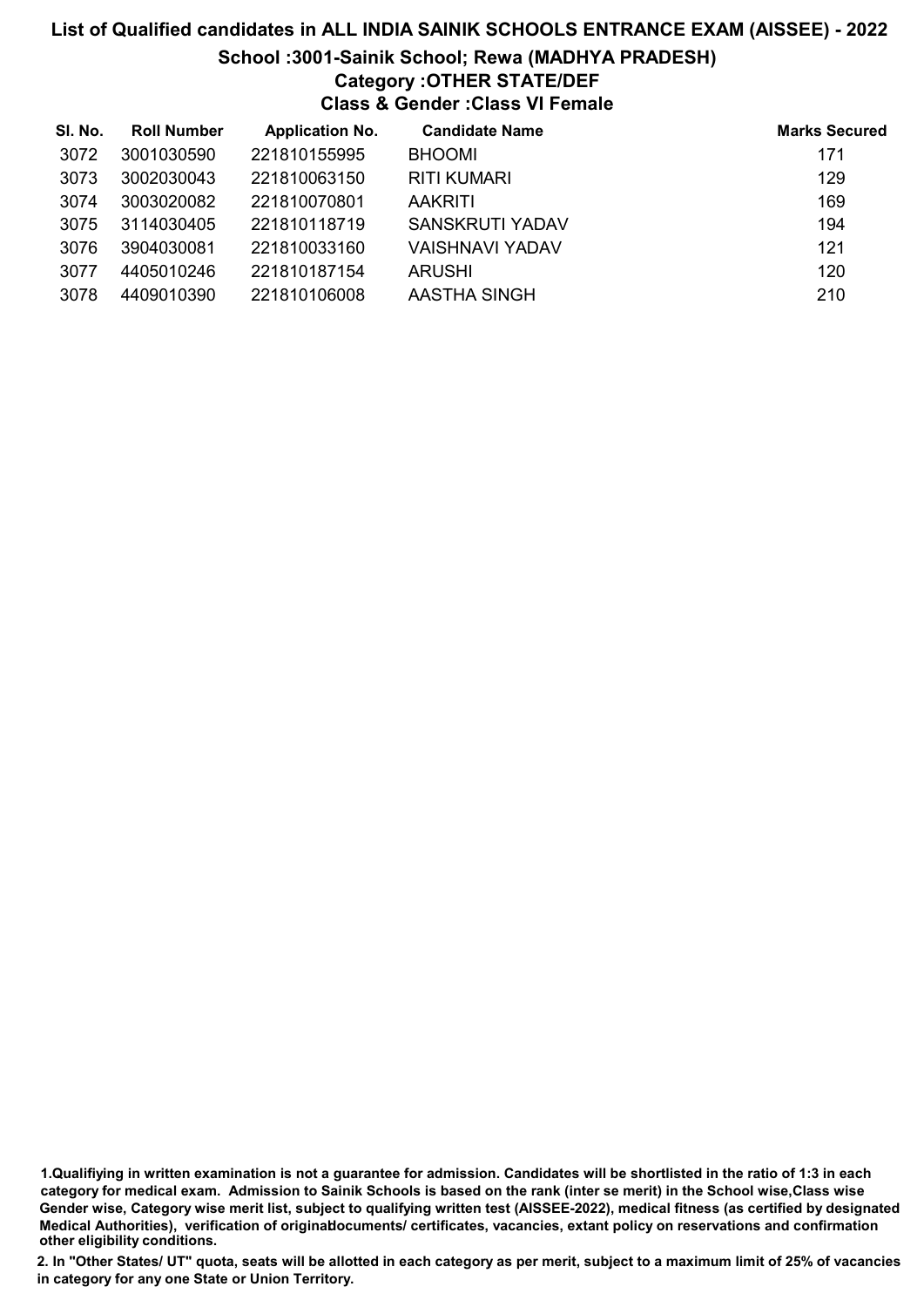# List of Qualified candidates in ALL INDIA SAINIK SCHOOLS ENTRANCE EXAM (AISSEE) - 2022 School :3001-Sainik School; Rewa (MADHYA PRADESH)

# Category :OTHER STATE/DEF

Class & Gender :Class VI Female

| SI. No. | <b>Roll Number</b> | <b>Application No.</b> | <b>Candidate Name</b> | <b>Marks Secured</b> |
|---------|--------------------|------------------------|-----------------------|----------------------|
| 3072    | 3001030590         | 221810155995           | <b>BHOOMI</b>         | 171                  |
| 3073    | 3002030043         | 221810063150           | <b>RITI KUMARI</b>    | 129                  |
| 3074    | 3003020082         | 221810070801           | <b>AAKRITI</b>        | 169                  |
| 3075    | 3114030405         | 221810118719           | SANSKRUTI YADAV       | 194                  |
| 3076    | 3904030081         | 221810033160           | VAISHNAVI YADAV       | 121                  |
| 3077    | 4405010246         | 221810187154           | ARUSHI                | 120                  |
| 3078    | 4409010390         | 221810106008           | AASTHA SINGH          | 210                  |

<sup>1.</sup>Qualifiying in written examination is not a guarantee for admission. Candidates will be shortlisted in the ratio of 1:3 in each category for medical exam. Admission to Sainik Schools is based on the rank (inter se merit) in the School wise,Class wise Gender wise, Category wise merit list, subject to qualifying written test (AISSEE-2022), medical fitness (as certified by designated Medical Authorities), verification of originablocuments/ certificates, vacancies, extant policy on reservations and confirmation other eligibility conditions.